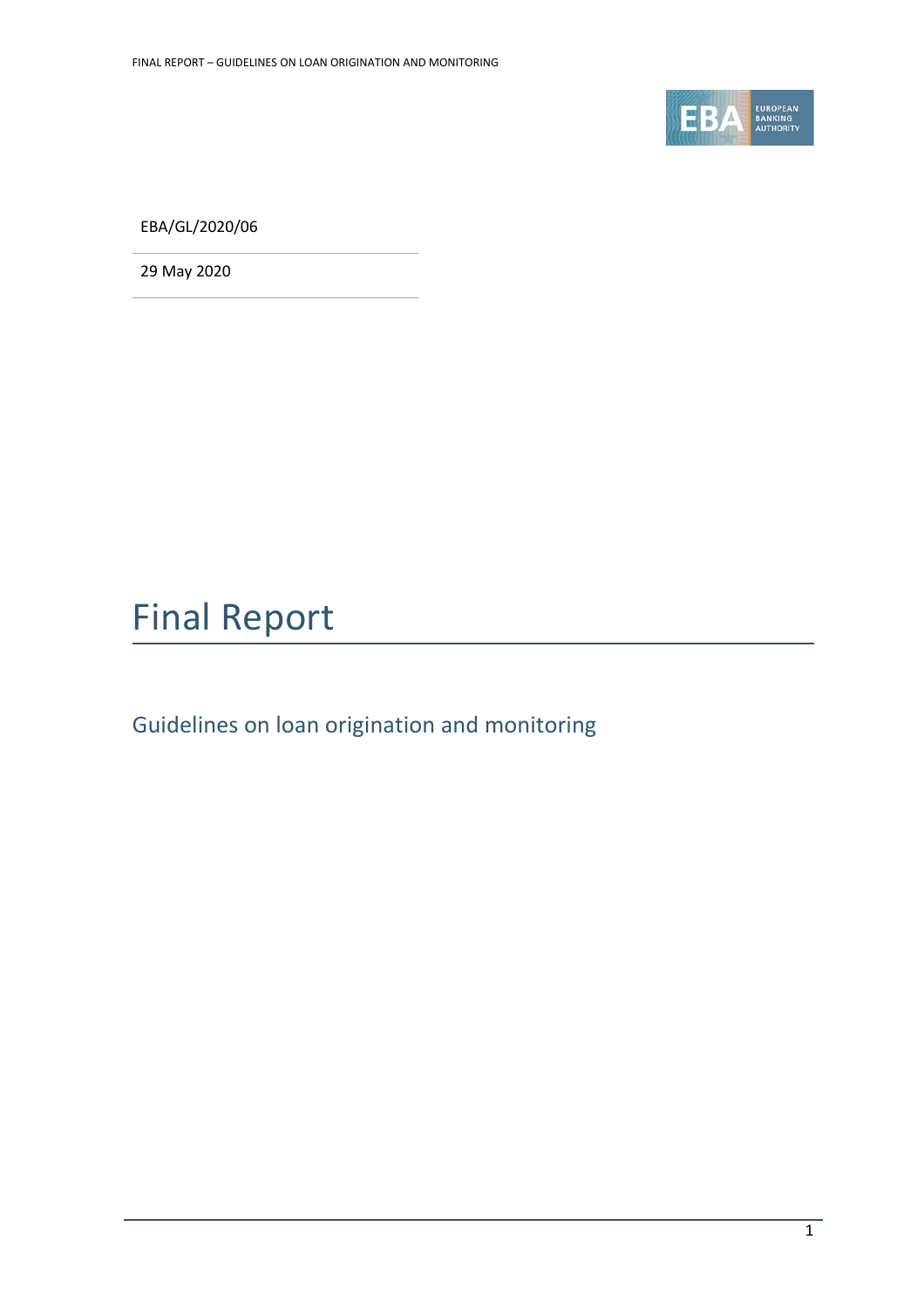

EBA/GL/2020/06

29 May 2020



Guidelines on loan origination and monitoring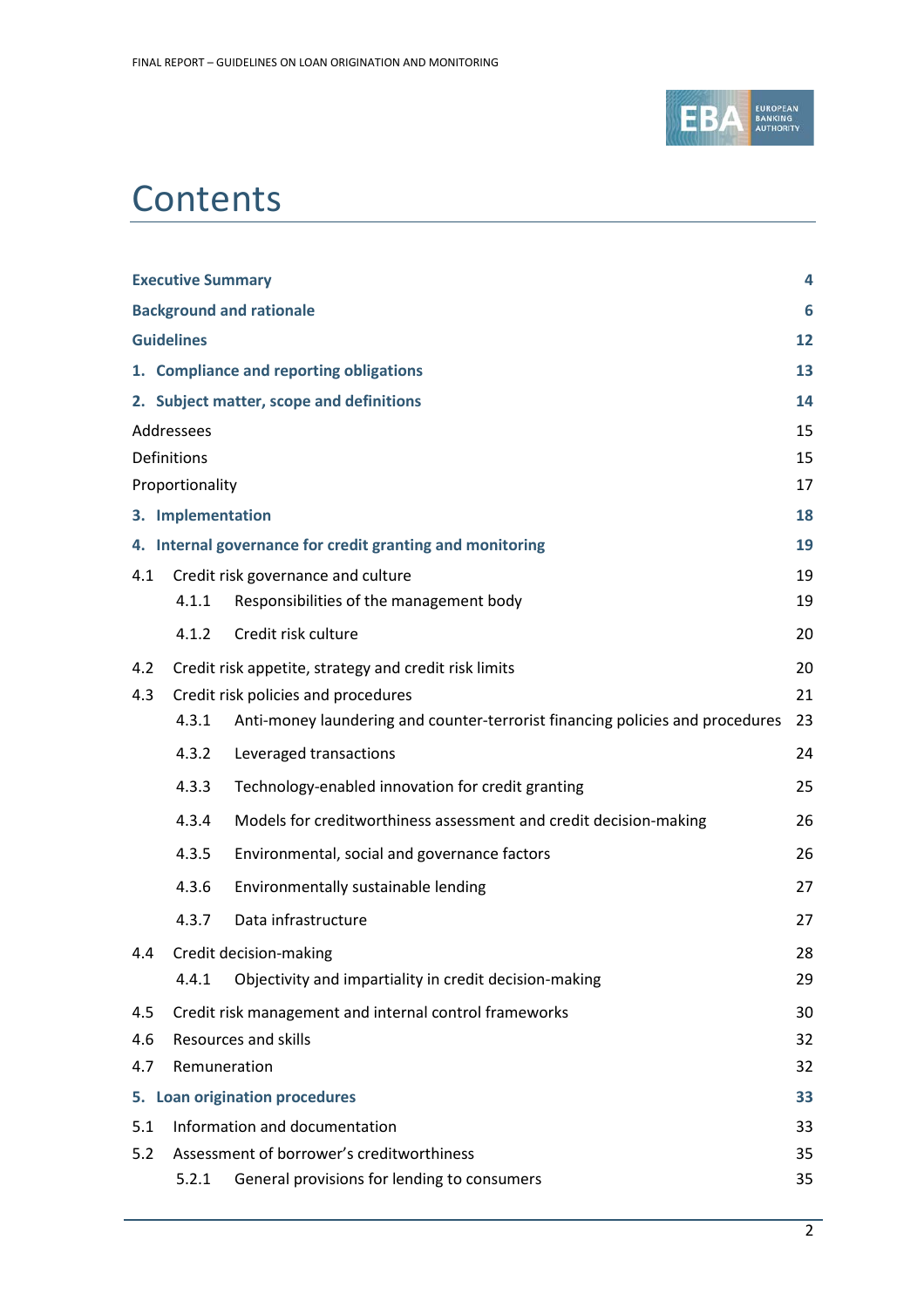

# **Contents**

| <b>Executive Summary</b><br>4                    |                                                                 |                                                                               |    |  |  |
|--------------------------------------------------|-----------------------------------------------------------------|-------------------------------------------------------------------------------|----|--|--|
| <b>Background and rationale</b><br>6             |                                                                 |                                                                               |    |  |  |
|                                                  | <b>Guidelines</b><br>12                                         |                                                                               |    |  |  |
|                                                  | 1. Compliance and reporting obligations                         |                                                                               |    |  |  |
|                                                  |                                                                 | 2. Subject matter, scope and definitions                                      | 14 |  |  |
|                                                  | Addressees<br>15                                                |                                                                               |    |  |  |
|                                                  | Definitions                                                     |                                                                               |    |  |  |
|                                                  | Proportionality                                                 |                                                                               |    |  |  |
| 3. Implementation<br>18                          |                                                                 |                                                                               |    |  |  |
|                                                  | 4. Internal governance for credit granting and monitoring<br>19 |                                                                               |    |  |  |
| 4.1                                              |                                                                 | Credit risk governance and culture                                            |    |  |  |
|                                                  | 4.1.1                                                           | Responsibilities of the management body                                       | 19 |  |  |
|                                                  | 4.1.2                                                           | Credit risk culture                                                           | 20 |  |  |
| 4.2                                              | 20<br>Credit risk appetite, strategy and credit risk limits     |                                                                               |    |  |  |
| 4.3                                              |                                                                 | Credit risk policies and procedures                                           | 21 |  |  |
|                                                  | 4.3.1                                                           | Anti-money laundering and counter-terrorist financing policies and procedures | 23 |  |  |
|                                                  | 4.3.2                                                           | Leveraged transactions                                                        | 24 |  |  |
|                                                  | 4.3.3                                                           | Technology-enabled innovation for credit granting                             | 25 |  |  |
|                                                  | 4.3.4                                                           | Models for creditworthiness assessment and credit decision-making             | 26 |  |  |
|                                                  | 4.3.5                                                           | Environmental, social and governance factors                                  | 26 |  |  |
|                                                  | 4.3.6                                                           | Environmentally sustainable lending                                           | 27 |  |  |
|                                                  | 4.3.7                                                           | Data infrastructure                                                           | 27 |  |  |
|                                                  | 4.4 Credit decision-making                                      |                                                                               |    |  |  |
|                                                  | 4.4.1                                                           | Objectivity and impartiality in credit decision-making                        | 29 |  |  |
| 4.5                                              | Credit risk management and internal control frameworks<br>30    |                                                                               |    |  |  |
| 4.6                                              | <b>Resources and skills</b><br>32                               |                                                                               |    |  |  |
| 4.7                                              | Remuneration<br>32                                              |                                                                               |    |  |  |
| 5. Loan origination procedures<br>33             |                                                                 |                                                                               |    |  |  |
| 5.1                                              | Information and documentation                                   |                                                                               |    |  |  |
| Assessment of borrower's creditworthiness<br>5.2 |                                                                 |                                                                               |    |  |  |
|                                                  | 5.2.1                                                           | General provisions for lending to consumers                                   | 35 |  |  |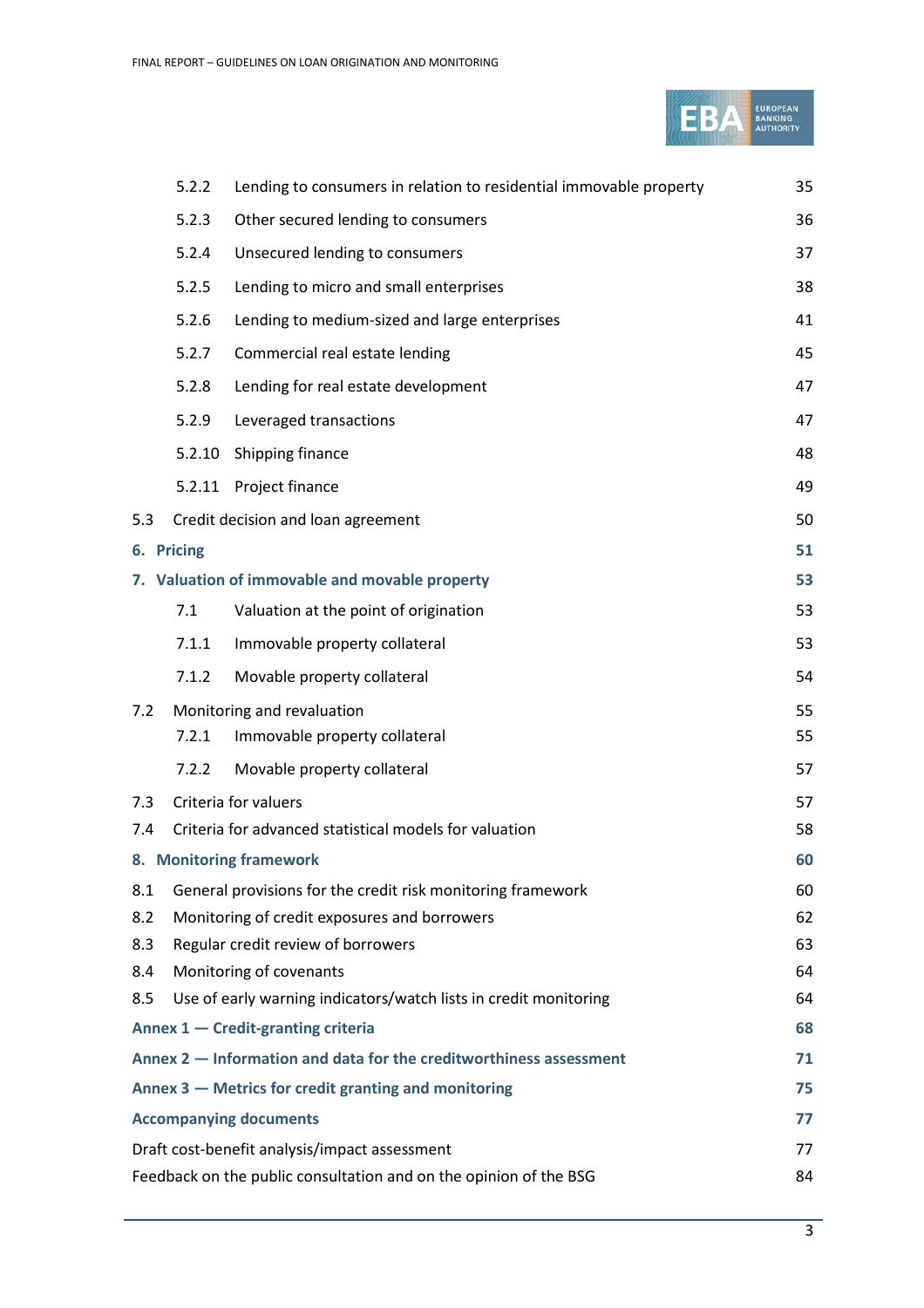

|                                                                          | 5.2.2                                                                   | Lending to consumers in relation to residential immovable property | 35 |  |  |
|--------------------------------------------------------------------------|-------------------------------------------------------------------------|--------------------------------------------------------------------|----|--|--|
|                                                                          | 5.2.3                                                                   | Other secured lending to consumers                                 | 36 |  |  |
|                                                                          | 5.2.4                                                                   | Unsecured lending to consumers                                     | 37 |  |  |
|                                                                          | 5.2.5                                                                   | Lending to micro and small enterprises                             | 38 |  |  |
|                                                                          | 5.2.6                                                                   | Lending to medium-sized and large enterprises                      | 41 |  |  |
|                                                                          | 5.2.7                                                                   | Commercial real estate lending                                     | 45 |  |  |
|                                                                          | 5.2.8                                                                   | Lending for real estate development                                | 47 |  |  |
|                                                                          | 5.2.9                                                                   | Leveraged transactions                                             | 47 |  |  |
|                                                                          | 5.2.10                                                                  | Shipping finance                                                   | 48 |  |  |
|                                                                          | 5.2.11                                                                  | Project finance                                                    | 49 |  |  |
| 5.3                                                                      |                                                                         | Credit decision and loan agreement                                 | 50 |  |  |
| 6. Pricing<br>51                                                         |                                                                         |                                                                    |    |  |  |
|                                                                          | 7. Valuation of immovable and movable property                          |                                                                    |    |  |  |
|                                                                          | 7.1                                                                     | Valuation at the point of origination                              | 53 |  |  |
|                                                                          | 7.1.1                                                                   | Immovable property collateral                                      | 53 |  |  |
|                                                                          | 7.1.2                                                                   | Movable property collateral                                        | 54 |  |  |
| 7.2                                                                      | Monitoring and revaluation                                              |                                                                    |    |  |  |
|                                                                          | 7.2.1                                                                   | Immovable property collateral                                      | 55 |  |  |
|                                                                          | 7.2.2                                                                   | Movable property collateral                                        | 57 |  |  |
| 7.3                                                                      | Criteria for valuers<br>57                                              |                                                                    |    |  |  |
| 7.4                                                                      | Criteria for advanced statistical models for valuation<br>58            |                                                                    |    |  |  |
| 8. Monitoring framework<br>60                                            |                                                                         |                                                                    |    |  |  |
| 8.1                                                                      |                                                                         | General provisions for the credit risk monitoring framework        | 60 |  |  |
| 8.2                                                                      | Monitoring of credit exposures and borrowers<br>62                      |                                                                    |    |  |  |
| 8.3                                                                      | Regular credit review of borrowers<br>63                                |                                                                    |    |  |  |
| 8.4                                                                      | Monitoring of covenants<br>64                                           |                                                                    |    |  |  |
| 8.5                                                                      |                                                                         | Use of early warning indicators/watch lists in credit monitoring   | 64 |  |  |
| Annex 1 - Credit-granting criteria<br>68                                 |                                                                         |                                                                    |    |  |  |
| Annex 2 – Information and data for the creditworthiness assessment<br>71 |                                                                         |                                                                    |    |  |  |
| Annex 3 – Metrics for credit granting and monitoring<br>75               |                                                                         |                                                                    |    |  |  |
| <b>Accompanying documents</b><br>77                                      |                                                                         |                                                                    |    |  |  |
| Draft cost-benefit analysis/impact assessment<br>77                      |                                                                         |                                                                    |    |  |  |
|                                                                          | Feedback on the public consultation and on the opinion of the BSG<br>84 |                                                                    |    |  |  |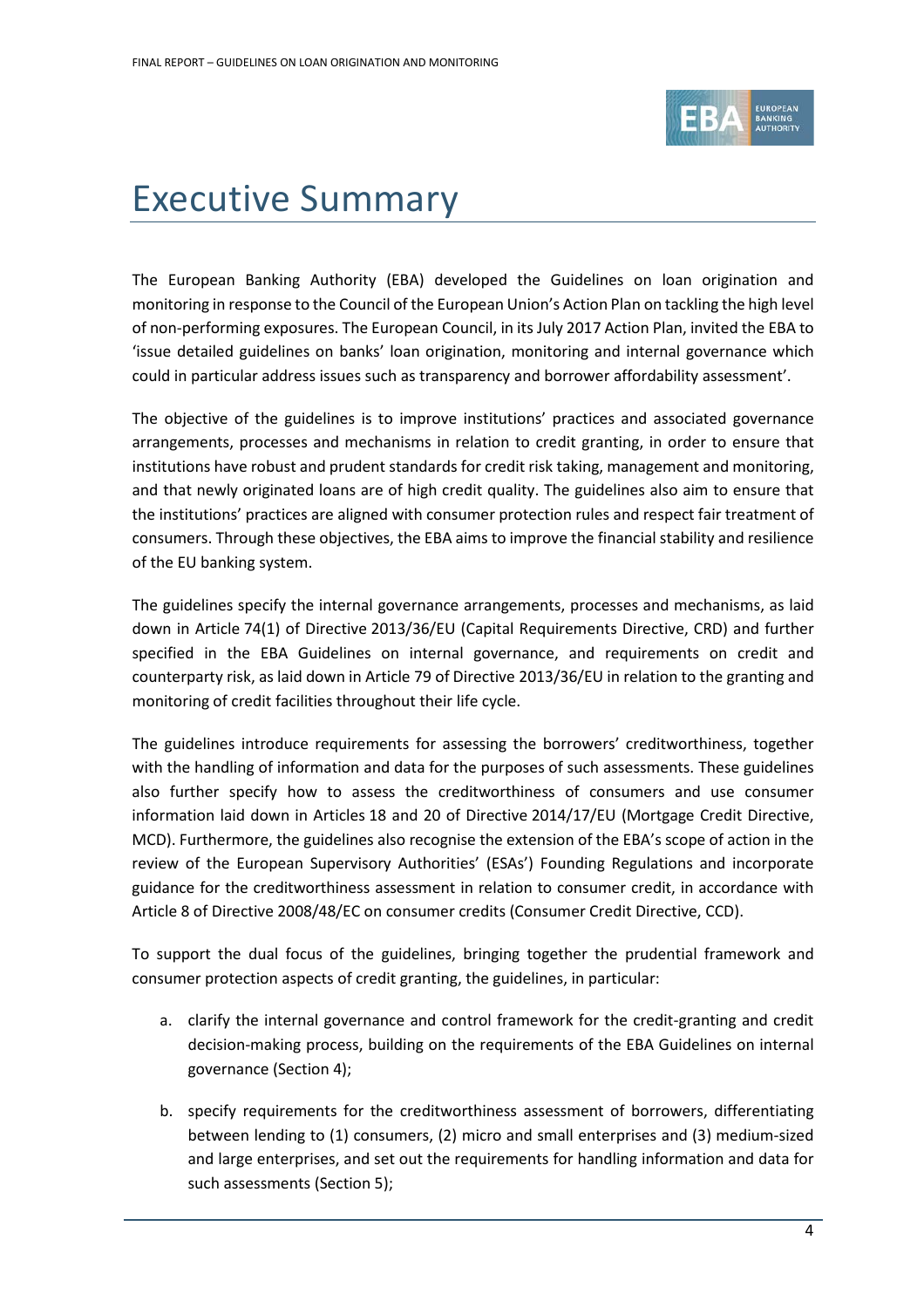

# <span id="page-3-0"></span>Executive Summary

The European Banking Authority (EBA) developed the Guidelines on loan origination and monitoring in response to the Council of the European Union's Action Plan on tackling the high level of non-performing exposures. The European Council, in its July 2017 Action Plan, invited the EBA to 'issue detailed guidelines on banks' loan origination, monitoring and internal governance which could in particular address issues such as transparency and borrower affordability assessment'.

The objective of the guidelines is to improve institutions' practices and associated governance arrangements, processes and mechanisms in relation to credit granting, in order to ensure that institutions have robust and prudent standards for credit risk taking, management and monitoring, and that newly originated loans are of high credit quality. The guidelines also aim to ensure that the institutions' practices are aligned with consumer protection rules and respect fair treatment of consumers. Through these objectives, the EBA aims to improve the financial stability and resilience of the EU banking system.

The guidelines specify the internal governance arrangements, processes and mechanisms, as laid down in Article 74(1) of Directive 2013/36/EU (Capital Requirements Directive, CRD) and further specified in the EBA Guidelines on internal governance, and requirements on credit and counterparty risk, as laid down in Article 79 of Directive 2013/36/EU in relation to the granting and monitoring of credit facilities throughout their life cycle.

The guidelines introduce requirements for assessing the borrowers' creditworthiness, together with the handling of information and data for the purposes of such assessments. These guidelines also further specify how to assess the creditworthiness of consumers and use consumer information laid down in Articles 18 and 20 of Directive 2014/17/EU (Mortgage Credit Directive, MCD). Furthermore, the guidelines also recognise the extension of the EBA's scope of action in the review of the European Supervisory Authorities' (ESAs') Founding Regulations and incorporate guidance for the creditworthiness assessment in relation to consumer credit, in accordance with Article 8 of Directive 2008/48/EC on consumer credits (Consumer Credit Directive, CCD).

To support the dual focus of the guidelines, bringing together the prudential framework and consumer protection aspects of credit granting, the guidelines, in particular:

- a. clarify the internal governance and control framework for the credit-granting and credit decision-making process, building on the requirements of the EBA Guidelines on internal governance (Section 4);
- b. specify requirements for the creditworthiness assessment of borrowers, differentiating between lending to (1) consumers, (2) micro and small enterprises and (3) medium-sized and large enterprises, and set out the requirements for handling information and data for such assessments (Section 5);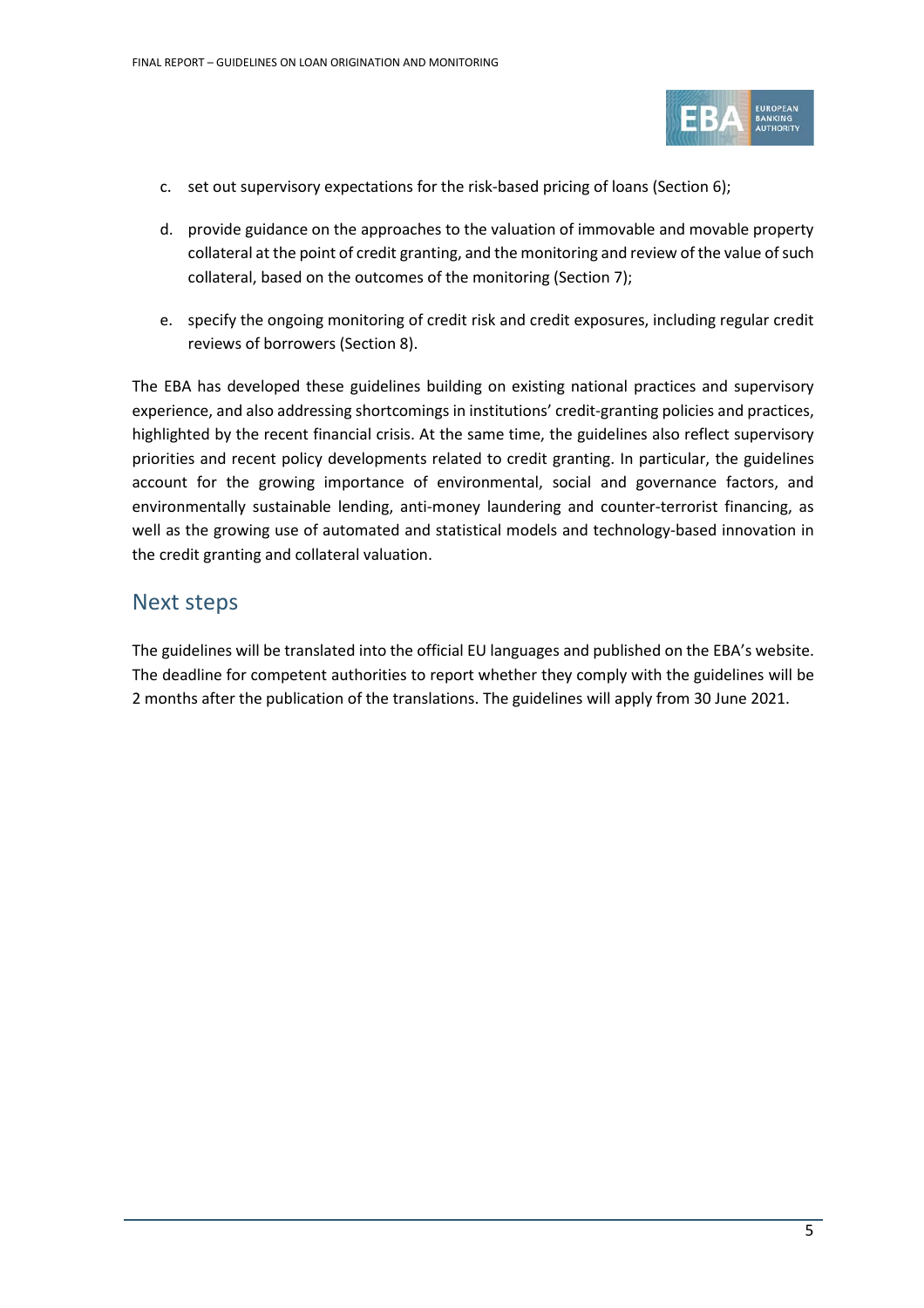

- c. set out supervisory expectations for the risk-based pricing of loans (Section 6);
- d. provide guidance on the approaches to the valuation of immovable and movable property collateral at the point of credit granting, and the monitoring and review of the value of such collateral, based on the outcomes of the monitoring (Section 7);
- e. specify the ongoing monitoring of credit risk and credit exposures, including regular credit reviews of borrowers (Section 8).

The EBA has developed these guidelines building on existing national practices and supervisory experience, and also addressing shortcomings in institutions' credit-granting policies and practices, highlighted by the recent financial crisis. At the same time, the guidelines also reflect supervisory priorities and recent policy developments related to credit granting. In particular, the guidelines account for the growing importance of environmental, social and governance factors, and environmentally sustainable lending, anti-money laundering and counter-terrorist financing, as well as the growing use of automated and statistical models and technology-based innovation in the credit granting and collateral valuation.

### Next steps

The guidelines will be translated into the official EU languages and published on the EBA's website. The deadline for competent authorities to report whether they comply with the guidelines will be 2 months after the publication of the translations. The guidelines will apply from 30 June 2021.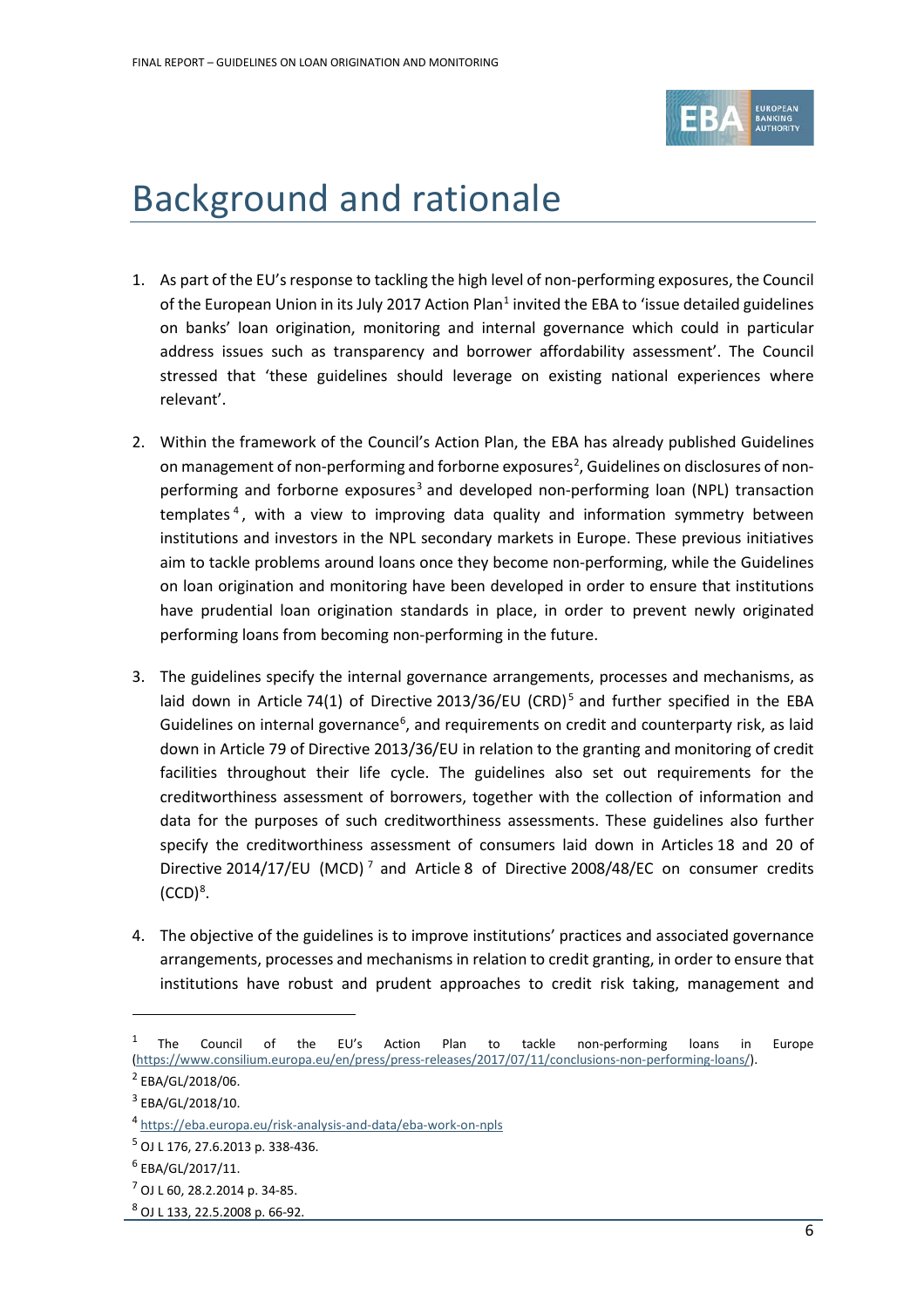

# <span id="page-5-0"></span>Background and rationale

- 1. As part of the EU's response to tackling the high level of non-performing exposures, the Council of the European Union in its July 2017 Action Plan<sup>1</sup> invited the EBA to 'issue detailed guidelines on banks' loan origination, monitoring and internal governance which could in particular address issues such as transparency and borrower affordability assessment'. The Council stressed that 'these guidelines should leverage on existing national experiences where relevant'.
- 2. Within the framework of the Council's Action Plan, the EBA has already published Guidelines on management of non-performing and forborne exposures<sup>[2](#page-5-2)</sup>, Guidelines on disclosures of non-performing and forborne exposures<sup>[3](#page-5-3)</sup> and developed non-performing loan (NPL) transaction templates<sup>[4](#page-5-4)</sup>, with a view to improving data quality and information symmetry between institutions and investors in the NPL secondary markets in Europe. These previous initiatives aim to tackle problems around loans once they become non-performing, while the Guidelines on loan origination and monitoring have been developed in order to ensure that institutions have prudential loan origination standards in place, in order to prevent newly originated performing loans from becoming non-performing in the future.
- 3. The guidelines specify the internal governance arrangements, processes and mechanisms, as laid down in Article 74(1) of Directive 2013/36/EU (CRD)<sup>[5](#page-5-5)</sup> and further specified in the EBA Guidelines on internal governance<sup>[6](#page-5-6)</sup>, and requirements on credit and counterparty risk, as laid down in Article 79 of Directive 2013/36/EU in relation to the granting and monitoring of credit facilities throughout their life cycle. The guidelines also set out requirements for the creditworthiness assessment of borrowers, together with the collection of information and data for the purposes of such creditworthiness assessments. These guidelines also further specify the creditworthiness assessment of consumers laid down in Articles 18 and 20 of Directive 2014/1[7](#page-5-7)/EU (MCD)<sup>7</sup> and Article 8 of Directive 2008/48/EC on consumer credits  $(CCD)<sup>8</sup>$  $(CCD)<sup>8</sup>$  $(CCD)<sup>8</sup>$ .
- 4. The objective of the guidelines is to improve institutions' practices and associated governance arrangements, processes and mechanisms in relation to credit granting, in order to ensure that institutions have robust and prudent approaches to credit risk taking, management and

<span id="page-5-1"></span><sup>&</sup>lt;sup>1</sup> The Council of the EU's Action Plan to tackle non-performing loans in Europe [\(https://www.consilium.europa.eu/en/press/press-releases/2017/07/11/conclusions-non-performing-loans/\)](https://www.consilium.europa.eu/en/press/press-releases/2017/07/11/conclusions-non-performing-loans/).

<span id="page-5-2"></span><sup>2</sup> EBA/GL/2018/06.

<span id="page-5-3"></span><sup>3</sup> EBA/GL/2018/10.

<span id="page-5-4"></span><sup>4</sup> <https://eba.europa.eu/risk-analysis-and-data/eba-work-on-npls>

<span id="page-5-5"></span><sup>5</sup> OJ L 176, 27.6.2013 p. 338-436.

<span id="page-5-6"></span> $6$  EBA/GL/2017/11.

<span id="page-5-7"></span> $<sup>7</sup>$  OJ L 60, 28.2.2014 p. 34-85.</sup>

<span id="page-5-8"></span><sup>8</sup> OJ L 133, 22.5.2008 p. 66-92.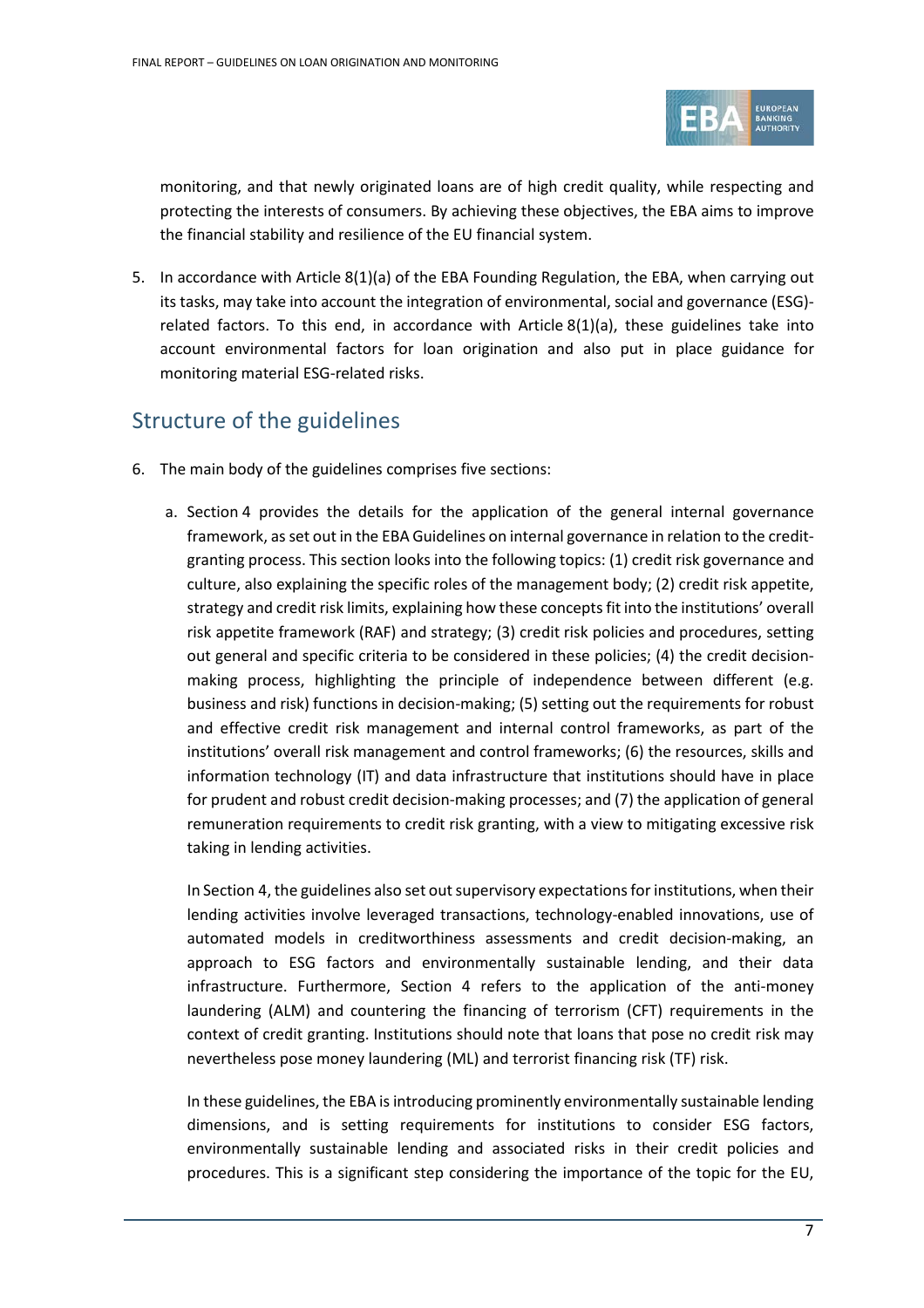

monitoring, and that newly originated loans are of high credit quality, while respecting and protecting the interests of consumers. By achieving these objectives, the EBA aims to improve the financial stability and resilience of the EU financial system.

5. In accordance with Article 8(1)(a) of the EBA Founding Regulation, the EBA, when carrying out its tasks, may take into account the integration of environmental, social and governance (ESG) related factors. To this end, in accordance with Article  $8(1)(a)$ , these guidelines take into account environmental factors for loan origination and also put in place guidance for monitoring material ESG-related risks.

## Structure of the guidelines

- 6. The main body of the guidelines comprises five sections:
	- a. Section 4 provides the details for the application of the general internal governance framework, as set out in the EBA Guidelines on internal governance in relation to the creditgranting process. This section looks into the following topics: (1) credit risk governance and culture, also explaining the specific roles of the management body; (2) credit risk appetite, strategy and credit risk limits, explaining how these concepts fit into the institutions' overall risk appetite framework (RAF) and strategy; (3) credit risk policies and procedures, setting out general and specific criteria to be considered in these policies; (4) the credit decisionmaking process, highlighting the principle of independence between different (e.g. business and risk) functions in decision-making; (5) setting out the requirements for robust and effective credit risk management and internal control frameworks, as part of the institutions' overall risk management and control frameworks; (6) the resources, skills and information technology (IT) and data infrastructure that institutions should have in place for prudent and robust credit decision-making processes; and (7) the application of general remuneration requirements to credit risk granting, with a view to mitigating excessive risk taking in lending activities.

In Section 4, the guidelines also set out supervisory expectations for institutions, when their lending activities involve leveraged transactions, technology-enabled innovations, use of automated models in creditworthiness assessments and credit decision-making, an approach to ESG factors and environmentally sustainable lending, and their data infrastructure. Furthermore, Section 4 refers to the application of the anti-money laundering (ALM) and countering the financing of terrorism (CFT) requirements in the context of credit granting. Institutions should note that loans that pose no credit risk may nevertheless pose money laundering (ML) and terrorist financing risk (TF) risk.

In these guidelines, the EBA is introducing prominently environmentally sustainable lending dimensions, and is setting requirements for institutions to consider ESG factors, environmentally sustainable lending and associated risks in their credit policies and procedures. This is a significant step considering the importance of the topic for the EU,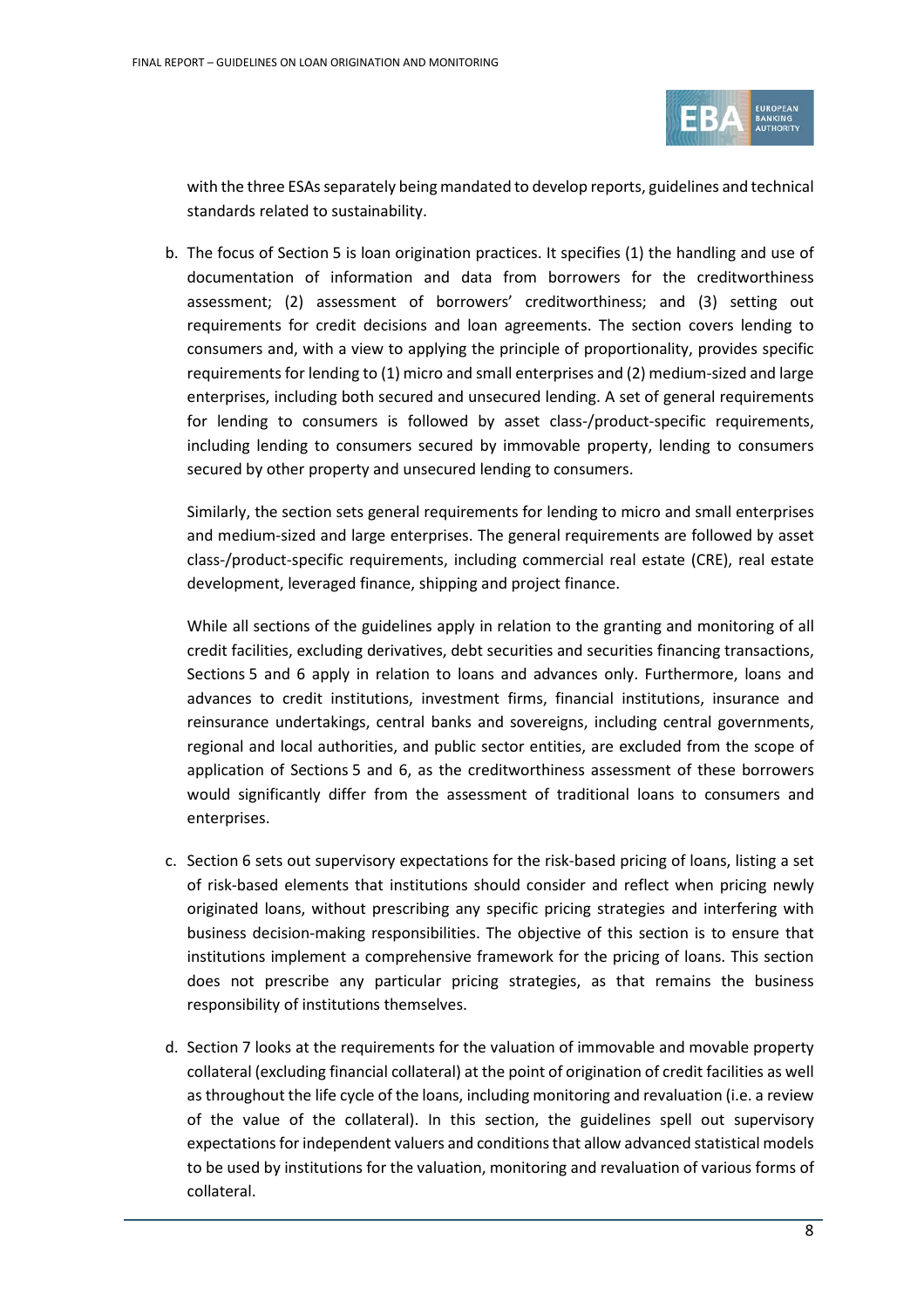

with the three ESAs separately being mandated to develop reports, guidelines and technical standards related to sustainability.

b. The focus of Section 5 is loan origination practices. It specifies (1) the handling and use of documentation of information and data from borrowers for the creditworthiness assessment; (2) assessment of borrowers' creditworthiness; and (3) setting out requirements for credit decisions and loan agreements. The section covers lending to consumers and, with a view to applying the principle of proportionality, provides specific requirements for lending to (1) micro and small enterprises and (2) medium-sized and large enterprises, including both secured and unsecured lending. A set of general requirements for lending to consumers is followed by asset class-/product-specific requirements, including lending to consumers secured by immovable property, lending to consumers secured by other property and unsecured lending to consumers.

Similarly, the section sets general requirements for lending to micro and small enterprises and medium-sized and large enterprises. The general requirements are followed by asset class-/product-specific requirements, including commercial real estate (CRE), real estate development, leveraged finance, shipping and project finance.

While all sections of the guidelines apply in relation to the granting and monitoring of all credit facilities, excluding derivatives, debt securities and securities financing transactions, Sections 5 and 6 apply in relation to loans and advances only. Furthermore, loans and advances to credit institutions, investment firms, financial institutions, insurance and reinsurance undertakings, central banks and sovereigns, including central governments, regional and local authorities, and public sector entities, are excluded from the scope of application of Sections 5 and 6, as the creditworthiness assessment of these borrowers would significantly differ from the assessment of traditional loans to consumers and enterprises.

- c. Section 6 sets out supervisory expectations for the risk-based pricing of loans, listing a set of risk-based elements that institutions should consider and reflect when pricing newly originated loans, without prescribing any specific pricing strategies and interfering with business decision-making responsibilities. The objective of this section is to ensure that institutions implement a comprehensive framework for the pricing of loans. This section does not prescribe any particular pricing strategies, as that remains the business responsibility of institutions themselves.
- d. Section 7 looks at the requirements for the valuation of immovable and movable property collateral (excluding financial collateral) at the point of origination of credit facilities as well as throughout the life cycle of the loans, including monitoring and revaluation (i.e. a review of the value of the collateral). In this section, the guidelines spell out supervisory expectations for independent valuers and conditions that allow advanced statistical models to be used by institutions for the valuation, monitoring and revaluation of various forms of collateral.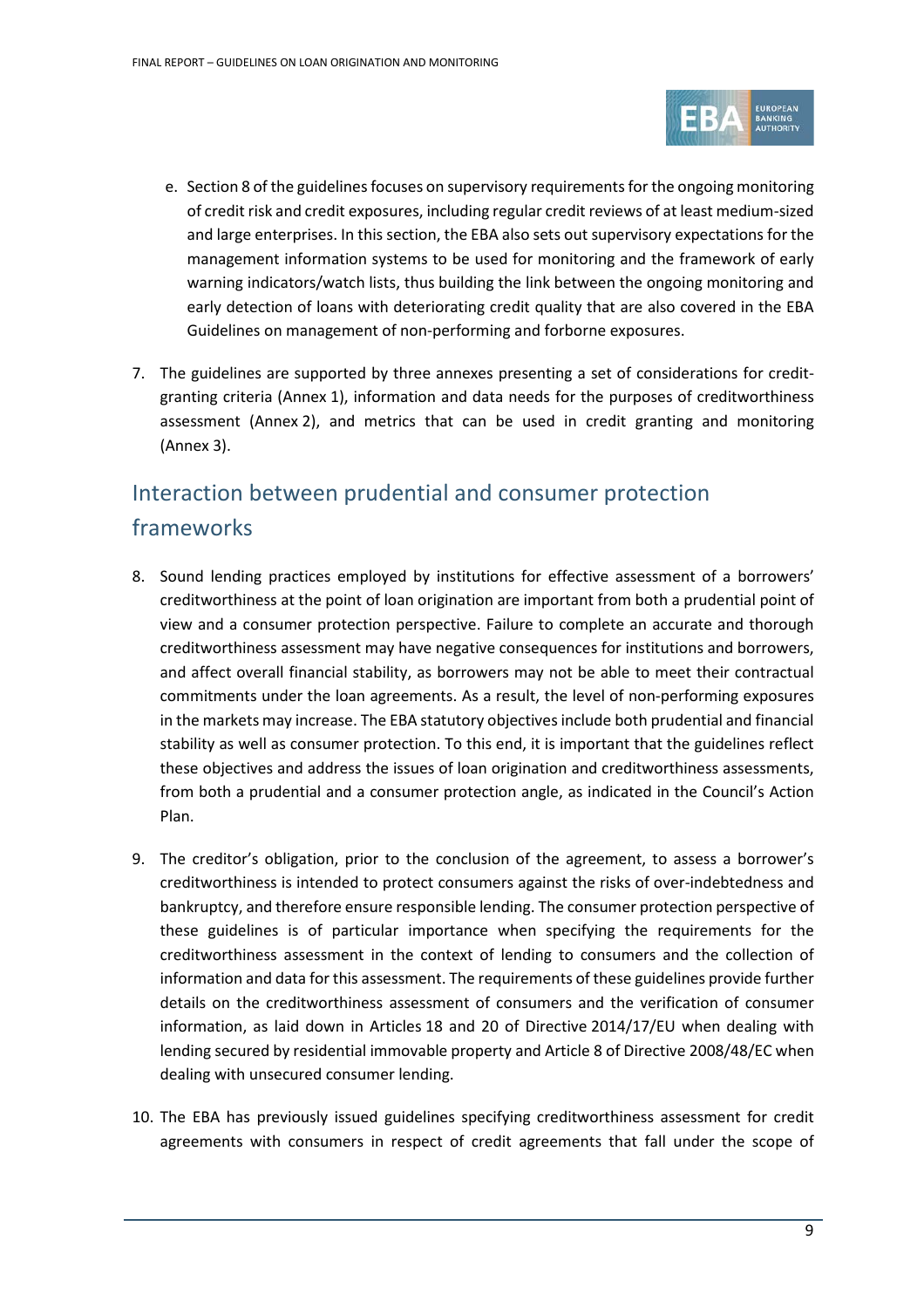

- e. Section 8 of the guidelines focuses on supervisory requirements for the ongoing monitoring of credit risk and credit exposures, including regular credit reviews of at least medium-sized and large enterprises. In this section, the EBA also sets out supervisory expectations for the management information systems to be used for monitoring and the framework of early warning indicators/watch lists, thus building the link between the ongoing monitoring and early detection of loans with deteriorating credit quality that are also covered in the EBA Guidelines on management of non-performing and forborne exposures.
- 7. The guidelines are supported by three annexes presenting a set of considerations for creditgranting criteria (Annex 1), information and data needs for the purposes of creditworthiness assessment (Annex 2), and metrics that can be used in credit granting and monitoring (Annex 3).

# Interaction between prudential and consumer protection frameworks

- 8. Sound lending practices employed by institutions for effective assessment of a borrowers' creditworthiness at the point of loan origination are important from both a prudential point of view and a consumer protection perspective. Failure to complete an accurate and thorough creditworthiness assessment may have negative consequences for institutions and borrowers, and affect overall financial stability, as borrowers may not be able to meet their contractual commitments under the loan agreements. As a result, the level of non-performing exposures in the markets may increase. The EBA statutory objectives include both prudential and financial stability as well as consumer protection. To this end, it is important that the guidelines reflect these objectives and address the issues of loan origination and creditworthiness assessments, from both a prudential and a consumer protection angle, as indicated in the Council's Action Plan.
- 9. The creditor's obligation, prior to the conclusion of the agreement, to assess a borrower's creditworthiness is intended to protect consumers against the risks of over-indebtedness and bankruptcy, and therefore ensure responsible lending. The consumer protection perspective of these guidelines is of particular importance when specifying the requirements for the creditworthiness assessment in the context of lending to consumers and the collection of information and data for this assessment. The requirements of these guidelines provide further details on the creditworthiness assessment of consumers and the verification of consumer information, as laid down in Articles 18 and 20 of Directive 2014/17/EU when dealing with lending secured by residential immovable property and Article 8 of Directive 2008/48/EC when dealing with unsecured consumer lending.
- 10. The EBA has previously issued guidelines specifying creditworthiness assessment for credit agreements with consumers in respect of credit agreements that fall under the scope of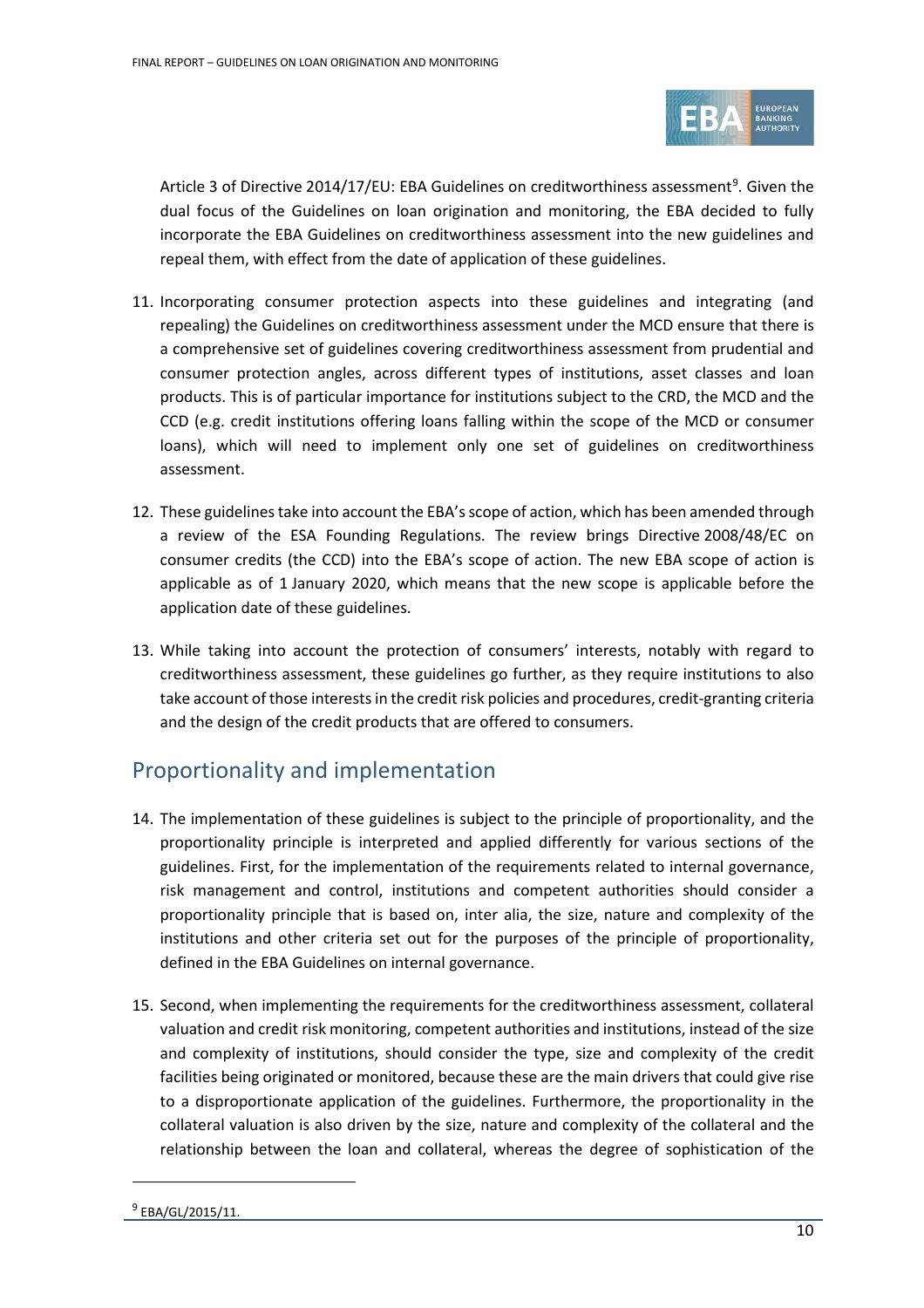

Article 3 of Directive 2014/17/EU: EBA Guidelines on creditworthiness assessment<sup>[9](#page-9-0)</sup>. Given the dual focus of the Guidelines on loan origination and monitoring, the EBA decided to fully incorporate the EBA Guidelines on creditworthiness assessment into the new guidelines and repeal them, with effect from the date of application of these guidelines.

- 11. Incorporating consumer protection aspects into these guidelines and integrating (and repealing) the Guidelines on creditworthiness assessment under the MCD ensure that there is a comprehensive set of guidelines covering creditworthiness assessment from prudential and consumer protection angles, across different types of institutions, asset classes and loan products. This is of particular importance for institutions subject to the CRD, the MCD and the CCD (e.g. credit institutions offering loans falling within the scope of the MCD or consumer loans), which will need to implement only one set of guidelines on creditworthiness assessment.
- 12. These guidelines take into account the EBA's scope of action, which has been amended through a review of the ESA Founding Regulations. The review brings Directive 2008/48/EC on consumer credits (the CCD) into the EBA's scope of action. The new EBA scope of action is applicable as of 1 January 2020, which means that the new scope is applicable before the application date of these guidelines.
- 13. While taking into account the protection of consumers' interests, notably with regard to creditworthiness assessment, these guidelines go further, as they require institutions to also take account of those interests in the credit risk policies and procedures, credit-granting criteria and the design of the credit products that are offered to consumers.

## Proportionality and implementation

- 14. The implementation of these guidelines is subject to the principle of proportionality, and the proportionality principle is interpreted and applied differently for various sections of the guidelines. First, for the implementation of the requirements related to internal governance, risk management and control, institutions and competent authorities should consider a proportionality principle that is based on, inter alia, the size, nature and complexity of the institutions and other criteria set out for the purposes of the principle of proportionality, defined in the EBA Guidelines on internal governance.
- <span id="page-9-0"></span>15. Second, when implementing the requirements for the creditworthiness assessment, collateral valuation and credit risk monitoring, competent authorities and institutions, instead of the size and complexity of institutions, should consider the type, size and complexity of the credit facilities being originated or monitored, because these are the main drivers that could give rise to a disproportionate application of the guidelines. Furthermore, the proportionality in the collateral valuation is also driven by the size, nature and complexity of the collateral and the relationship between the loan and collateral, whereas the degree of sophistication of the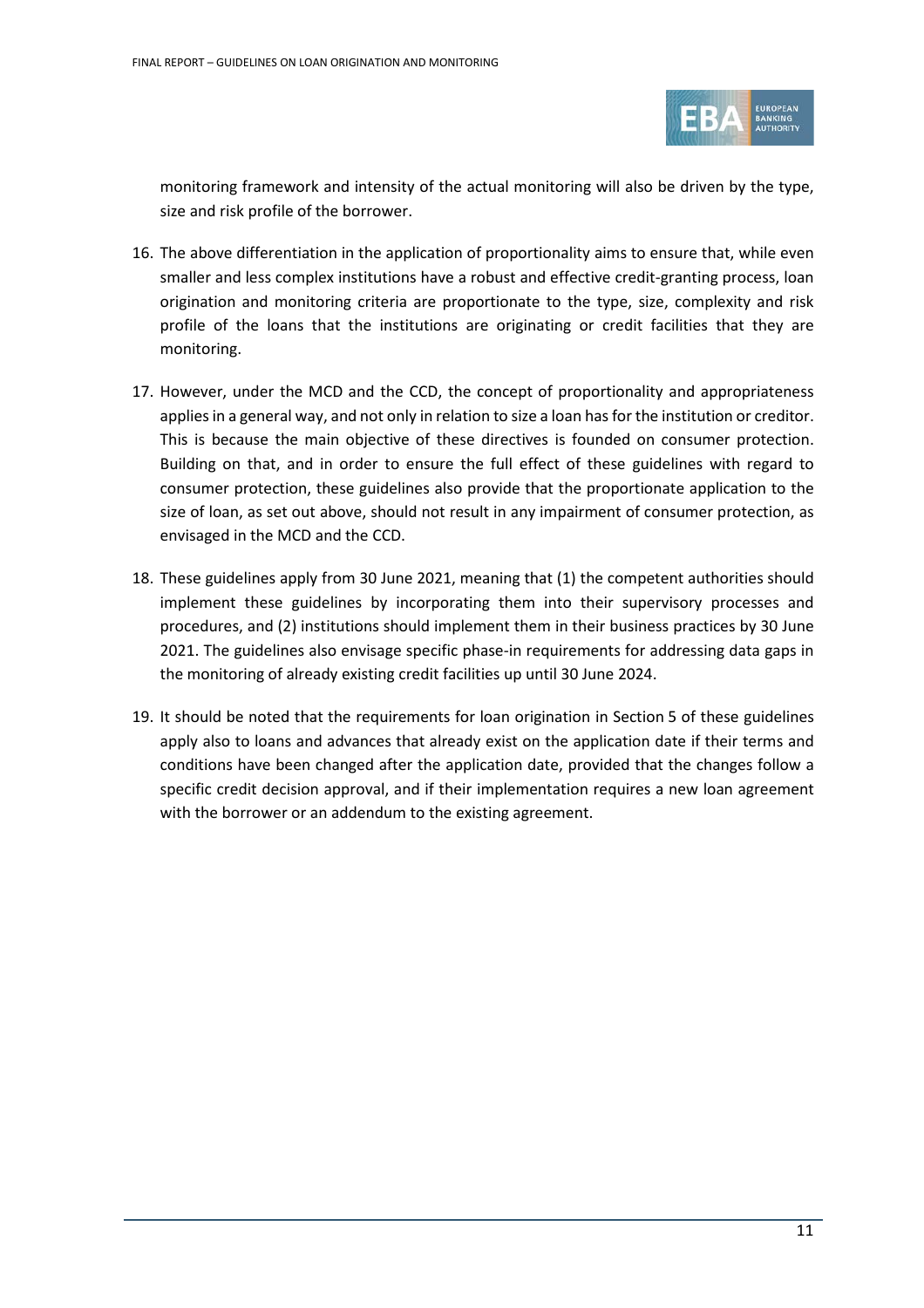

monitoring framework and intensity of the actual monitoring will also be driven by the type, size and risk profile of the borrower.

- 16. The above differentiation in the application of proportionality aims to ensure that, while even smaller and less complex institutions have a robust and effective credit-granting process, loan origination and monitoring criteria are proportionate to the type, size, complexity and risk profile of the loans that the institutions are originating or credit facilities that they are monitoring.
- 17. However, under the MCD and the CCD, the concept of proportionality and appropriateness applies in a general way, and not only in relation to size a loan has for the institution or creditor. This is because the main objective of these directives is founded on consumer protection. Building on that, and in order to ensure the full effect of these guidelines with regard to consumer protection, these guidelines also provide that the proportionate application to the size of loan, as set out above, should not result in any impairment of consumer protection, as envisaged in the MCD and the CCD.
- 18. These guidelines apply from 30 June 2021, meaning that (1) the competent authorities should implement these guidelines by incorporating them into their supervisory processes and procedures, and (2) institutions should implement them in their business practices by 30 June 2021. The guidelines also envisage specific phase-in requirements for addressing data gaps in the monitoring of already existing credit facilities up until 30 June 2024.
- 19. It should be noted that the requirements for loan origination in Section 5 of these guidelines apply also to loans and advances that already exist on the application date if their terms and conditions have been changed after the application date, provided that the changes follow a specific credit decision approval, and if their implementation requires a new loan agreement with the borrower or an addendum to the existing agreement.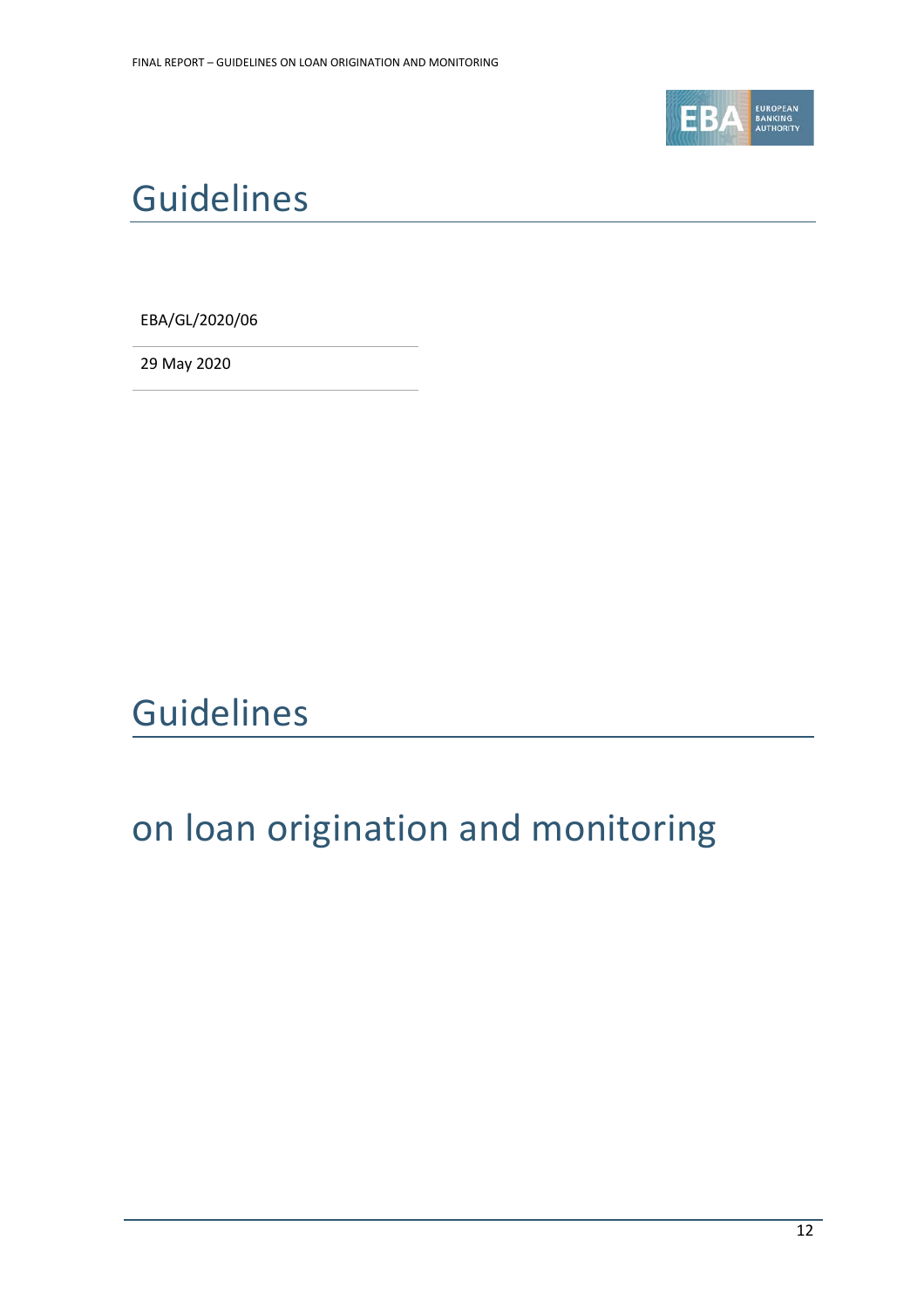

# <span id="page-11-0"></span>Guidelines

EBA/GL/2020/06

29 May 2020

# Guidelines

# on loan origination and monitoring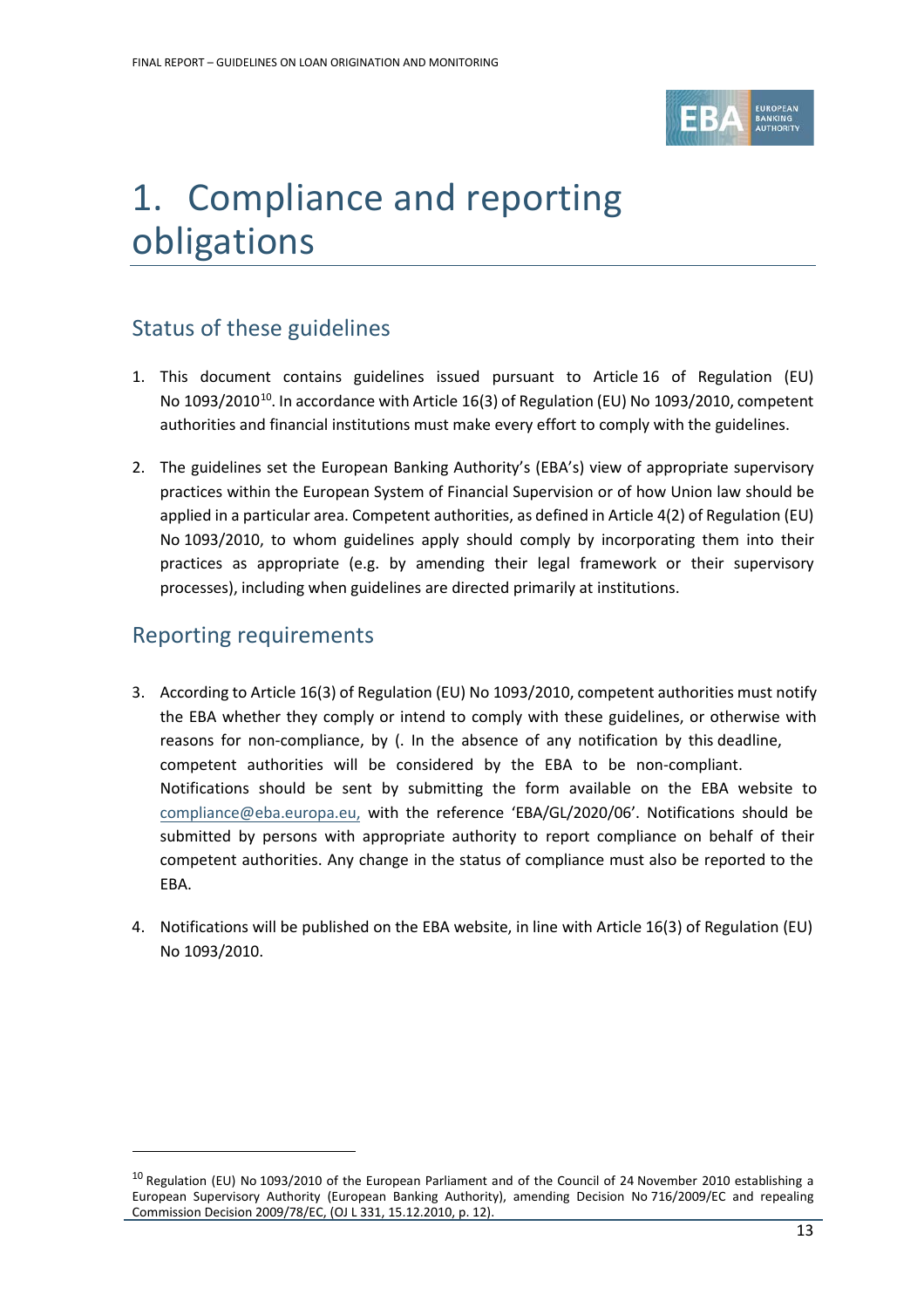

# <span id="page-12-0"></span>1. Compliance and reporting obligations

# Status of these guidelines

- 1. This document contains guidelines issued pursuant to Article 16 of Regulation (EU) No 1093/2010<sup>10</sup>. In accordance with Article 16(3) of Regulation (EU) No 1093/2010, competent authorities and financial institutions must make every effort to comply with the guidelines.
- 2. The guidelines set the European Banking Authority's (EBA's) view of appropriate supervisory practices within the European System of Financial Supervision or of how Union law should be applied in a particular area. Competent authorities, as defined in Article 4(2) of Regulation (EU) No 1093/2010, to whom guidelines apply should comply by incorporating them into their practices as appropriate (e.g. by amending their legal framework or their supervisory processes), including when guidelines are directed primarily at institutions.

### Reporting requirements

- 3. According to Article 16(3) of Regulation (EU) No 1093/2010, competent authorities must notify the EBA whether they comply or intend to comply with these guidelines, or otherwise with reasons for non-compliance, by (. In the absence of any notification by this deadline, competent authorities will be considered by the EBA to be non-compliant. Notifications should be sent by submitting the form available on the EBA website to [compliance@eba.europa.eu,](mailto:compliance@eba.europa.eu) with the reference 'EBA/GL/2020/06'. Notifications should be submitted by persons with appropriate authority to report compliance on behalf of their competent authorities. Any change in the status of compliance must also be reported to the EBA.
- 4. Notifications will be published on the EBA website, in line with Article 16(3) of Regulation (EU) No 1093/2010.

<span id="page-12-1"></span><sup>&</sup>lt;sup>10</sup> Regulation (EU) No 1093/2010 of the European Parliament and of the Council of 24 November 2010 establishing a European Supervisory Authority (European Banking Authority), amending Decision No 716/2009/EC and repealing Commission Decision 2009/78/EC, (OJ L 331, 15.12.2010, p. 12).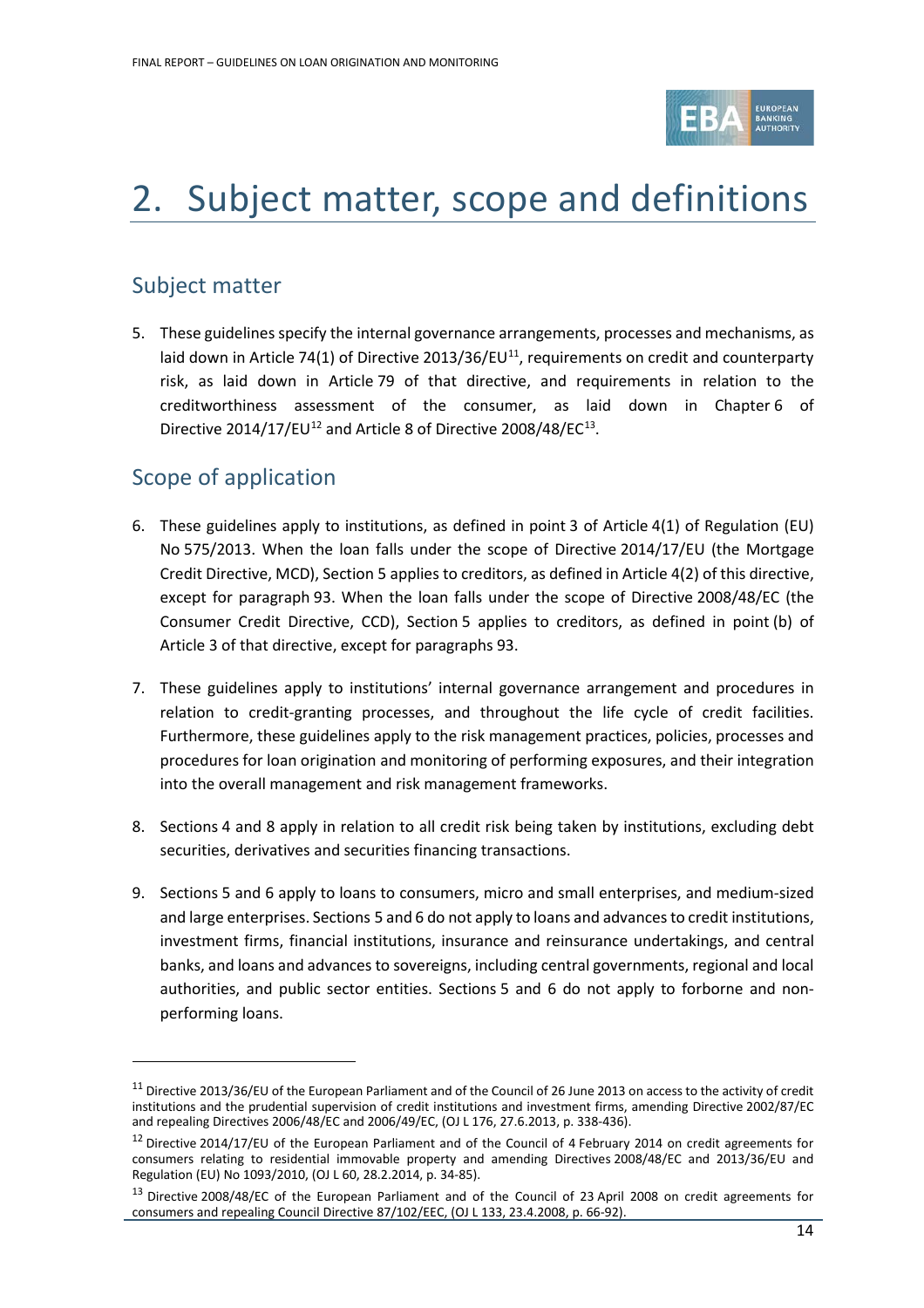

# <span id="page-13-0"></span>2. Subject matter, scope and definitions

## Subject matter

5. These guidelines specify the internal governance arrangements, processes and mechanisms, as laid down in Article 74(1) of Directive 2013/36/EU<sup>11</sup>, requirements on credit and counterparty risk, as laid down in Article 79 of that directive, and requirements in relation to the creditworthiness assessment of the consumer, as laid down in Chapter 6 of Directive 2014/17/EU<sup>[12](#page-13-2)</sup> and Article 8 of Directive 2008/48/EC<sup>13</sup>.

# Scope of application

- 6. These guidelines apply to institutions, as defined in point 3 of Article 4(1) of Regulation (EU) No 575/2013. When the loan falls under the scope of Directive 2014/17/EU (the Mortgage Credit Directive, MCD), Section 5 applies to creditors, as defined in Article 4(2) of this directive, except for paragraph 93. When the loan falls under the scope of Directive 2008/48/EC (the Consumer Credit Directive, CCD), Section 5 applies to creditors, as defined in point (b) of Article 3 of that directive, except for paragraphs 93.
- 7. These guidelines apply to institutions' internal governance arrangement and procedures in relation to credit-granting processes, and throughout the life cycle of credit facilities. Furthermore, these guidelines apply to the risk management practices, policies, processes and procedures for loan origination and monitoring of performing exposures, and their integration into the overall management and risk management frameworks.
- 8. Sections [4](#page-18-0) and [8](#page-59-0) apply in relation to all credit risk being taken by institutions, excluding debt securities, derivatives and securities financing transactions.
- 9. Sections [5](#page-32-0) and [6](#page-50-0) apply to loans to consumers, micro and small enterprises, and medium-sized and large enterprises. Sections [5](#page-32-0) an[d 6](#page-50-0) do not apply to loans and advances to credit institutions, investment firms, financial institutions, insurance and reinsurance undertakings, and central banks, and loans and advances to sovereigns, including central governments, regional and local authorities, and public sector entities. Sections [5](#page-32-0) and [6](#page-50-0) do not apply to forborne and nonperforming loans.

<span id="page-13-1"></span> $11$  Directive 2013/36/EU of the European Parliament and of the Council of 26 June 2013 on access to the activity of credit institutions and the prudential supervision of credit institutions and investment firms, amending Directive 2002/87/EC and repealing Directives 2006/48/EC and 2006/49/EC, (OJ L 176, 27.6.2013, p. 338-436).

<span id="page-13-2"></span> $12$  Directive 2014/17/EU of the European Parliament and of the Council of 4 February 2014 on credit agreements for consumers relating to residential immovable property and amending Directives 2008/48/EC and 2013/36/EU and Regulation (EU) No 1093/2010, (OJ L 60, 28.2.2014, p. 34-85).

<span id="page-13-3"></span><sup>&</sup>lt;sup>13</sup> Directive 2008/48/EC of the European Parliament and of the Council of 23 April 2008 on credit agreements for consumers and repealing Council Directive 87/102/EEC, (OJ L 133, 23.4.2008, p. 66-92).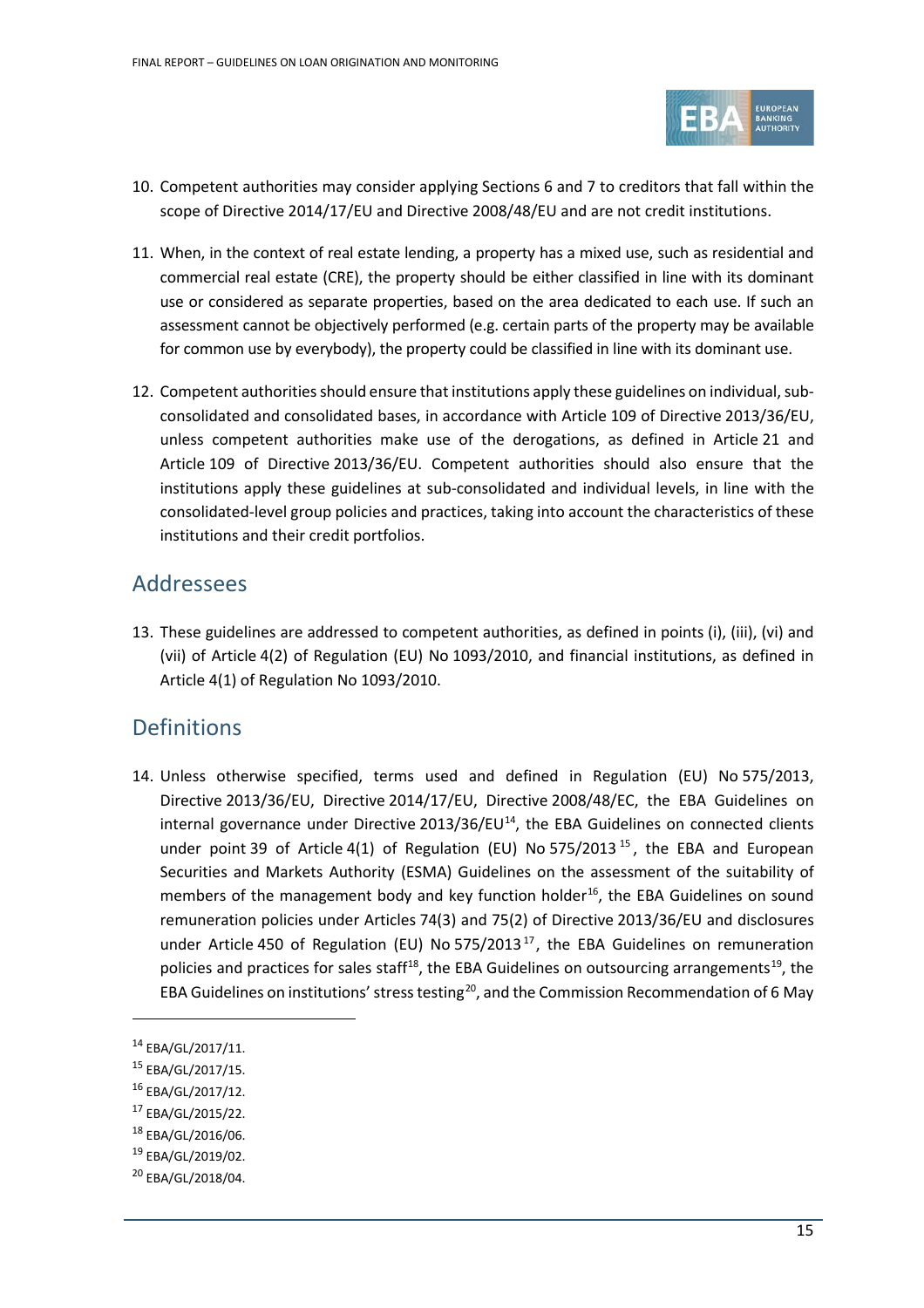

- 10. Competent authorities may consider applying Sections 6 and 7 to creditors that fall within the scope of Directive 2014/17/EU and Directive 2008/48/EU and are not credit institutions.
- 11. When, in the context of real estate lending, a property has a mixed use, such as residential and commercial real estate (CRE), the property should be either classified in line with its dominant use or considered as separate properties, based on the area dedicated to each use. If such an assessment cannot be objectively performed (e.g. certain parts of the property may be available for common use by everybody), the property could be classified in line with its dominant use.
- 12. Competent authorities should ensure that institutions apply these guidelines on individual, subconsolidated and consolidated bases, in accordance with Article 109 of Directive 2013/36/EU, unless competent authorities make use of the derogations, as defined in Article 21 and Article 109 of Directive 2013/36/EU. Competent authorities should also ensure that the institutions apply these guidelines at sub-consolidated and individual levels, in line with the consolidated-level group policies and practices, taking into account the characteristics of these institutions and their credit portfolios.

### <span id="page-14-0"></span>Addressees

13. These guidelines are addressed to competent authorities, as defined in points (i), (iii), (vi) and (vii) of Article 4(2) of Regulation (EU) No 1093/2010, and financial institutions, as defined in Article 4(1) of Regulation No 1093/2010.

## <span id="page-14-1"></span>**Definitions**

14. Unless otherwise specified, terms used and defined in Regulation (EU) No 575/2013, Directive 2013/36/EU, Directive 2014/17/EU, Directive 2008/48/EC, the EBA Guidelines on internal governance under Directive  $2013/36/EU<sup>14</sup>$  $2013/36/EU<sup>14</sup>$  $2013/36/EU<sup>14</sup>$ , the EBA Guidelines on connected clients under point 39 of Article 4(1) of Regulation (EU) No 575/2013<sup>[15](#page-14-3)</sup>, the EBA and European Securities and Markets Authority (ESMA) Guidelines on the assessment of the suitability of members of the management body and key function holder<sup>16</sup>, the EBA Guidelines on sound remuneration policies under Articles 74(3) and 75(2) of Directive 2013/36/EU and disclosures under Article 450 of Regulation (EU) No 575/2013 $^{17}$  $^{17}$  $^{17}$ , the EBA Guidelines on remuneration policies and practices for sales staff<sup>18</sup>, the EBA Guidelines on outsourcing arrangements<sup>19</sup>, the EBA Guidelines on institutions' stress testing<sup>20</sup>, and the Commission Recommendation of 6 May

 $\overline{a}$ 

<span id="page-14-4"></span><sup>16</sup> EBA/GL/2017/12.

<span id="page-14-2"></span><sup>14</sup> EBA/GL/2017/11.

<span id="page-14-3"></span><sup>15</sup> EBA/GL/2017/15.

<span id="page-14-5"></span><sup>17</sup> EBA/GL/2015/22.

<span id="page-14-6"></span><sup>18</sup> EBA/GL/2016/06.

<span id="page-14-7"></span><sup>19</sup> EBA/GL/2019/02.

<span id="page-14-8"></span><sup>&</sup>lt;sup>20</sup> EBA/GL/2018/04.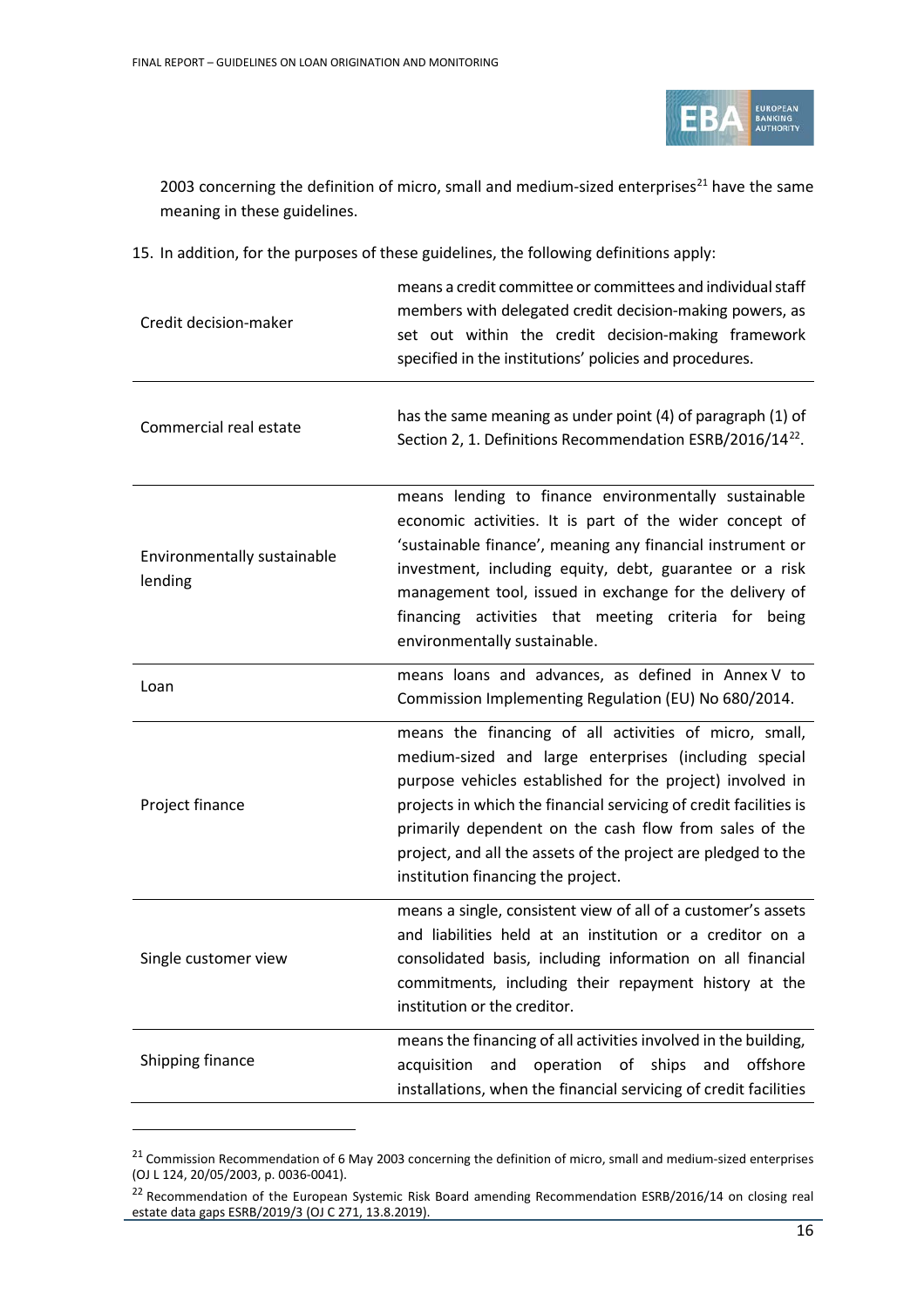

2003 concerning the definition of micro, small and medium-sized enterprises<sup>[21](#page-15-0)</sup> have the same meaning in these guidelines.

15. In addition, for the purposes of these guidelines, the following definitions apply:

| Credit decision-maker                  | means a credit committee or committees and individual staff<br>members with delegated credit decision-making powers, as<br>set out within the credit decision-making framework<br>specified in the institutions' policies and procedures.                                                                                                                                                                          |
|----------------------------------------|--------------------------------------------------------------------------------------------------------------------------------------------------------------------------------------------------------------------------------------------------------------------------------------------------------------------------------------------------------------------------------------------------------------------|
| Commercial real estate                 | has the same meaning as under point (4) of paragraph (1) of<br>Section 2, 1. Definitions Recommendation ESRB/2016/14 <sup>22</sup> .                                                                                                                                                                                                                                                                               |
| Environmentally sustainable<br>lending | means lending to finance environmentally sustainable<br>economic activities. It is part of the wider concept of<br>'sustainable finance', meaning any financial instrument or<br>investment, including equity, debt, guarantee or a risk<br>management tool, issued in exchange for the delivery of<br>financing activities that meeting criteria for being<br>environmentally sustainable.                        |
| Loan                                   | means loans and advances, as defined in Annex V to<br>Commission Implementing Regulation (EU) No 680/2014.                                                                                                                                                                                                                                                                                                         |
| Project finance                        | means the financing of all activities of micro, small,<br>medium-sized and large enterprises (including special<br>purpose vehicles established for the project) involved in<br>projects in which the financial servicing of credit facilities is<br>primarily dependent on the cash flow from sales of the<br>project, and all the assets of the project are pledged to the<br>institution financing the project. |
| Single customer view                   | means a single, consistent view of all of a customer's assets<br>and liabilities held at an institution or a creditor on a<br>consolidated basis, including information on all financial<br>commitments, including their repayment history at the<br>institution or the creditor.                                                                                                                                  |
| Shipping finance                       | means the financing of all activities involved in the building,<br>acquisition and operation of ships and offshore<br>installations, when the financial servicing of credit facilities                                                                                                                                                                                                                             |

<span id="page-15-0"></span><sup>&</sup>lt;sup>21</sup> Commission Recommendation of 6 May 2003 concerning the definition of micro, small and medium-sized enterprises (OJ L 124, 20/05/2003, p. 0036-0041).

<span id="page-15-1"></span><sup>&</sup>lt;sup>22</sup> Recommendation of the European Systemic Risk Board amending Recommendation ESRB/2016/14 on closing real estate data gaps ESRB/2019/3 (OJ C 271, 13.8.2019).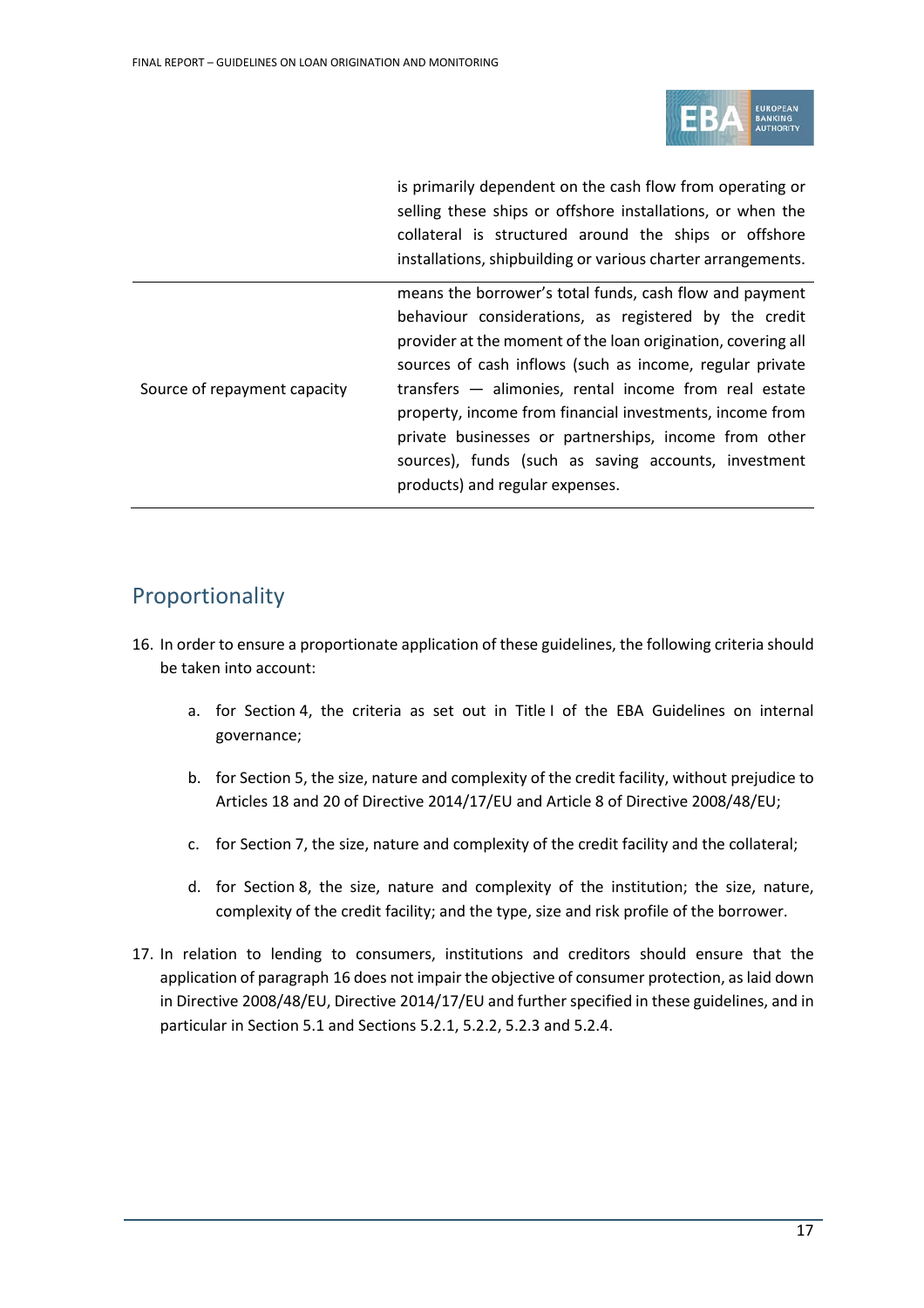

is primarily dependent on the cash flow from operating or selling these ships or offshore installations, or when the collateral is structured around the ships or offshore installations, shipbuilding or various charter arrangements.

Source of repayment capacity means the borrower's total funds, cash flow and payment behaviour considerations, as registered by the credit provider at the moment of the loan origination, covering all sources of cash inflows (such as income, regular private transfers — alimonies, rental income from real estate property, income from financial investments, income from private businesses or partnerships, income from other sources), funds (such as saving accounts, investment products) and regular expenses.

## <span id="page-16-0"></span>Proportionality

- 16. In order to ensure a proportionate application of these guidelines, the following criteria should be taken into account:
	- a. for Section 4, the criteria as set out in Title I of the EBA Guidelines on internal governance;
	- b. for Section 5, the size, nature and complexity of the credit facility, without prejudice to Articles 18 and 20 of Directive 2014/17/EU and Article 8 of Directive 2008/48/EU;
	- c. for Section 7, the size, nature and complexity of the credit facility and the collateral;
	- d. for Section 8, the size, nature and complexity of the institution; the size, nature, complexity of the credit facility; and the type, size and risk profile of the borrower.
- 17. In relation to lending to consumers, institutions and creditors should ensure that the application of paragraph 16 does not impair the objective of consumer protection, as laid down in Directive 2008/48/EU, Directive 2014/17/EU and further specified in these guidelines, and in particular in Section 5.1 and Sections 5.2.1, 5.2.2, 5.2.3 and 5.2.4.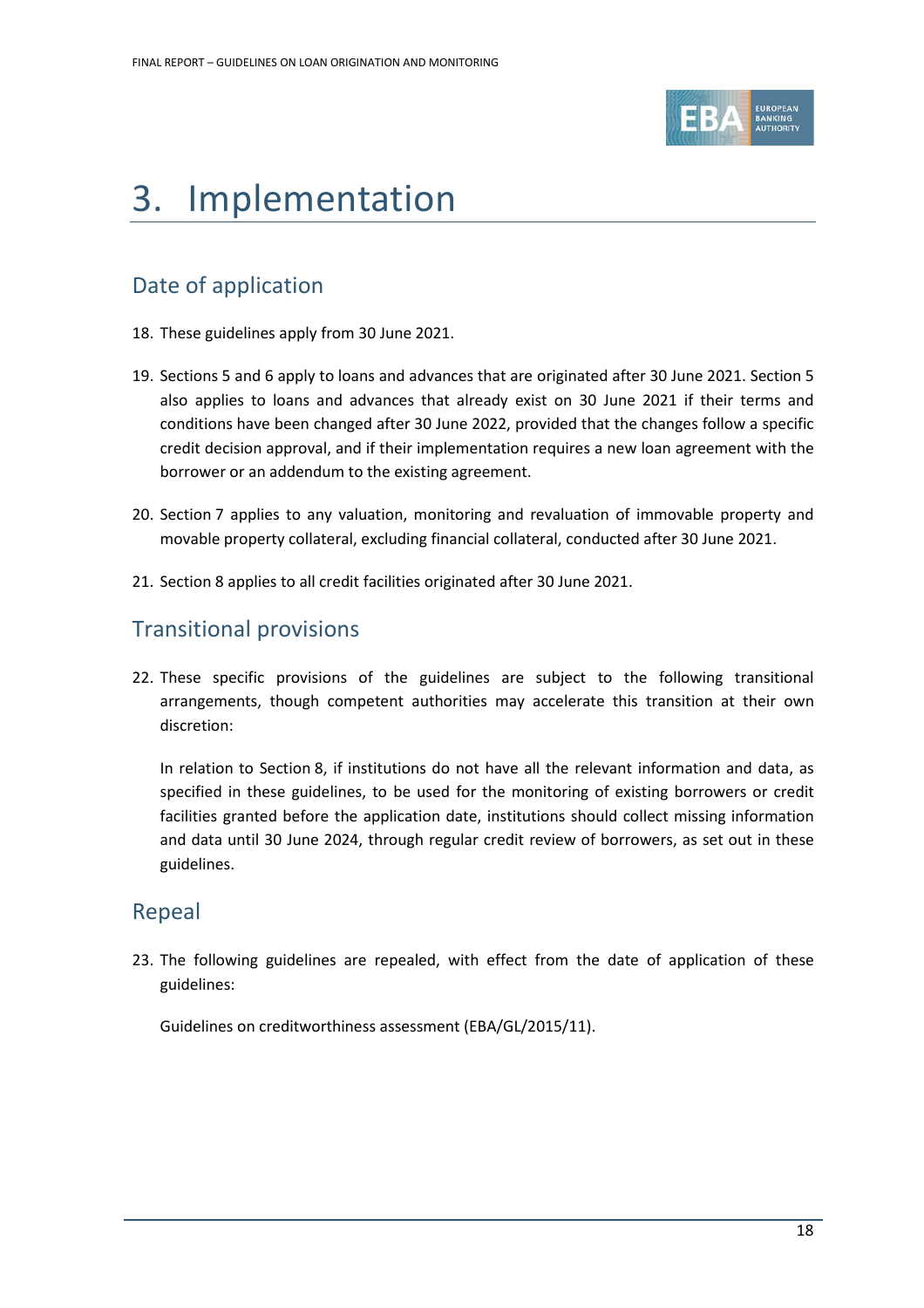

# <span id="page-17-0"></span>3. Implementation

# Date of application

- 18. These guidelines apply from 30 June 2021.
- 19. Sections [5](#page-32-0) and 6 apply to loans and advances that are originated after 30 June 2021. Section 5 also applies to loans and advances that already exist on 30 June 2021 if their terms and conditions have been changed after 30 June 2022, provided that the changes follow a specific credit decision approval, and if their implementation requires a new loan agreement with the borrower or an addendum to the existing agreement.
- 20. Section 7 applies to any valuation, monitoring and revaluation of immovable property and movable property collateral, excluding financial collateral, conducted after 30 June 2021.
- 21. Section 8 applies to all credit facilities originated after 30 June 2021.

### Transitional provisions

22. These specific provisions of the guidelines are subject to the following transitional arrangements, though competent authorities may accelerate this transition at their own discretion:

In relation to Section 8, if institutions do not have all the relevant information and data, as specified in these guidelines, to be used for the monitoring of existing borrowers or credit facilities granted before the application date, institutions should collect missing information and data until 30 June 2024, through regular credit review of borrowers, as set out in these guidelines.

### Repeal

23. The following guidelines are repealed, with effect from the date of application of these guidelines:

Guidelines on creditworthiness assessment (EBA/GL/2015/11).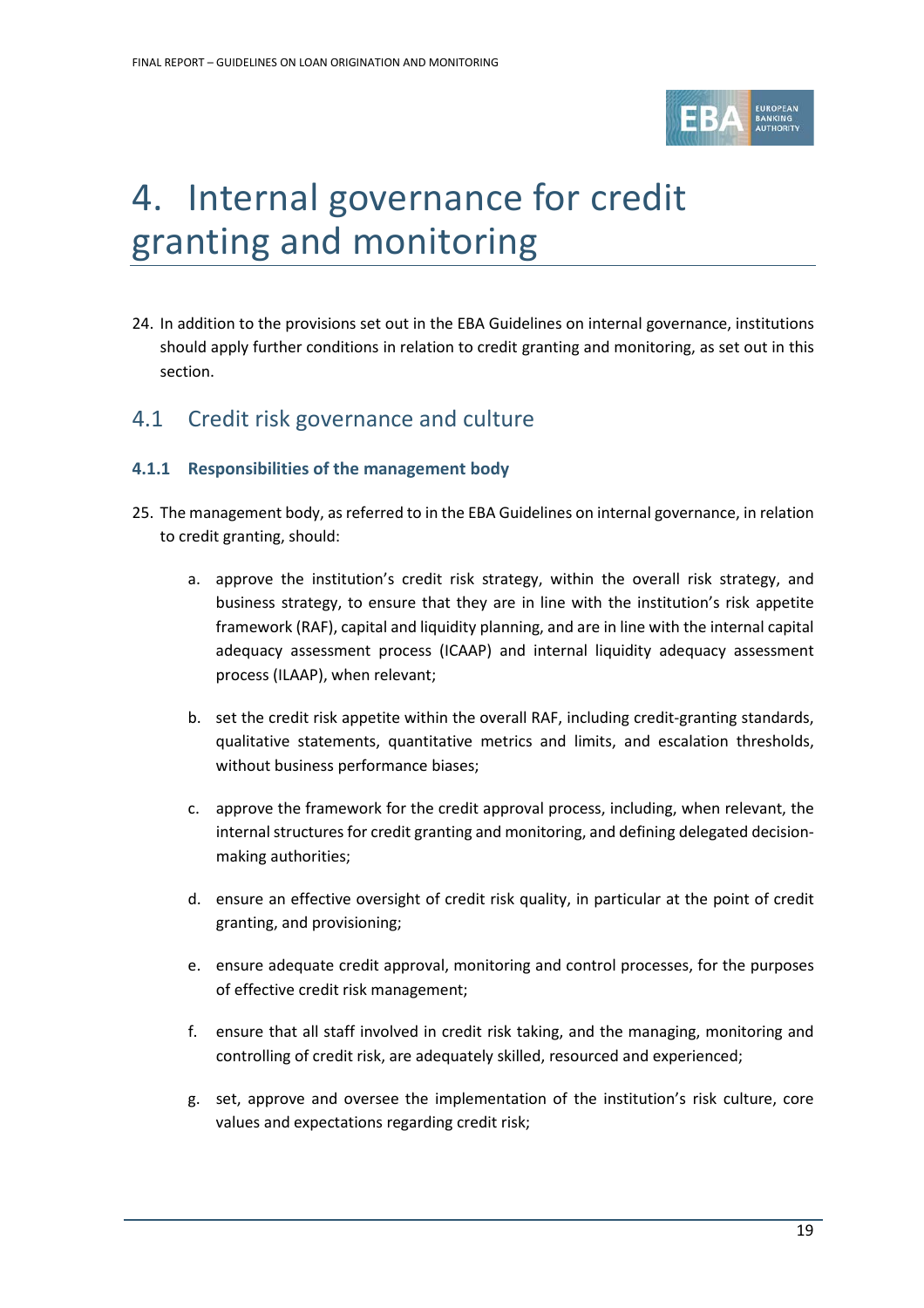

# <span id="page-18-0"></span>4. Internal governance for credit granting and monitoring

24. In addition to the provisions set out in the EBA Guidelines on internal governance, institutions should apply further conditions in relation to credit granting and monitoring, as set out in this section.

### <span id="page-18-1"></span>4.1 Credit risk governance and culture

#### <span id="page-18-2"></span>**4.1.1 Responsibilities of the management body**

- 25. The management body, as referred to in the EBA Guidelines on internal governance, in relation to credit granting, should:
	- a. approve the institution's credit risk strategy, within the overall risk strategy, and business strategy, to ensure that they are in line with the institution's risk appetite framework (RAF), capital and liquidity planning, and are in line with the internal capital adequacy assessment process (ICAAP) and internal liquidity adequacy assessment process (ILAAP), when relevant;
	- b. set the credit risk appetite within the overall RAF, including credit-granting standards, qualitative statements, quantitative metrics and limits, and escalation thresholds, without business performance biases;
	- c. approve the framework for the credit approval process, including, when relevant, the internal structures for credit granting and monitoring, and defining delegated decisionmaking authorities;
	- d. ensure an effective oversight of credit risk quality, in particular at the point of credit granting, and provisioning;
	- e. ensure adequate credit approval, monitoring and control processes, for the purposes of effective credit risk management;
	- f. ensure that all staff involved in credit risk taking, and the managing, monitoring and controlling of credit risk, are adequately skilled, resourced and experienced;
	- g. set, approve and oversee the implementation of the institution's risk culture, core values and expectations regarding credit risk;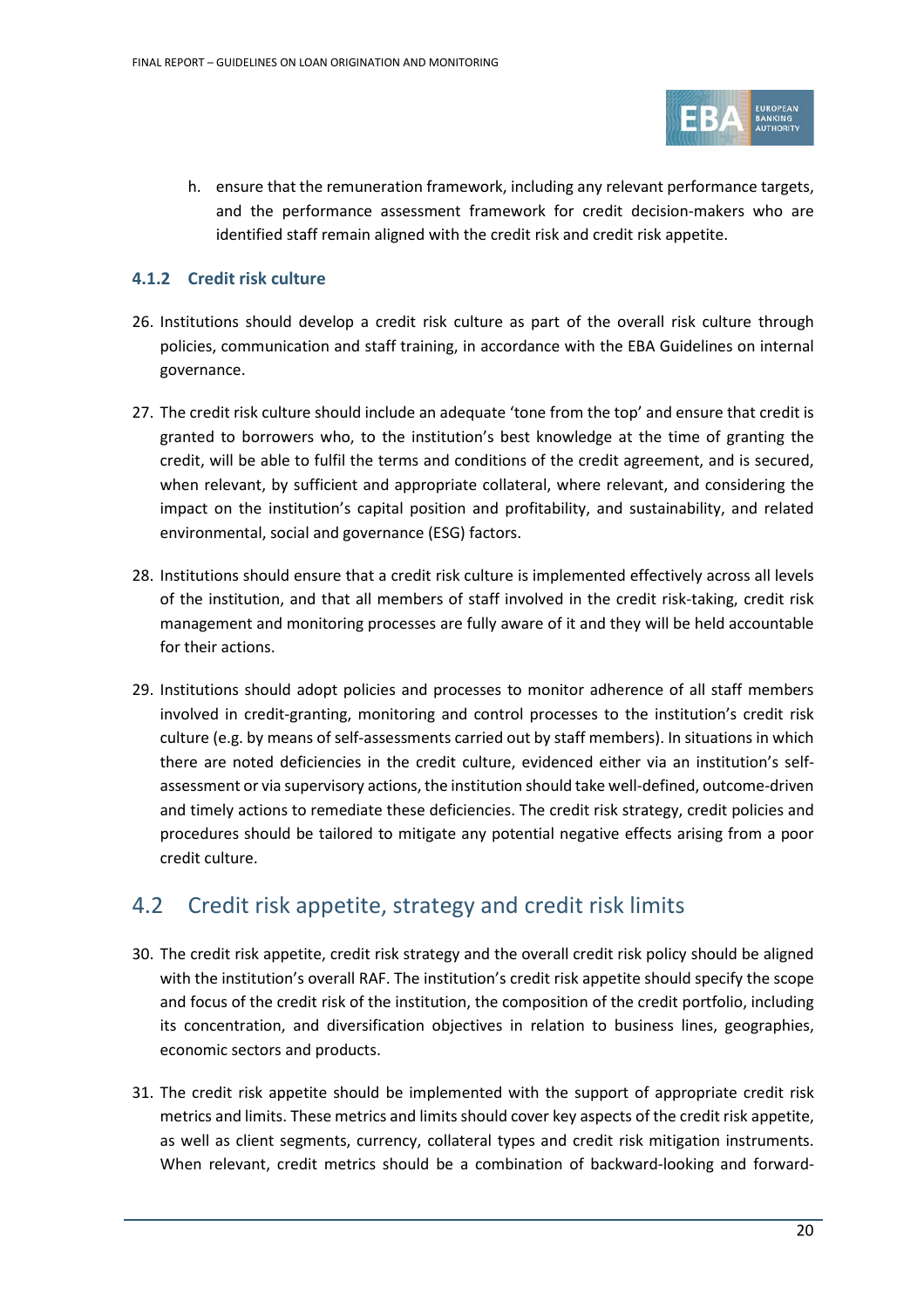

h. ensure that the remuneration framework, including any relevant performance targets, and the performance assessment framework for credit decision-makers who are identified staff remain aligned with the credit risk and credit risk appetite.

#### <span id="page-19-0"></span>**4.1.2 Credit risk culture**

- 26. Institutions should develop a credit risk culture as part of the overall risk culture through policies, communication and staff training, in accordance with the EBA Guidelines on internal governance.
- 27. The credit risk culture should include an adequate 'tone from the top' and ensure that credit is granted to borrowers who, to the institution's best knowledge at the time of granting the credit, will be able to fulfil the terms and conditions of the credit agreement, and is secured, when relevant, by sufficient and appropriate collateral, where relevant, and considering the impact on the institution's capital position and profitability, and sustainability, and related environmental, social and governance (ESG) factors.
- 28. Institutions should ensure that a credit risk culture is implemented effectively across all levels of the institution, and that all members of staff involved in the credit risk-taking, credit risk management and monitoring processes are fully aware of it and they will be held accountable for their actions.
- 29. Institutions should adopt policies and processes to monitor adherence of all staff members involved in credit-granting, monitoring and control processes to the institution's credit risk culture (e.g. by means of self-assessments carried out by staff members). In situations in which there are noted deficiencies in the credit culture, evidenced either via an institution's selfassessment or via supervisory actions, the institution should take well-defined, outcome-driven and timely actions to remediate these deficiencies. The credit risk strategy, credit policies and procedures should be tailored to mitigate any potential negative effects arising from a poor credit culture.

### <span id="page-19-1"></span>4.2 Credit risk appetite, strategy and credit risk limits

- 30. The credit risk appetite, credit risk strategy and the overall credit risk policy should be aligned with the institution's overall RAF. The institution's credit risk appetite should specify the scope and focus of the credit risk of the institution, the composition of the credit portfolio, including its concentration, and diversification objectives in relation to business lines, geographies, economic sectors and products.
- 31. The credit risk appetite should be implemented with the support of appropriate credit risk metrics and limits. These metrics and limits should cover key aspects of the credit risk appetite, as well as client segments, currency, collateral types and credit risk mitigation instruments. When relevant, credit metrics should be a combination of backward-looking and forward-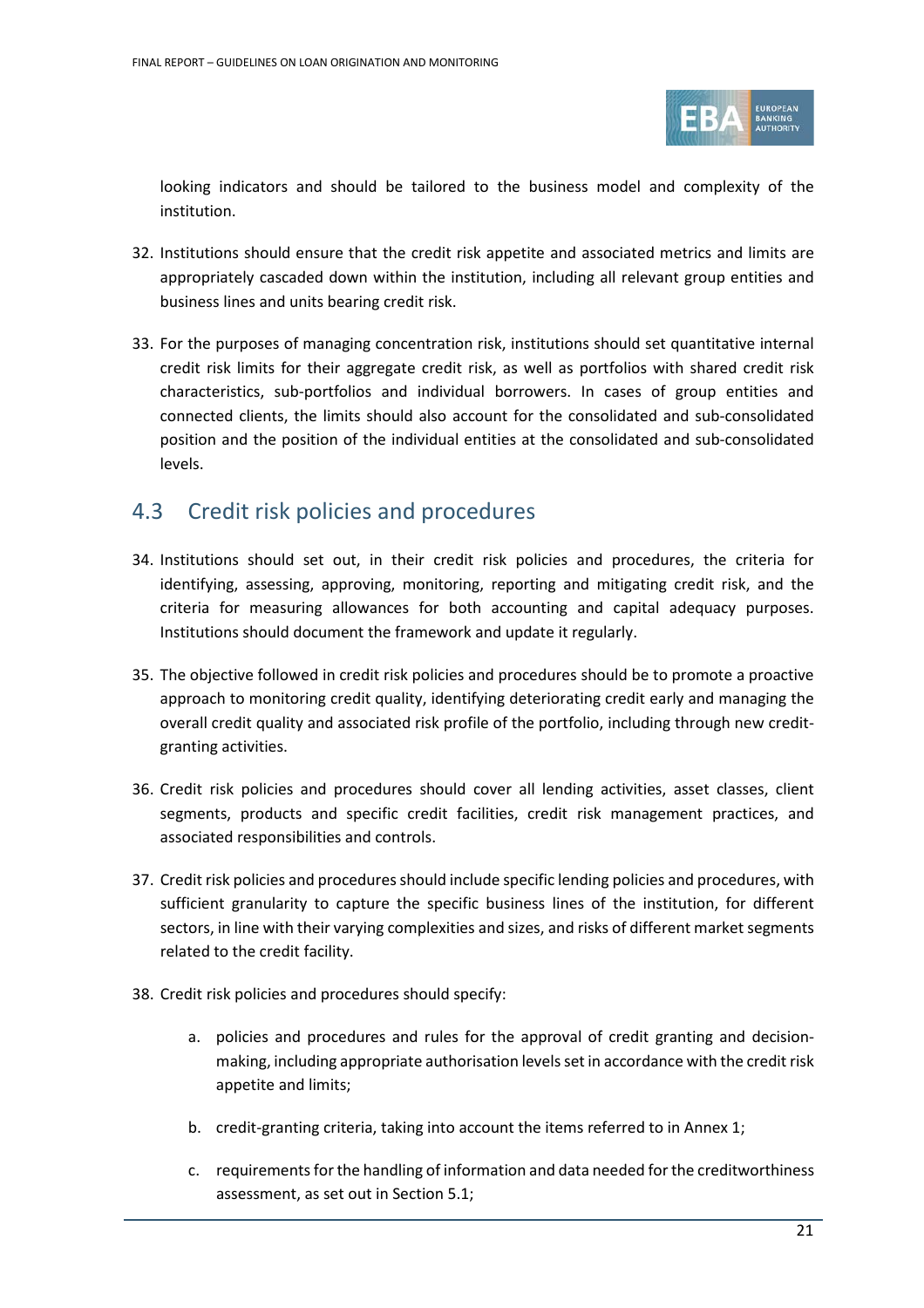

looking indicators and should be tailored to the business model and complexity of the institution.

- 32. Institutions should ensure that the credit risk appetite and associated metrics and limits are appropriately cascaded down within the institution, including all relevant group entities and business lines and units bearing credit risk.
- 33. For the purposes of managing concentration risk, institutions should set quantitative internal credit risk limits for their aggregate credit risk, as well as portfolios with shared credit risk characteristics, sub-portfolios and individual borrowers. In cases of group entities and connected clients, the limits should also account for the consolidated and sub-consolidated position and the position of the individual entities at the consolidated and sub-consolidated levels.

### <span id="page-20-0"></span>4.3 Credit risk policies and procedures

- 34. Institutions should set out, in their credit risk policies and procedures, the criteria for identifying, assessing, approving, monitoring, reporting and mitigating credit risk, and the criteria for measuring allowances for both accounting and capital adequacy purposes. Institutions should document the framework and update it regularly.
- 35. The objective followed in credit risk policies and procedures should be to promote a proactive approach to monitoring credit quality, identifying deteriorating credit early and managing the overall credit quality and associated risk profile of the portfolio, including through new creditgranting activities.
- 36. Credit risk policies and procedures should cover all lending activities, asset classes, client segments, products and specific credit facilities, credit risk management practices, and associated responsibilities and controls.
- 37. Credit risk policies and procedures should include specific lending policies and procedures, with sufficient granularity to capture the specific business lines of the institution, for different sectors, in line with their varying complexities and sizes, and risks of different market segments related to the credit facility.
- 38. Credit risk policies and procedures should specify:
	- a. policies and procedures and rules for the approval of credit granting and decisionmaking, including appropriate authorisation levels set in accordance with the credit risk appetite and limits;
	- b. credit-granting criteria, taking into account the items referred to in Annex 1;
	- c. requirements for the handling of information and data needed for the creditworthiness assessment, as set out in Section [5.1;](#page-32-1)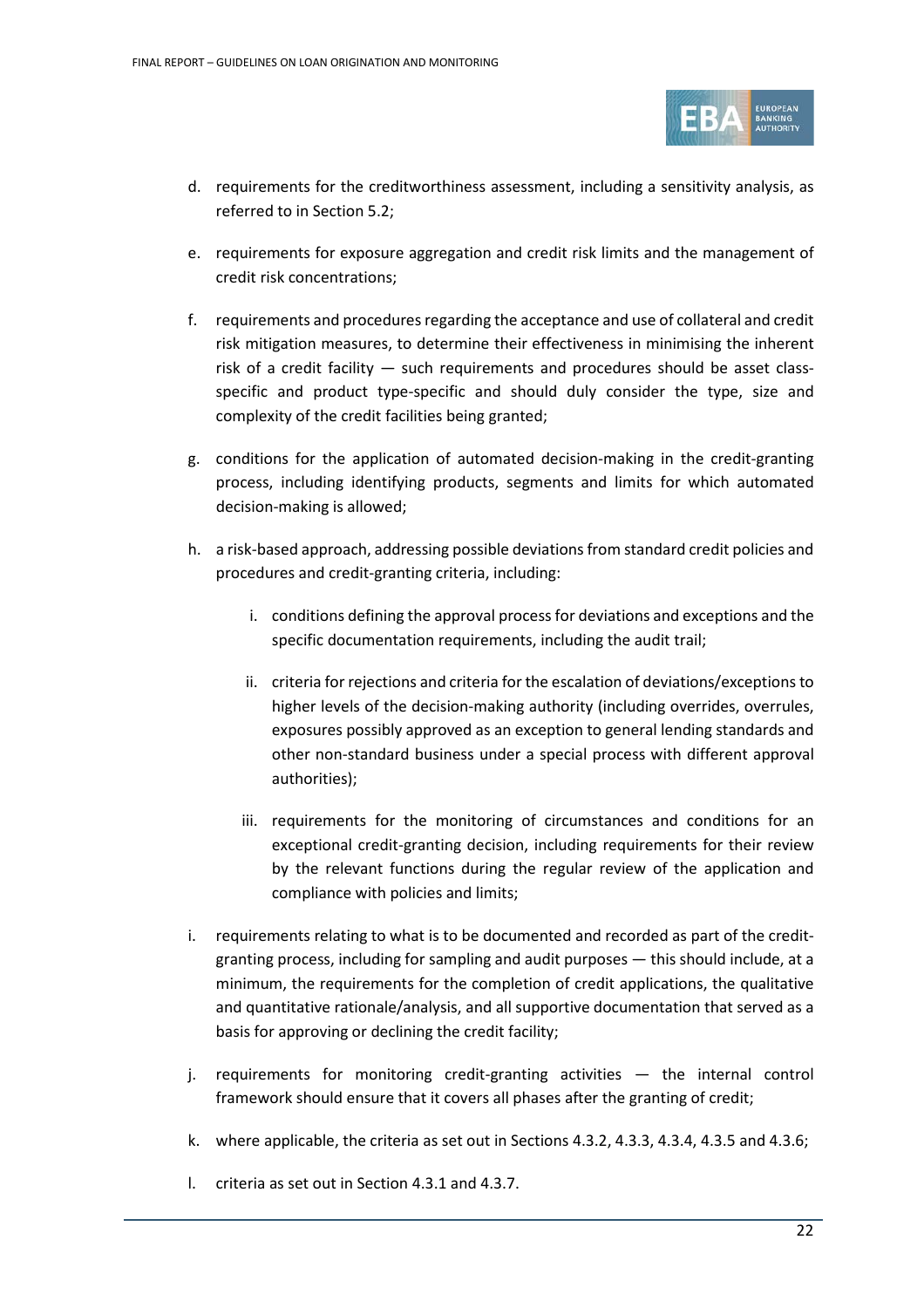

- d. requirements for the creditworthiness assessment, including a sensitivity analysis, as referred to in Section [5.2;](#page-34-0)
- e. requirements for exposure aggregation and credit risk limits and the management of credit risk concentrations;
- f. requirements and procedures regarding the acceptance and use of collateral and credit risk mitigation measures, to determine their effectiveness in minimising the inherent risk of a credit facility — such requirements and procedures should be asset classspecific and product type-specific and should duly consider the type, size and complexity of the credit facilities being granted;
- g. conditions for the application of automated decision-making in the credit-granting process, including identifying products, segments and limits for which automated decision-making is allowed;
- h. a risk-based approach, addressing possible deviations from standard credit policies and procedures and credit-granting criteria, including:
	- i. conditions defining the approval process for deviations and exceptions and the specific documentation requirements, including the audit trail;
	- ii. criteria for rejections and criteria for the escalation of deviations/exceptions to higher levels of the decision-making authority (including overrides, overrules, exposures possibly approved as an exception to general lending standards and other non-standard business under a special process with different approval authorities);
	- iii. requirements for the monitoring of circumstances and conditions for an exceptional credit-granting decision, including requirements for their review by the relevant functions during the regular review of the application and compliance with policies and limits;
- i. requirements relating to what is to be documented and recorded as part of the creditgranting process, including for sampling and audit purposes — this should include, at a minimum, the requirements for the completion of credit applications, the qualitative and quantitative rationale/analysis, and all supportive documentation that served as a basis for approving or declining the credit facility;
- j. requirements for monitoring credit-granting activities the internal control framework should ensure that it covers all phases after the granting of credit;
- k. where applicable, the criteria as set out in Sections [4.3.2,](#page-23-0) [4.3.3,](#page-24-0) [4.3.4,](#page-25-0) 4.3.5 and 4.3.6;
- l. criteria as set out in Section 4.3.1 and [4.3.7.](#page-26-1)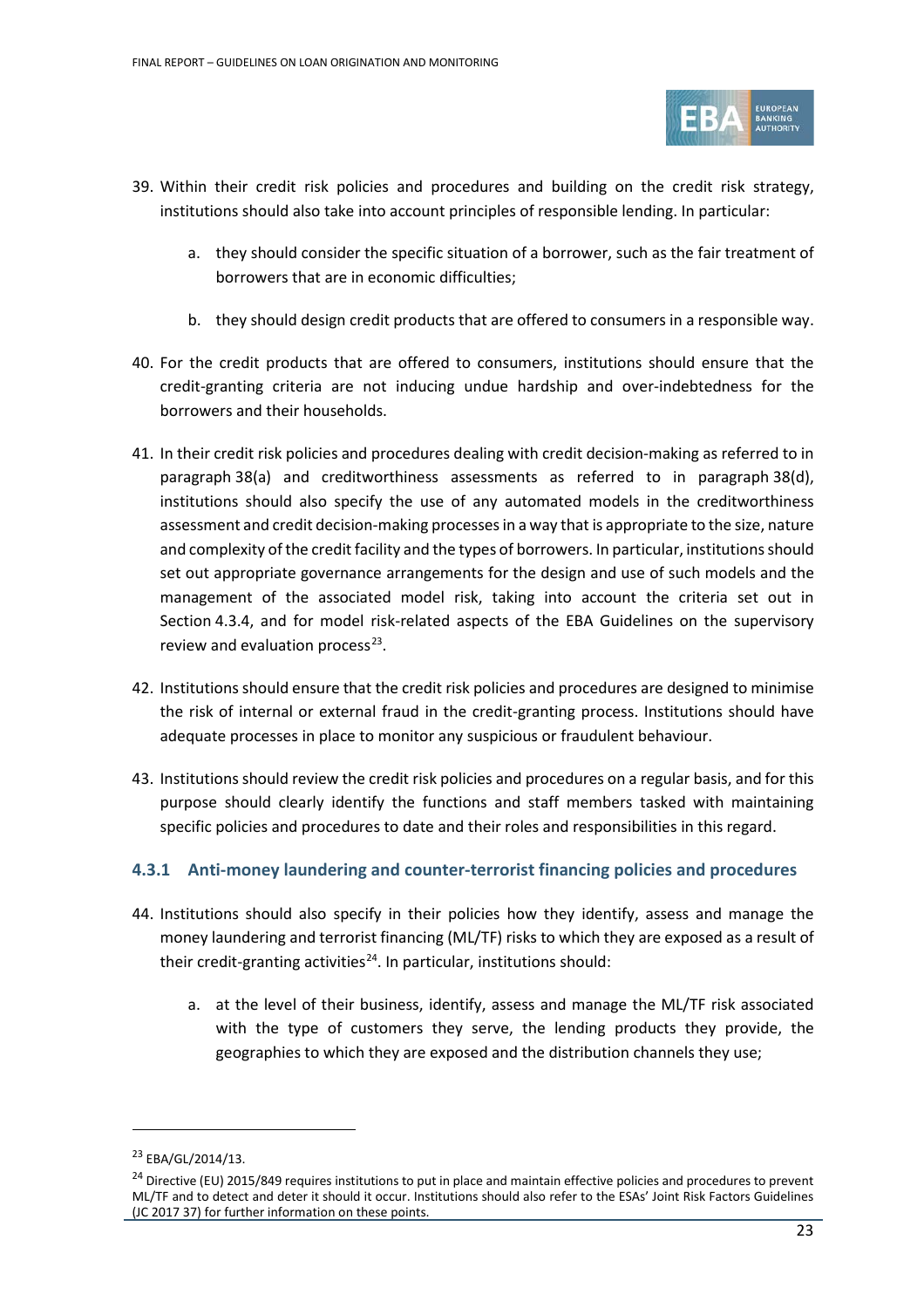

- 39. Within their credit risk policies and procedures and building on the credit risk strategy, institutions should also take into account principles of responsible lending. In particular:
	- a. they should consider the specific situation of a borrower, such as the fair treatment of borrowers that are in economic difficulties;
	- b. they should design credit products that are offered to consumers in a responsible way.
- 40. For the credit products that are offered to consumers, institutions should ensure that the credit-granting criteria are not inducing undue hardship and over-indebtedness for the borrowers and their households.
- 41. In their credit risk policies and procedures dealing with credit decision-making as referred to in paragraph 38(a) and creditworthiness assessments as referred to in paragraph 38(d), institutions should also specify the use of any automated models in the creditworthiness assessment and credit decision-making processesin a way that is appropriate to the size, nature and complexity of the credit facility and the types of borrowers. In particular, institutions should set out appropriate governance arrangements for the design and use of such models and the management of the associated model risk, taking into account the criteria set out in Section 4.3.4, and for model risk-related aspects of the EBA Guidelines on the supervisory review and evaluation process $^{23}$  $^{23}$  $^{23}$ .
- 42. Institutions should ensure that the credit risk policies and procedures are designed to minimise the risk of internal or external fraud in the credit-granting process. Institutions should have adequate processes in place to monitor any suspicious or fraudulent behaviour.
- 43. Institutions should review the credit risk policies and procedures on a regular basis, and for this purpose should clearly identify the functions and staff members tasked with maintaining specific policies and procedures to date and their roles and responsibilities in this regard.

#### <span id="page-22-0"></span>**4.3.1 Anti-money laundering and counter-terrorist financing policies and procedures**

- 44. Institutions should also specify in their policies how they identify, assess and manage the money laundering and terrorist financing (ML/TF) risks to which they are exposed as a result of their credit-granting activities<sup>[24](#page-22-2)</sup>. In particular, institutions should:
	- a. at the level of their business, identify, assess and manage the ML/TF risk associated with the type of customers they serve, the lending products they provide, the geographies to which they are exposed and the distribution channels they use;

<sup>23</sup> EBA/GL/2014/13.

<span id="page-22-2"></span><span id="page-22-1"></span><sup>&</sup>lt;sup>24</sup> Directive (EU) 2015/849 requires institutions to put in place and maintain effective policies and procedures to prevent ML/TF and to detect and deter it should it occur. Institutions should also refer to the ESAs' Joint Risk Factors Guidelines (JC 2017 37) for further information on these points.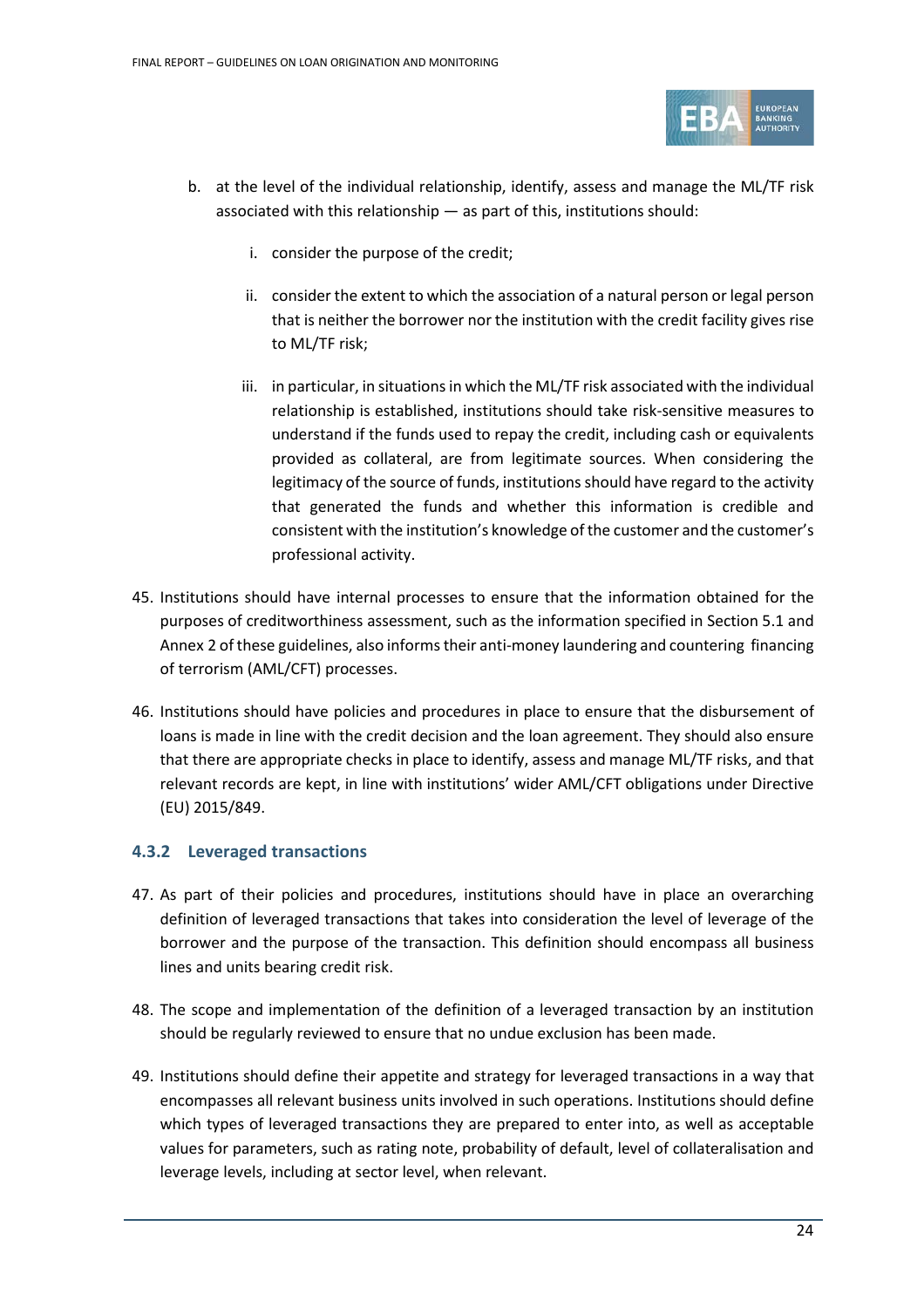

- b. at the level of the individual relationship, identify, assess and manage the ML/TF risk associated with this relationship — as part of this, institutions should:
	- i. consider the purpose of the credit;
	- ii. consider the extent to which the association of a natural person or legal person that is neither the borrower nor the institution with the credit facility gives rise to ML/TF risk;
	- iii. in particular, in situations in which the ML/TF risk associated with the individual relationship is established, institutions should take risk-sensitive measures to understand if the funds used to repay the credit, including cash or equivalents provided as collateral, are from legitimate sources. When considering the legitimacy of the source of funds, institutions should have regard to the activity that generated the funds and whether this information is credible and consistent with the institution's knowledge of the customer and the customer's professional activity.
- 45. Institutions should have internal processes to ensure that the information obtained for the purposes of creditworthiness assessment, such as the information specified in Section 5.1 and Annex 2 of these guidelines, also informs their anti-money laundering and countering financing of terrorism (AML/CFT) processes.
- 46. Institutions should have policies and procedures in place to ensure that the disbursement of loans is made in line with the credit decision and the loan agreement. They should also ensure that there are appropriate checks in place to identify, assess and manage ML/TF risks, and that relevant records are kept, in line with institutions' wider AML/CFT obligations under Directive (EU) 2015/849.

#### <span id="page-23-0"></span>**4.3.2 Leveraged transactions**

- 47. As part of their policies and procedures, institutions should have in place an overarching definition of leveraged transactions that takes into consideration the level of leverage of the borrower and the purpose of the transaction. This definition should encompass all business lines and units bearing credit risk.
- 48. The scope and implementation of the definition of a leveraged transaction by an institution should be regularly reviewed to ensure that no undue exclusion has been made.
- 49. Institutions should define their appetite and strategy for leveraged transactions in a way that encompasses all relevant business units involved in such operations. Institutions should define which types of leveraged transactions they are prepared to enter into, as well as acceptable values for parameters, such as rating note, probability of default, level of collateralisation and leverage levels, including at sector level, when relevant.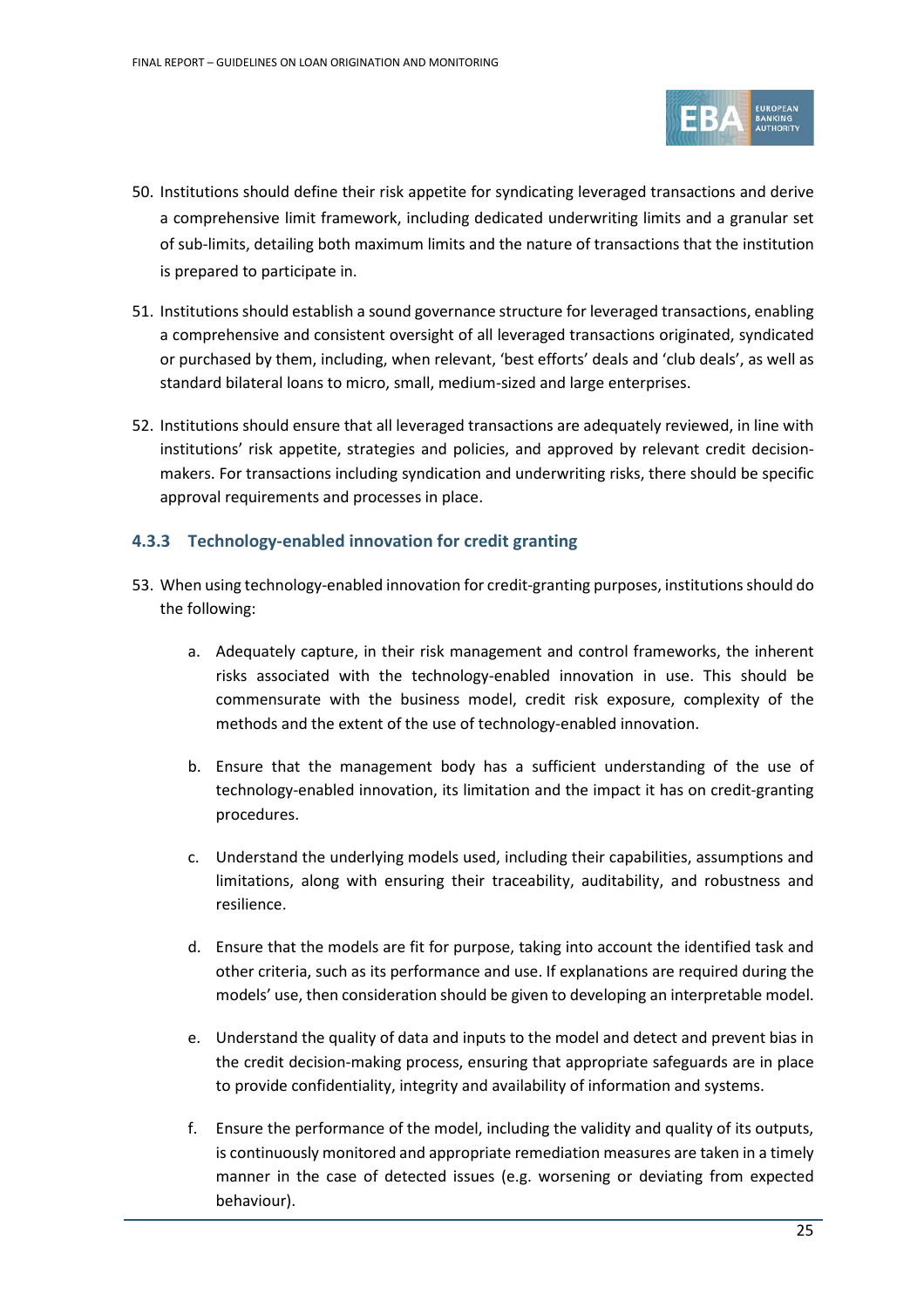

- 50. Institutions should define their risk appetite for syndicating leveraged transactions and derive a comprehensive limit framework, including dedicated underwriting limits and a granular set of sub-limits, detailing both maximum limits and the nature of transactions that the institution is prepared to participate in.
- 51. Institutions should establish a sound governance structure for leveraged transactions, enabling a comprehensive and consistent oversight of all leveraged transactions originated, syndicated or purchased by them, including, when relevant, 'best efforts' deals and 'club deals', as well as standard bilateral loans to micro, small, medium-sized and large enterprises.
- 52. Institutions should ensure that all leveraged transactions are adequately reviewed, in line with institutions' risk appetite, strategies and policies, and approved by relevant credit decisionmakers. For transactions including syndication and underwriting risks, there should be specific approval requirements and processes in place.

#### <span id="page-24-0"></span>**4.3.3 Technology-enabled innovation for credit granting**

- 53. When using technology-enabled innovation for credit-granting purposes, institutions should do the following:
	- a. Adequately capture, in their risk management and control frameworks, the inherent risks associated with the technology-enabled innovation in use. This should be commensurate with the business model, credit risk exposure, complexity of the methods and the extent of the use of technology-enabled innovation.
	- b. Ensure that the management body has a sufficient understanding of the use of technology-enabled innovation, its limitation and the impact it has on credit-granting procedures.
	- c. Understand the underlying models used, including their capabilities, assumptions and limitations, along with ensuring their traceability, auditability, and robustness and resilience.
	- d. Ensure that the models are fit for purpose, taking into account the identified task and other criteria, such as its performance and use. If explanations are required during the models' use, then consideration should be given to developing an interpretable model.
	- e. Understand the quality of data and inputs to the model and detect and prevent bias in the credit decision-making process, ensuring that appropriate safeguards are in place to provide confidentiality, integrity and availability of information and systems.
	- f. Ensure the performance of the model, including the validity and quality of its outputs, is continuously monitored and appropriate remediation measures are taken in a timely manner in the case of detected issues (e.g. worsening or deviating from expected behaviour).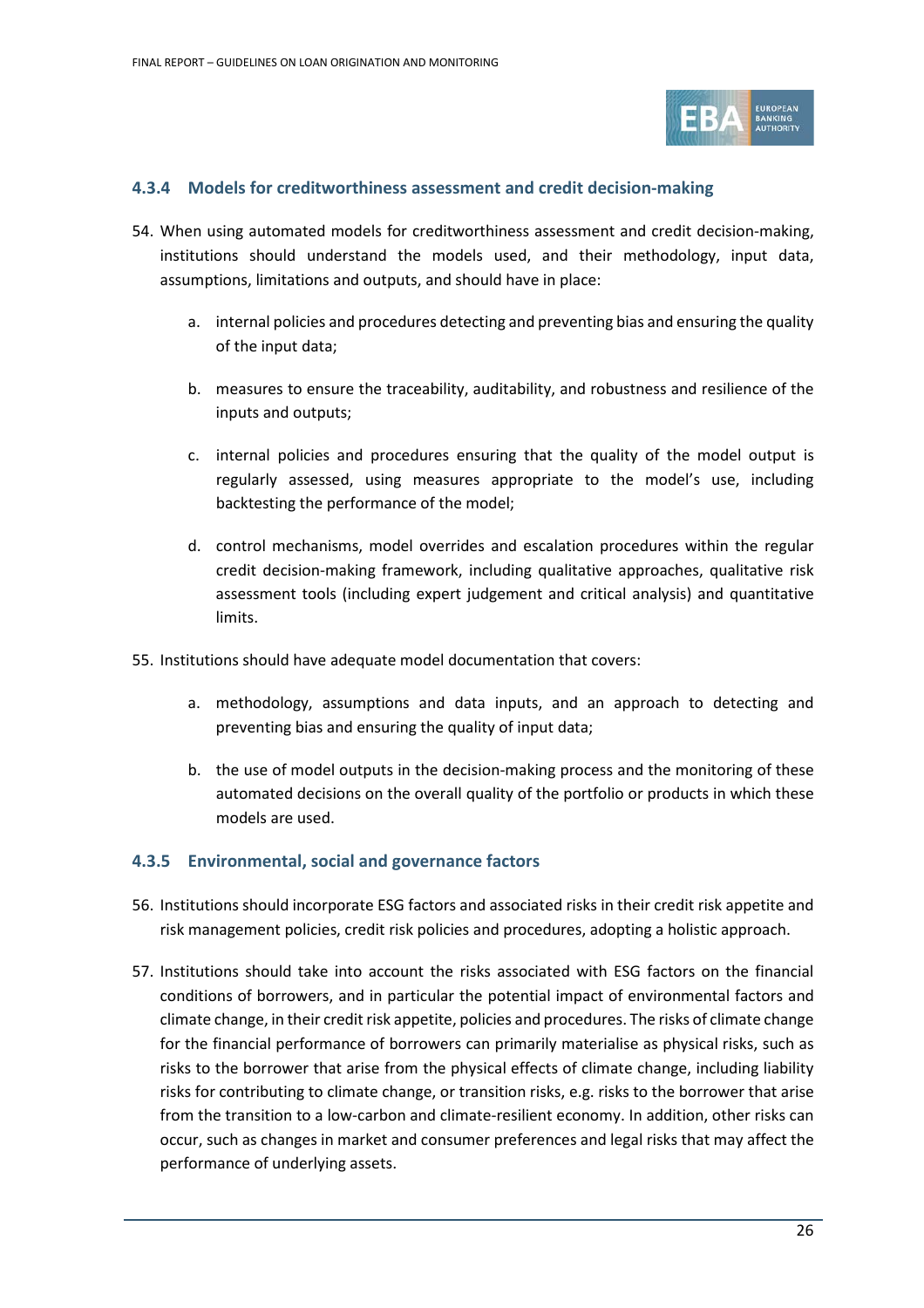

#### <span id="page-25-0"></span>**4.3.4 Models for creditworthiness assessment and credit decision-making**

- 54. When using automated models for creditworthiness assessment and credit decision-making, institutions should understand the models used, and their methodology, input data, assumptions, limitations and outputs, and should have in place:
	- a. internal policies and procedures detecting and preventing bias and ensuring the quality of the input data;
	- b. measures to ensure the traceability, auditability, and robustness and resilience of the inputs and outputs;
	- c. internal policies and procedures ensuring that the quality of the model output is regularly assessed, using measures appropriate to the model's use, including backtesting the performance of the model;
	- d. control mechanisms, model overrides and escalation procedures within the regular credit decision-making framework, including qualitative approaches, qualitative risk assessment tools (including expert judgement and critical analysis) and quantitative limits.

55. Institutions should have adequate model documentation that covers:

- a. methodology, assumptions and data inputs, and an approach to detecting and preventing bias and ensuring the quality of input data;
- b. the use of model outputs in the decision-making process and the monitoring of these automated decisions on the overall quality of the portfolio or products in which these models are used.

#### <span id="page-25-1"></span>**4.3.5 Environmental, social and governance factors**

- 56. Institutions should incorporate ESG factors and associated risks in their credit risk appetite and risk management policies, credit risk policies and procedures, adopting a holistic approach.
- 57. Institutions should take into account the risks associated with ESG factors on the financial conditions of borrowers, and in particular the potential impact of environmental factors and climate change, in their credit risk appetite, policies and procedures. The risks of climate change for the financial performance of borrowers can primarily materialise as physical risks, such as risks to the borrower that arise from the physical effects of climate change, including liability risks for contributing to climate change, or transition risks, e.g. risks to the borrower that arise from the transition to a low-carbon and climate-resilient economy. In addition, other risks can occur, such as changes in market and consumer preferences and legal risks that may affect the performance of underlying assets.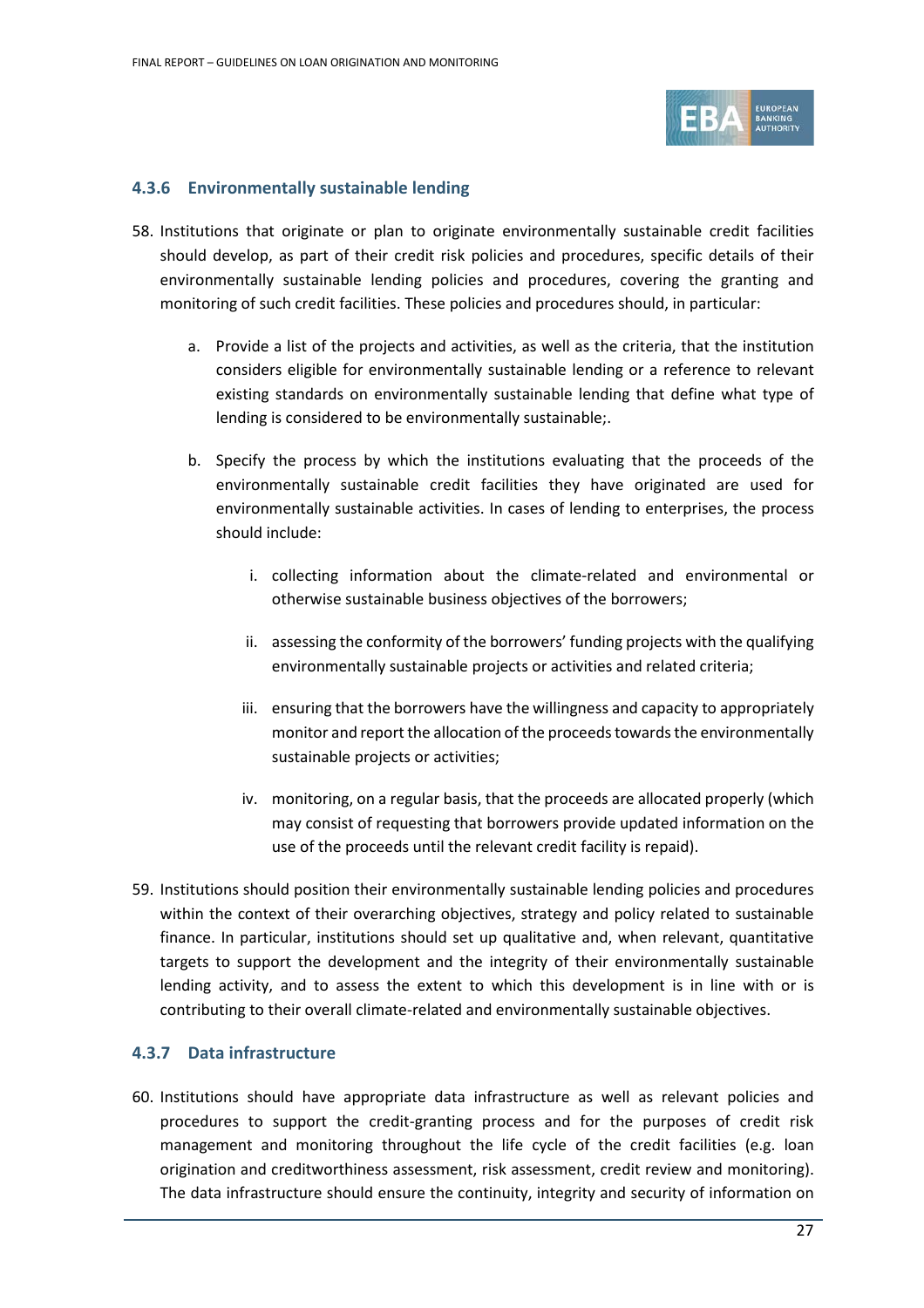

#### <span id="page-26-0"></span>**4.3.6 Environmentally sustainable lending**

- 58. Institutions that originate or plan to originate environmentally sustainable credit facilities should develop, as part of their credit risk policies and procedures, specific details of their environmentally sustainable lending policies and procedures, covering the granting and monitoring of such credit facilities. These policies and procedures should, in particular:
	- a. Provide a list of the projects and activities, as well as the criteria, that the institution considers eligible for environmentally sustainable lending or a reference to relevant existing standards on environmentally sustainable lending that define what type of lending is considered to be environmentally sustainable;.
	- b. Specify the process by which the institutions evaluating that the proceeds of the environmentally sustainable credit facilities they have originated are used for environmentally sustainable activities. In cases of lending to enterprises, the process should include:
		- i. collecting information about the climate-related and environmental or otherwise sustainable business objectives of the borrowers;
		- ii. assessing the conformity of the borrowers' funding projects with the qualifying environmentally sustainable projects or activities and related criteria;
		- iii. ensuring that the borrowers have the willingness and capacity to appropriately monitor and report the allocation of the proceeds towards the environmentally sustainable projects or activities;
		- iv. monitoring, on a regular basis, that the proceeds are allocated properly (which may consist of requesting that borrowers provide updated information on the use of the proceeds until the relevant credit facility is repaid).
- 59. Institutions should position their environmentally sustainable lending policies and procedures within the context of their overarching objectives, strategy and policy related to sustainable finance. In particular, institutions should set up qualitative and, when relevant, quantitative targets to support the development and the integrity of their environmentally sustainable lending activity, and to assess the extent to which this development is in line with or is contributing to their overall climate-related and environmentally sustainable objectives.

#### <span id="page-26-1"></span>**4.3.7 Data infrastructure**

60. Institutions should have appropriate data infrastructure as well as relevant policies and procedures to support the credit-granting process and for the purposes of credit risk management and monitoring throughout the life cycle of the credit facilities (e.g. loan origination and creditworthiness assessment, risk assessment, credit review and monitoring). The data infrastructure should ensure the continuity, integrity and security of information on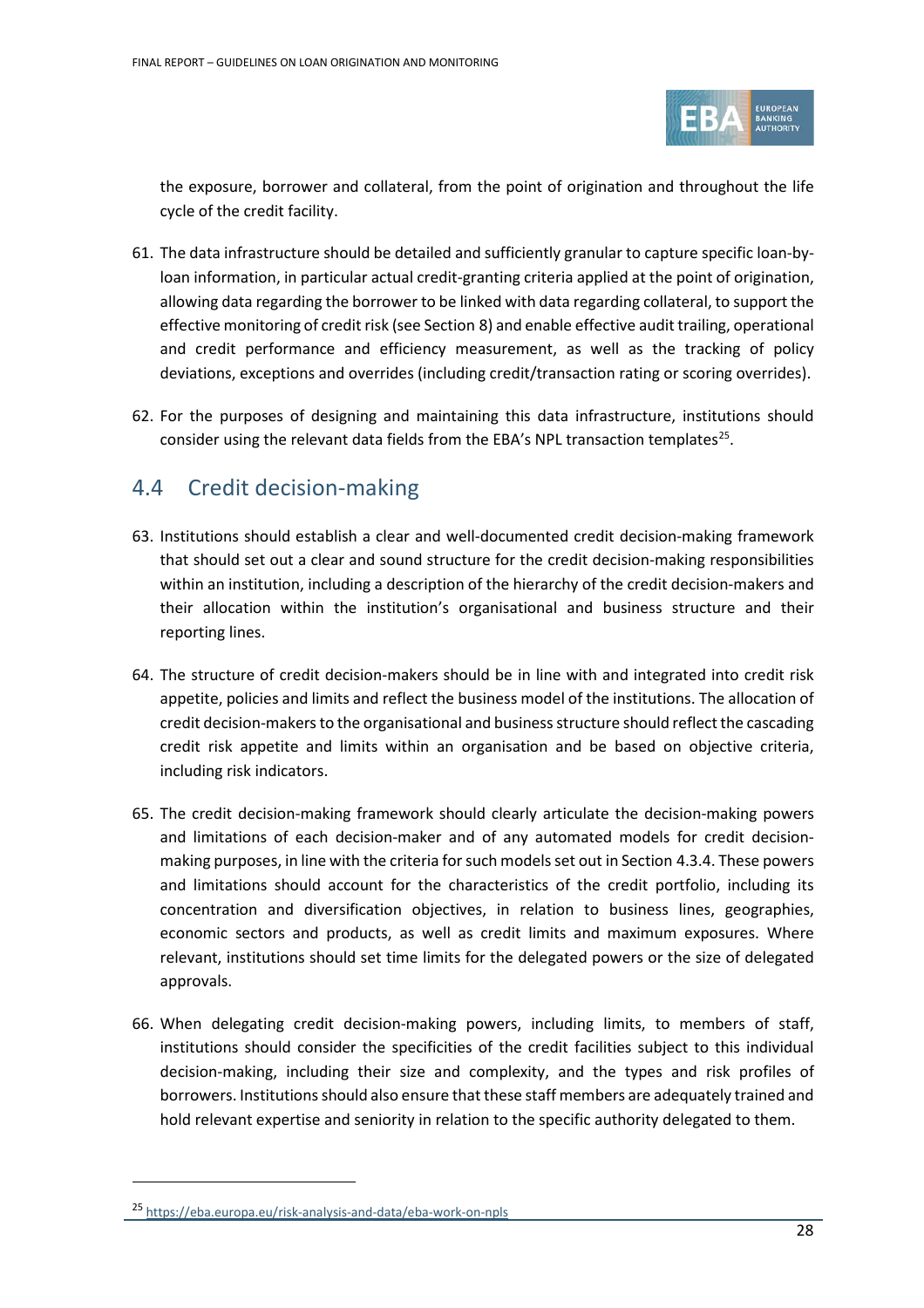

the exposure, borrower and collateral, from the point of origination and throughout the life cycle of the credit facility.

- 61. The data infrastructure should be detailed and sufficiently granular to capture specific loan-byloan information, in particular actual credit-granting criteria applied at the point of origination, allowing data regarding the borrower to be linked with data regarding collateral, to support the effective monitoring of credit risk (see Section [8\)](#page-59-0) and enable effective audit trailing, operational and credit performance and efficiency measurement, as well as the tracking of policy deviations, exceptions and overrides (including credit/transaction rating or scoring overrides).
- 62. For the purposes of designing and maintaining this data infrastructure, institutions should consider using the relevant data fields from the EBA's NPL transaction templates<sup>25</sup>.

### <span id="page-27-0"></span>4.4 Credit decision-making

- 63. Institutions should establish a clear and well-documented credit decision-making framework that should set out a clear and sound structure for the credit decision-making responsibilities within an institution, including a description of the hierarchy of the credit decision-makers and their allocation within the institution's organisational and business structure and their reporting lines.
- 64. The structure of credit decision-makers should be in line with and integrated into credit risk appetite, policies and limits and reflect the business model of the institutions. The allocation of credit decision-makers to the organisational and business structure should reflect the cascading credit risk appetite and limits within an organisation and be based on objective criteria, including risk indicators.
- 65. The credit decision-making framework should clearly articulate the decision-making powers and limitations of each decision-maker and of any automated models for credit decisionmaking purposes, in line with the criteria for such modelsset out in Section 4.3.4. These powers and limitations should account for the characteristics of the credit portfolio, including its concentration and diversification objectives, in relation to business lines, geographies, economic sectors and products, as well as credit limits and maximum exposures. Where relevant, institutions should set time limits for the delegated powers or the size of delegated approvals.
- 66. When delegating credit decision-making powers, including limits, to members of staff, institutions should consider the specificities of the credit facilities subject to this individual decision-making, including their size and complexity, and the types and risk profiles of borrowers. Institutions should also ensure that these staff members are adequately trained and hold relevant expertise and seniority in relation to the specific authority delegated to them.

<span id="page-27-1"></span><sup>25</sup> <https://eba.europa.eu/risk-analysis-and-data/eba-work-on-npls>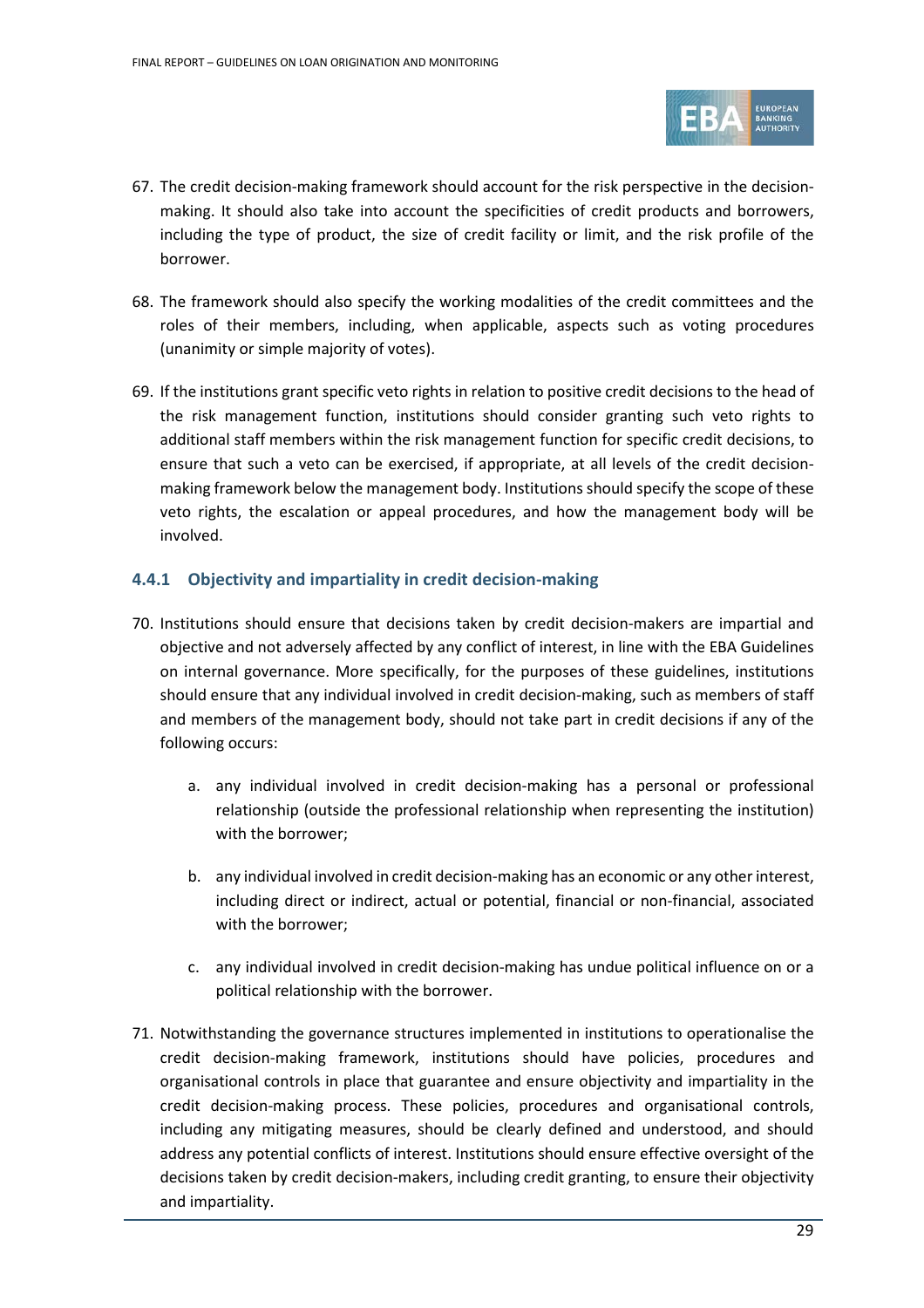

- 67. The credit decision-making framework should account for the risk perspective in the decisionmaking. It should also take into account the specificities of credit products and borrowers, including the type of product, the size of credit facility or limit, and the risk profile of the borrower.
- 68. The framework should also specify the working modalities of the credit committees and the roles of their members, including, when applicable, aspects such as voting procedures (unanimity or simple majority of votes).
- 69. If the institutions grant specific veto rights in relation to positive credit decisions to the head of the risk management function, institutions should consider granting such veto rights to additional staff members within the risk management function for specific credit decisions, to ensure that such a veto can be exercised, if appropriate, at all levels of the credit decisionmaking framework below the management body. Institutions should specify the scope of these veto rights, the escalation or appeal procedures, and how the management body will be involved.

#### <span id="page-28-0"></span>**4.4.1 Objectivity and impartiality in credit decision-making**

- 70. Institutions should ensure that decisions taken by credit decision-makers are impartial and objective and not adversely affected by any conflict of interest, in line with the EBA Guidelines on internal governance. More specifically, for the purposes of these guidelines, institutions should ensure that any individual involved in credit decision-making, such as members of staff and members of the management body, should not take part in credit decisions if any of the following occurs:
	- a. any individual involved in credit decision-making has a personal or professional relationship (outside the professional relationship when representing the institution) with the borrower;
	- b. any individual involved in credit decision-making has an economic or any otherinterest, including direct or indirect, actual or potential, financial or non-financial, associated with the borrower;
	- c. any individual involved in credit decision-making has undue political influence on or a political relationship with the borrower.
- 71. Notwithstanding the governance structures implemented in institutions to operationalise the credit decision-making framework, institutions should have policies, procedures and organisational controls in place that guarantee and ensure objectivity and impartiality in the credit decision-making process. These policies, procedures and organisational controls, including any mitigating measures, should be clearly defined and understood, and should address any potential conflicts of interest. Institutions should ensure effective oversight of the decisions taken by credit decision-makers, including credit granting, to ensure their objectivity and impartiality.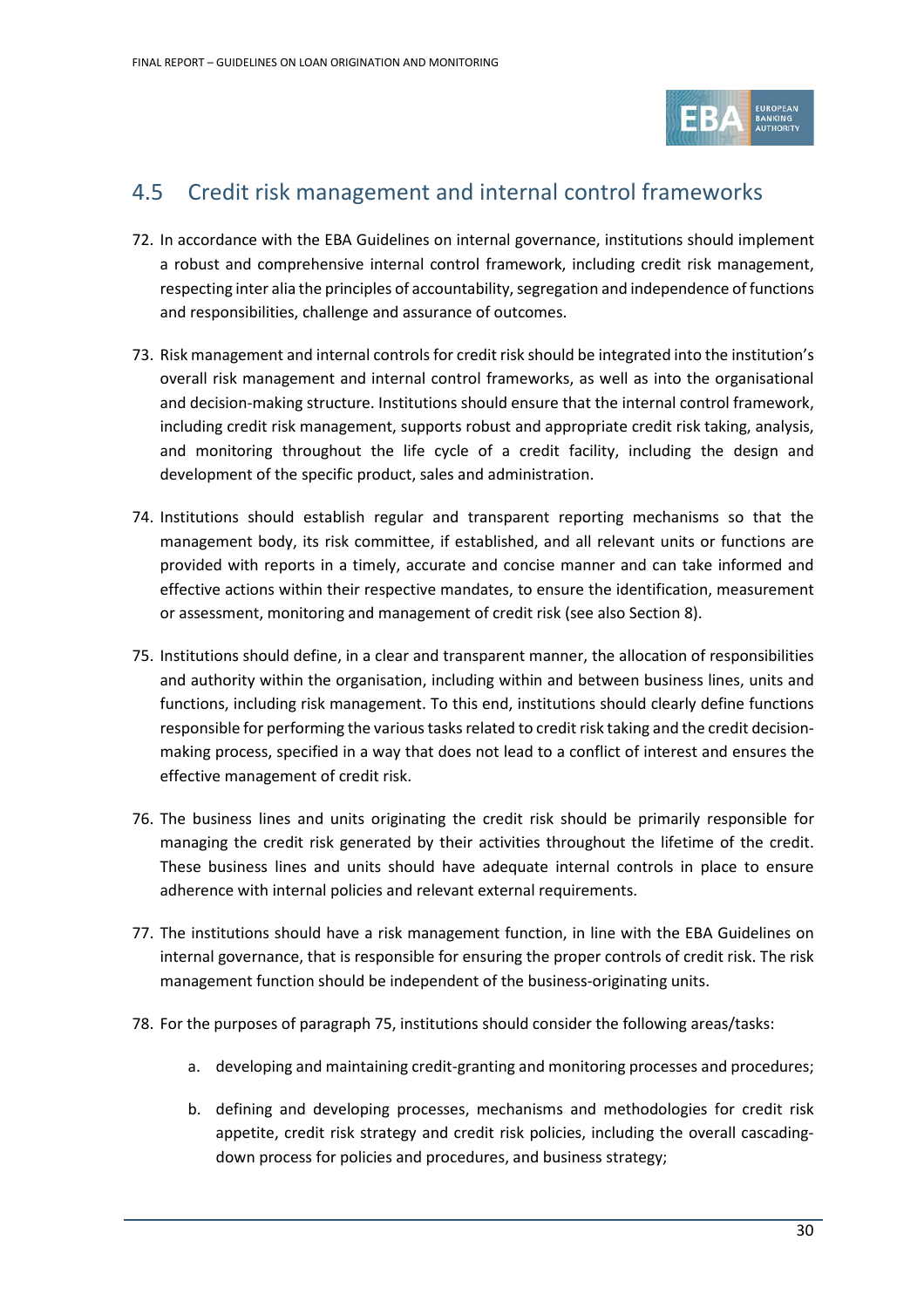

## <span id="page-29-0"></span>4.5 Credit risk management and internal control frameworks

- 72. In accordance with the EBA Guidelines on internal governance, institutions should implement a robust and comprehensive internal control framework, including credit risk management, respecting inter alia the principles of accountability, segregation and independence of functions and responsibilities, challenge and assurance of outcomes.
- 73. Risk management and internal controls for credit risk should be integrated into the institution's overall risk management and internal control frameworks, as well as into the organisational and decision-making structure. Institutions should ensure that the internal control framework, including credit risk management, supports robust and appropriate credit risk taking, analysis, and monitoring throughout the life cycle of a credit facility, including the design and development of the specific product, sales and administration.
- 74. Institutions should establish regular and transparent reporting mechanisms so that the management body, its risk committee, if established, and all relevant units or functions are provided with reports in a timely, accurate and concise manner and can take informed and effective actions within their respective mandates, to ensure the identification, measurement or assessment, monitoring and management of credit risk (see also Section [8\)](#page-59-0).
- 75. Institutions should define, in a clear and transparent manner, the allocation of responsibilities and authority within the organisation, including within and between business lines, units and functions, including risk management. To this end, institutions should clearly define functions responsible for performing the various tasks related to credit risk taking and the credit decisionmaking process, specified in a way that does not lead to a conflict of interest and ensures the effective management of credit risk.
- 76. The business lines and units originating the credit risk should be primarily responsible for managing the credit risk generated by their activities throughout the lifetime of the credit. These business lines and units should have adequate internal controls in place to ensure adherence with internal policies and relevant external requirements.
- 77. The institutions should have a risk management function, in line with the EBA Guidelines on internal governance, that is responsible for ensuring the proper controls of credit risk. The risk management function should be independent of the business-originating units.
- 78. For the purposes of paragraph 75, institutions should consider the following areas/tasks:
	- a. developing and maintaining credit-granting and monitoring processes and procedures;
	- b. defining and developing processes, mechanisms and methodologies for credit risk appetite, credit risk strategy and credit risk policies, including the overall cascadingdown process for policies and procedures, and business strategy;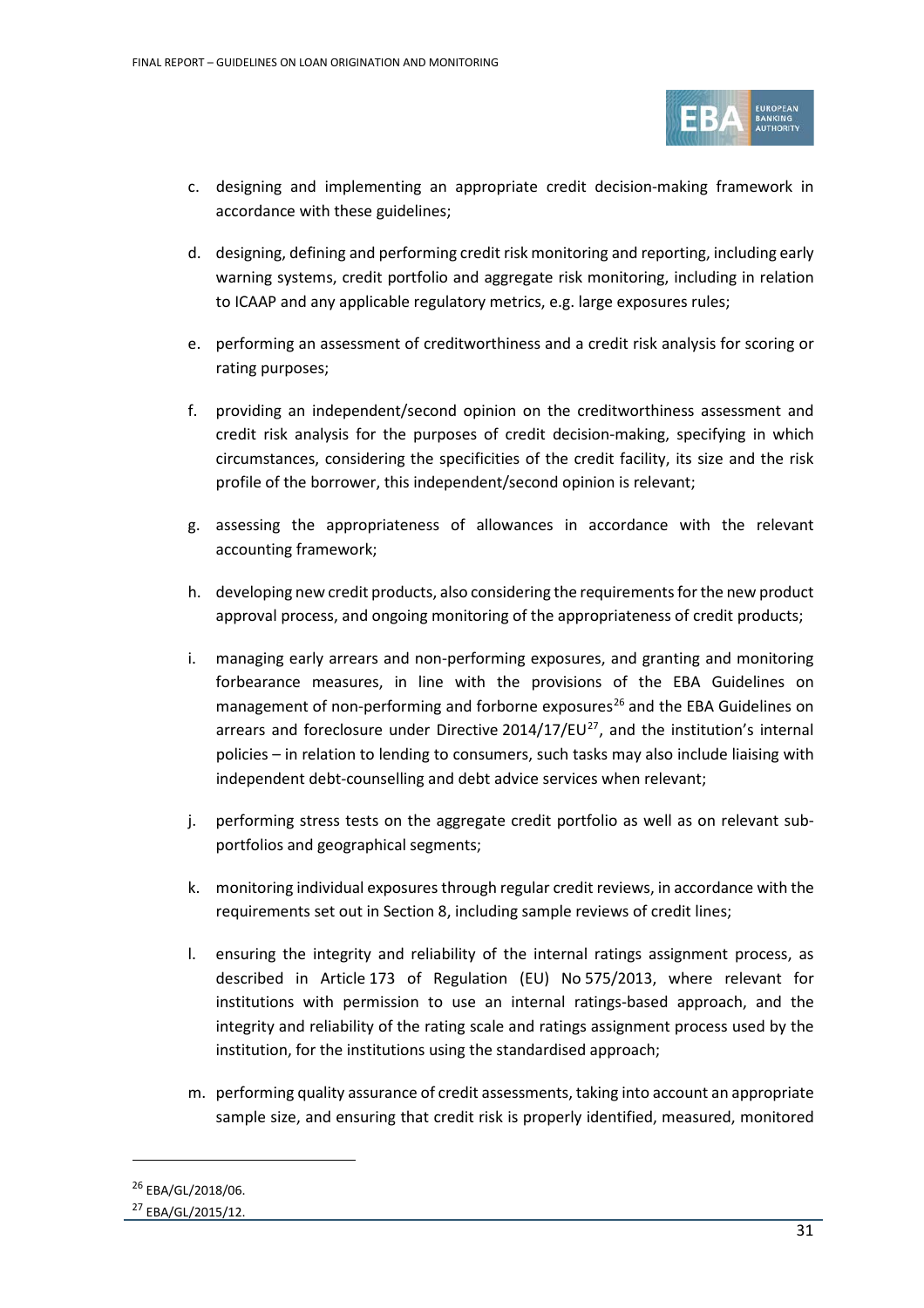

- c. designing and implementing an appropriate credit decision-making framework in accordance with these guidelines;
- d. designing, defining and performing credit risk monitoring and reporting, including early warning systems, credit portfolio and aggregate risk monitoring, including in relation to ICAAP and any applicable regulatory metrics, e.g. large exposures rules;
- e. performing an assessment of creditworthiness and a credit risk analysis for scoring or rating purposes;
- f. providing an independent/second opinion on the creditworthiness assessment and credit risk analysis for the purposes of credit decision-making, specifying in which circumstances, considering the specificities of the credit facility, its size and the risk profile of the borrower, this independent/second opinion is relevant;
- g. assessing the appropriateness of allowances in accordance with the relevant accounting framework;
- h. developing new credit products, also considering the requirements for the new product approval process, and ongoing monitoring of the appropriateness of credit products;
- i. managing early arrears and non-performing exposures, and granting and monitoring forbearance measures, in line with the provisions of the EBA Guidelines on management of non-performing and forborne exposures<sup>[26](#page-30-0)</sup> and the EBA Guidelines on arrears and foreclosure under Directive  $2014/17/EU^{27}$  $2014/17/EU^{27}$  $2014/17/EU^{27}$ , and the institution's internal policies – in relation to lending to consumers, such tasks may also include liaising with independent debt-counselling and debt advice services when relevant;
- j. performing stress tests on the aggregate credit portfolio as well as on relevant subportfolios and geographical segments;
- k. monitoring individual exposures through regular credit reviews, in accordance with the requirements set out in Section 8, including sample reviews of credit lines;
- l. ensuring the integrity and reliability of the internal ratings assignment process, as described in Article 173 of Regulation (EU) No 575/2013, where relevant for institutions with permission to use an internal ratings-based approach, and the integrity and reliability of the rating scale and ratings assignment process used by the institution, for the institutions using the standardised approach;
- m. performing quality assurance of credit assessments, taking into account an appropriate sample size, and ensuring that credit risk is properly identified, measured, monitored

<span id="page-30-0"></span><sup>&</sup>lt;sup>26</sup> EBA/GL/2018/06.

<span id="page-30-1"></span><sup>27</sup> EBA/GL/2015/12.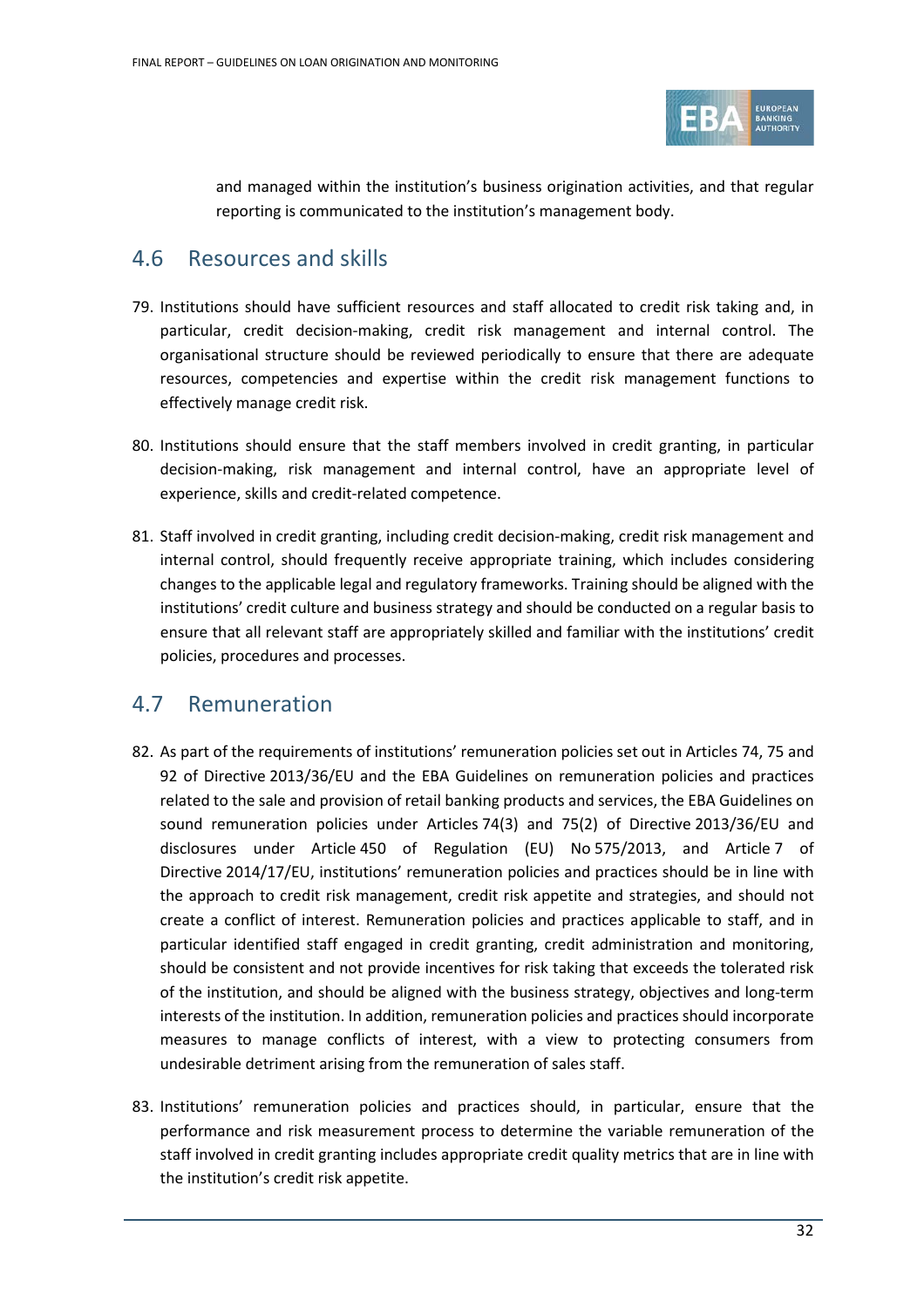

and managed within the institution's business origination activities, and that regular reporting is communicated to the institution's management body.

### <span id="page-31-0"></span>4.6 Resources and skills

- 79. Institutions should have sufficient resources and staff allocated to credit risk taking and, in particular, credit decision-making, credit risk management and internal control. The organisational structure should be reviewed periodically to ensure that there are adequate resources, competencies and expertise within the credit risk management functions to effectively manage credit risk.
- 80. Institutions should ensure that the staff members involved in credit granting, in particular decision-making, risk management and internal control, have an appropriate level of experience, skills and credit-related competence.
- 81. Staff involved in credit granting, including credit decision-making, credit risk management and internal control, should frequently receive appropriate training, which includes considering changes to the applicable legal and regulatory frameworks. Training should be aligned with the institutions' credit culture and business strategy and should be conducted on a regular basis to ensure that all relevant staff are appropriately skilled and familiar with the institutions' credit policies, procedures and processes.

### <span id="page-31-1"></span>4.7 Remuneration

- 82. As part of the requirements of institutions' remuneration policies set out in Articles 74, 75 and 92 of Directive 2013/36/EU and the EBA Guidelines on remuneration policies and practices related to the sale and provision of retail banking products and services, the EBA Guidelines on sound remuneration policies under Articles 74(3) and 75(2) of Directive 2013/36/EU and disclosures under Article 450 of Regulation (EU) No 575/2013, and Article 7 of Directive 2014/17/EU, institutions' remuneration policies and practices should be in line with the approach to credit risk management, credit risk appetite and strategies, and should not create a conflict of interest. Remuneration policies and practices applicable to staff, and in particular identified staff engaged in credit granting, credit administration and monitoring, should be consistent and not provide incentives for risk taking that exceeds the tolerated risk of the institution, and should be aligned with the business strategy, objectives and long-term interests of the institution. In addition, remuneration policies and practices should incorporate measures to manage conflicts of interest, with a view to protecting consumers from undesirable detriment arising from the remuneration of sales staff.
- 83. Institutions' remuneration policies and practices should, in particular, ensure that the performance and risk measurement process to determine the variable remuneration of the staff involved in credit granting includes appropriate credit quality metrics that are in line with the institution's credit risk appetite.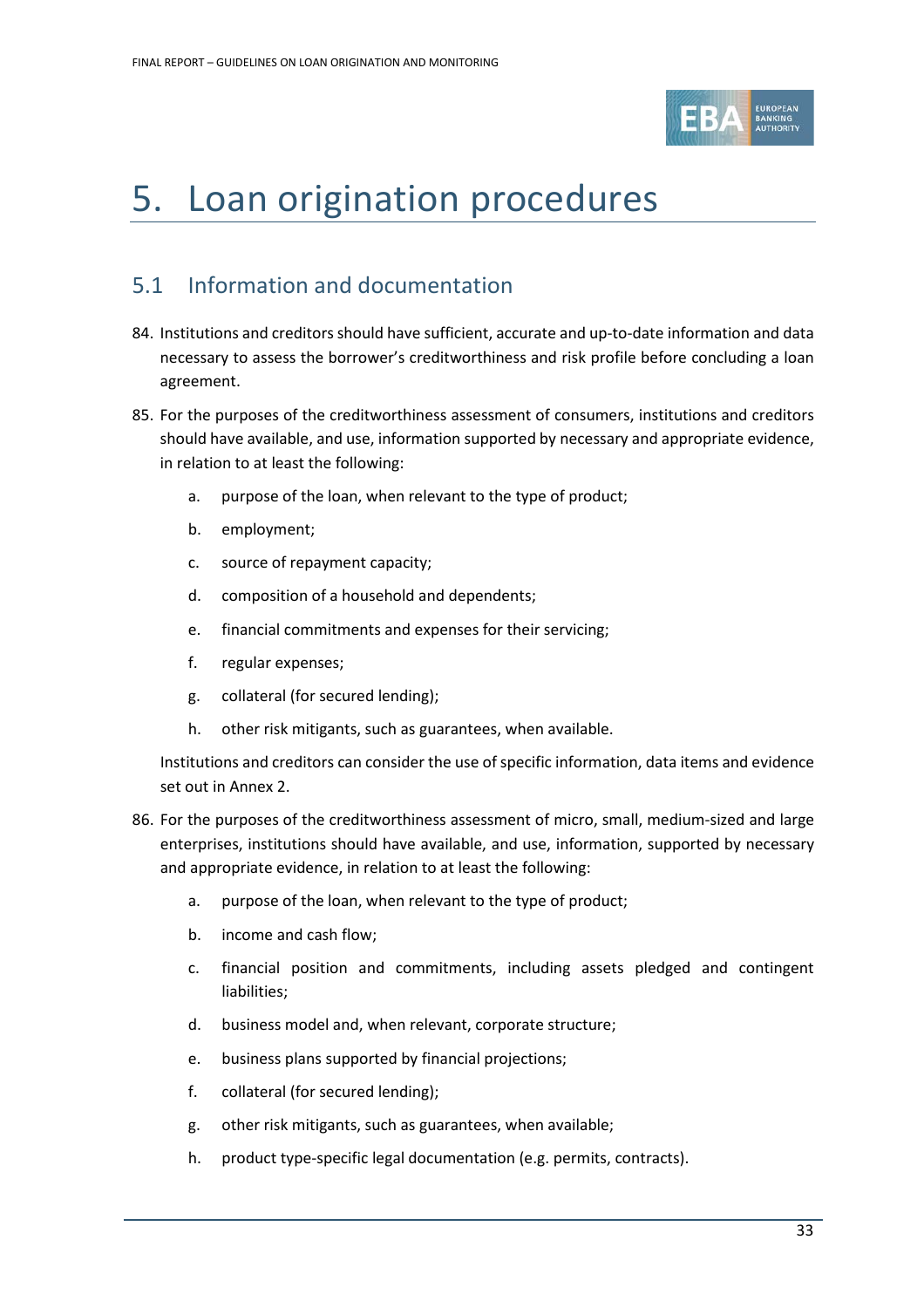

# <span id="page-32-0"></span>5. Loan origination procedures

## <span id="page-32-1"></span>5.1 Information and documentation

- 84. Institutions and creditors should have sufficient, accurate and up-to-date information and data necessary to assess the borrower's creditworthiness and risk profile before concluding a loan agreement.
- 85. For the purposes of the creditworthiness assessment of consumers, institutions and creditors should have available, and use, information supported by necessary and appropriate evidence, in relation to at least the following:
	- a. purpose of the loan, when relevant to the type of product;
	- b. employment;
	- c. source of repayment capacity;
	- d. composition of a household and dependents;
	- e. financial commitments and expenses for their servicing;
	- f. regular expenses;
	- g. collateral (for secured lending);
	- h. other risk mitigants, such as guarantees, when available.

Institutions and creditors can consider the use of specific information, data items and evidence set out in Annex 2.

- 86. For the purposes of the creditworthiness assessment of micro, small, medium-sized and large enterprises, institutions should have available, and use, information, supported by necessary and appropriate evidence, in relation to at least the following:
	- a. purpose of the loan, when relevant to the type of product;
	- b. income and cash flow;
	- c. financial position and commitments, including assets pledged and contingent liabilities;
	- d. business model and, when relevant, corporate structure;
	- e. business plans supported by financial projections;
	- f. collateral (for secured lending);
	- g. other risk mitigants, such as guarantees, when available;
	- h. product type-specific legal documentation (e.g. permits, contracts).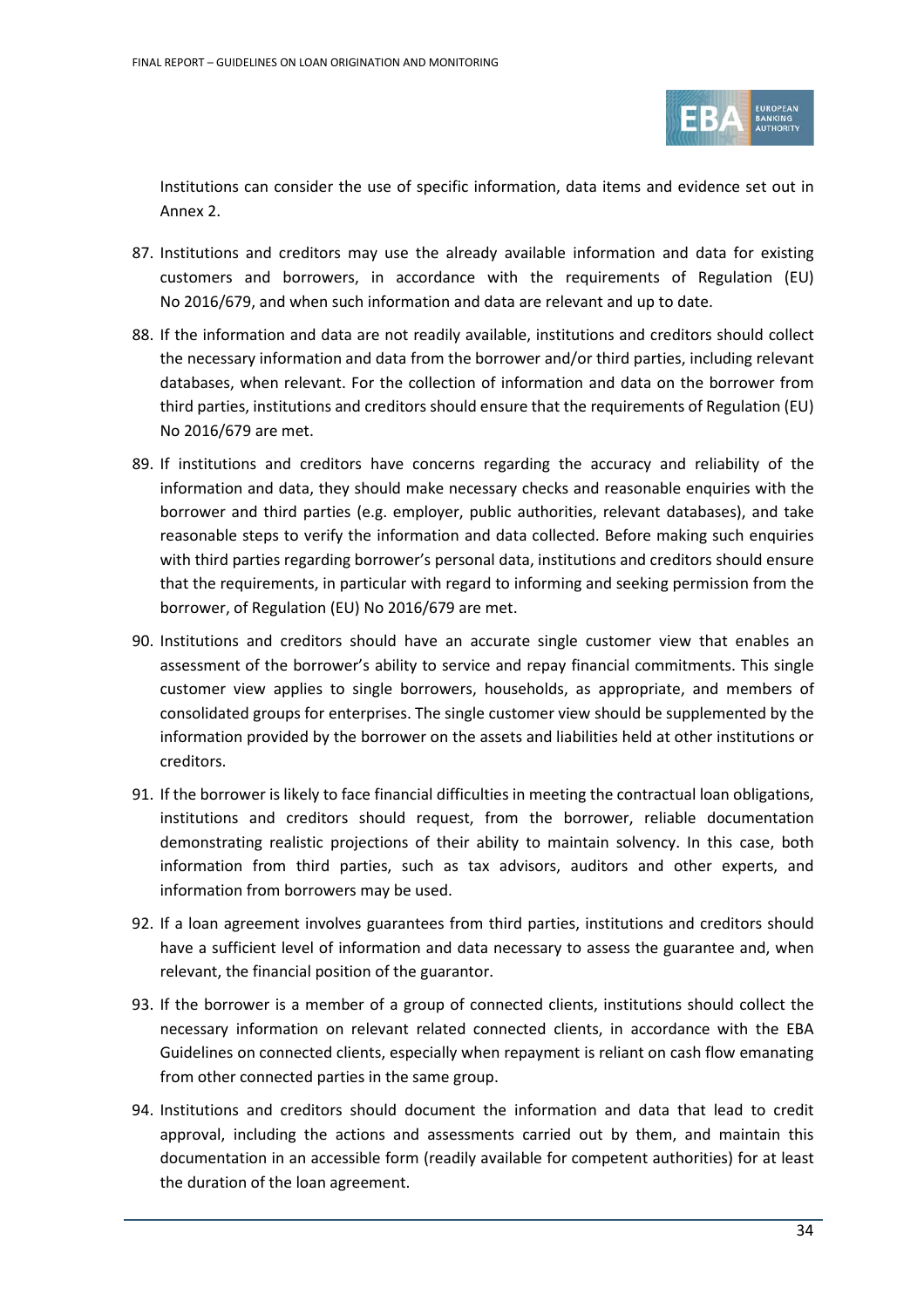

Institutions can consider the use of specific information, data items and evidence set out in Annex 2.

- 87. Institutions and creditors may use the already available information and data for existing customers and borrowers, in accordance with the requirements of Regulation (EU) No 2016/679, and when such information and data are relevant and up to date.
- 88. If the information and data are not readily available, institutions and creditors should collect the necessary information and data from the borrower and/or third parties, including relevant databases, when relevant. For the collection of information and data on the borrower from third parties, institutions and creditors should ensure that the requirements of Regulation (EU) No 2016/679 are met.
- 89. If institutions and creditors have concerns regarding the accuracy and reliability of the information and data, they should make necessary checks and reasonable enquiries with the borrower and third parties (e.g. employer, public authorities, relevant databases), and take reasonable steps to verify the information and data collected. Before making such enquiries with third parties regarding borrower's personal data, institutions and creditors should ensure that the requirements, in particular with regard to informing and seeking permission from the borrower, of Regulation (EU) No 2016/679 are met.
- 90. Institutions and creditors should have an accurate single customer view that enables an assessment of the borrower's ability to service and repay financial commitments. This single customer view applies to single borrowers, households, as appropriate, and members of consolidated groups for enterprises. The single customer view should be supplemented by the information provided by the borrower on the assets and liabilities held at other institutions or creditors.
- 91. If the borrower is likely to face financial difficulties in meeting the contractual loan obligations, institutions and creditors should request, from the borrower, reliable documentation demonstrating realistic projections of their ability to maintain solvency. In this case, both information from third parties, such as tax advisors, auditors and other experts, and information from borrowers may be used.
- 92. If a loan agreement involves guarantees from third parties, institutions and creditors should have a sufficient level of information and data necessary to assess the guarantee and, when relevant, the financial position of the guarantor.
- 93. If the borrower is a member of a group of connected clients, institutions should collect the necessary information on relevant related connected clients, in accordance with the EBA Guidelines on connected clients, especially when repayment is reliant on cash flow emanating from other connected parties in the same group.
- 94. Institutions and creditors should document the information and data that lead to credit approval, including the actions and assessments carried out by them, and maintain this documentation in an accessible form (readily available for competent authorities) for at least the duration of the loan agreement.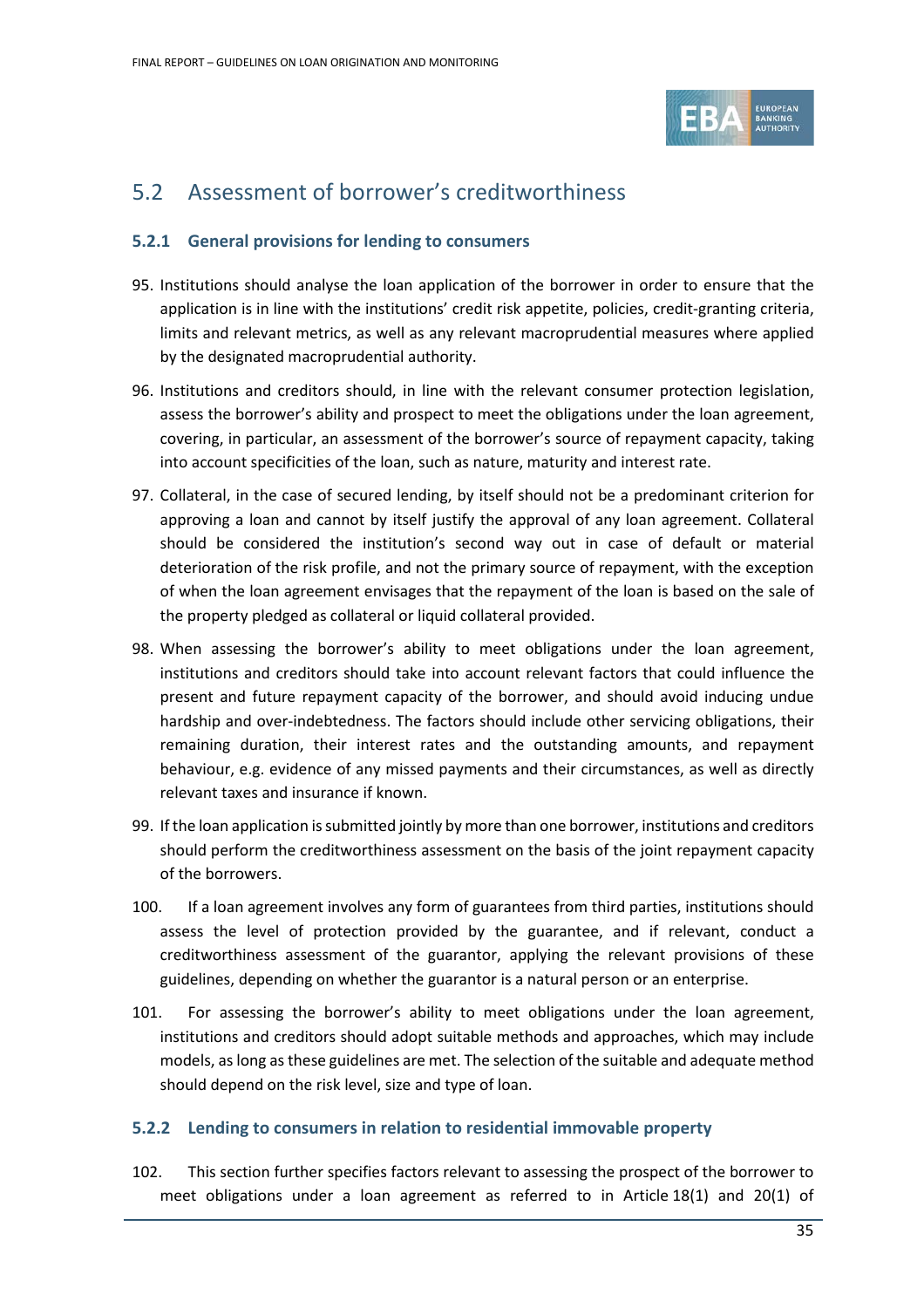

## <span id="page-34-0"></span>5.2 Assessment of borrower's creditworthiness

#### <span id="page-34-1"></span>**5.2.1 General provisions for lending to consumers**

- 95. Institutions should analyse the loan application of the borrower in order to ensure that the application is in line with the institutions' credit risk appetite, policies, credit-granting criteria, limits and relevant metrics, as well as any relevant macroprudential measures where applied by the designated macroprudential authority.
- 96. Institutions and creditors should, in line with the relevant consumer protection legislation, assess the borrower's ability and prospect to meet the obligations under the loan agreement, covering, in particular, an assessment of the borrower's source of repayment capacity, taking into account specificities of the loan, such as nature, maturity and interest rate.
- 97. Collateral, in the case of secured lending, by itself should not be a predominant criterion for approving a loan and cannot by itself justify the approval of any loan agreement. Collateral should be considered the institution's second way out in case of default or material deterioration of the risk profile, and not the primary source of repayment, with the exception of when the loan agreement envisages that the repayment of the loan is based on the sale of the property pledged as collateral or liquid collateral provided.
- 98. When assessing the borrower's ability to meet obligations under the loan agreement, institutions and creditors should take into account relevant factors that could influence the present and future repayment capacity of the borrower, and should avoid inducing undue hardship and over-indebtedness. The factors should include other servicing obligations, their remaining duration, their interest rates and the outstanding amounts, and repayment behaviour, e.g. evidence of any missed payments and their circumstances, as well as directly relevant taxes and insurance if known.
- 99. If the loan application is submitted jointly by more than one borrower, institutions and creditors should perform the creditworthiness assessment on the basis of the joint repayment capacity of the borrowers.
- 100. If a loan agreement involves any form of guarantees from third parties, institutions should assess the level of protection provided by the guarantee, and if relevant, conduct a creditworthiness assessment of the guarantor, applying the relevant provisions of these guidelines, depending on whether the guarantor is a natural person or an enterprise.
- 101. For assessing the borrower's ability to meet obligations under the loan agreement, institutions and creditors should adopt suitable methods and approaches, which may include models, as long as these guidelines are met. The selection of the suitable and adequate method should depend on the risk level, size and type of loan.

#### <span id="page-34-2"></span>**5.2.2 Lending to consumers in relation to residential immovable property**

102. This section further specifies factors relevant to assessing the prospect of the borrower to meet obligations under a loan agreement as referred to in Article 18(1) and 20(1) of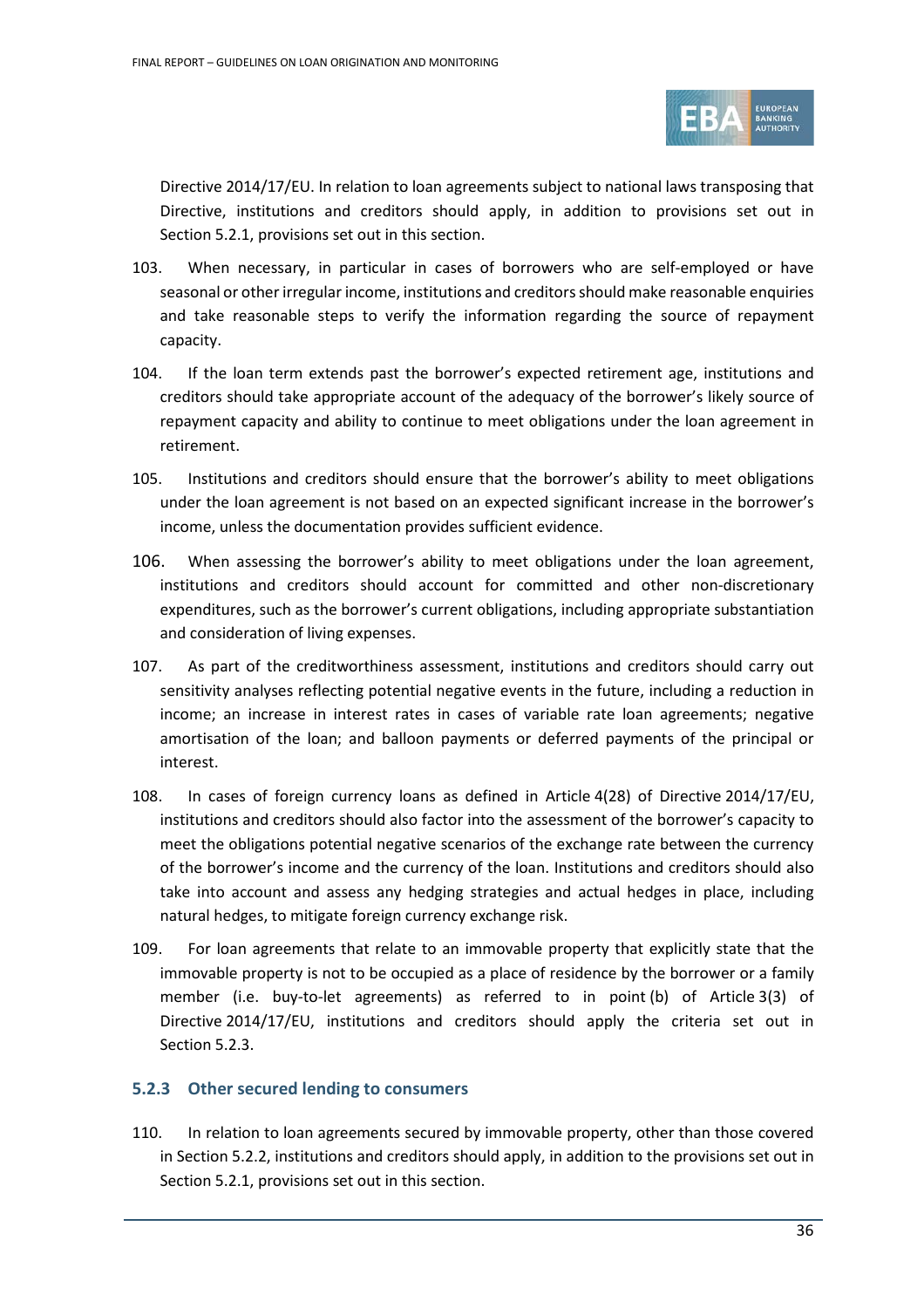

Directive 2014/17/EU. In relation to loan agreements subject to national laws transposing that Directive, institutions and creditors should apply, in addition to provisions set out in Section 5.2.1, provisions set out in this section.

- 103. When necessary, in particular in cases of borrowers who are self-employed or have seasonal or other irregular income, institutions and creditors should make reasonable enquiries and take reasonable steps to verify the information regarding the source of repayment capacity.
- 104. If the loan term extends past the borrower's expected retirement age, institutions and creditors should take appropriate account of the adequacy of the borrower's likely source of repayment capacity and ability to continue to meet obligations under the loan agreement in retirement.
- 105. Institutions and creditors should ensure that the borrower's ability to meet obligations under the loan agreement is not based on an expected significant increase in the borrower's income, unless the documentation provides sufficient evidence.
- 106. When assessing the borrower's ability to meet obligations under the loan agreement, institutions and creditors should account for committed and other non-discretionary expenditures, such as the borrower's current obligations, including appropriate substantiation and consideration of living expenses.
- 107. As part of the creditworthiness assessment, institutions and creditors should carry out sensitivity analyses reflecting potential negative events in the future, including a reduction in income; an increase in interest rates in cases of variable rate loan agreements; negative amortisation of the loan; and balloon payments or deferred payments of the principal or interest.
- 108. In cases of foreign currency loans as defined in Article 4(28) of Directive 2014/17/EU, institutions and creditors should also factor into the assessment of the borrower's capacity to meet the obligations potential negative scenarios of the exchange rate between the currency of the borrower's income and the currency of the loan. Institutions and creditors should also take into account and assess any hedging strategies and actual hedges in place, including natural hedges, to mitigate foreign currency exchange risk.
- 109. For loan agreements that relate to an immovable property that explicitly state that the immovable property is not to be occupied as a place of residence by the borrower or a family member (i.e. buy-to-let agreements) as referred to in point (b) of Article 3(3) of Directive 2014/17/EU, institutions and creditors should apply the criteria set out in Section [5.2.3.](#page-35-1)

#### <span id="page-35-1"></span><span id="page-35-0"></span>**5.2.3 Other secured lending to consumers**

110. In relation to loan agreements secured by immovable property, other than those covered in Section 5.2.2, institutions and creditors should apply, in addition to the provisions set out in Section 5.2.1, provisions set out in this section.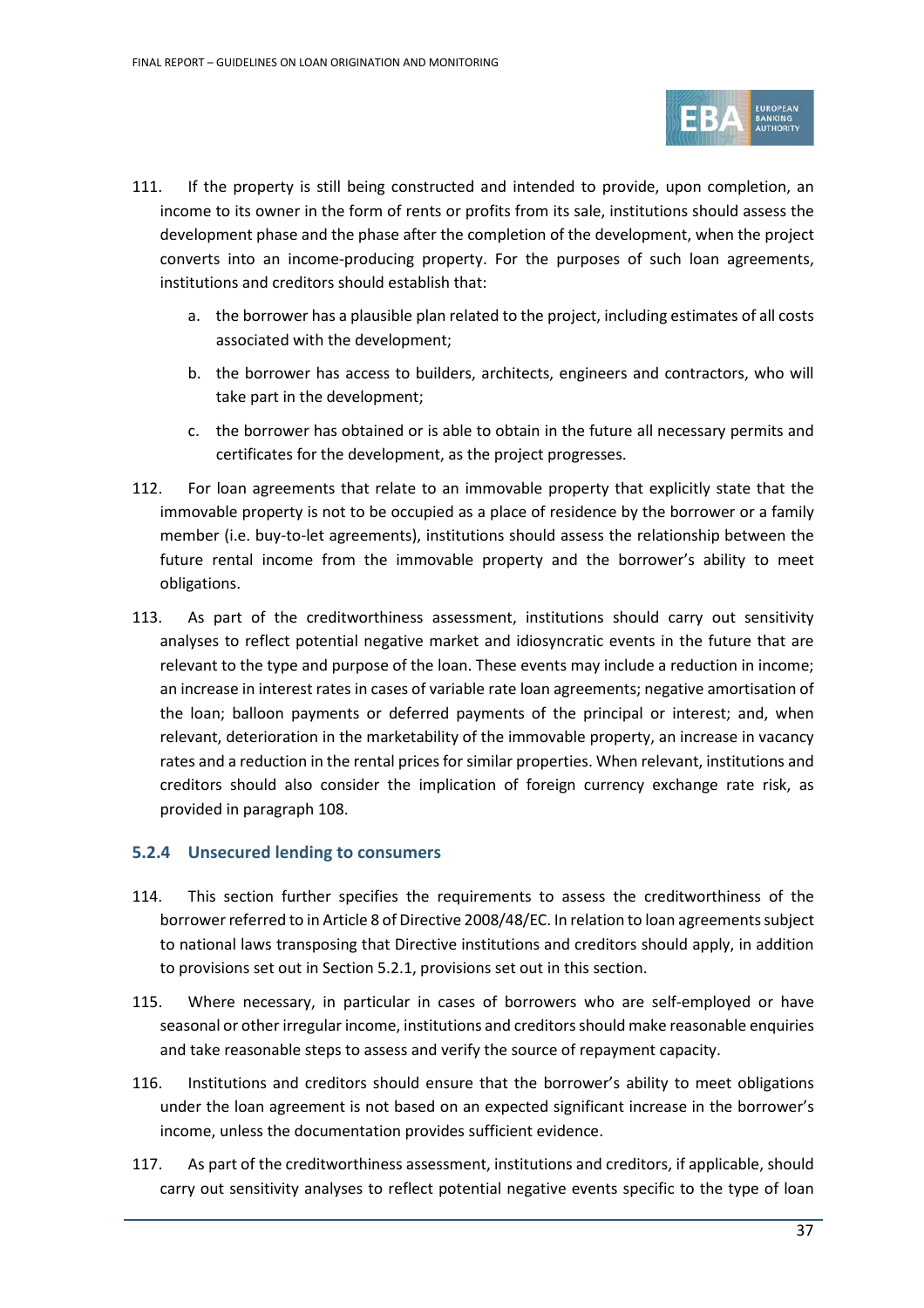

- 111. If the property is still being constructed and intended to provide, upon completion, an income to its owner in the form of rents or profits from its sale, institutions should assess the development phase and the phase after the completion of the development, when the project converts into an income-producing property. For the purposes of such loan agreements, institutions and creditors should establish that:
	- a. the borrower has a plausible plan related to the project, including estimates of all costs associated with the development;
	- b. the borrower has access to builders, architects, engineers and contractors, who will take part in the development;
	- c. the borrower has obtained or is able to obtain in the future all necessary permits and certificates for the development, as the project progresses.
- 112. For loan agreements that relate to an immovable property that explicitly state that the immovable property is not to be occupied as a place of residence by the borrower or a family member (i.e. buy-to-let agreements), institutions should assess the relationship between the future rental income from the immovable property and the borrower's ability to meet obligations.
- 113. As part of the creditworthiness assessment, institutions should carry out sensitivity analyses to reflect potential negative market and idiosyncratic events in the future that are relevant to the type and purpose of the loan. These events may include a reduction in income; an increase in interest rates in cases of variable rate loan agreements; negative amortisation of the loan; balloon payments or deferred payments of the principal or interest; and, when relevant, deterioration in the marketability of the immovable property, an increase in vacancy rates and a reduction in the rental prices for similar properties. When relevant, institutions and creditors should also consider the implication of foreign currency exchange rate risk, as provided in paragraph 108.

## **5.2.4 Unsecured lending to consumers**

- 114. This section further specifies the requirements to assess the creditworthiness of the borrower referred to in Article 8 of Directive 2008/48/EC. In relation to loan agreements subject to national laws transposing that Directive institutions and creditors should apply, in addition to provisions set out in Section 5.2.1, provisions set out in this section.
- 115. Where necessary, in particular in cases of borrowers who are self-employed or have seasonal or other irregular income, institutions and creditors should make reasonable enquiries and take reasonable steps to assess and verify the source of repayment capacity.
- 116. Institutions and creditors should ensure that the borrower's ability to meet obligations under the loan agreement is not based on an expected significant increase in the borrower's income, unless the documentation provides sufficient evidence.
- 117. As part of the creditworthiness assessment, institutions and creditors, if applicable, should carry out sensitivity analyses to reflect potential negative events specific to the type of loan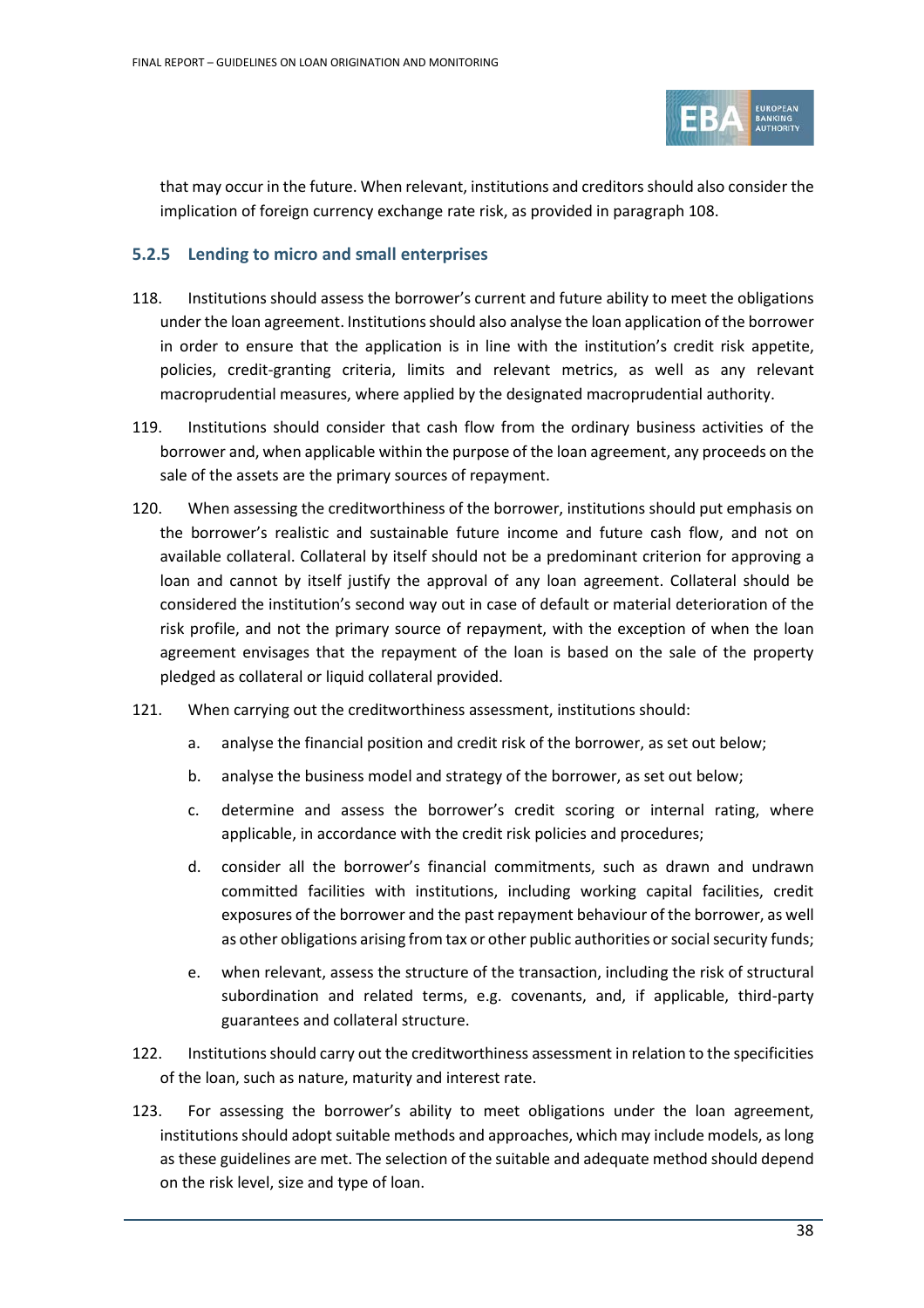

that may occur in the future. When relevant, institutions and creditors should also consider the implication of foreign currency exchange rate risk, as provided in paragraph 108.

## <span id="page-37-0"></span>**5.2.5 Lending to micro and small enterprises**

- 118. Institutions should assess the borrower's current and future ability to meet the obligations under the loan agreement. Institutions should also analyse the loan application of the borrower in order to ensure that the application is in line with the institution's credit risk appetite, policies, credit-granting criteria, limits and relevant metrics, as well as any relevant macroprudential measures, where applied by the designated macroprudential authority.
- 119. Institutions should consider that cash flow from the ordinary business activities of the borrower and, when applicable within the purpose of the loan agreement, any proceeds on the sale of the assets are the primary sources of repayment.
- 120. When assessing the creditworthiness of the borrower, institutions should put emphasis on the borrower's realistic and sustainable future income and future cash flow, and not on available collateral. Collateral by itself should not be a predominant criterion for approving a loan and cannot by itself justify the approval of any loan agreement. Collateral should be considered the institution's second way out in case of default or material deterioration of the risk profile, and not the primary source of repayment, with the exception of when the loan agreement envisages that the repayment of the loan is based on the sale of the property pledged as collateral or liquid collateral provided.
- 121. When carrying out the creditworthiness assessment, institutions should:
	- a. analyse the financial position and credit risk of the borrower, as set out below;
	- b. analyse the business model and strategy of the borrower, as set out below;
	- c. determine and assess the borrower's credit scoring or internal rating, where applicable, in accordance with the credit risk policies and procedures;
	- d. consider all the borrower's financial commitments, such as drawn and undrawn committed facilities with institutions, including working capital facilities, credit exposures of the borrower and the past repayment behaviour of the borrower, as well as other obligations arising from tax or other public authorities or social security funds;
	- e. when relevant, assess the structure of the transaction, including the risk of structural subordination and related terms, e.g. covenants, and, if applicable, third-party guarantees and collateral structure.
- 122. Institutions should carry out the creditworthiness assessment in relation to the specificities of the loan, such as nature, maturity and interest rate.
- 123. For assessing the borrower's ability to meet obligations under the loan agreement, institutions should adopt suitable methods and approaches, which may include models, as long as these guidelines are met. The selection of the suitable and adequate method should depend on the risk level, size and type of loan.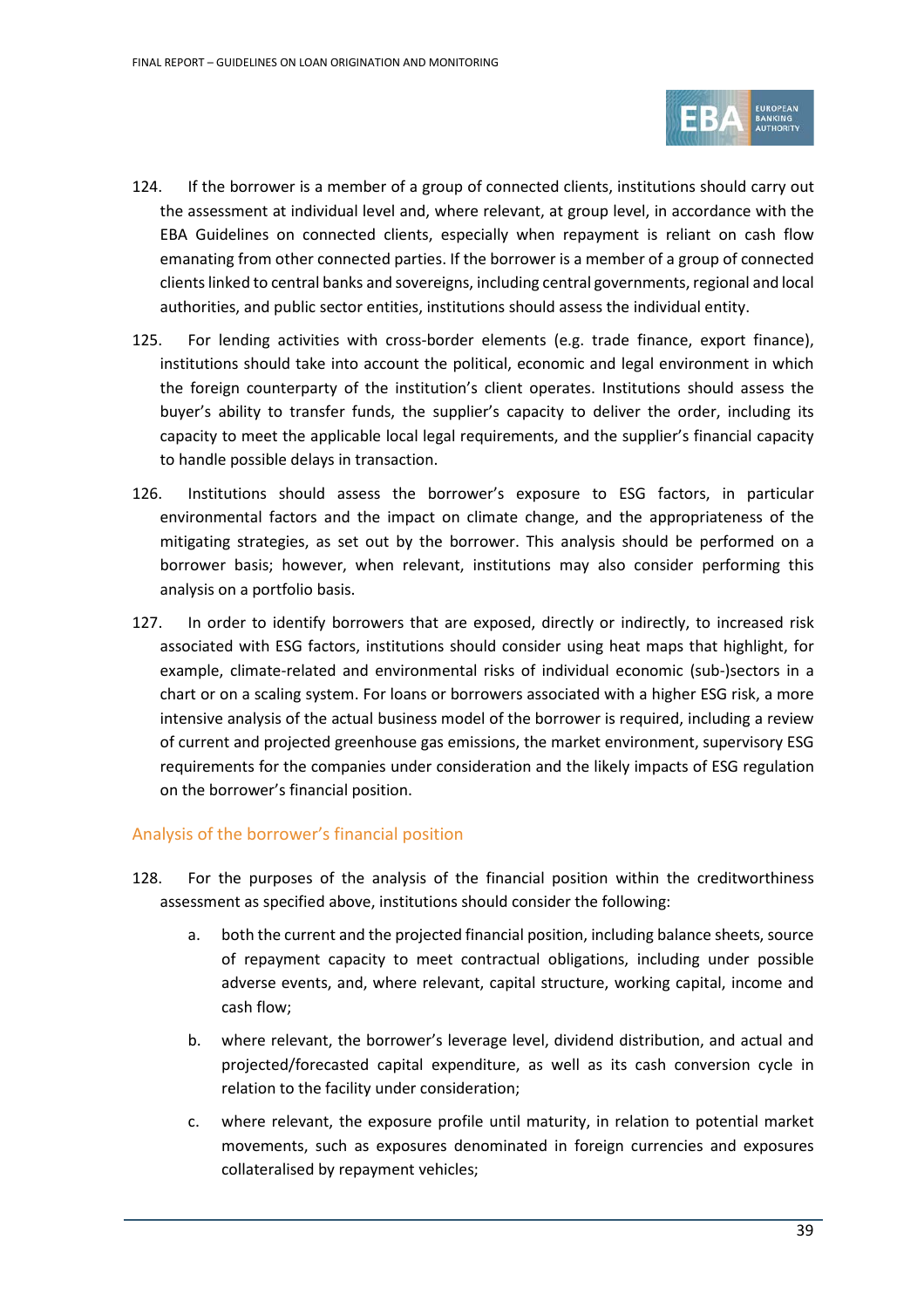

- 124. If the borrower is a member of a group of connected clients, institutions should carry out the assessment at individual level and, where relevant, at group level, in accordance with the EBA Guidelines on connected clients, especially when repayment is reliant on cash flow emanating from other connected parties. If the borrower is a member of a group of connected clients linked to central banks and sovereigns, including central governments, regional and local authorities, and public sector entities, institutions should assess the individual entity.
- 125. For lending activities with cross-border elements (e.g. trade finance, export finance), institutions should take into account the political, economic and legal environment in which the foreign counterparty of the institution's client operates. Institutions should assess the buyer's ability to transfer funds, the supplier's capacity to deliver the order, including its capacity to meet the applicable local legal requirements, and the supplier's financial capacity to handle possible delays in transaction.
- 126. Institutions should assess the borrower's exposure to ESG factors, in particular environmental factors and the impact on climate change, and the appropriateness of the mitigating strategies, as set out by the borrower. This analysis should be performed on a borrower basis; however, when relevant, institutions may also consider performing this analysis on a portfolio basis.
- 127. In order to identify borrowers that are exposed, directly or indirectly, to increased risk associated with ESG factors, institutions should consider using heat maps that highlight, for example, climate-related and environmental risks of individual economic (sub-)sectors in a chart or on a scaling system. For loans or borrowers associated with a higher ESG risk, a more intensive analysis of the actual business model of the borrower is required, including a review of current and projected greenhouse gas emissions, the market environment, supervisory ESG requirements for the companies under consideration and the likely impacts of ESG regulation on the borrower's financial position.

## Analysis of the borrower's financial position

- 128. For the purposes of the analysis of the financial position within the creditworthiness assessment as specified above, institutions should consider the following:
	- a. both the current and the projected financial position, including balance sheets, source of repayment capacity to meet contractual obligations, including under possible adverse events, and, where relevant, capital structure, working capital, income and cash flow;
	- b. where relevant, the borrower's leverage level, dividend distribution, and actual and projected/forecasted capital expenditure, as well as its cash conversion cycle in relation to the facility under consideration;
	- c. where relevant, the exposure profile until maturity, in relation to potential market movements, such as exposures denominated in foreign currencies and exposures collateralised by repayment vehicles;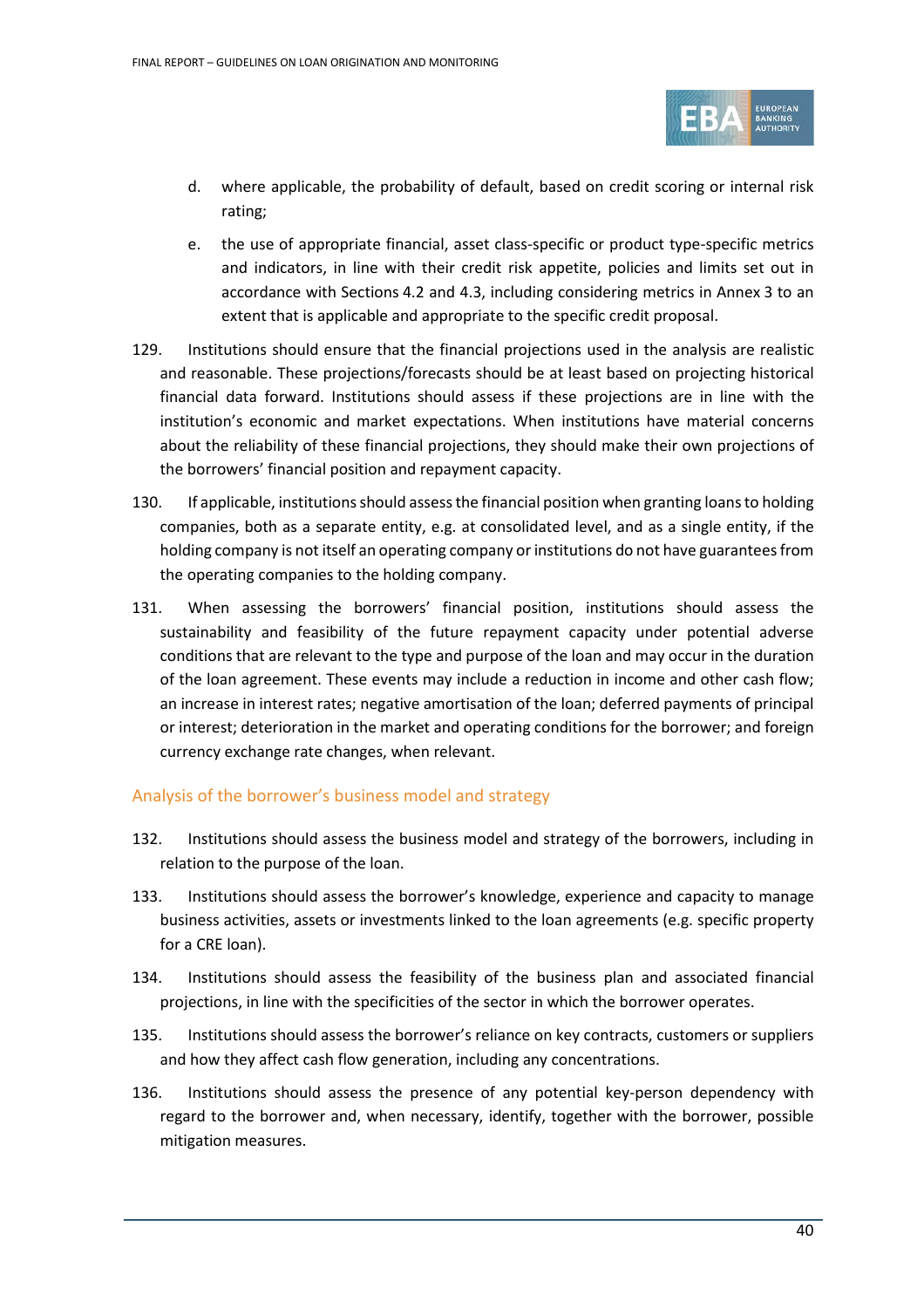

- d. where applicable, the probability of default, based on credit scoring or internal risk rating;
- e. the use of appropriate financial, asset class-specific or product type-specific metrics and indicators, in line with their credit risk appetite, policies and limits set out in accordance with Sections [4.2](#page-19-0) and [4.3,](#page-20-0) including considering metrics in Annex 3 to an extent that is applicable and appropriate to the specific credit proposal.
- 129. Institutions should ensure that the financial projections used in the analysis are realistic and reasonable. These projections/forecasts should be at least based on projecting historical financial data forward. Institutions should assess if these projections are in line with the institution's economic and market expectations. When institutions have material concerns about the reliability of these financial projections, they should make their own projections of the borrowers' financial position and repayment capacity.
- 130. If applicable, institutions should assess the financial position when granting loansto holding companies, both as a separate entity, e.g. at consolidated level, and as a single entity, if the holding company is not itself an operating company or institutions do not have guarantees from the operating companies to the holding company.
- 131. When assessing the borrowers' financial position, institutions should assess the sustainability and feasibility of the future repayment capacity under potential adverse conditions that are relevant to the type and purpose of the loan and may occur in the duration of the loan agreement. These events may include a reduction in income and other cash flow; an increase in interest rates; negative amortisation of the loan; deferred payments of principal or interest; deterioration in the market and operating conditions for the borrower; and foreign currency exchange rate changes, when relevant.

# Analysis of the borrower's business model and strategy

- 132. Institutions should assess the business model and strategy of the borrowers, including in relation to the purpose of the loan.
- 133. Institutions should assess the borrower's knowledge, experience and capacity to manage business activities, assets or investments linked to the loan agreements (e.g. specific property for a CRE loan).
- 134. Institutions should assess the feasibility of the business plan and associated financial projections, in line with the specificities of the sector in which the borrower operates.
- 135. Institutions should assess the borrower's reliance on key contracts, customers or suppliers and how they affect cash flow generation, including any concentrations.
- 136. Institutions should assess the presence of any potential key-person dependency with regard to the borrower and, when necessary, identify, together with the borrower, possible mitigation measures.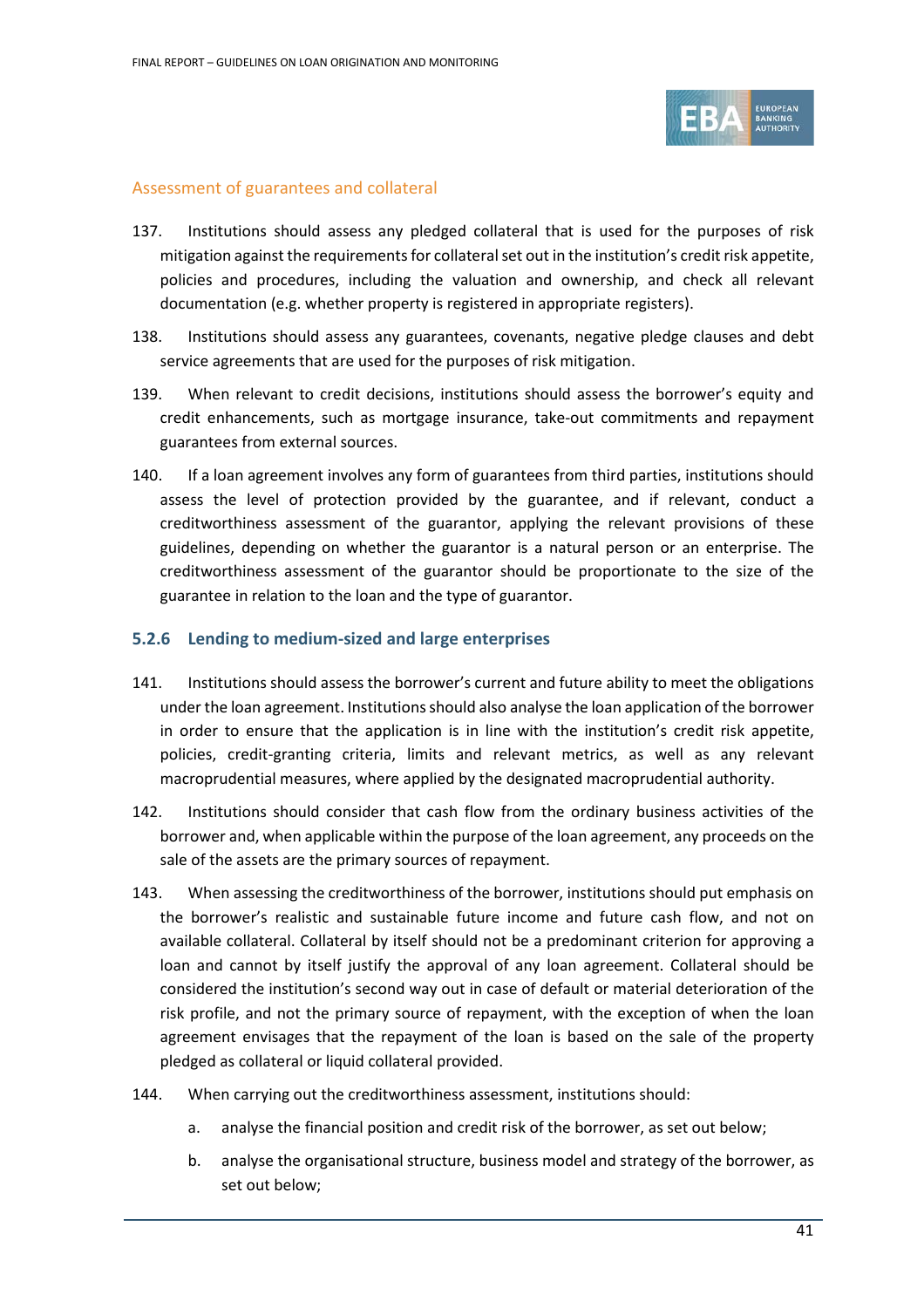

#### Assessment of guarantees and collateral

- 137. Institutions should assess any pledged collateral that is used for the purposes of risk mitigation against the requirements for collateral set out in the institution's credit risk appetite, policies and procedures, including the valuation and ownership, and check all relevant documentation (e.g. whether property is registered in appropriate registers).
- 138. Institutions should assess any guarantees, covenants, negative pledge clauses and debt service agreements that are used for the purposes of risk mitigation.
- 139. When relevant to credit decisions, institutions should assess the borrower's equity and credit enhancements, such as mortgage insurance, take-out commitments and repayment guarantees from external sources.
- 140. If a loan agreement involves any form of guarantees from third parties, institutions should assess the level of protection provided by the guarantee, and if relevant, conduct a creditworthiness assessment of the guarantor, applying the relevant provisions of these guidelines, depending on whether the guarantor is a natural person or an enterprise. The creditworthiness assessment of the guarantor should be proportionate to the size of the guarantee in relation to the loan and the type of guarantor.

#### **5.2.6 Lending to medium-sized and large enterprises**

- 141. Institutions should assess the borrower's current and future ability to meet the obligations under the loan agreement. Institutions should also analyse the loan application of the borrower in order to ensure that the application is in line with the institution's credit risk appetite, policies, credit-granting criteria, limits and relevant metrics, as well as any relevant macroprudential measures, where applied by the designated macroprudential authority.
- 142. Institutions should consider that cash flow from the ordinary business activities of the borrower and, when applicable within the purpose of the loan agreement, any proceeds on the sale of the assets are the primary sources of repayment.
- 143. When assessing the creditworthiness of the borrower, institutions should put emphasis on the borrower's realistic and sustainable future income and future cash flow, and not on available collateral. Collateral by itself should not be a predominant criterion for approving a loan and cannot by itself justify the approval of any loan agreement. Collateral should be considered the institution's second way out in case of default or material deterioration of the risk profile, and not the primary source of repayment, with the exception of when the loan agreement envisages that the repayment of the loan is based on the sale of the property pledged as collateral or liquid collateral provided.
- 144. When carrying out the creditworthiness assessment, institutions should:
	- a. analyse the financial position and credit risk of the borrower, as set out below;
	- b. analyse the organisational structure, business model and strategy of the borrower, as set out below;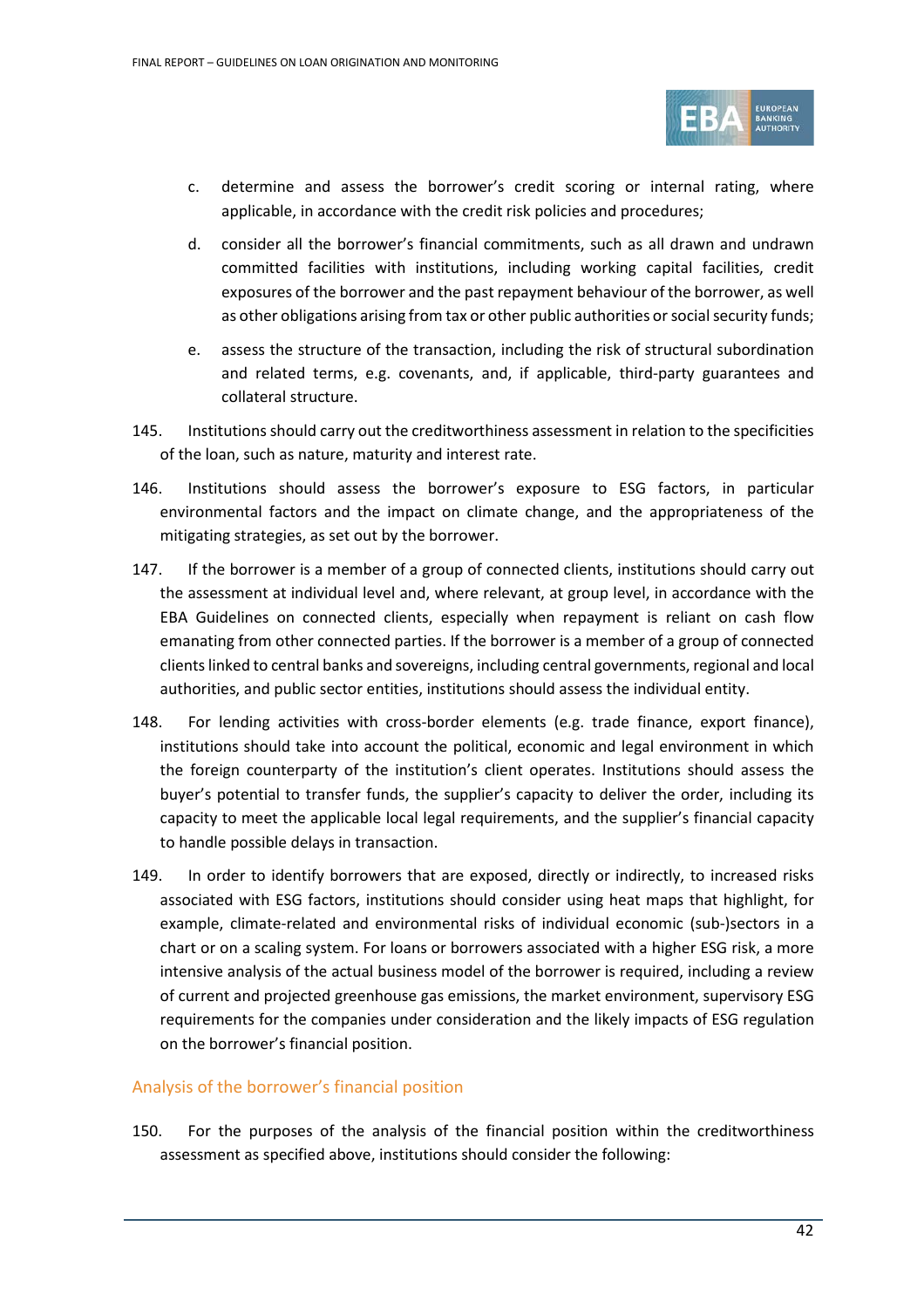

- c. determine and assess the borrower's credit scoring or internal rating, where applicable, in accordance with the credit risk policies and procedures;
- d. consider all the borrower's financial commitments, such as all drawn and undrawn committed facilities with institutions, including working capital facilities, credit exposures of the borrower and the past repayment behaviour of the borrower, as well as other obligations arising from tax or other public authorities or social security funds;
- e. assess the structure of the transaction, including the risk of structural subordination and related terms, e.g. covenants, and, if applicable, third-party guarantees and collateral structure.
- 145. Institutions should carry out the creditworthiness assessment in relation to the specificities of the loan, such as nature, maturity and interest rate.
- 146. Institutions should assess the borrower's exposure to ESG factors, in particular environmental factors and the impact on climate change, and the appropriateness of the mitigating strategies, as set out by the borrower.
- 147. If the borrower is a member of a group of connected clients, institutions should carry out the assessment at individual level and, where relevant, at group level, in accordance with the EBA Guidelines on connected clients, especially when repayment is reliant on cash flow emanating from other connected parties. If the borrower is a member of a group of connected clients linked to central banks and sovereigns, including central governments, regional and local authorities, and public sector entities, institutions should assess the individual entity.
- 148. For lending activities with cross-border elements (e.g. trade finance, export finance), institutions should take into account the political, economic and legal environment in which the foreign counterparty of the institution's client operates. Institutions should assess the buyer's potential to transfer funds, the supplier's capacity to deliver the order, including its capacity to meet the applicable local legal requirements, and the supplier's financial capacity to handle possible delays in transaction.
- 149. In order to identify borrowers that are exposed, directly or indirectly, to increased risks associated with ESG factors, institutions should consider using heat maps that highlight, for example, climate-related and environmental risks of individual economic (sub-)sectors in a chart or on a scaling system. For loans or borrowers associated with a higher ESG risk, a more intensive analysis of the actual business model of the borrower is required, including a review of current and projected greenhouse gas emissions, the market environment, supervisory ESG requirements for the companies under consideration and the likely impacts of ESG regulation on the borrower's financial position.

## Analysis of the borrower's financial position

150. For the purposes of the analysis of the financial position within the creditworthiness assessment as specified above, institutions should consider the following: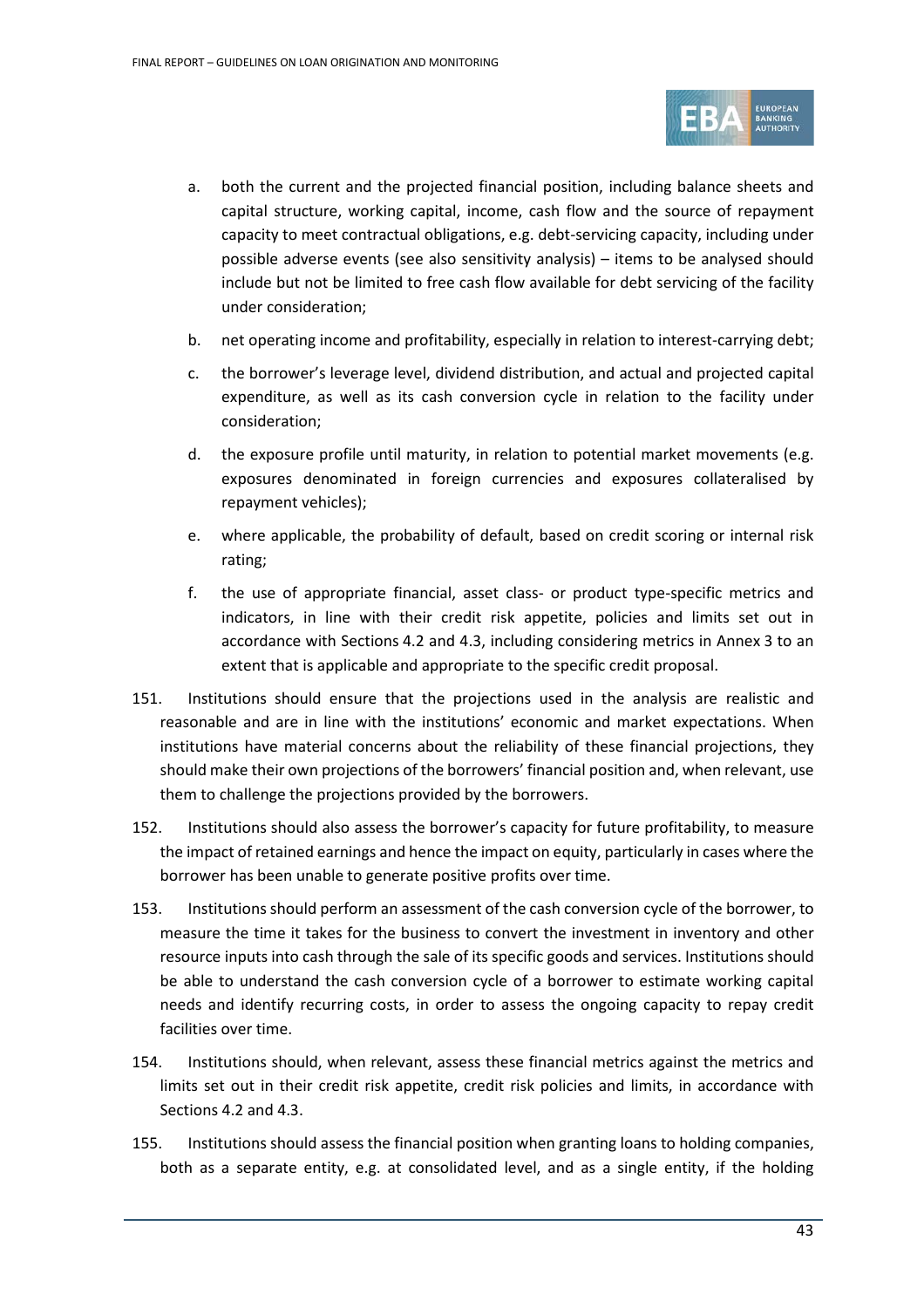

- a. both the current and the projected financial position, including balance sheets and capital structure, working capital, income, cash flow and the source of repayment capacity to meet contractual obligations, e.g. debt-servicing capacity, including under possible adverse events (see also sensitivity analysis) – items to be analysed should include but not be limited to free cash flow available for debt servicing of the facility under consideration;
- b. net operating income and profitability, especially in relation to interest-carrying debt;
- c. the borrower's leverage level, dividend distribution, and actual and projected capital expenditure, as well as its cash conversion cycle in relation to the facility under consideration;
- d. the exposure profile until maturity, in relation to potential market movements (e.g. exposures denominated in foreign currencies and exposures collateralised by repayment vehicles);
- e. where applicable, the probability of default, based on credit scoring or internal risk rating;
- f. the use of appropriate financial, asset class- or product type-specific metrics and indicators, in line with their credit risk appetite, policies and limits set out in accordance with Sections [4.2](#page-19-0) and [4.3,](#page-20-0) including considering metrics in Annex 3 to an extent that is applicable and appropriate to the specific credit proposal.
- 151. Institutions should ensure that the projections used in the analysis are realistic and reasonable and are in line with the institutions' economic and market expectations. When institutions have material concerns about the reliability of these financial projections, they should make their own projections of the borrowers' financial position and, when relevant, use them to challenge the projections provided by the borrowers.
- 152. Institutions should also assess the borrower's capacity for future profitability, to measure the impact of retained earnings and hence the impact on equity, particularly in cases where the borrower has been unable to generate positive profits over time.
- 153. Institutions should perform an assessment of the cash conversion cycle of the borrower, to measure the time it takes for the business to convert the investment in inventory and other resource inputs into cash through the sale of its specific goods and services. Institutions should be able to understand the cash conversion cycle of a borrower to estimate working capital needs and identify recurring costs, in order to assess the ongoing capacity to repay credit facilities over time.
- 154. Institutions should, when relevant, assess these financial metrics against the metrics and limits set out in their credit risk appetite, credit risk policies and limits, in accordance with Sections [4.2](#page-19-0) an[d 4.3.](#page-20-0)
- 155. Institutions should assess the financial position when granting loans to holding companies, both as a separate entity, e.g. at consolidated level, and as a single entity, if the holding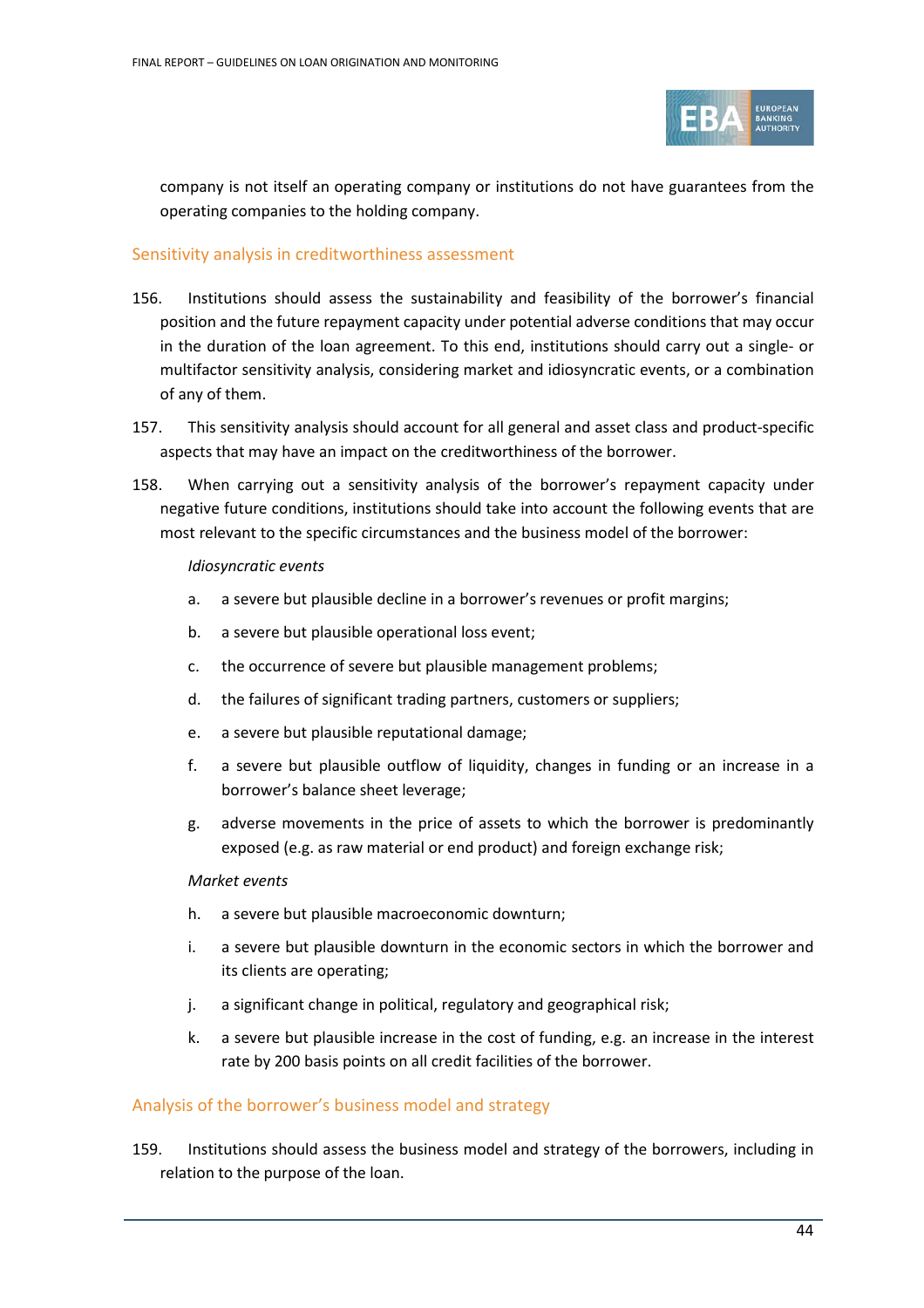

company is not itself an operating company or institutions do not have guarantees from the operating companies to the holding company.

## Sensitivity analysis in creditworthiness assessment

- 156. Institutions should assess the sustainability and feasibility of the borrower's financial position and the future repayment capacity under potential adverse conditions that may occur in the duration of the loan agreement. To this end, institutions should carry out a single- or multifactor sensitivity analysis, considering market and idiosyncratic events, or a combination of any of them.
- 157. This sensitivity analysis should account for all general and asset class and product-specific aspects that may have an impact on the creditworthiness of the borrower.
- 158. When carrying out a sensitivity analysis of the borrower's repayment capacity under negative future conditions, institutions should take into account the following events that are most relevant to the specific circumstances and the business model of the borrower:

#### *Idiosyncratic events*

- a. a severe but plausible decline in a borrower's revenues or profit margins;
- b. a severe but plausible operational loss event;
- c. the occurrence of severe but plausible management problems;
- d. the failures of significant trading partners, customers or suppliers;
- e. a severe but plausible reputational damage;
- f. a severe but plausible outflow of liquidity, changes in funding or an increase in a borrower's balance sheet leverage;
- g. adverse movements in the price of assets to which the borrower is predominantly exposed (e.g. as raw material or end product) and foreign exchange risk;

#### *Market events*

- h. a severe but plausible macroeconomic downturn;
- i. a severe but plausible downturn in the economic sectors in which the borrower and its clients are operating;
- j. a significant change in political, regulatory and geographical risk;
- k. a severe but plausible increase in the cost of funding, e.g. an increase in the interest rate by 200 basis points on all credit facilities of the borrower.

## Analysis of the borrower's business model and strategy

159. Institutions should assess the business model and strategy of the borrowers, including in relation to the purpose of the loan.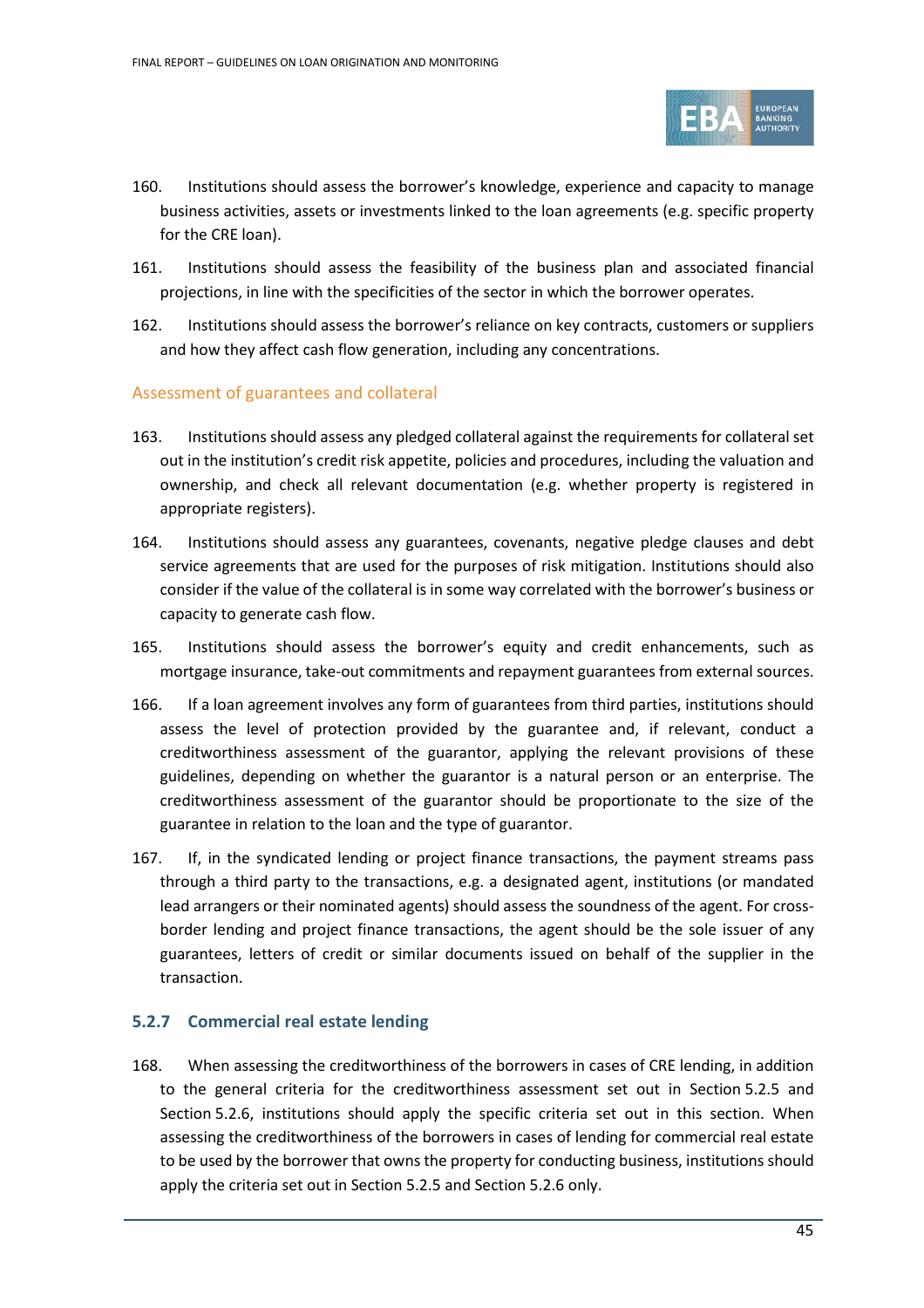

- 160. Institutions should assess the borrower's knowledge, experience and capacity to manage business activities, assets or investments linked to the loan agreements (e.g. specific property for the CRE loan).
- 161. Institutions should assess the feasibility of the business plan and associated financial projections, in line with the specificities of the sector in which the borrower operates.
- 162. Institutions should assess the borrower's reliance on key contracts, customers or suppliers and how they affect cash flow generation, including any concentrations.

## Assessment of guarantees and collateral

- 163. Institutions should assess any pledged collateral against the requirements for collateral set out in the institution's credit risk appetite, policies and procedures, including the valuation and ownership, and check all relevant documentation (e.g. whether property is registered in appropriate registers).
- 164. Institutions should assess any guarantees, covenants, negative pledge clauses and debt service agreements that are used for the purposes of risk mitigation. Institutions should also consider if the value of the collateral is in some way correlated with the borrower's business or capacity to generate cash flow.
- 165. Institutions should assess the borrower's equity and credit enhancements, such as mortgage insurance, take-out commitments and repayment guarantees from external sources.
- 166. If a loan agreement involves any form of guarantees from third parties, institutions should assess the level of protection provided by the guarantee and, if relevant, conduct a creditworthiness assessment of the guarantor, applying the relevant provisions of these guidelines, depending on whether the guarantor is a natural person or an enterprise. The creditworthiness assessment of the guarantor should be proportionate to the size of the guarantee in relation to the loan and the type of guarantor.
- 167. If, in the syndicated lending or project finance transactions, the payment streams pass through a third party to the transactions, e.g. a designated agent, institutions (or mandated lead arrangers or their nominated agents) should assess the soundness of the agent. For crossborder lending and project finance transactions, the agent should be the sole issuer of any guarantees, letters of credit or similar documents issued on behalf of the supplier in the transaction.

## **5.2.7 Commercial real estate lending**

168. When assessing the creditworthiness of the borrowers in cases of CRE lending, in addition to the general criteria for the creditworthiness assessment set out in Section 5.2.5 and Section [5.2.6](#page-37-0), institutions should apply the specific criteria set out in this section. When assessing the creditworthiness of the borrowers in cases of lending for commercial real estate to be used by the borrower that owns the property for conducting business, institutions should apply the criteria set out in Section 5.2.5 and Section 5.2.6 only.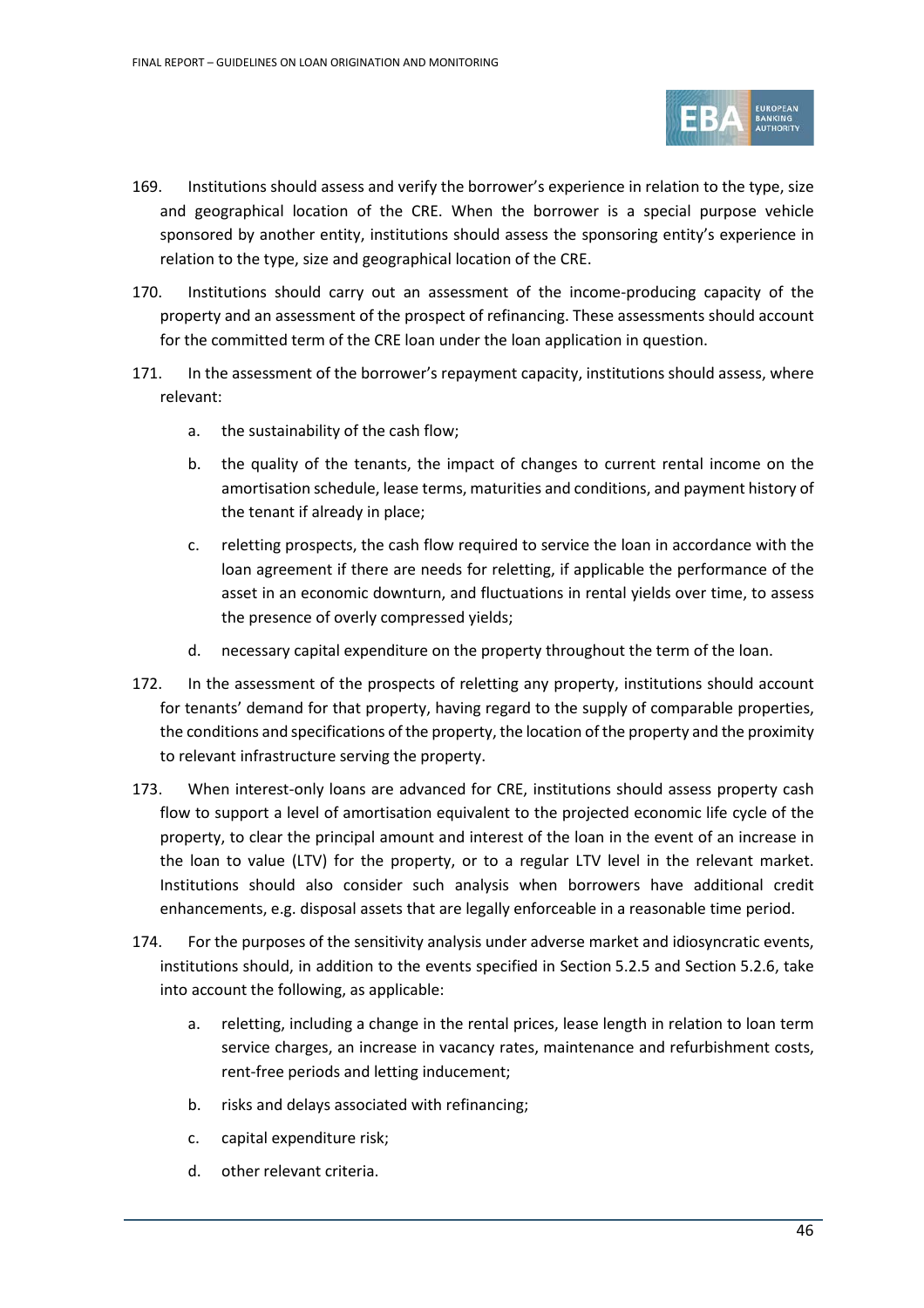

- 169. Institutions should assess and verify the borrower's experience in relation to the type, size and geographical location of the CRE. When the borrower is a special purpose vehicle sponsored by another entity, institutions should assess the sponsoring entity's experience in relation to the type, size and geographical location of the CRE.
- 170. Institutions should carry out an assessment of the income-producing capacity of the property and an assessment of the prospect of refinancing. These assessments should account for the committed term of the CRE loan under the loan application in question.
- 171. In the assessment of the borrower's repayment capacity, institutions should assess, where relevant:
	- a. the sustainability of the cash flow;
	- b. the quality of the tenants, the impact of changes to current rental income on the amortisation schedule, lease terms, maturities and conditions, and payment history of the tenant if already in place;
	- c. reletting prospects, the cash flow required to service the loan in accordance with the loan agreement if there are needs for reletting, if applicable the performance of the asset in an economic downturn, and fluctuations in rental yields over time, to assess the presence of overly compressed yields;
	- d. necessary capital expenditure on the property throughout the term of the loan.
- 172. In the assessment of the prospects of reletting any property, institutions should account for tenants' demand for that property, having regard to the supply of comparable properties, the conditions and specifications of the property, the location of the property and the proximity to relevant infrastructure serving the property.
- 173. When interest-only loans are advanced for CRE, institutions should assess property cash flow to support a level of amortisation equivalent to the projected economic life cycle of the property, to clear the principal amount and interest of the loan in the event of an increase in the loan to value (LTV) for the property, or to a regular LTV level in the relevant market. Institutions should also consider such analysis when borrowers have additional credit enhancements, e.g. disposal assets that are legally enforceable in a reasonable time period.
- 174. For the purposes of the sensitivity analysis under adverse market and idiosyncratic events, institutions should, in addition to the events specified in Section [5.2.5](#page-37-0) and Section 5.2.6, take into account the following, as applicable:
	- a. reletting, including a change in the rental prices, lease length in relation to loan term service charges, an increase in vacancy rates, maintenance and refurbishment costs, rent-free periods and letting inducement;
	- b. risks and delays associated with refinancing;
	- c. capital expenditure risk;
	- d. other relevant criteria.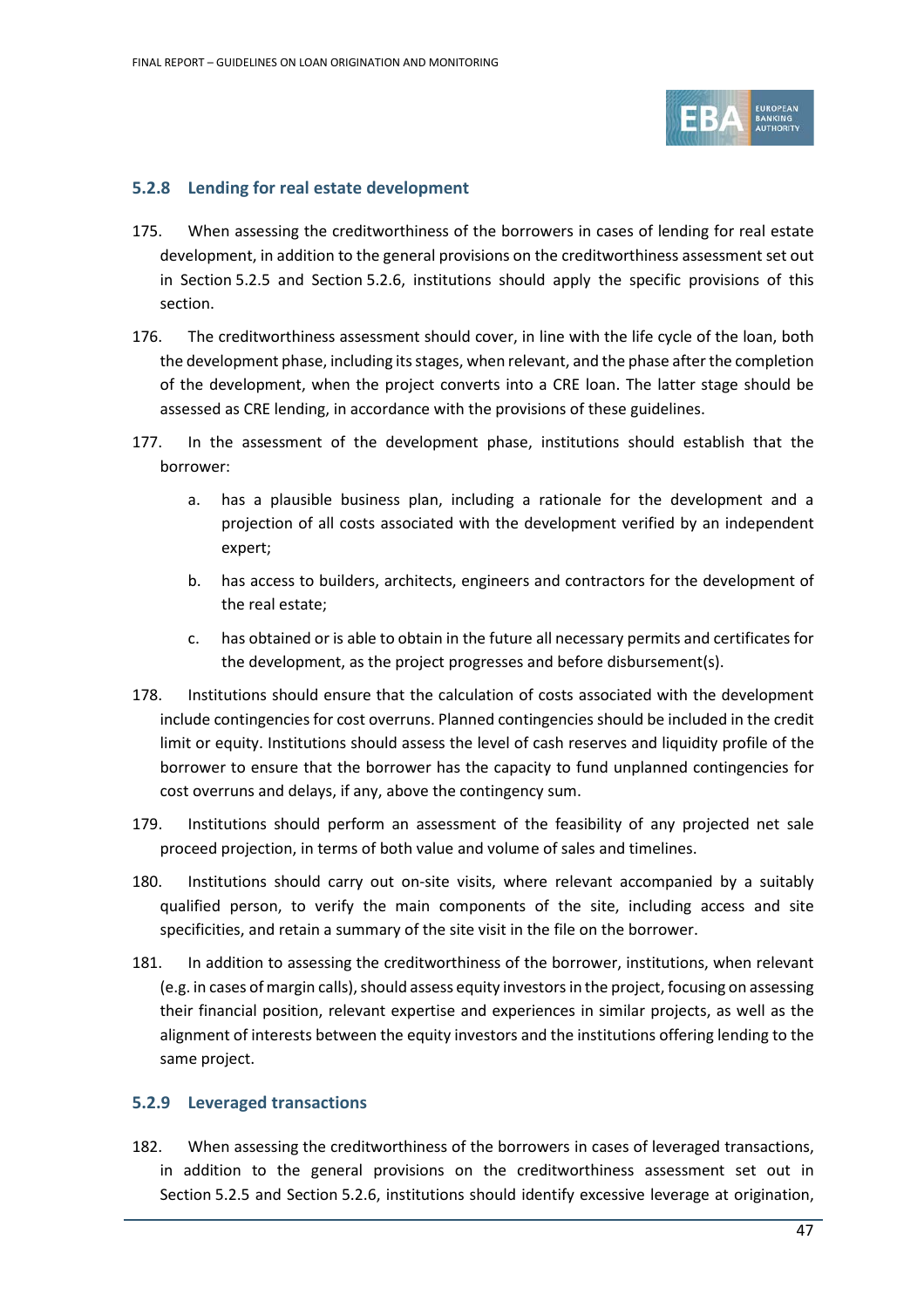

#### **5.2.8 Lending for real estate development**

- 175. When assessing the creditworthiness of the borrowers in cases of lending for real estate development, in addition to the general provisions on the creditworthiness assessment set out in Section 5.2.5 and Section [5.2.6](#page-37-0), institutions should apply the specific provisions of this section.
- 176. The creditworthiness assessment should cover, in line with the life cycle of the loan, both the development phase, including its stages, when relevant, and the phase after the completion of the development, when the project converts into a CRE loan. The latter stage should be assessed as CRE lending, in accordance with the provisions of these guidelines.
- 177. In the assessment of the development phase, institutions should establish that the borrower:
	- a. has a plausible business plan, including a rationale for the development and a projection of all costs associated with the development verified by an independent expert;
	- b. has access to builders, architects, engineers and contractors for the development of the real estate;
	- c. has obtained or is able to obtain in the future all necessary permits and certificates for the development, as the project progresses and before disbursement(s).
- 178. Institutions should ensure that the calculation of costs associated with the development include contingencies for cost overruns. Planned contingencies should be included in the credit limit or equity. Institutions should assess the level of cash reserves and liquidity profile of the borrower to ensure that the borrower has the capacity to fund unplanned contingencies for cost overruns and delays, if any, above the contingency sum.
- 179. Institutions should perform an assessment of the feasibility of any projected net sale proceed projection, in terms of both value and volume of sales and timelines.
- 180. Institutions should carry out on-site visits, where relevant accompanied by a suitably qualified person, to verify the main components of the site, including access and site specificities, and retain a summary of the site visit in the file on the borrower.
- 181. In addition to assessing the creditworthiness of the borrower, institutions, when relevant (e.g. in cases of margin calls), should assess equity investors in the project, focusing on assessing their financial position, relevant expertise and experiences in similar projects, as well as the alignment of interests between the equity investors and the institutions offering lending to the same project.

## **5.2.9 Leveraged transactions**

182. When assessing the creditworthiness of the borrowers in cases of leveraged transactions, in addition to the general provisions on the creditworthiness assessment set out in Section 5.2.5 and Section [5.2.6](#page-37-0), institutions should identify excessive leverage at origination,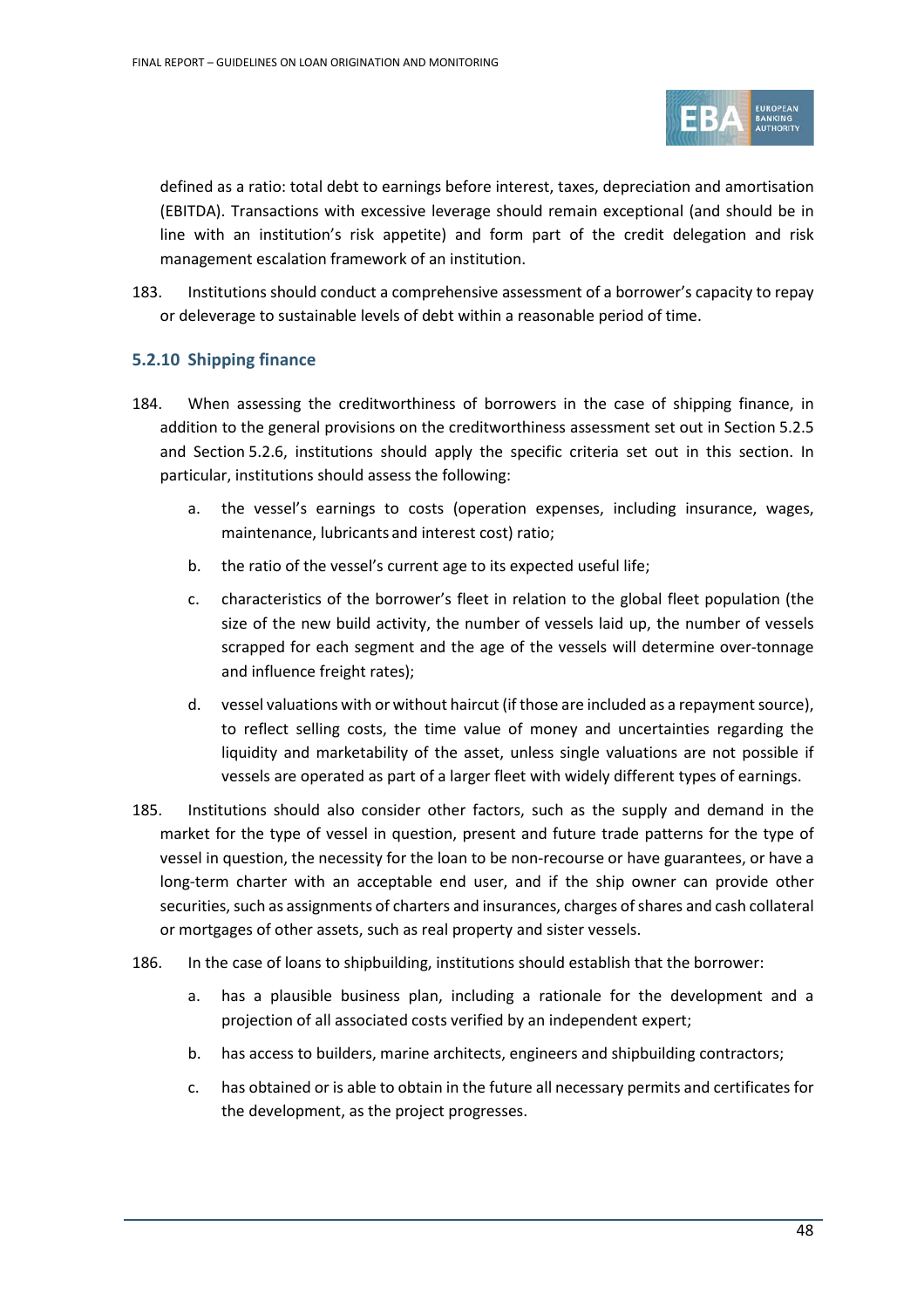

defined as a ratio: total debt to earnings before interest, taxes, depreciation and amortisation (EBITDA). Transactions with excessive leverage should remain exceptional (and should be in line with an institution's risk appetite) and form part of the credit delegation and risk management escalation framework of an institution.

183. Institutions should conduct a comprehensive assessment of a borrower's capacity to repay or deleverage to sustainable levels of debt within a reasonable period of time.

## **5.2.10 Shipping finance**

- 184. When assessing the creditworthiness of borrowers in the case of shipping finance, in addition to the general provisions on the creditworthiness assessment set out in Section 5.2.5 and Section [5.2.6](#page-37-0), institutions should apply the specific criteria set out in this section. In particular, institutions should assess the following:
	- a. the vessel's earnings to costs (operation expenses, including insurance, wages, maintenance, lubricants and interest cost) ratio;
	- b. the ratio of the vessel's current age to its expected useful life;
	- c. characteristics of the borrower's fleet in relation to the global fleet population (the size of the new build activity, the number of vessels laid up, the number of vessels scrapped for each segment and the age of the vessels will determine over-tonnage and influence freight rates);
	- d. vessel valuations with or without haircut (if those are included as a repayment source), to reflect selling costs, the time value of money and uncertainties regarding the liquidity and marketability of the asset, unless single valuations are not possible if vessels are operated as part of a larger fleet with widely different types of earnings.
- 185. Institutions should also consider other factors, such as the supply and demand in the market for the type of vessel in question, present and future trade patterns for the type of vessel in question, the necessity for the loan to be non-recourse or have guarantees, or have a long-term charter with an acceptable end user, and if the ship owner can provide other securities, such as assignments of charters and insurances, charges of shares and cash collateral or mortgages of other assets, such as real property and sister vessels.
- 186. In the case of loans to shipbuilding, institutions should establish that the borrower:
	- a. has a plausible business plan, including a rationale for the development and a projection of all associated costs verified by an independent expert;
	- b. has access to builders, marine architects, engineers and shipbuilding contractors;
	- c. has obtained or is able to obtain in the future all necessary permits and certificates for the development, as the project progresses.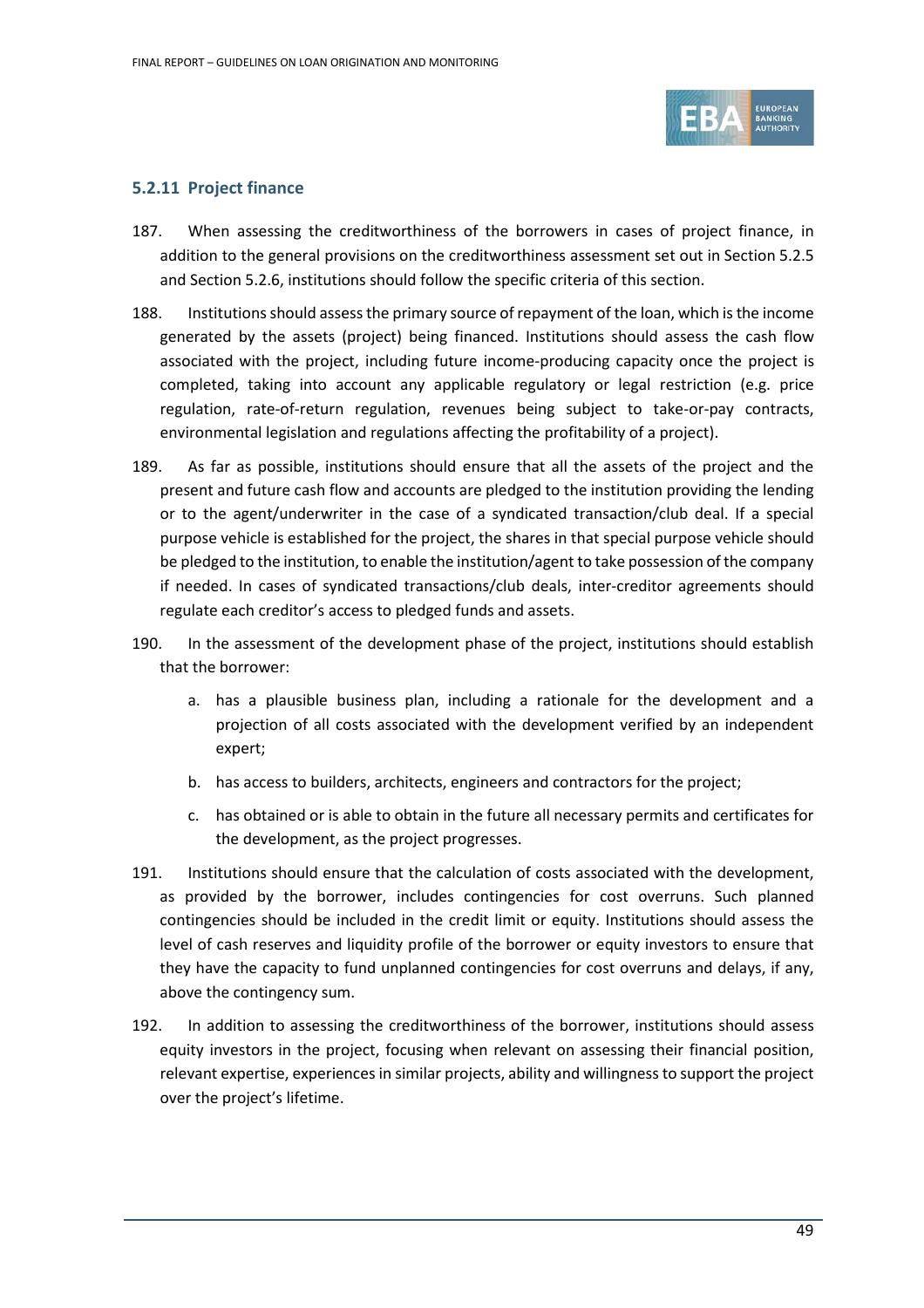

## **5.2.11 Project finance**

- 187. When assessing the creditworthiness of the borrowers in cases of project finance, in addition to the general provisions on the creditworthiness assessment set out in Section 5.2.5 and Section [5.2.6](#page-37-0), institutions should follow the specific criteria of this section.
- 188. Institutions should assess the primary source of repayment of the loan, which is the income generated by the assets (project) being financed. Institutions should assess the cash flow associated with the project, including future income-producing capacity once the project is completed, taking into account any applicable regulatory or legal restriction (e.g. price regulation, rate-of-return regulation, revenues being subject to take-or-pay contracts, environmental legislation and regulations affecting the profitability of a project).
- 189. As far as possible, institutions should ensure that all the assets of the project and the present and future cash flow and accounts are pledged to the institution providing the lending or to the agent/underwriter in the case of a syndicated transaction/club deal. If a special purpose vehicle is established for the project, the shares in that special purpose vehicle should be pledged to the institution, to enable the institution/agent to take possession of the company if needed. In cases of syndicated transactions/club deals, inter-creditor agreements should regulate each creditor's access to pledged funds and assets.
- 190. In the assessment of the development phase of the project, institutions should establish that the borrower:
	- a. has a plausible business plan, including a rationale for the development and a projection of all costs associated with the development verified by an independent expert;
	- b. has access to builders, architects, engineers and contractors for the project;
	- c. has obtained or is able to obtain in the future all necessary permits and certificates for the development, as the project progresses.
- 191. Institutions should ensure that the calculation of costs associated with the development, as provided by the borrower, includes contingencies for cost overruns. Such planned contingencies should be included in the credit limit or equity. Institutions should assess the level of cash reserves and liquidity profile of the borrower or equity investors to ensure that they have the capacity to fund unplanned contingencies for cost overruns and delays, if any, above the contingency sum.
- 192. In addition to assessing the creditworthiness of the borrower, institutions should assess equity investors in the project, focusing when relevant on assessing their financial position, relevant expertise, experiences in similar projects, ability and willingness to support the project over the project's lifetime.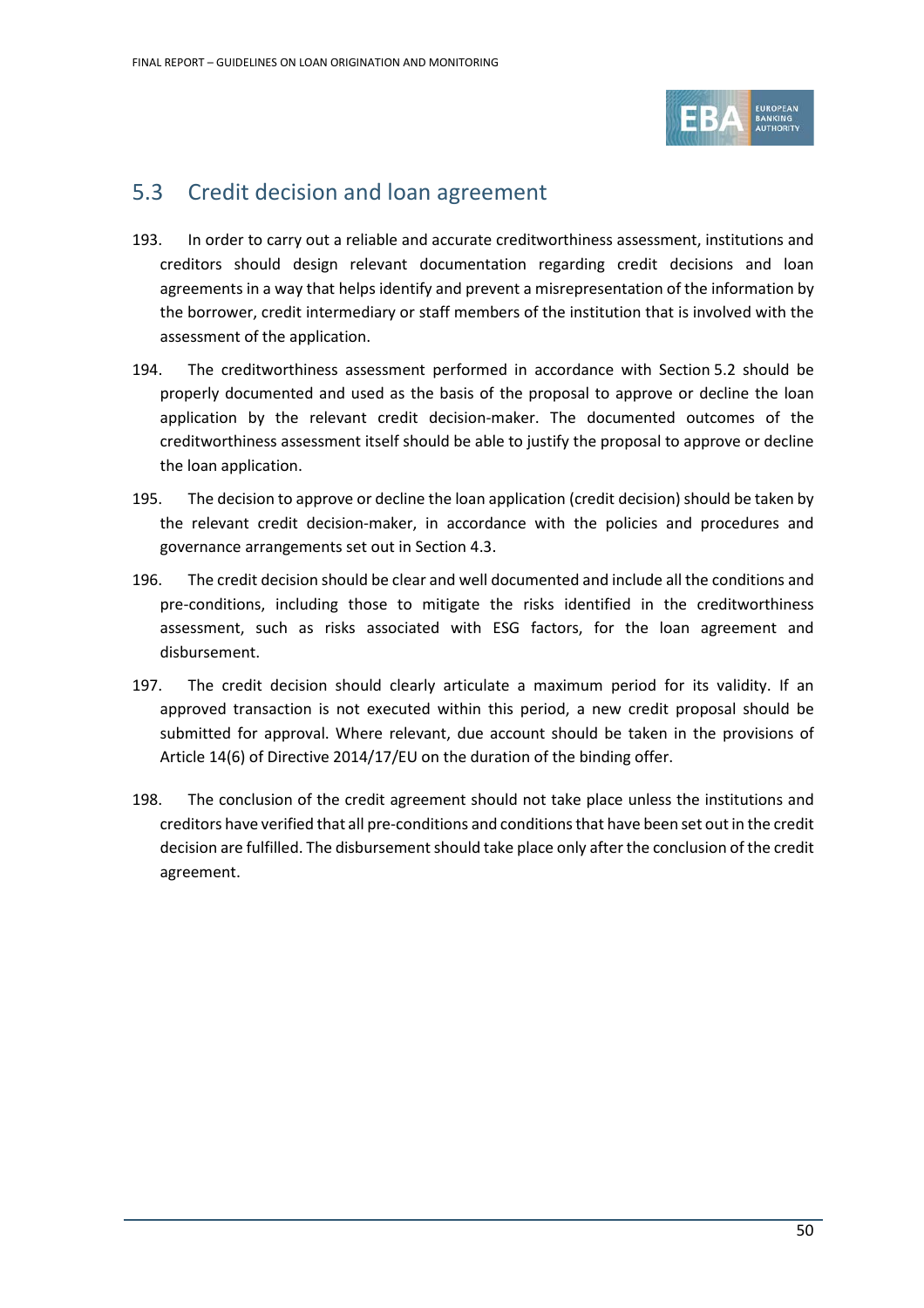

# 5.3 Credit decision and loan agreement

- 193. In order to carry out a reliable and accurate creditworthiness assessment, institutions and creditors should design relevant documentation regarding credit decisions and loan agreements in a way that helps identify and prevent a misrepresentation of the information by the borrower, credit intermediary or staff members of the institution that is involved with the assessment of the application.
- 194. The creditworthiness assessment performed in accordance with Section [5.2](#page-34-0) should be properly documented and used as the basis of the proposal to approve or decline the loan application by the relevant credit decision-maker. The documented outcomes of the creditworthiness assessment itself should be able to justify the proposal to approve or decline the loan application.
- 195. The decision to approve or decline the loan application (credit decision) should be taken by the relevant credit decision-maker, in accordance with the policies and procedures and governance arrangements set out in Section [4.3.](#page-20-0)
- 196. The credit decision should be clear and well documented and include all the conditions and pre-conditions, including those to mitigate the risks identified in the creditworthiness assessment, such as risks associated with ESG factors, for the loan agreement and disbursement.
- 197. The credit decision should clearly articulate a maximum period for its validity. If an approved transaction is not executed within this period, a new credit proposal should be submitted for approval. Where relevant, due account should be taken in the provisions of Article 14(6) of Directive 2014/17/EU on the duration of the binding offer.
- 198. The conclusion of the credit agreement should not take place unless the institutions and creditors have verified that all pre-conditions and conditions that have been set out in the credit decision are fulfilled. The disbursement should take place only after the conclusion of the credit agreement.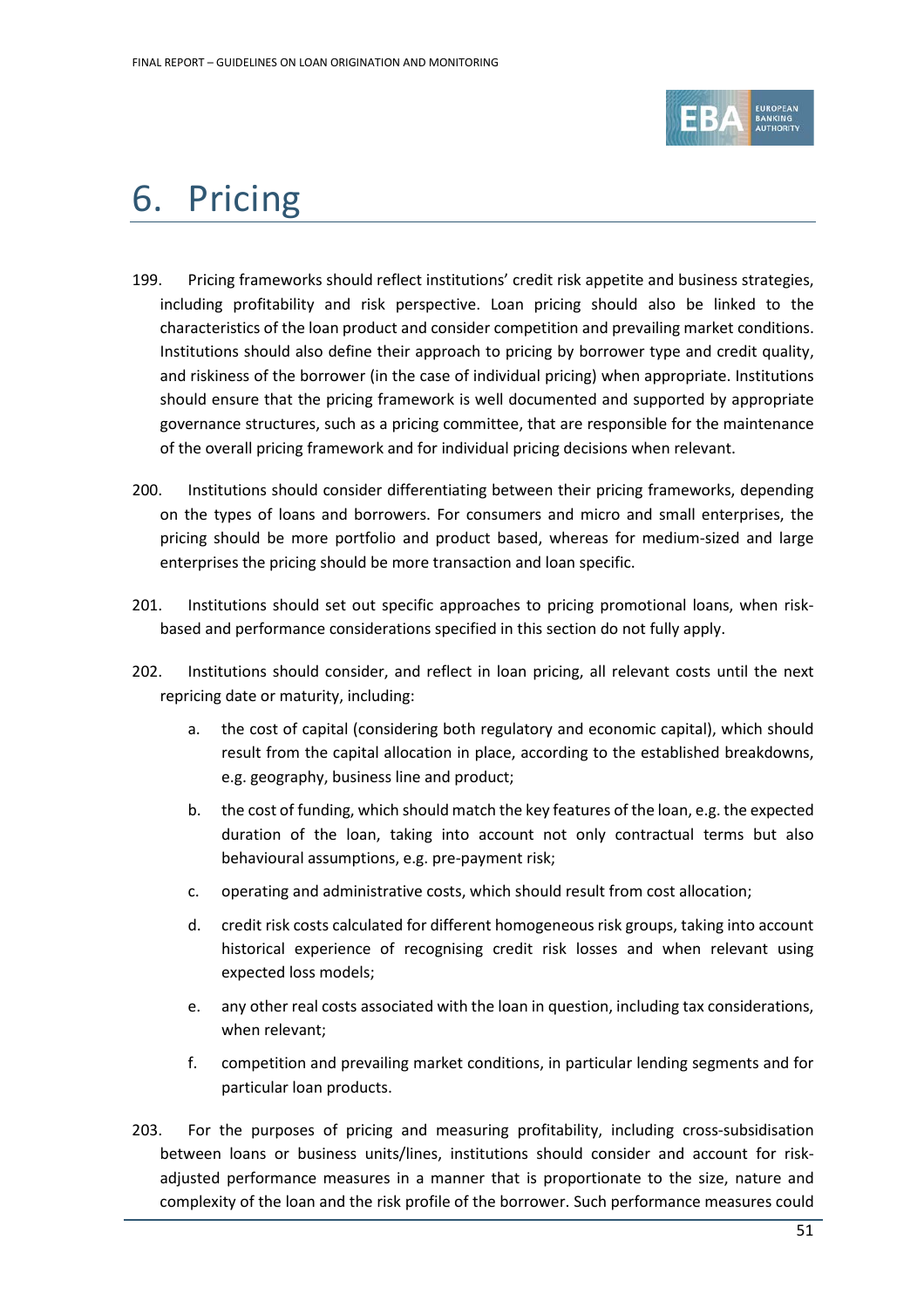

# 6. Pricing

- 199. Pricing frameworks should reflect institutions' credit risk appetite and business strategies, including profitability and risk perspective. Loan pricing should also be linked to the characteristics of the loan product and consider competition and prevailing market conditions. Institutions should also define their approach to pricing by borrower type and credit quality, and riskiness of the borrower (in the case of individual pricing) when appropriate. Institutions should ensure that the pricing framework is well documented and supported by appropriate governance structures, such as a pricing committee, that are responsible for the maintenance of the overall pricing framework and for individual pricing decisions when relevant.
- 200. Institutions should consider differentiating between their pricing frameworks, depending on the types of loans and borrowers. For consumers and micro and small enterprises, the pricing should be more portfolio and product based, whereas for medium-sized and large enterprises the pricing should be more transaction and loan specific.
- 201. Institutions should set out specific approaches to pricing promotional loans, when riskbased and performance considerations specified in this section do not fully apply.
- 202. Institutions should consider, and reflect in loan pricing, all relevant costs until the next repricing date or maturity, including:
	- a. the cost of capital (considering both regulatory and economic capital), which should result from the capital allocation in place, according to the established breakdowns, e.g. geography, business line and product;
	- b. the cost of funding, which should match the key features of the loan, e.g. the expected duration of the loan, taking into account not only contractual terms but also behavioural assumptions, e.g. pre-payment risk;
	- c. operating and administrative costs, which should result from cost allocation;
	- d. credit risk costs calculated for different homogeneous risk groups, taking into account historical experience of recognising credit risk losses and when relevant using expected loss models;
	- e. any other real costs associated with the loan in question, including tax considerations, when relevant;
	- f. competition and prevailing market conditions, in particular lending segments and for particular loan products.
- 203. For the purposes of pricing and measuring profitability, including cross-subsidisation between loans or business units/lines, institutions should consider and account for riskadjusted performance measures in a manner that is proportionate to the size, nature and complexity of the loan and the risk profile of the borrower. Such performance measures could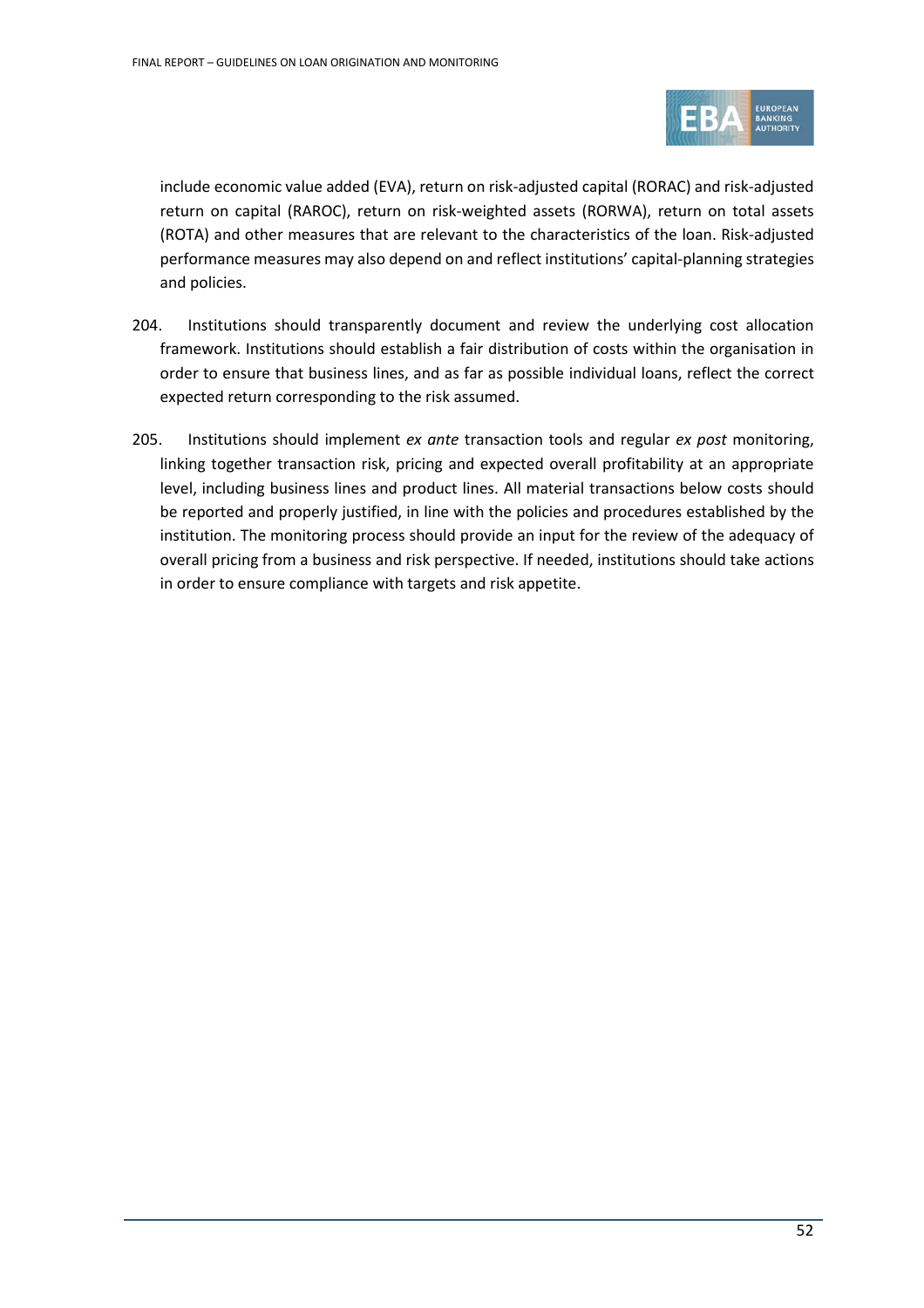

include economic value added (EVA), return on risk-adjusted capital (RORAC) and risk-adjusted return on capital (RAROC), return on risk-weighted assets (RORWA), return on total assets (ROTA) and other measures that are relevant to the characteristics of the loan. Risk-adjusted performance measures may also depend on and reflect institutions' capital-planning strategies and policies.

- 204. Institutions should transparently document and review the underlying cost allocation framework. Institutions should establish a fair distribution of costs within the organisation in order to ensure that business lines, and as far as possible individual loans, reflect the correct expected return corresponding to the risk assumed.
- 205. Institutions should implement *ex ante* transaction tools and regular *ex post* monitoring, linking together transaction risk, pricing and expected overall profitability at an appropriate level, including business lines and product lines. All material transactions below costs should be reported and properly justified, in line with the policies and procedures established by the institution. The monitoring process should provide an input for the review of the adequacy of overall pricing from a business and risk perspective. If needed, institutions should take actions in order to ensure compliance with targets and risk appetite.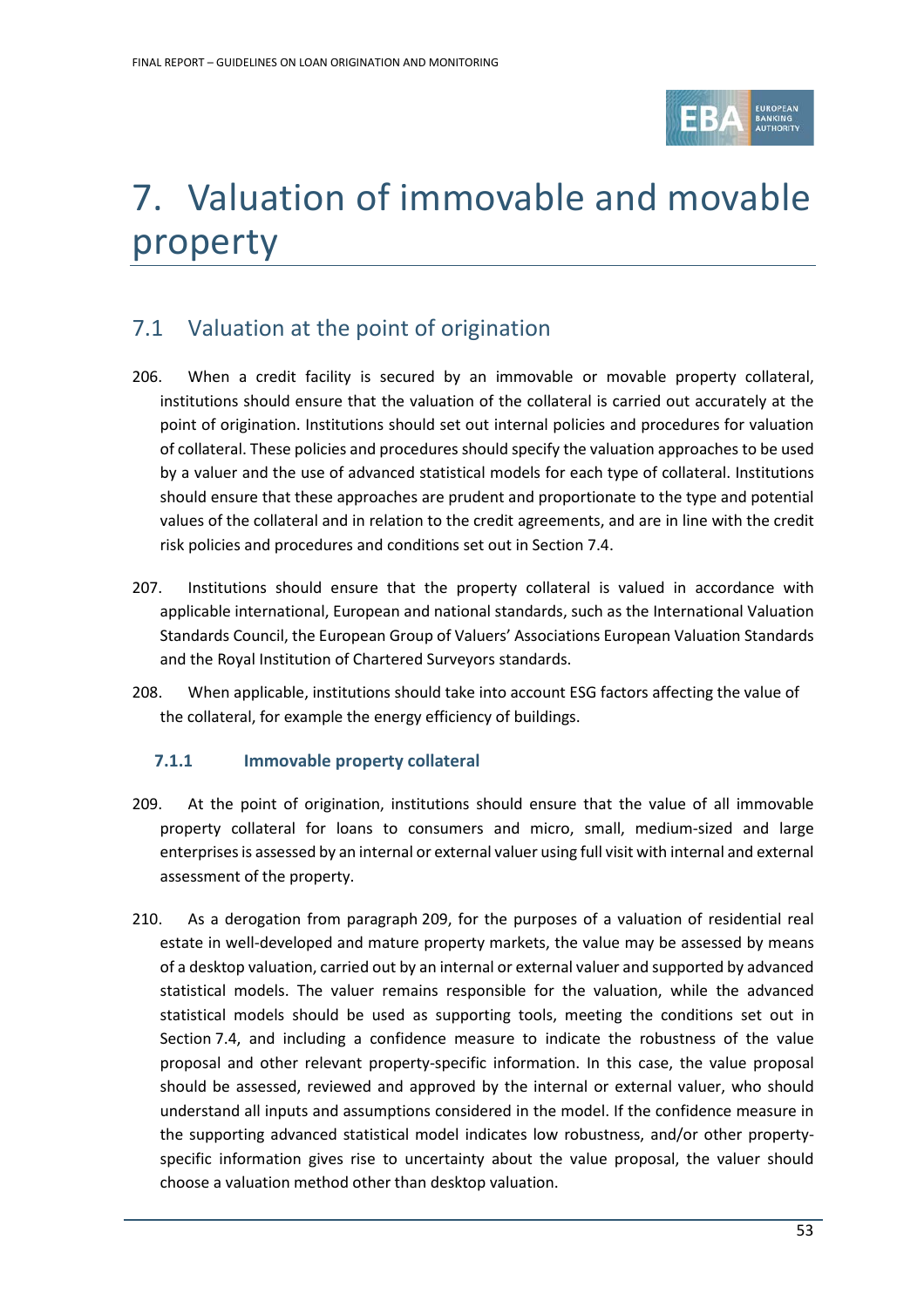

# 7. Valuation of immovable and movable property

# 7.1 Valuation at the point of origination

- 206. When a credit facility is secured by an immovable or movable property collateral, institutions should ensure that the valuation of the collateral is carried out accurately at the point of origination. Institutions should set out internal policies and procedures for valuation of collateral. These policies and procedures should specify the valuation approaches to be used by a valuer and the use of advanced statistical models for each type of collateral. Institutions should ensure that these approaches are prudent and proportionate to the type and potential values of the collateral and in relation to the credit agreements, and are in line with the credit risk policies and procedures and conditions set out in Section 7.4.
- 207. Institutions should ensure that the property collateral is valued in accordance with applicable international, European and national standards, such as the International Valuation Standards Council, the European Group of Valuers' Associations European Valuation Standards and the Royal Institution of Chartered Surveyors standards.
- 208. When applicable, institutions should take into account ESG factors affecting the value of the collateral, for example the energy efficiency of buildings.

# **7.1.1 Immovable property collateral**

- 209. At the point of origination, institutions should ensure that the value of all immovable property collateral for loans to consumers and micro, small, medium-sized and large enterprisesis assessed by an internal or external valuer using full visit with internal and external assessment of the property.
- 210. As a derogation from paragraph 209, for the purposes of a valuation of residential real estate in well-developed and mature property markets, the value may be assessed by means of a desktop valuation, carried out by an internal or external valuer and supported by advanced statistical models. The valuer remains responsible for the valuation, while the advanced statistical models should be used as supporting tools, meeting the conditions set out in Section 7.4, and including a confidence measure to indicate the robustness of the value proposal and other relevant property-specific information. In this case, the value proposal should be assessed, reviewed and approved by the internal or external valuer, who should understand all inputs and assumptions considered in the model. If the confidence measure in the supporting advanced statistical model indicates low robustness, and/or other propertyspecific information gives rise to uncertainty about the value proposal, the valuer should choose a valuation method other than desktop valuation.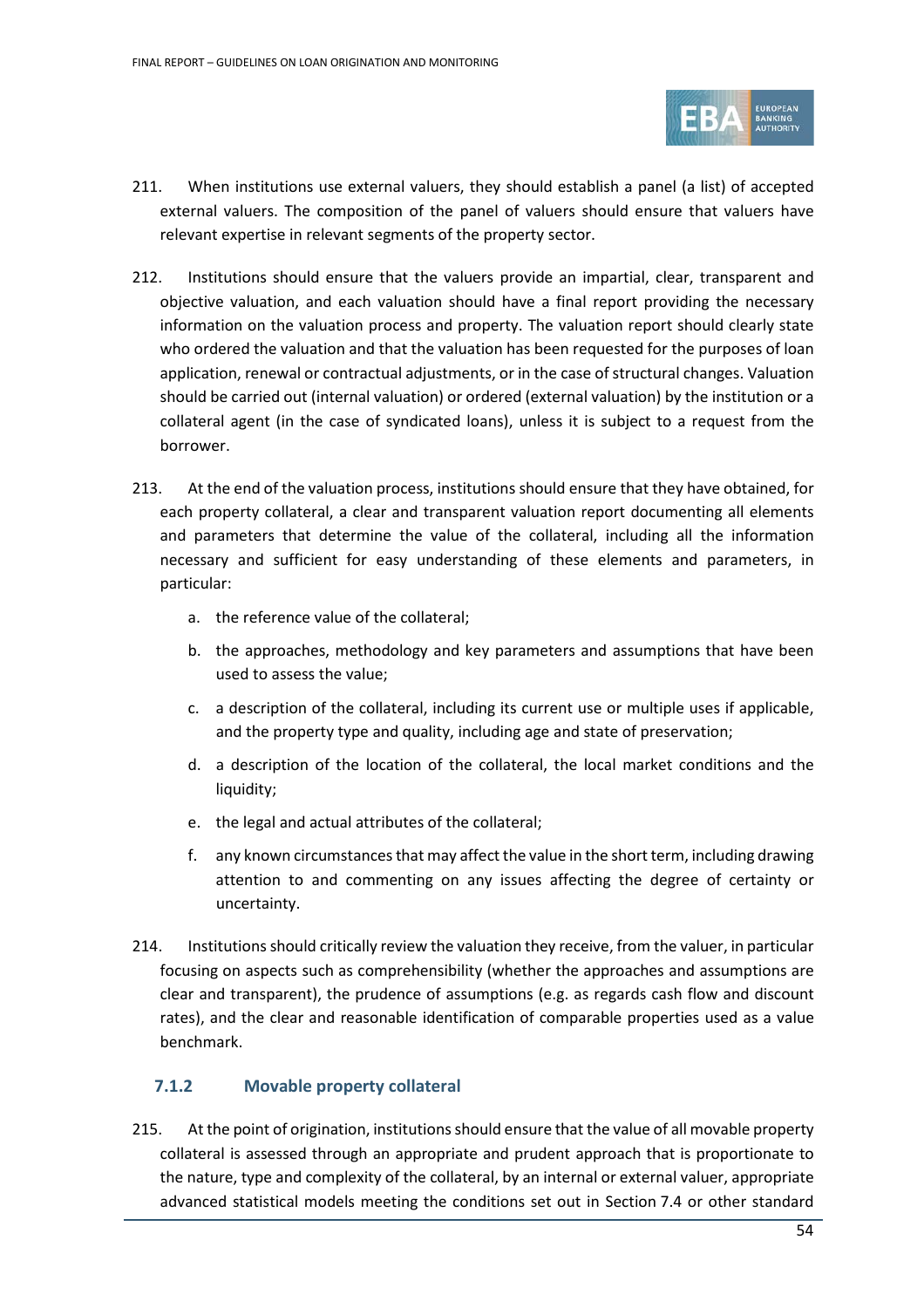

- 211. When institutions use external valuers, they should establish a panel (a list) of accepted external valuers. The composition of the panel of valuers should ensure that valuers have relevant expertise in relevant segments of the property sector.
- 212. Institutions should ensure that the valuers provide an impartial, clear, transparent and objective valuation, and each valuation should have a final report providing the necessary information on the valuation process and property. The valuation report should clearly state who ordered the valuation and that the valuation has been requested for the purposes of loan application, renewal or contractual adjustments, or in the case of structural changes. Valuation should be carried out (internal valuation) or ordered (external valuation) by the institution or a collateral agent (in the case of syndicated loans), unless it is subject to a request from the borrower.
- 213. At the end of the valuation process, institutions should ensure that they have obtained, for each property collateral, a clear and transparent valuation report documenting all elements and parameters that determine the value of the collateral, including all the information necessary and sufficient for easy understanding of these elements and parameters, in particular:
	- a. the reference value of the collateral;
	- b. the approaches, methodology and key parameters and assumptions that have been used to assess the value;
	- c. a description of the collateral, including its current use or multiple uses if applicable, and the property type and quality, including age and state of preservation;
	- d. a description of the location of the collateral, the local market conditions and the liquidity;
	- e. the legal and actual attributes of the collateral;
	- f. any known circumstances that may affect the value in the short term, including drawing attention to and commenting on any issues affecting the degree of certainty or uncertainty.
- 214. Institutions should critically review the valuation they receive, from the valuer, in particular focusing on aspects such as comprehensibility (whether the approaches and assumptions are clear and transparent), the prudence of assumptions (e.g. as regards cash flow and discount rates), and the clear and reasonable identification of comparable properties used as a value benchmark.

# **7.1.2 Movable property collateral**

215. At the point of origination, institutions should ensure that the value of all movable property collateral is assessed through an appropriate and prudent approach that is proportionate to the nature, type and complexity of the collateral, by an internal or external valuer, appropriate advanced statistical models meeting the conditions set out in Section 7.4 or other standard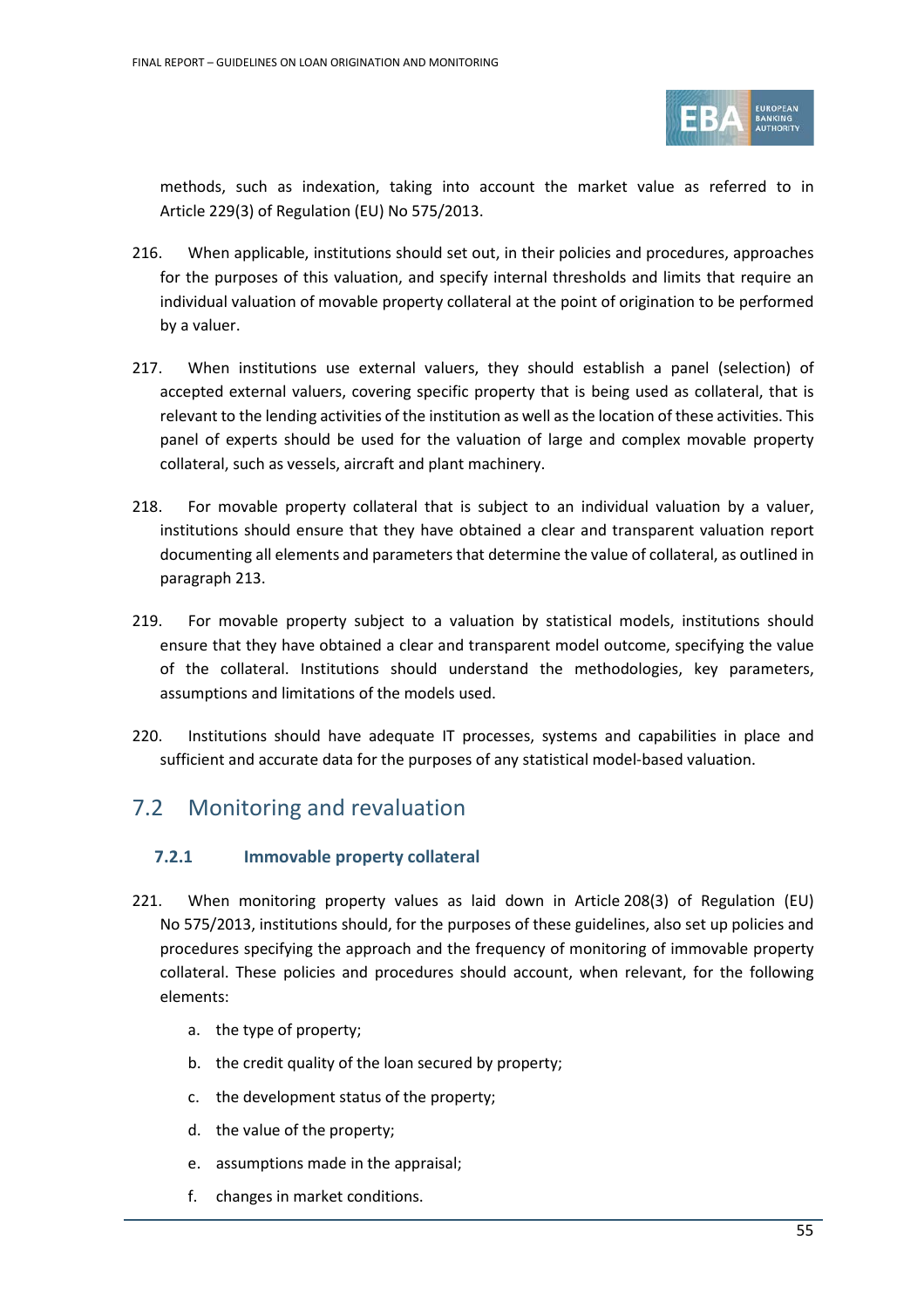

methods, such as indexation, taking into account the market value as referred to in Article 229(3) of Regulation (EU) No 575/2013.

- 216. When applicable, institutions should set out, in their policies and procedures, approaches for the purposes of this valuation, and specify internal thresholds and limits that require an individual valuation of movable property collateral at the point of origination to be performed by a valuer.
- 217. When institutions use external valuers, they should establish a panel (selection) of accepted external valuers, covering specific property that is being used as collateral, that is relevant to the lending activities of the institution as well as the location of these activities. This panel of experts should be used for the valuation of large and complex movable property collateral, such as vessels, aircraft and plant machinery.
- 218. For movable property collateral that is subject to an individual valuation by a valuer, institutions should ensure that they have obtained a clear and transparent valuation report documenting all elements and parameters that determine the value of collateral, as outlined in paragraph 213.
- 219. For movable property subject to a valuation by statistical models, institutions should ensure that they have obtained a clear and transparent model outcome, specifying the value of the collateral. Institutions should understand the methodologies, key parameters, assumptions and limitations of the models used.
- 220. Institutions should have adequate IT processes, systems and capabilities in place and sufficient and accurate data for the purposes of any statistical model-based valuation.

# 7.2 Monitoring and revaluation

# **7.2.1 Immovable property collateral**

- 221. When monitoring property values as laid down in Article 208(3) of Regulation (EU) No 575/2013, institutions should, for the purposes of these guidelines, also set up policies and procedures specifying the approach and the frequency of monitoring of immovable property collateral. These policies and procedures should account, when relevant, for the following elements:
	- a. the type of property;
	- b. the credit quality of the loan secured by property;
	- c. the development status of the property;
	- d. the value of the property;
	- e. assumptions made in the appraisal;
	- f. changes in market conditions.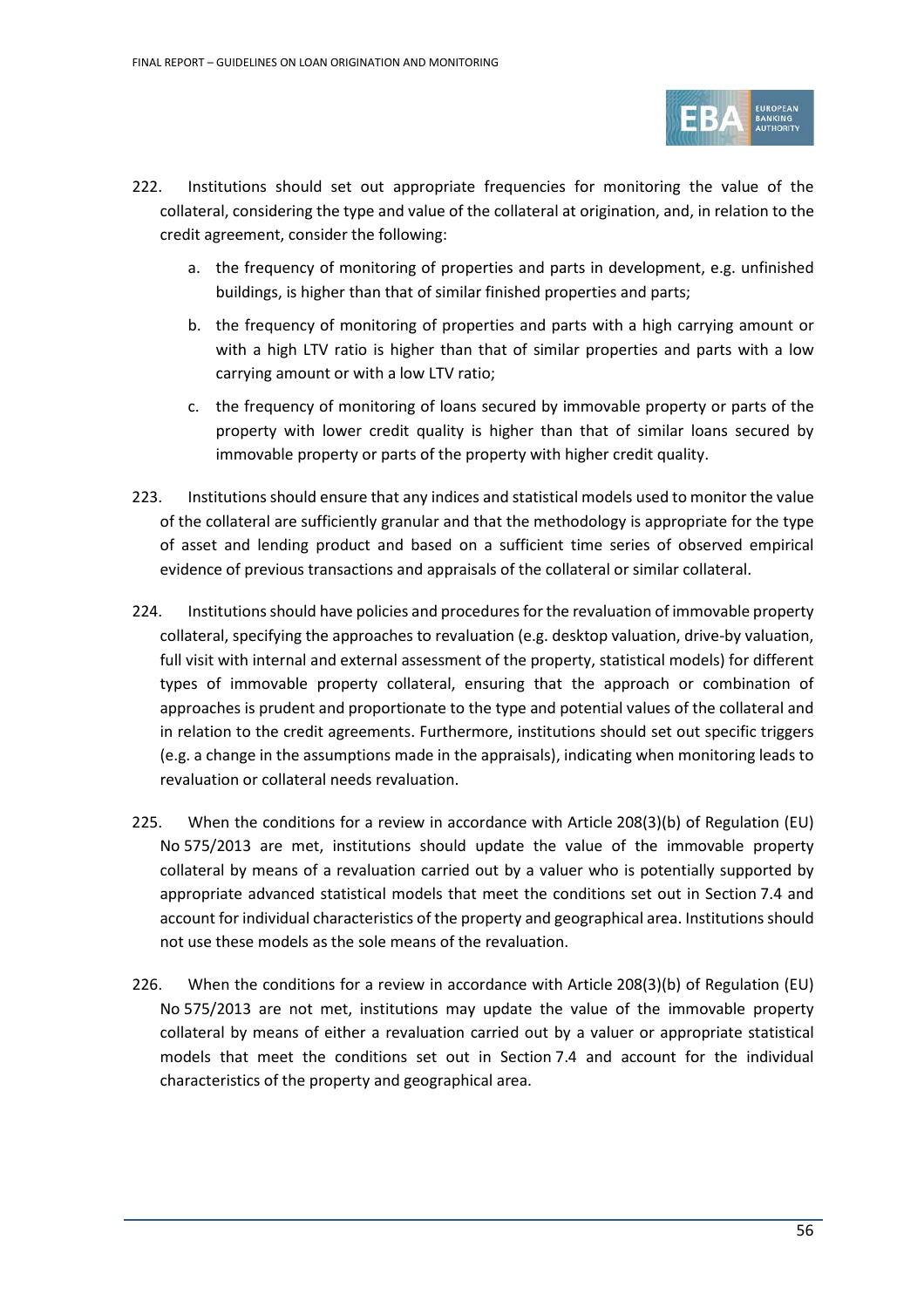

- 222. Institutions should set out appropriate frequencies for monitoring the value of the collateral, considering the type and value of the collateral at origination, and, in relation to the credit agreement, consider the following:
	- a. the frequency of monitoring of properties and parts in development, e.g. unfinished buildings, is higher than that of similar finished properties and parts;
	- b. the frequency of monitoring of properties and parts with a high carrying amount or with a high LTV ratio is higher than that of similar properties and parts with a low carrying amount or with a low LTV ratio;
	- c. the frequency of monitoring of loans secured by immovable property or parts of the property with lower credit quality is higher than that of similar loans secured by immovable property or parts of the property with higher credit quality.
- 223. Institutions should ensure that any indices and statistical models used to monitor the value of the collateral are sufficiently granular and that the methodology is appropriate for the type of asset and lending product and based on a sufficient time series of observed empirical evidence of previous transactions and appraisals of the collateral or similar collateral.
- 224. Institutions should have policies and procedures for the revaluation of immovable property collateral, specifying the approaches to revaluation (e.g. desktop valuation, drive-by valuation, full visit with internal and external assessment of the property, statistical models) for different types of immovable property collateral, ensuring that the approach or combination of approaches is prudent and proportionate to the type and potential values of the collateral and in relation to the credit agreements. Furthermore, institutions should set out specific triggers (e.g. a change in the assumptions made in the appraisals), indicating when monitoring leads to revaluation or collateral needs revaluation.
- 225. When the conditions for a review in accordance with Article 208(3)(b) of Regulation (EU) No 575/2013 are met, institutions should update the value of the immovable property collateral by means of a revaluation carried out by a valuer who is potentially supported by appropriate advanced statistical models that meet the conditions set out in Section 7.4 and account for individual characteristics of the property and geographical area. Institutions should not use these models as the sole means of the revaluation.
- 226. When the conditions for a review in accordance with Article 208(3)(b) of Regulation (EU) No 575/2013 are not met, institutions may update the value of the immovable property collateral by means of either a revaluation carried out by a valuer or appropriate statistical models that meet the conditions set out in Section 7.4 and account for the individual characteristics of the property and geographical area.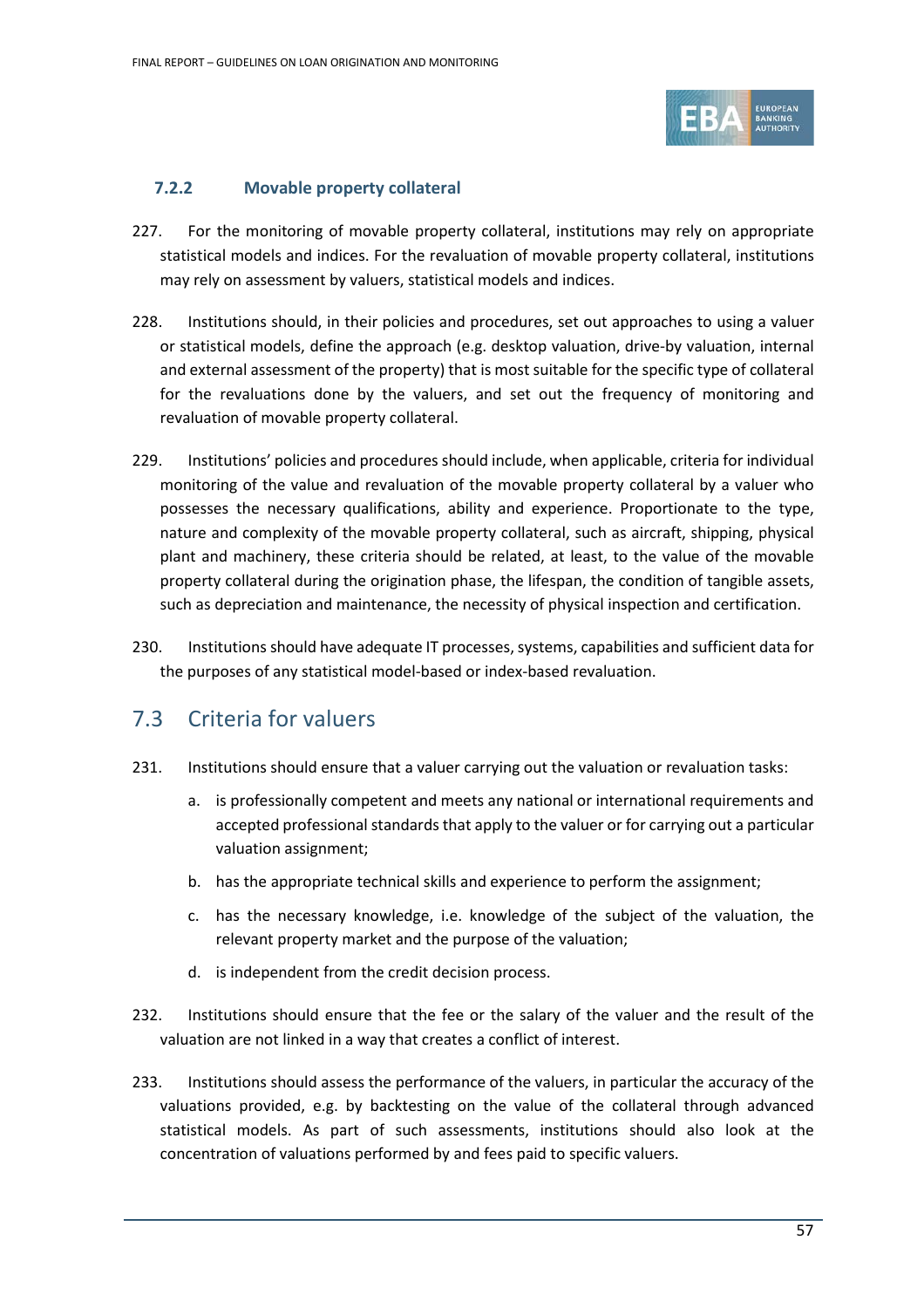

## **7.2.2 Movable property collateral**

- 227. For the monitoring of movable property collateral, institutions may rely on appropriate statistical models and indices. For the revaluation of movable property collateral, institutions may rely on assessment by valuers, statistical models and indices.
- 228. Institutions should, in their policies and procedures, set out approaches to using a valuer or statistical models, define the approach (e.g. desktop valuation, drive-by valuation, internal and external assessment of the property) that is most suitable for the specific type of collateral for the revaluations done by the valuers, and set out the frequency of monitoring and revaluation of movable property collateral.
- 229. Institutions' policies and procedures should include, when applicable, criteria for individual monitoring of the value and revaluation of the movable property collateral by a valuer who possesses the necessary qualifications, ability and experience. Proportionate to the type, nature and complexity of the movable property collateral, such as aircraft, shipping, physical plant and machinery, these criteria should be related, at least, to the value of the movable property collateral during the origination phase, the lifespan, the condition of tangible assets, such as depreciation and maintenance, the necessity of physical inspection and certification.
- 230. Institutions should have adequate IT processes, systems, capabilities and sufficient data for the purposes of any statistical model-based or index-based revaluation.

# 7.3 Criteria for valuers

- 231. Institutions should ensure that a valuer carrying out the valuation or revaluation tasks:
	- a. is professionally competent and meets any national or international requirements and accepted professional standards that apply to the valuer or for carrying out a particular valuation assignment;
	- b. has the appropriate technical skills and experience to perform the assignment;
	- c. has the necessary knowledge, i.e. knowledge of the subject of the valuation, the relevant property market and the purpose of the valuation;
	- d. is independent from the credit decision process.
- 232. Institutions should ensure that the fee or the salary of the valuer and the result of the valuation are not linked in a way that creates a conflict of interest.
- 233. Institutions should assess the performance of the valuers, in particular the accuracy of the valuations provided, e.g. by backtesting on the value of the collateral through advanced statistical models. As part of such assessments, institutions should also look at the concentration of valuations performed by and fees paid to specific valuers.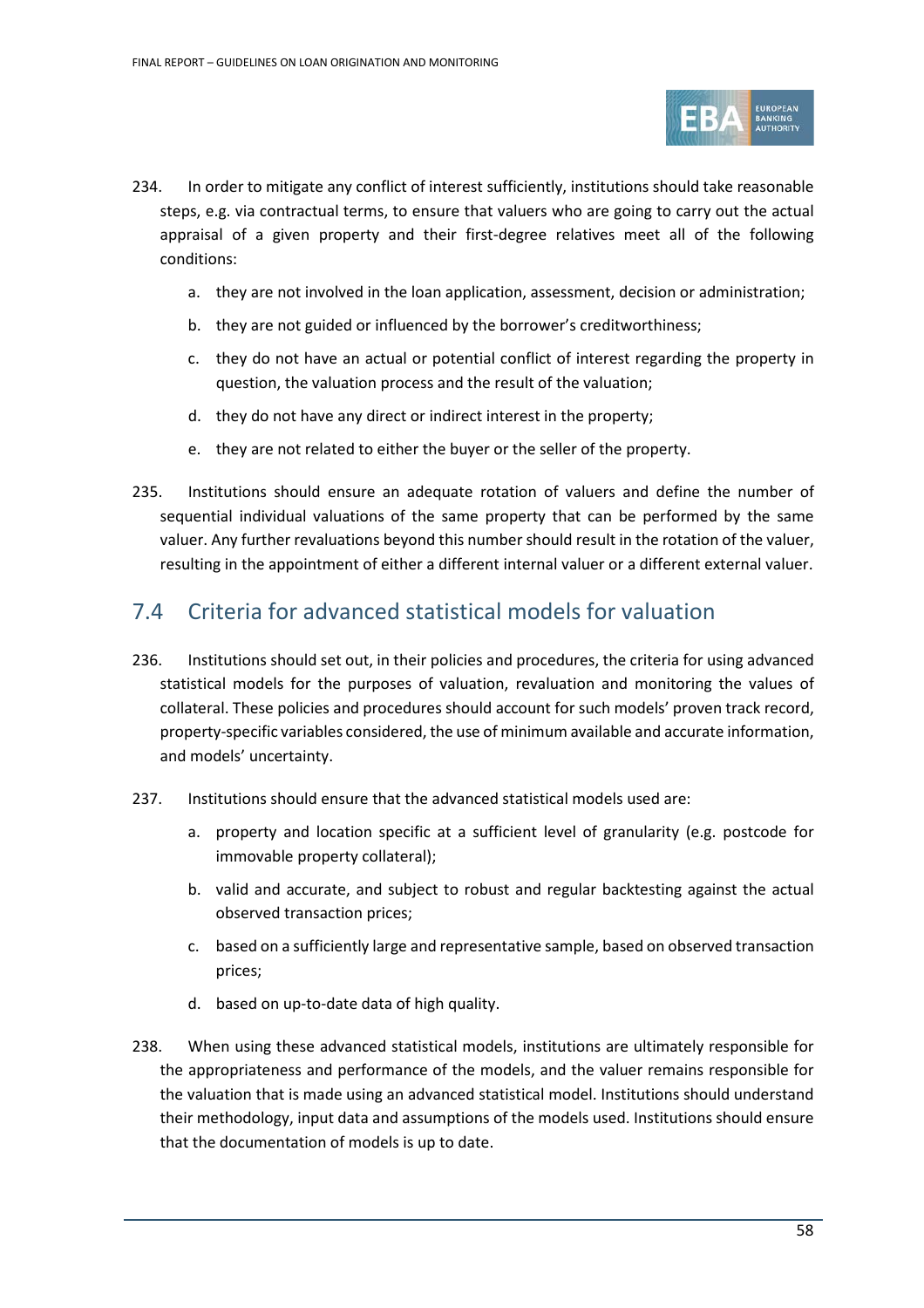

- 234. In order to mitigate any conflict of interest sufficiently, institutions should take reasonable steps, e.g. via contractual terms, to ensure that valuers who are going to carry out the actual appraisal of a given property and their first-degree relatives meet all of the following conditions:
	- a. they are not involved in the loan application, assessment, decision or administration;
	- b. they are not guided or influenced by the borrower's creditworthiness;
	- c. they do not have an actual or potential conflict of interest regarding the property in question, the valuation process and the result of the valuation;
	- d. they do not have any direct or indirect interest in the property;
	- e. they are not related to either the buyer or the seller of the property.
- 235. Institutions should ensure an adequate rotation of valuers and define the number of sequential individual valuations of the same property that can be performed by the same valuer. Any further revaluations beyond this number should result in the rotation of the valuer, resulting in the appointment of either a different internal valuer or a different external valuer.

# 7.4 Criteria for advanced statistical models for valuation

- 236. Institutions should set out, in their policies and procedures, the criteria for using advanced statistical models for the purposes of valuation, revaluation and monitoring the values of collateral. These policies and procedures should account for such models' proven track record, property-specific variables considered, the use of minimum available and accurate information, and models' uncertainty.
- 237. Institutions should ensure that the advanced statistical models used are:
	- a. property and location specific at a sufficient level of granularity (e.g. postcode for immovable property collateral);
	- b. valid and accurate, and subject to robust and regular backtesting against the actual observed transaction prices;
	- c. based on a sufficiently large and representative sample, based on observed transaction prices;
	- d. based on up-to-date data of high quality.
- 238. When using these advanced statistical models, institutions are ultimately responsible for the appropriateness and performance of the models, and the valuer remains responsible for the valuation that is made using an advanced statistical model. Institutions should understand their methodology, input data and assumptions of the models used. Institutions should ensure that the documentation of models is up to date.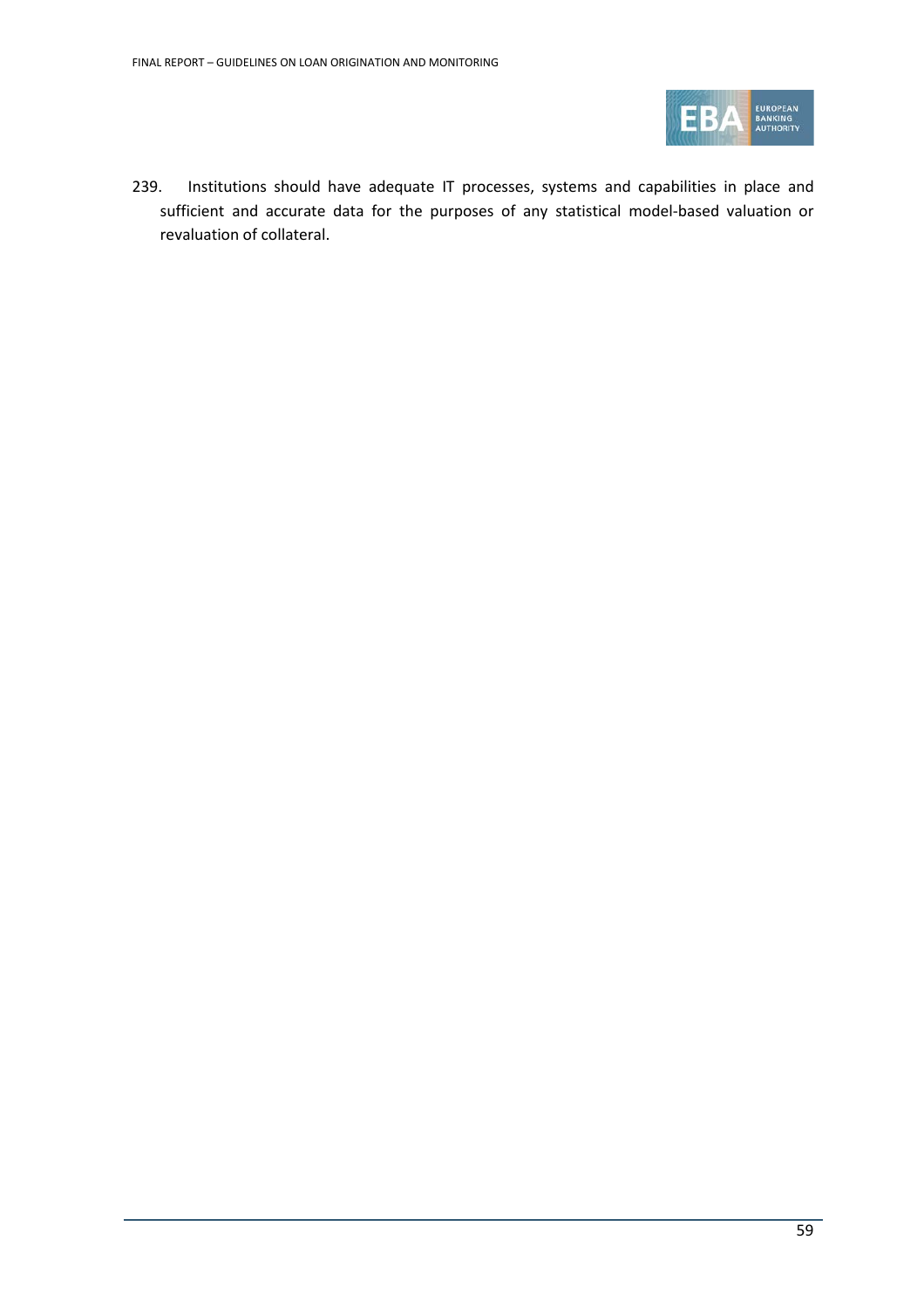

239. Institutions should have adequate IT processes, systems and capabilities in place and sufficient and accurate data for the purposes of any statistical model-based valuation or revaluation of collateral.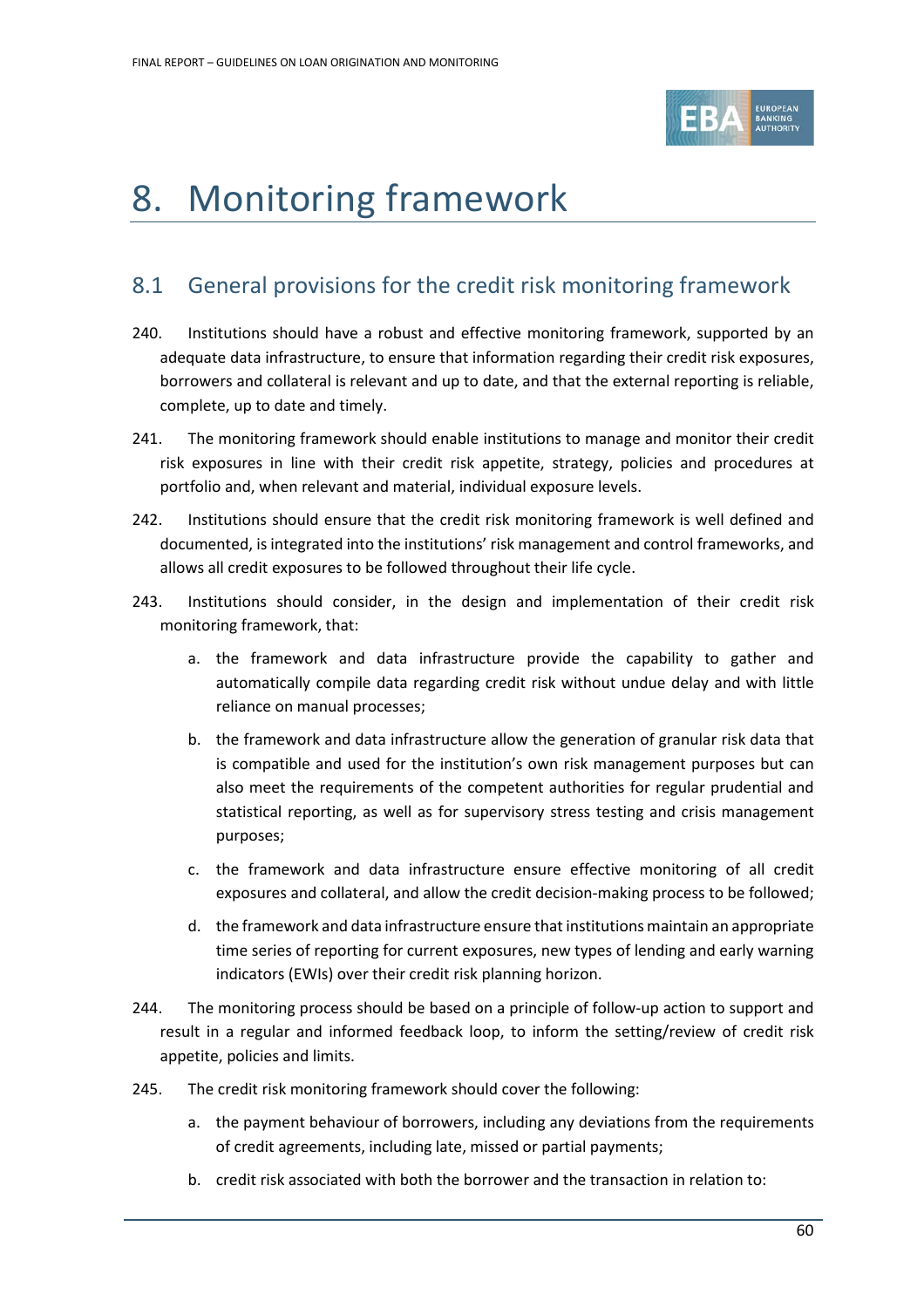

# 8. Monitoring framework

# 8.1 General provisions for the credit risk monitoring framework

- 240. Institutions should have a robust and effective monitoring framework, supported by an adequate data infrastructure, to ensure that information regarding their credit risk exposures, borrowers and collateral is relevant and up to date, and that the external reporting is reliable, complete, up to date and timely.
- 241. The monitoring framework should enable institutions to manage and monitor their credit risk exposures in line with their credit risk appetite, strategy, policies and procedures at portfolio and, when relevant and material, individual exposure levels.
- 242. Institutions should ensure that the credit risk monitoring framework is well defined and documented, is integrated into the institutions' risk management and control frameworks, and allows all credit exposures to be followed throughout their life cycle.
- 243. Institutions should consider, in the design and implementation of their credit risk monitoring framework, that:
	- a. the framework and data infrastructure provide the capability to gather and automatically compile data regarding credit risk without undue delay and with little reliance on manual processes;
	- b. the framework and data infrastructure allow the generation of granular risk data that is compatible and used for the institution's own risk management purposes but can also meet the requirements of the competent authorities for regular prudential and statistical reporting, as well as for supervisory stress testing and crisis management purposes;
	- c. the framework and data infrastructure ensure effective monitoring of all credit exposures and collateral, and allow the credit decision-making process to be followed;
	- d. the framework and data infrastructure ensure that institutions maintain an appropriate time series of reporting for current exposures, new types of lending and early warning indicators (EWIs) over their credit risk planning horizon.
- 244. The monitoring process should be based on a principle of follow-up action to support and result in a regular and informed feedback loop, to inform the setting/review of credit risk appetite, policies and limits.
- 245. The credit risk monitoring framework should cover the following:
	- a. the payment behaviour of borrowers, including any deviations from the requirements of credit agreements, including late, missed or partial payments;
	- b. credit risk associated with both the borrower and the transaction in relation to: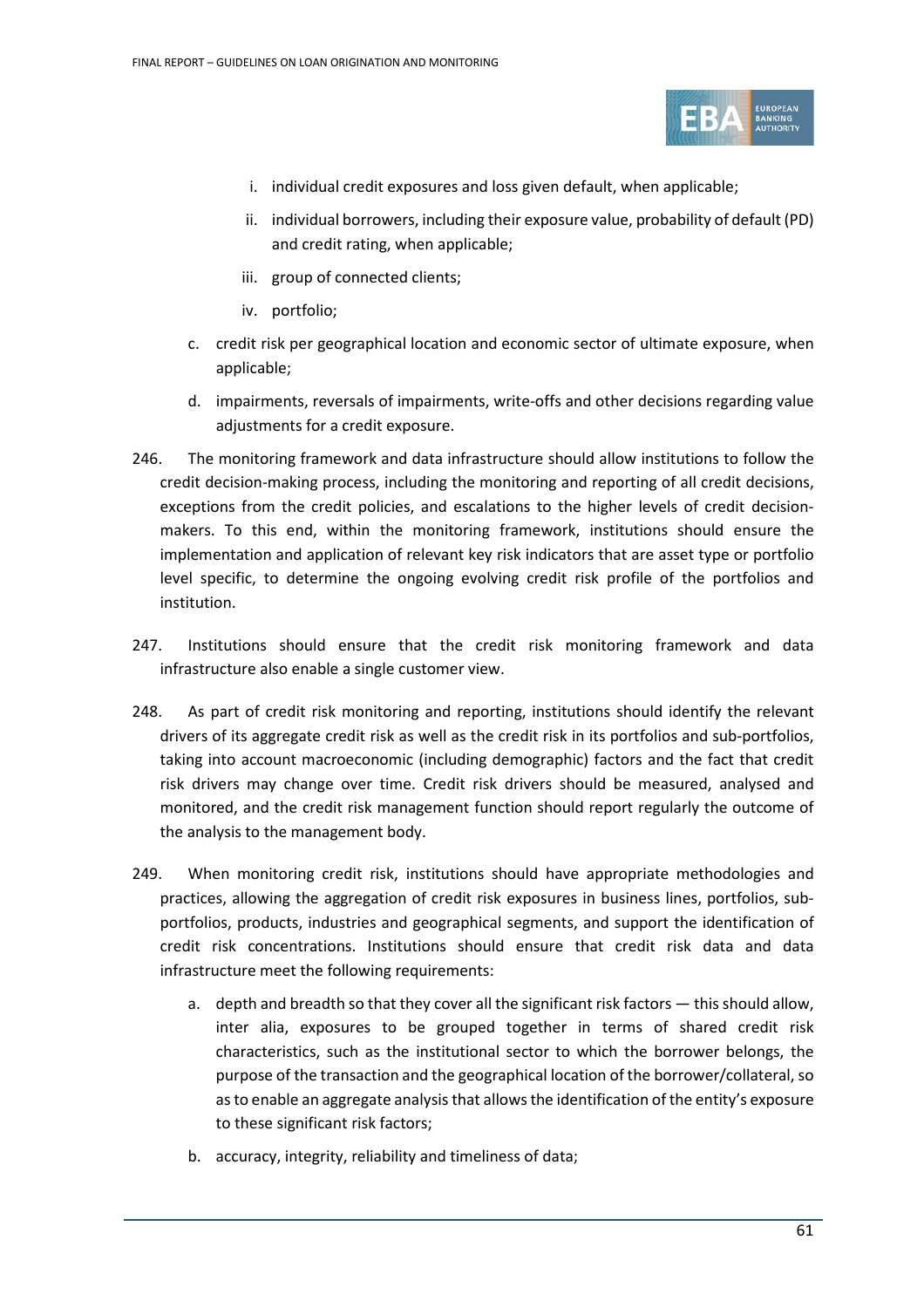

- i. individual credit exposures and loss given default, when applicable;
- ii. individual borrowers, including their exposure value, probability of default (PD) and credit rating, when applicable;
- iii. group of connected clients;
- iv. portfolio;
- c. credit risk per geographical location and economic sector of ultimate exposure, when applicable;
- d. impairments, reversals of impairments, write-offs and other decisions regarding value adjustments for a credit exposure.
- 246. The monitoring framework and data infrastructure should allow institutions to follow the credit decision-making process, including the monitoring and reporting of all credit decisions, exceptions from the credit policies, and escalations to the higher levels of credit decisionmakers. To this end, within the monitoring framework, institutions should ensure the implementation and application of relevant key risk indicators that are asset type or portfolio level specific, to determine the ongoing evolving credit risk profile of the portfolios and institution.
- 247. Institutions should ensure that the credit risk monitoring framework and data infrastructure also enable a single customer view.
- 248. As part of credit risk monitoring and reporting, institutions should identify the relevant drivers of its aggregate credit risk as well as the credit risk in its portfolios and sub-portfolios, taking into account macroeconomic (including demographic) factors and the fact that credit risk drivers may change over time. Credit risk drivers should be measured, analysed and monitored, and the credit risk management function should report regularly the outcome of the analysis to the management body.
- 249. When monitoring credit risk, institutions should have appropriate methodologies and practices, allowing the aggregation of credit risk exposures in business lines, portfolios, subportfolios, products, industries and geographical segments, and support the identification of credit risk concentrations. Institutions should ensure that credit risk data and data infrastructure meet the following requirements:
	- a. depth and breadth so that they cover all the significant risk factors this should allow, inter alia, exposures to be grouped together in terms of shared credit risk characteristics, such as the institutional sector to which the borrower belongs, the purpose of the transaction and the geographical location of the borrower/collateral, so as to enable an aggregate analysis that allows the identification of the entity's exposure to these significant risk factors;
	- b. accuracy, integrity, reliability and timeliness of data;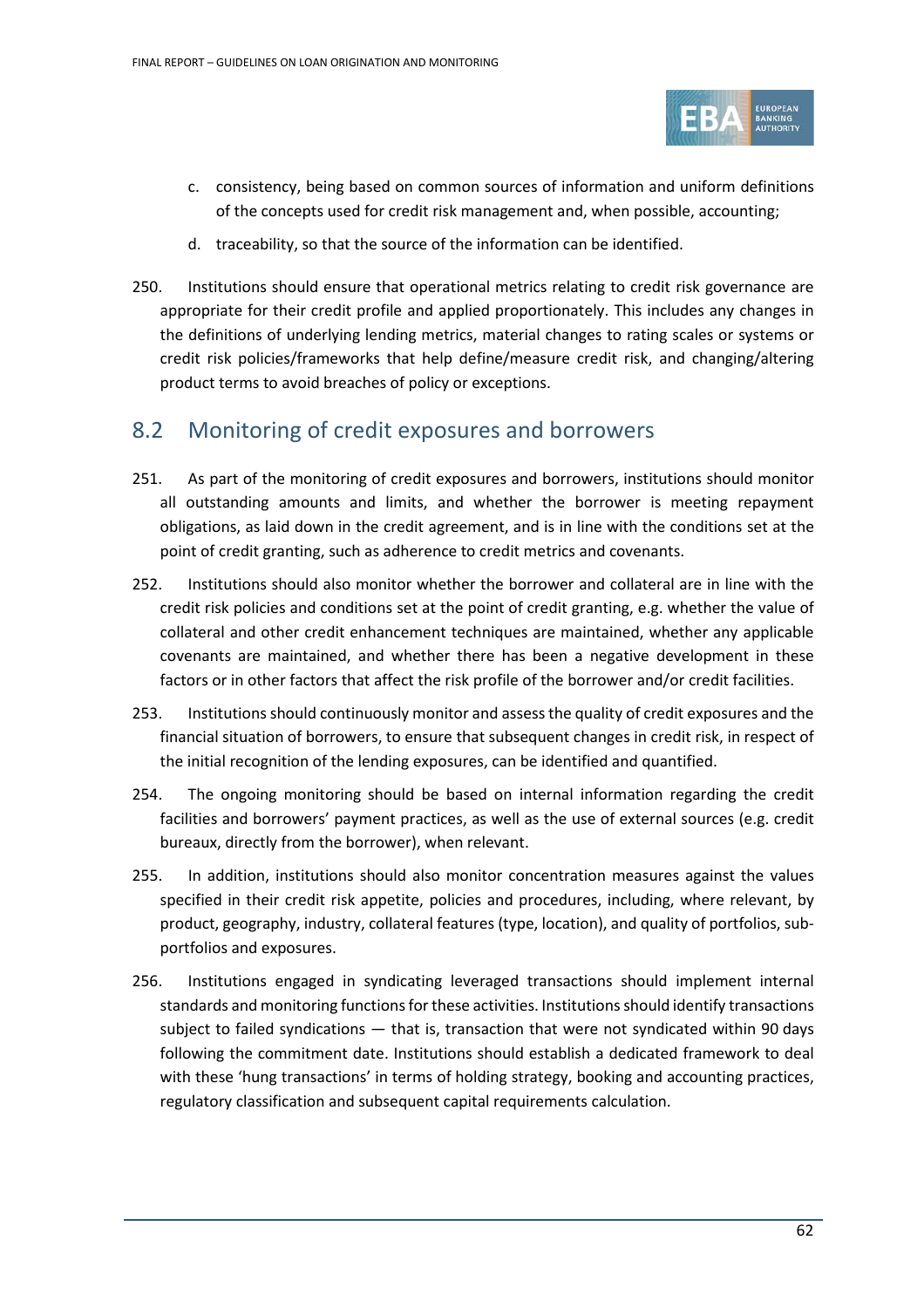

- c. consistency, being based on common sources of information and uniform definitions of the concepts used for credit risk management and, when possible, accounting;
- d. traceability, so that the source of the information can be identified.
- 250. Institutions should ensure that operational metrics relating to credit risk governance are appropriate for their credit profile and applied proportionately. This includes any changes in the definitions of underlying lending metrics, material changes to rating scales or systems or credit risk policies/frameworks that help define/measure credit risk, and changing/altering product terms to avoid breaches of policy or exceptions.

# 8.2 Monitoring of credit exposures and borrowers

- 251. As part of the monitoring of credit exposures and borrowers, institutions should monitor all outstanding amounts and limits, and whether the borrower is meeting repayment obligations, as laid down in the credit agreement, and is in line with the conditions set at the point of credit granting, such as adherence to credit metrics and covenants.
- 252. Institutions should also monitor whether the borrower and collateral are in line with the credit risk policies and conditions set at the point of credit granting, e.g. whether the value of collateral and other credit enhancement techniques are maintained, whether any applicable covenants are maintained, and whether there has been a negative development in these factors or in other factors that affect the risk profile of the borrower and/or credit facilities.
- 253. Institutions should continuously monitor and assess the quality of credit exposures and the financial situation of borrowers, to ensure that subsequent changes in credit risk, in respect of the initial recognition of the lending exposures, can be identified and quantified.
- 254. The ongoing monitoring should be based on internal information regarding the credit facilities and borrowers' payment practices, as well as the use of external sources (e.g. credit bureaux, directly from the borrower), when relevant.
- 255. In addition, institutions should also monitor concentration measures against the values specified in their credit risk appetite, policies and procedures, including, where relevant, by product, geography, industry, collateral features (type, location), and quality of portfolios, subportfolios and exposures.
- 256. Institutions engaged in syndicating leveraged transactions should implement internal standards and monitoring functions for these activities. Institutions should identify transactions subject to failed syndications — that is, transaction that were not syndicated within 90 days following the commitment date. Institutions should establish a dedicated framework to deal with these 'hung transactions' in terms of holding strategy, booking and accounting practices, regulatory classification and subsequent capital requirements calculation.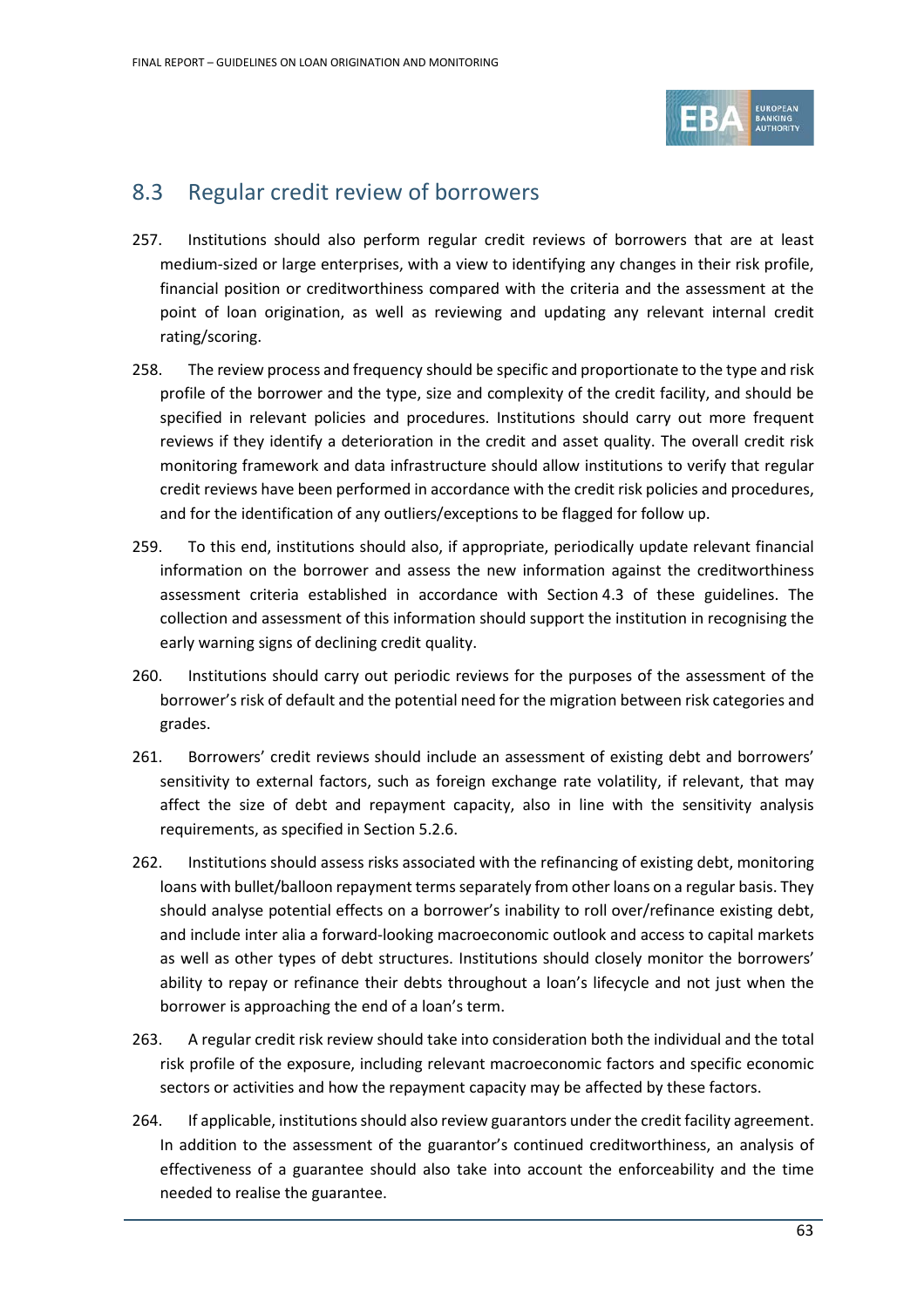

# 8.3 Regular credit review of borrowers

- 257. Institutions should also perform regular credit reviews of borrowers that are at least medium-sized or large enterprises, with a view to identifying any changes in their risk profile, financial position or creditworthiness compared with the criteria and the assessment at the point of loan origination, as well as reviewing and updating any relevant internal credit rating/scoring.
- 258. The review process and frequency should be specific and proportionate to the type and risk profile of the borrower and the type, size and complexity of the credit facility, and should be specified in relevant policies and procedures. Institutions should carry out more frequent reviews if they identify a deterioration in the credit and asset quality. The overall credit risk monitoring framework and data infrastructure should allow institutions to verify that regular credit reviews have been performed in accordance with the credit risk policies and procedures, and for the identification of any outliers/exceptions to be flagged for follow up.
- 259. To this end, institutions should also, if appropriate, periodically update relevant financial information on the borrower and assess the new information against the creditworthiness assessment criteria established in accordance with Section [4.3](#page-20-0) of these guidelines. The collection and assessment of this information should support the institution in recognising the early warning signs of declining credit quality.
- 260. Institutions should carry out periodic reviews for the purposes of the assessment of the borrower's risk of default and the potential need for the migration between risk categories and grades.
- 261. Borrowers' credit reviews should include an assessment of existing debt and borrowers' sensitivity to external factors, such as foreign exchange rate volatility, if relevant, that may affect the size of debt and repayment capacity, also in line with the sensitivity analysis requirements, as specified in Section [5.2.](#page-34-0)6.
- 262. Institutions should assess risks associated with the refinancing of existing debt, monitoring loans with bullet/balloon repayment terms separately from other loans on a regular basis. They should analyse potential effects on a borrower's inability to roll over/refinance existing debt, and include inter alia a forward-looking macroeconomic outlook and access to capital markets as well as other types of debt structures. Institutions should closely monitor the borrowers' ability to repay or refinance their debts throughout a loan's lifecycle and not just when the borrower is approaching the end of a loan's term.
- 263. A regular credit risk review should take into consideration both the individual and the total risk profile of the exposure, including relevant macroeconomic factors and specific economic sectors or activities and how the repayment capacity may be affected by these factors.
- 264. If applicable, institutions should also review guarantors under the credit facility agreement. In addition to the assessment of the guarantor's continued creditworthiness, an analysis of effectiveness of a guarantee should also take into account the enforceability and the time needed to realise the guarantee.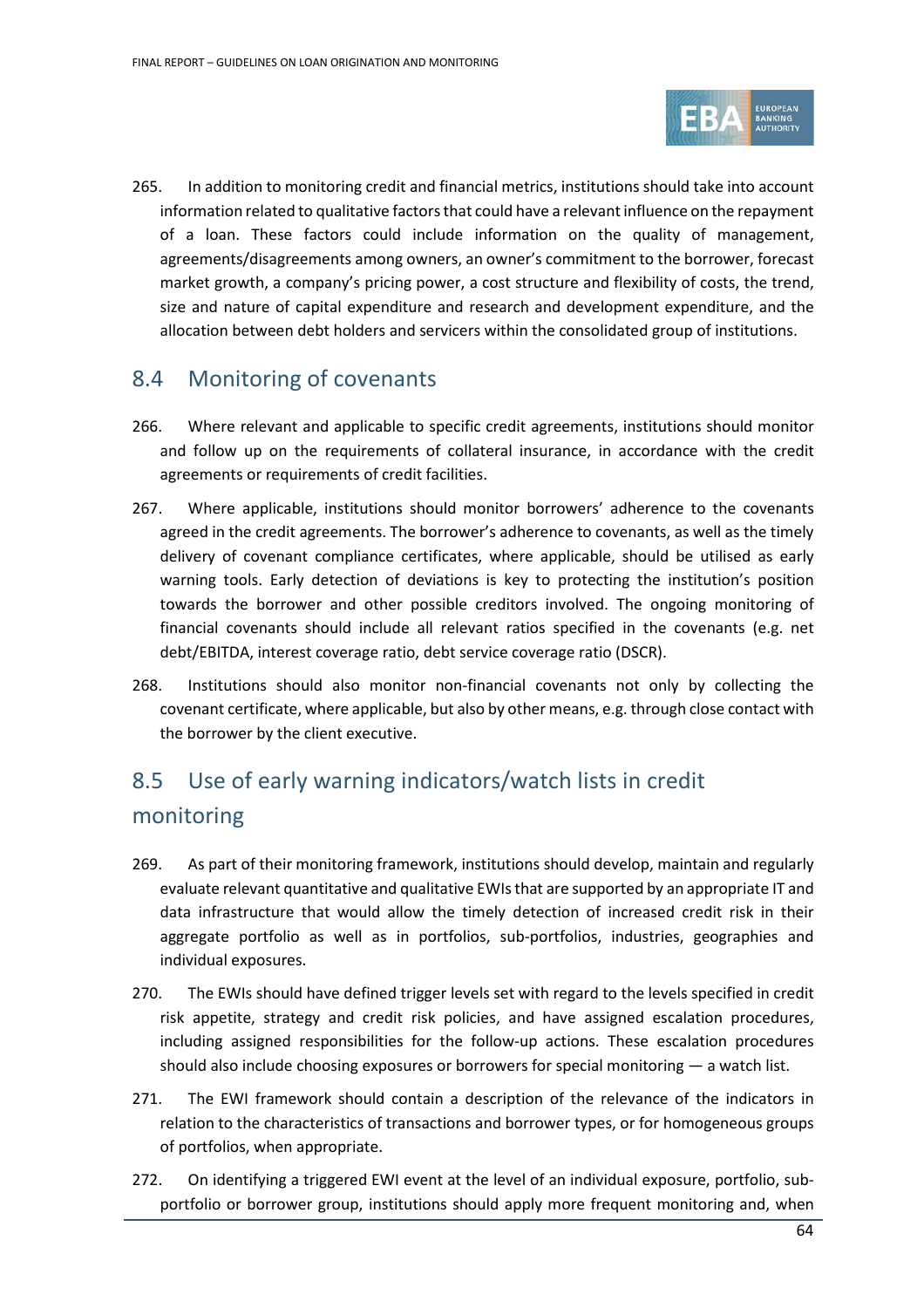

265. In addition to monitoring credit and financial metrics, institutions should take into account information related to qualitative factors that could have a relevant influence on the repayment of a loan. These factors could include information on the quality of management, agreements/disagreements among owners, an owner's commitment to the borrower, forecast market growth, a company's pricing power, a cost structure and flexibility of costs, the trend, size and nature of capital expenditure and research and development expenditure, and the allocation between debt holders and servicers within the consolidated group of institutions.

# 8.4 Monitoring of covenants

- 266. Where relevant and applicable to specific credit agreements, institutions should monitor and follow up on the requirements of collateral insurance, in accordance with the credit agreements or requirements of credit facilities.
- 267. Where applicable, institutions should monitor borrowers' adherence to the covenants agreed in the credit agreements. The borrower's adherence to covenants, as well as the timely delivery of covenant compliance certificates, where applicable, should be utilised as early warning tools. Early detection of deviations is key to protecting the institution's position towards the borrower and other possible creditors involved. The ongoing monitoring of financial covenants should include all relevant ratios specified in the covenants (e.g. net debt/EBITDA, interest coverage ratio, debt service coverage ratio (DSCR).
- 268. Institutions should also monitor non-financial covenants not only by collecting the covenant certificate, where applicable, but also by other means, e.g. through close contact with the borrower by the client executive.

# 8.5 Use of early warning indicators/watch lists in credit monitoring

- 269. As part of their monitoring framework, institutions should develop, maintain and regularly evaluate relevant quantitative and qualitative EWIsthat are supported by an appropriate IT and data infrastructure that would allow the timely detection of increased credit risk in their aggregate portfolio as well as in portfolios, sub-portfolios, industries, geographies and individual exposures.
- 270. The EWIs should have defined trigger levels set with regard to the levels specified in credit risk appetite, strategy and credit risk policies, and have assigned escalation procedures, including assigned responsibilities for the follow-up actions. These escalation procedures should also include choosing exposures or borrowers for special monitoring — a watch list.
- 271. The EWI framework should contain a description of the relevance of the indicators in relation to the characteristics of transactions and borrower types, or for homogeneous groups of portfolios, when appropriate.
- 272. On identifying a triggered EWI event at the level of an individual exposure, portfolio, subportfolio or borrower group, institutions should apply more frequent monitoring and, when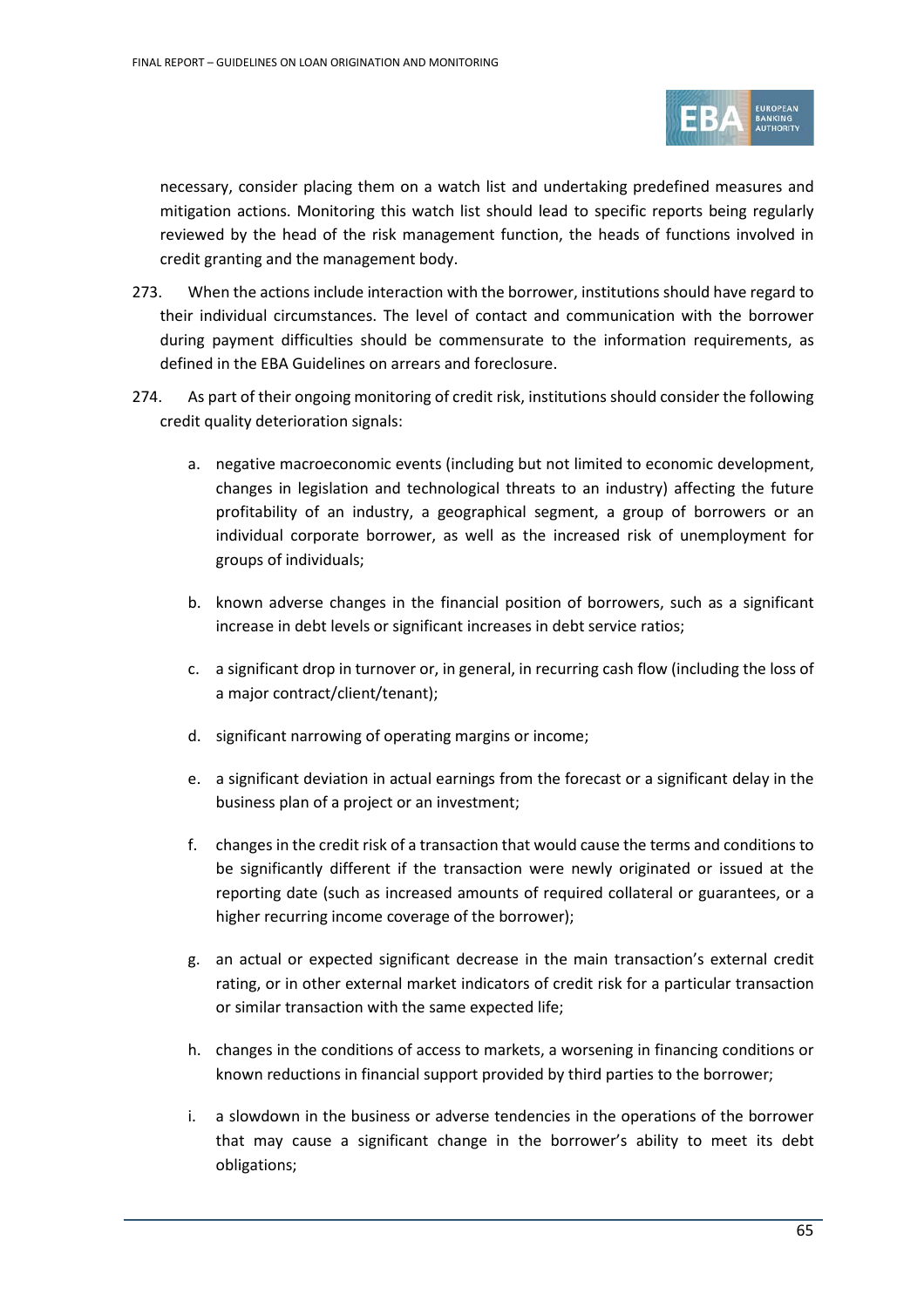

necessary, consider placing them on a watch list and undertaking predefined measures and mitigation actions. Monitoring this watch list should lead to specific reports being regularly reviewed by the head of the risk management function, the heads of functions involved in credit granting and the management body.

- 273. When the actions include interaction with the borrower, institutions should have regard to their individual circumstances. The level of contact and communication with the borrower during payment difficulties should be commensurate to the information requirements, as defined in the EBA Guidelines on arrears and foreclosure.
- 274. As part of their ongoing monitoring of credit risk, institutions should consider the following credit quality deterioration signals:
	- a. negative macroeconomic events (including but not limited to economic development, changes in legislation and technological threats to an industry) affecting the future profitability of an industry, a geographical segment, a group of borrowers or an individual corporate borrower, as well as the increased risk of unemployment for groups of individuals;
	- b. known adverse changes in the financial position of borrowers, such as a significant increase in debt levels or significant increases in debt service ratios;
	- c. a significant drop in turnover or, in general, in recurring cash flow (including the loss of a major contract/client/tenant);
	- d. significant narrowing of operating margins or income;
	- e. a significant deviation in actual earnings from the forecast or a significant delay in the business plan of a project or an investment;
	- f. changes in the credit risk of a transaction that would cause the terms and conditions to be significantly different if the transaction were newly originated or issued at the reporting date (such as increased amounts of required collateral or guarantees, or a higher recurring income coverage of the borrower);
	- g. an actual or expected significant decrease in the main transaction's external credit rating, or in other external market indicators of credit risk for a particular transaction or similar transaction with the same expected life;
	- h. changes in the conditions of access to markets, a worsening in financing conditions or known reductions in financial support provided by third parties to the borrower;
	- i. a slowdown in the business or adverse tendencies in the operations of the borrower that may cause a significant change in the borrower's ability to meet its debt obligations;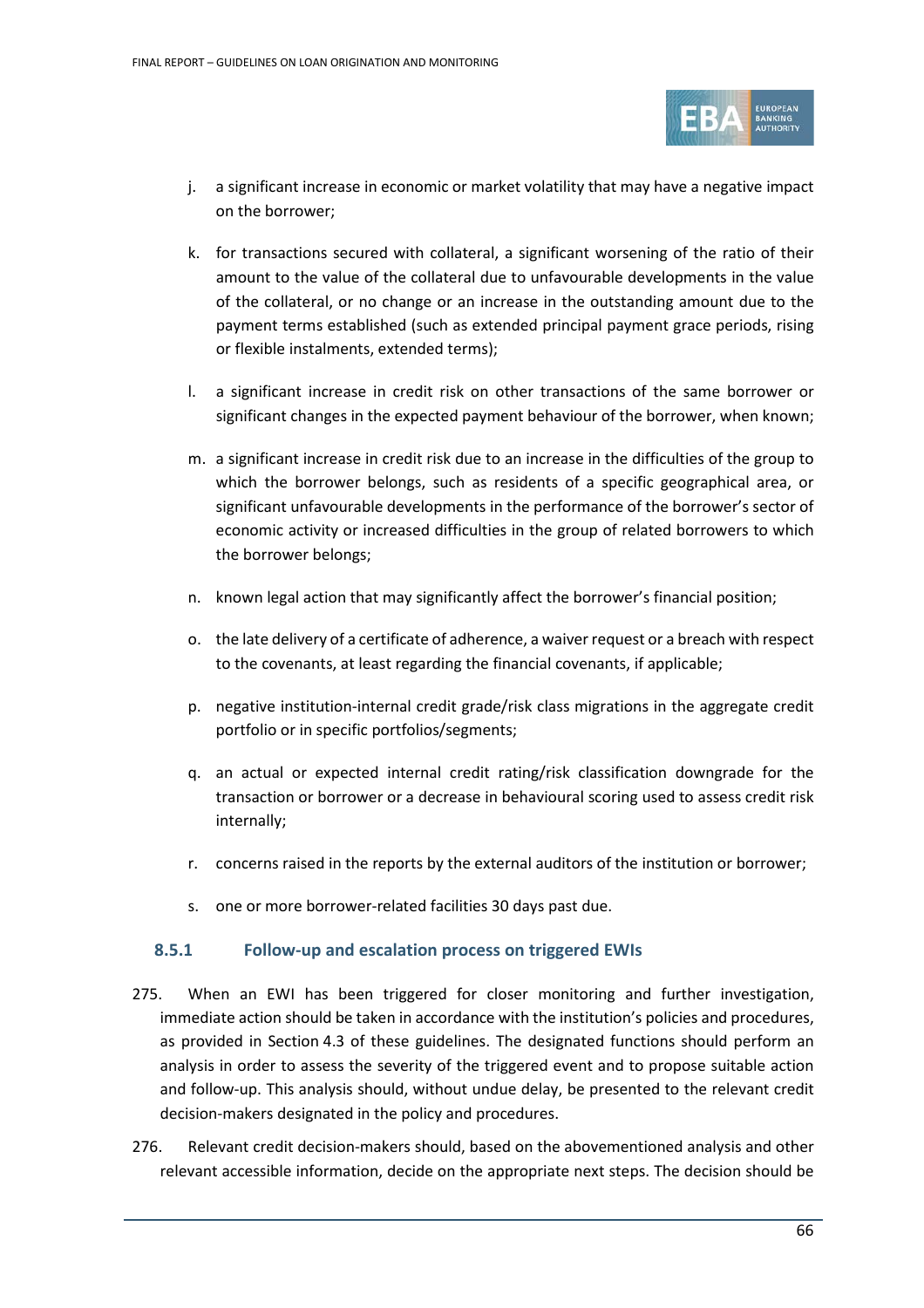

- j. a significant increase in economic or market volatility that may have a negative impact on the borrower;
- k. for transactions secured with collateral, a significant worsening of the ratio of their amount to the value of the collateral due to unfavourable developments in the value of the collateral, or no change or an increase in the outstanding amount due to the payment terms established (such as extended principal payment grace periods, rising or flexible instalments, extended terms);
- l. a significant increase in credit risk on other transactions of the same borrower or significant changes in the expected payment behaviour of the borrower, when known;
- m. a significant increase in credit risk due to an increase in the difficulties of the group to which the borrower belongs, such as residents of a specific geographical area, or significant unfavourable developments in the performance of the borrower's sector of economic activity or increased difficulties in the group of related borrowers to which the borrower belongs;
- n. known legal action that may significantly affect the borrower's financial position;
- o. the late delivery of a certificate of adherence, a waiver request or a breach with respect to the covenants, at least regarding the financial covenants, if applicable;
- p. negative institution-internal credit grade/risk class migrations in the aggregate credit portfolio or in specific portfolios/segments;
- q. an actual or expected internal credit rating/risk classification downgrade for the transaction or borrower or a decrease in behavioural scoring used to assess credit risk internally;
- r. concerns raised in the reports by the external auditors of the institution or borrower;
- s. one or more borrower-related facilities 30 days past due.

## **8.5.1 Follow-up and escalation process on triggered EWIs**

- 275. When an EWI has been triggered for closer monitoring and further investigation, immediate action should be taken in accordance with the institution's policies and procedures, as provided in Section [4.3](#page-20-0) of these guidelines. The designated functions should perform an analysis in order to assess the severity of the triggered event and to propose suitable action and follow-up. This analysis should, without undue delay, be presented to the relevant credit decision-makers designated in the policy and procedures.
- 276. Relevant credit decision-makers should, based on the abovementioned analysis and other relevant accessible information, decide on the appropriate next steps. The decision should be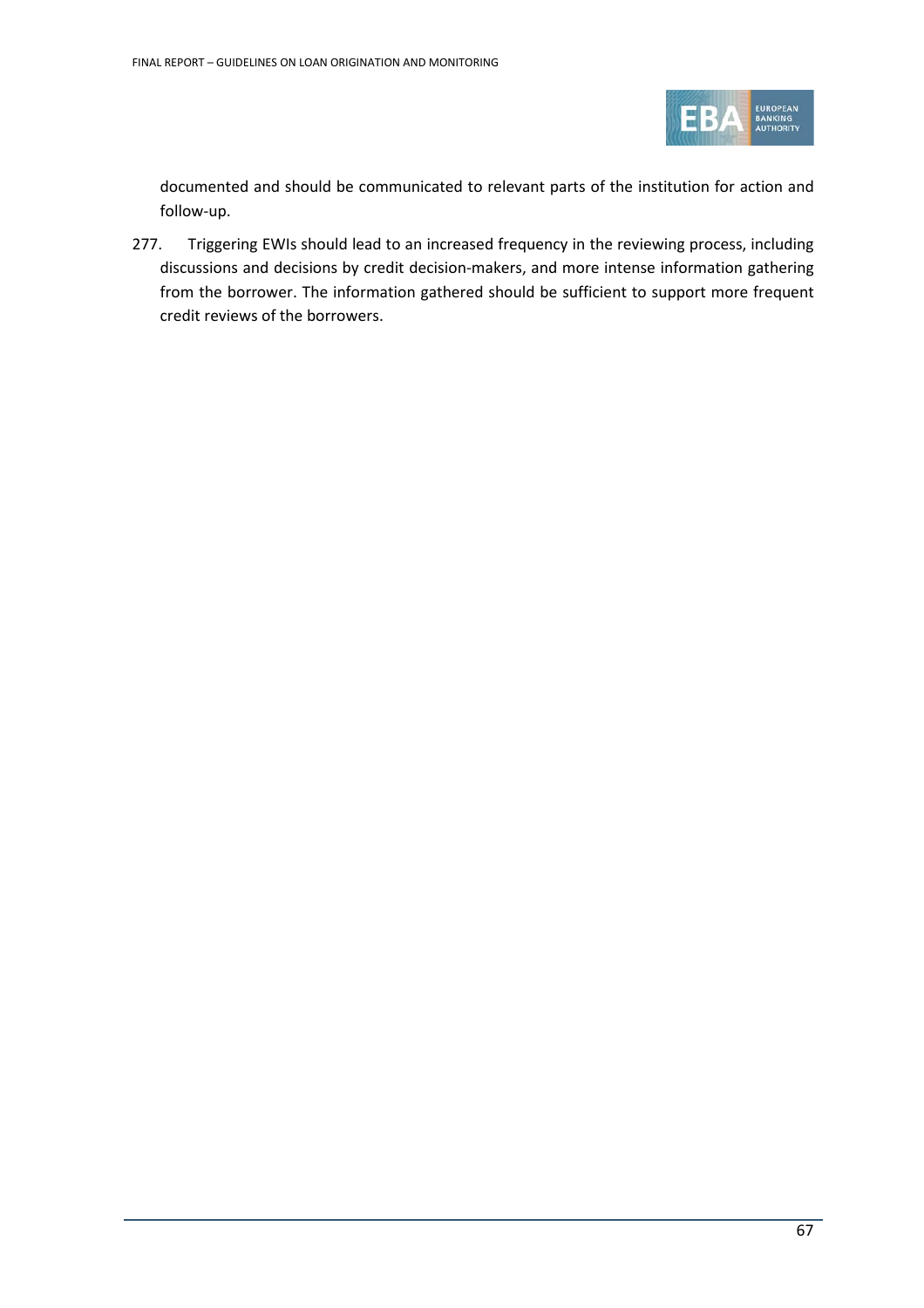

documented and should be communicated to relevant parts of the institution for action and follow-up.

277. Triggering EWIs should lead to an increased frequency in the reviewing process, including discussions and decisions by credit decision-makers, and more intense information gathering from the borrower. The information gathered should be sufficient to support more frequent credit reviews of the borrowers.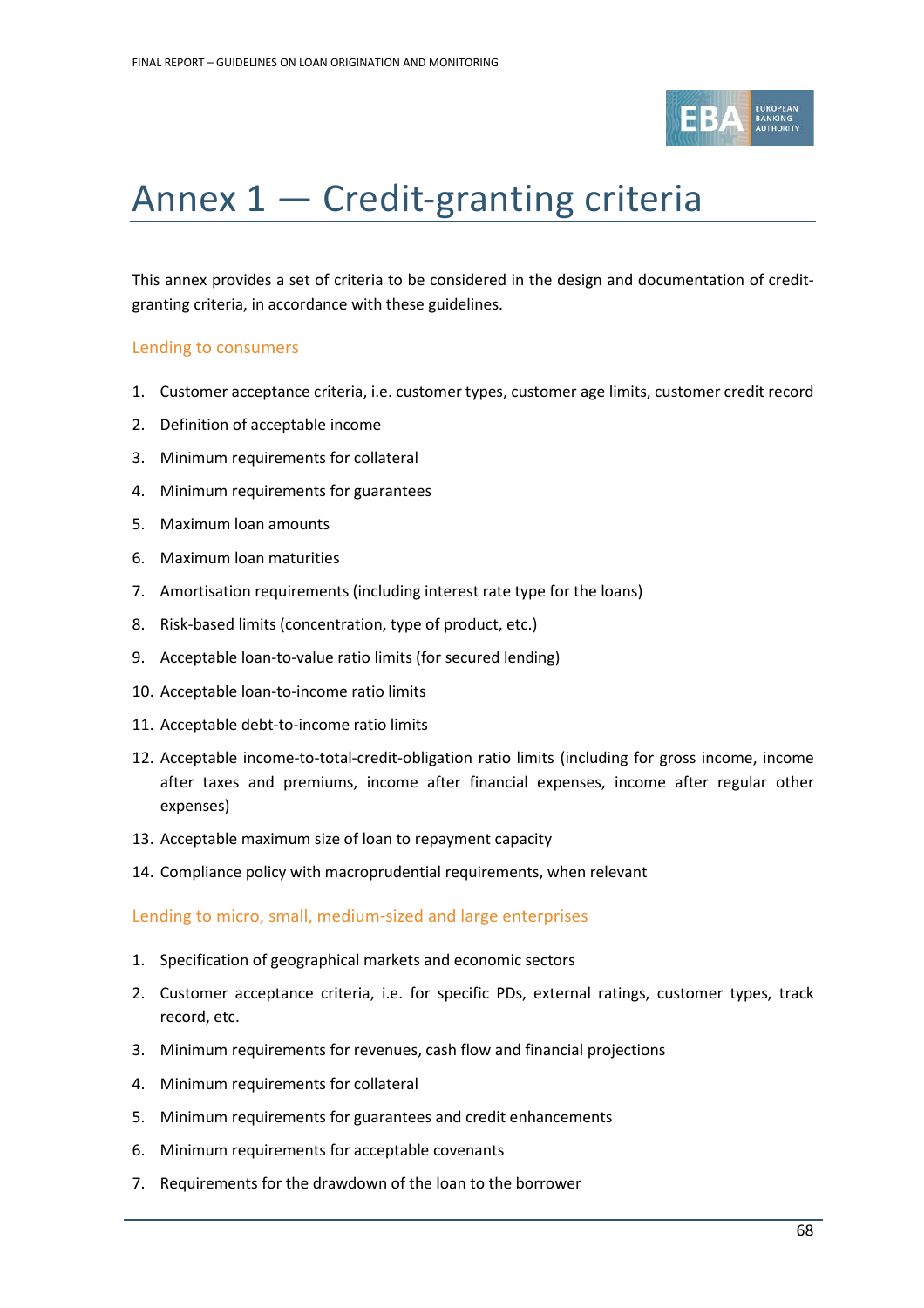

# Annex 1 — Credit-granting criteria

This annex provides a set of criteria to be considered in the design and documentation of creditgranting criteria, in accordance with these guidelines.

## Lending to consumers

- 1. Customer acceptance criteria, i.e. customer types, customer age limits, customer credit record
- 2. Definition of acceptable income
- 3. Minimum requirements for collateral
- 4. Minimum requirements for guarantees
- 5. Maximum loan amounts
- 6. Maximum loan maturities
- 7. Amortisation requirements (including interest rate type for the loans)
- 8. Risk-based limits (concentration, type of product, etc.)
- 9. Acceptable loan-to-value ratio limits (for secured lending)
- 10. Acceptable loan-to-income ratio limits
- 11. Acceptable debt-to-income ratio limits
- 12. Acceptable income-to-total-credit-obligation ratio limits (including for gross income, income after taxes and premiums, income after financial expenses, income after regular other expenses)
- 13. Acceptable maximum size of loan to repayment capacity
- 14. Compliance policy with macroprudential requirements, when relevant

Lending to micro, small, medium-sized and large enterprises

- 1. Specification of geographical markets and economic sectors
- 2. Customer acceptance criteria, i.e. for specific PDs, external ratings, customer types, track record, etc.
- 3. Minimum requirements for revenues, cash flow and financial projections
- 4. Minimum requirements for collateral
- 5. Minimum requirements for guarantees and credit enhancements
- 6. Minimum requirements for acceptable covenants
- 7. Requirements for the drawdown of the loan to the borrower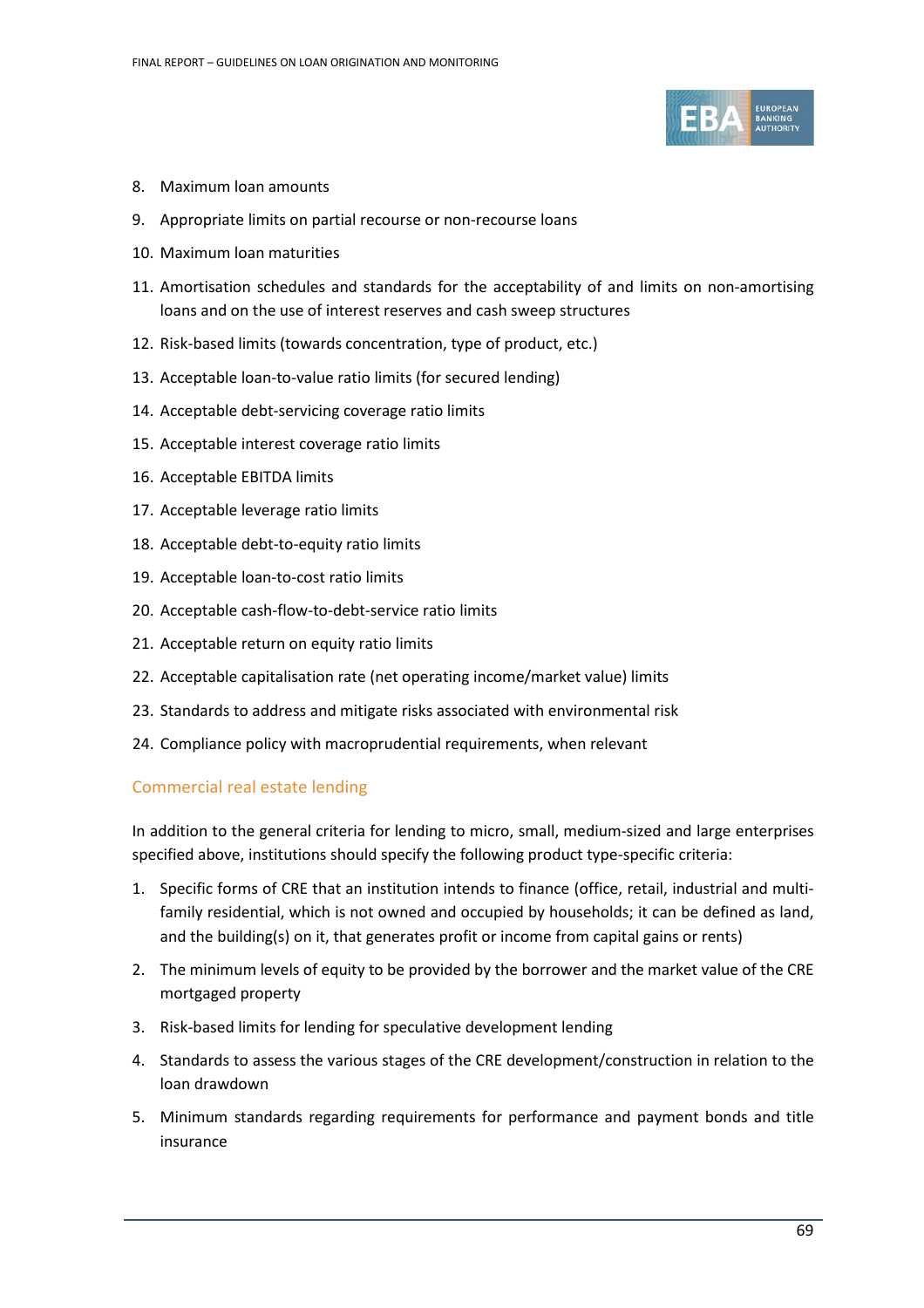

- 8. Maximum loan amounts
- 9. Appropriate limits on partial recourse or non-recourse loans
- 10. Maximum loan maturities
- 11. Amortisation schedules and standards for the acceptability of and limits on non-amortising loans and on the use of interest reserves and cash sweep structures
- 12. Risk-based limits (towards concentration, type of product, etc.)
- 13. Acceptable loan-to-value ratio limits (for secured lending)
- 14. Acceptable debt-servicing coverage ratio limits
- 15. Acceptable interest coverage ratio limits
- 16. Acceptable EBITDA limits
- 17. Acceptable leverage ratio limits
- 18. Acceptable debt-to-equity ratio limits
- 19. Acceptable loan-to-cost ratio limits
- 20. Acceptable cash-flow-to-debt-service ratio limits
- 21. Acceptable return on equity ratio limits
- 22. Acceptable capitalisation rate (net operating income/market value) limits
- 23. Standards to address and mitigate risks associated with environmental risk
- 24. Compliance policy with macroprudential requirements, when relevant

#### Commercial real estate lending

In addition to the general criteria for lending to micro, small, medium-sized and large enterprises specified above, institutions should specify the following product type-specific criteria:

- 1. Specific forms of CRE that an institution intends to finance (office, retail, industrial and multifamily residential, which is not owned and occupied by households; it can be defined as land, and the building(s) on it, that generates profit or income from capital gains or rents)
- 2. The minimum levels of equity to be provided by the borrower and the market value of the CRE mortgaged property
- 3. Risk-based limits for lending for speculative development lending
- 4. Standards to assess the various stages of the CRE development/construction in relation to the loan drawdown
- 5. Minimum standards regarding requirements for performance and payment bonds and title insurance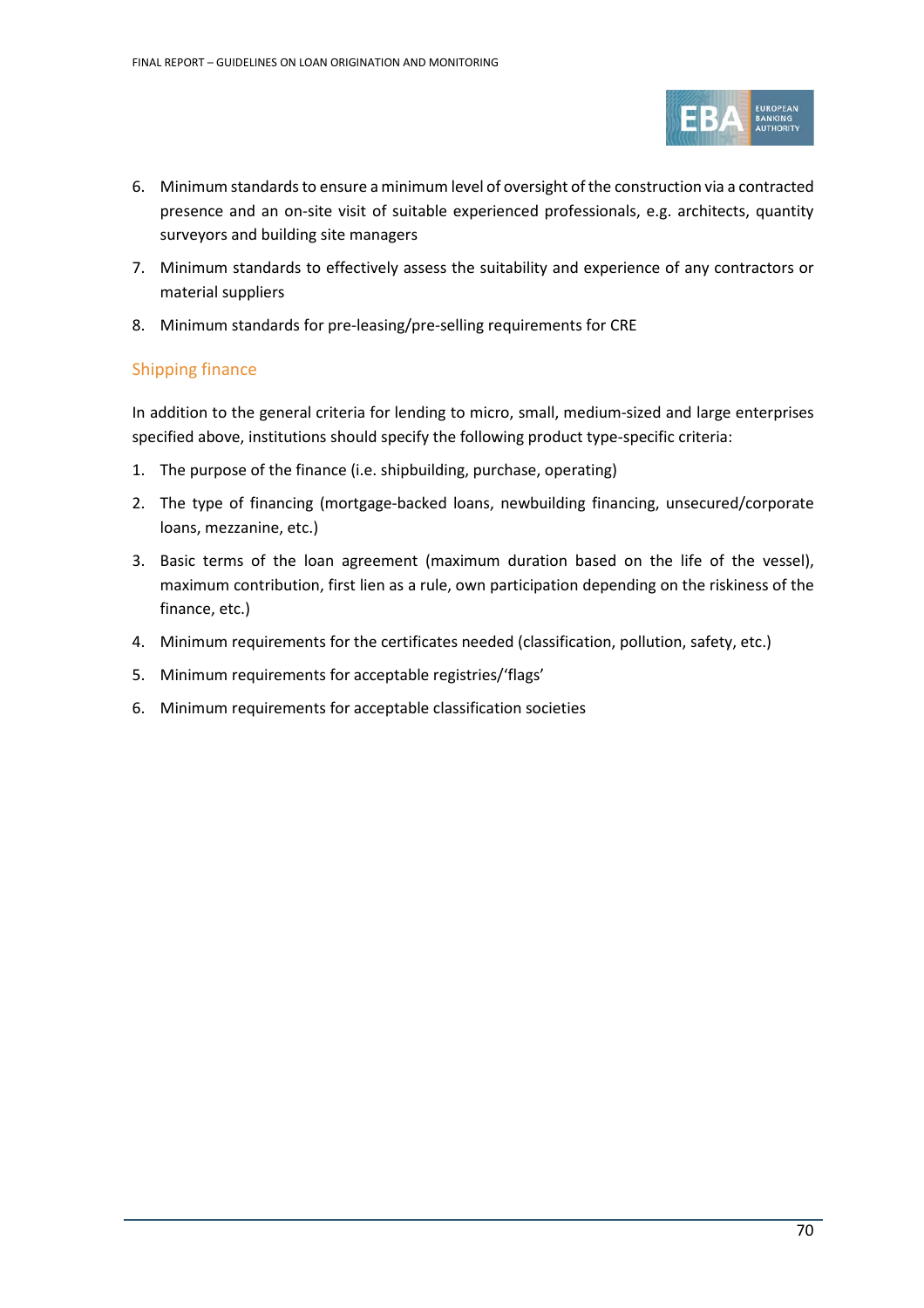

- 6. Minimum standards to ensure a minimum level of oversight of the construction via a contracted presence and an on-site visit of suitable experienced professionals, e.g. architects, quantity surveyors and building site managers
- 7. Minimum standards to effectively assess the suitability and experience of any contractors or material suppliers
- 8. Minimum standards for pre-leasing/pre-selling requirements for CRE

# Shipping finance

In addition to the general criteria for lending to micro, small, medium-sized and large enterprises specified above, institutions should specify the following product type-specific criteria:

- 1. The purpose of the finance (i.e. shipbuilding, purchase, operating)
- 2. The type of financing (mortgage-backed loans, newbuilding financing, unsecured/corporate loans, mezzanine, etc.)
- 3. Basic terms of the loan agreement (maximum duration based on the life of the vessel), maximum contribution, first lien as a rule, own participation depending on the riskiness of the finance, etc.)
- 4. Minimum requirements for the certificates needed (classification, pollution, safety, etc.)
- 5. Minimum requirements for acceptable registries/'flags'
- 6. Minimum requirements for acceptable classification societies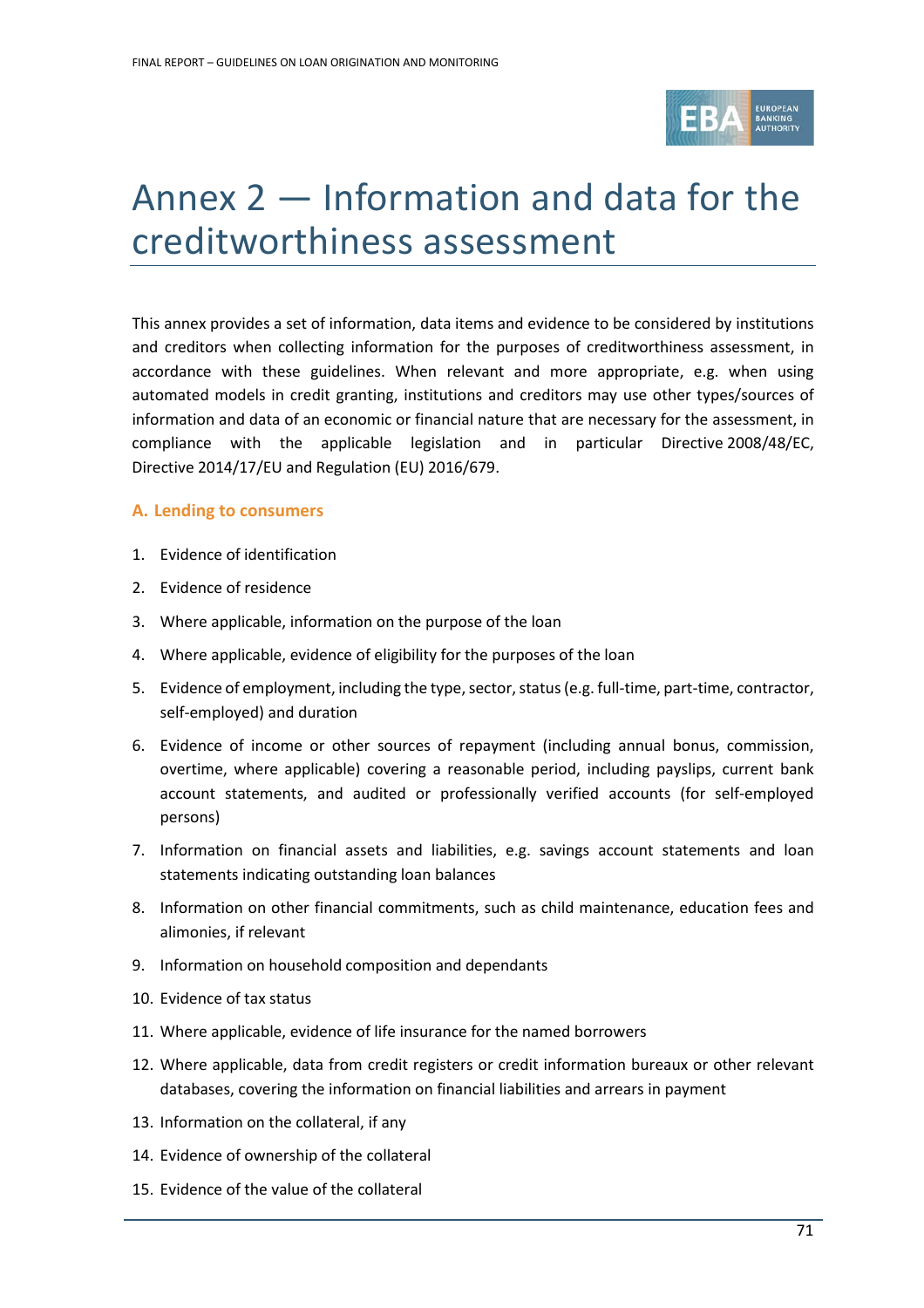

# Annex 2 — Information and data for the creditworthiness assessment

This annex provides a set of information, data items and evidence to be considered by institutions and creditors when collecting information for the purposes of creditworthiness assessment, in accordance with these guidelines. When relevant and more appropriate, e.g. when using automated models in credit granting, institutions and creditors may use other types/sources of information and data of an economic or financial nature that are necessary for the assessment, in compliance with the applicable legislation and in particular Directive 2008/48/EC, Directive 2014/17/EU and Regulation (EU) 2016/679.

## **A. Lending to consumers**

- 1. Evidence of identification
- 2. Evidence of residence
- 3. Where applicable, information on the purpose of the loan
- 4. Where applicable, evidence of eligibility for the purposes of the loan
- 5. Evidence of employment, including the type, sector, status (e.g. full-time, part-time, contractor, self-employed) and duration
- 6. Evidence of income or other sources of repayment (including annual bonus, commission, overtime, where applicable) covering a reasonable period, including payslips, current bank account statements, and audited or professionally verified accounts (for self-employed persons)
- 7. Information on financial assets and liabilities, e.g. savings account statements and loan statements indicating outstanding loan balances
- 8. Information on other financial commitments, such as child maintenance, education fees and alimonies, if relevant
- 9. Information on household composition and dependants
- 10. Evidence of tax status
- 11. Where applicable, evidence of life insurance for the named borrowers
- 12. Where applicable, data from credit registers or credit information bureaux or other relevant databases, covering the information on financial liabilities and arrears in payment
- 13. Information on the collateral, if any
- 14. Evidence of ownership of the collateral
- 15. Evidence of the value of the collateral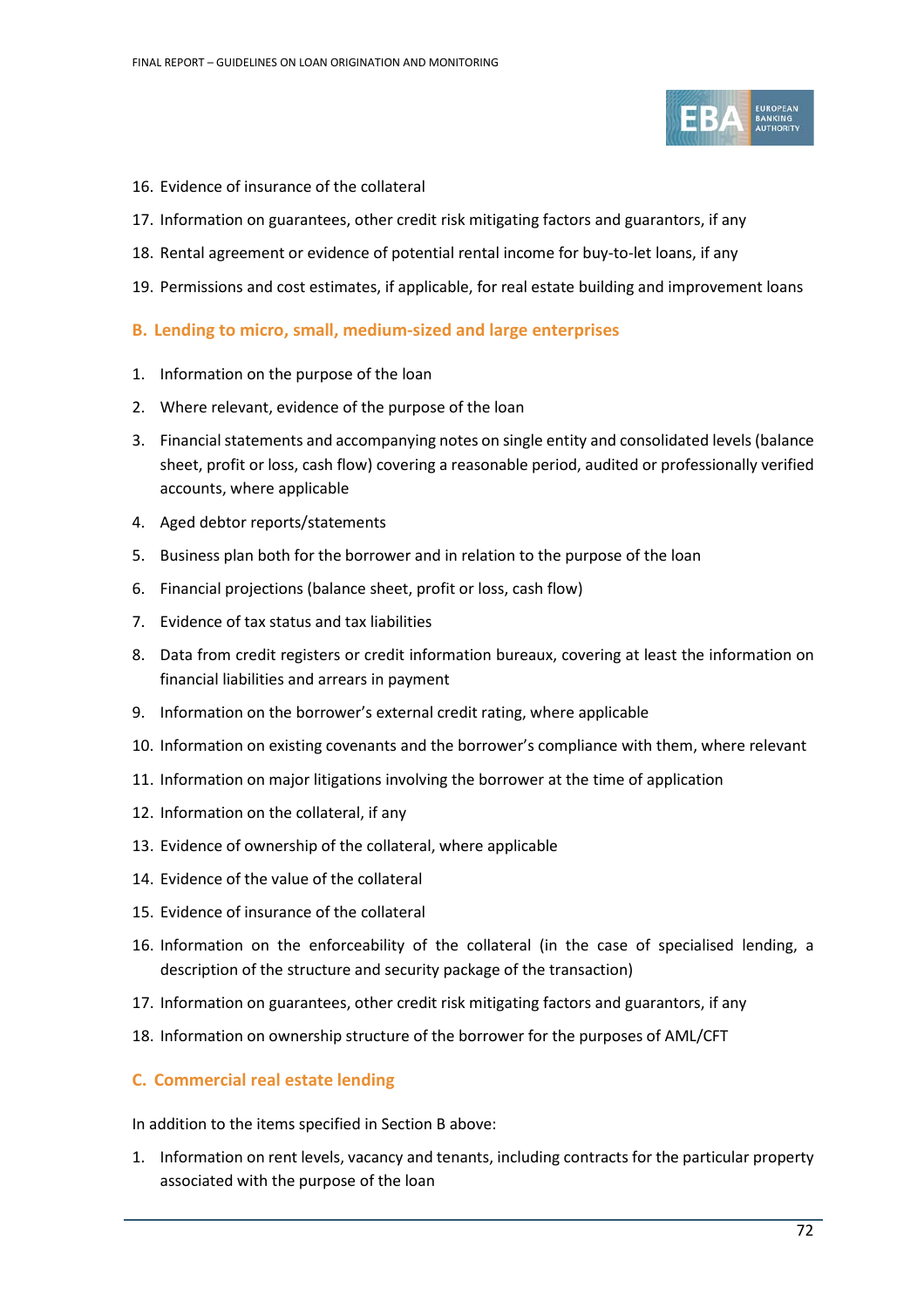

- 16. Evidence of insurance of the collateral
- 17. Information on guarantees, other credit risk mitigating factors and guarantors, if any
- 18. Rental agreement or evidence of potential rental income for buy-to-let loans, if any
- 19. Permissions and cost estimates, if applicable, for real estate building and improvement loans

#### **B. Lending to micro, small, medium-sized and large enterprises**

- 1. Information on the purpose of the loan
- 2. Where relevant, evidence of the purpose of the loan
- 3. Financial statements and accompanying notes on single entity and consolidated levels (balance sheet, profit or loss, cash flow) covering a reasonable period, audited or professionally verified accounts, where applicable
- 4. Aged debtor reports/statements
- 5. Business plan both for the borrower and in relation to the purpose of the loan
- 6. Financial projections (balance sheet, profit or loss, cash flow)
- 7. Evidence of tax status and tax liabilities
- 8. Data from credit registers or credit information bureaux, covering at least the information on financial liabilities and arrears in payment
- 9. Information on the borrower's external credit rating, where applicable
- 10. Information on existing covenants and the borrower's compliance with them, where relevant
- 11. Information on major litigations involving the borrower at the time of application
- 12. Information on the collateral, if any
- 13. Evidence of ownership of the collateral, where applicable
- 14. Evidence of the value of the collateral
- 15. Evidence of insurance of the collateral
- 16. Information on the enforceability of the collateral (in the case of specialised lending, a description of the structure and security package of the transaction)
- 17. Information on guarantees, other credit risk mitigating factors and guarantors, if any
- 18. Information on ownership structure of the borrower for the purposes of AML/CFT

#### **C. Commercial real estate lending**

In addition to the items specified in Section B above:

1. Information on rent levels, vacancy and tenants, including contracts for the particular property associated with the purpose of the loan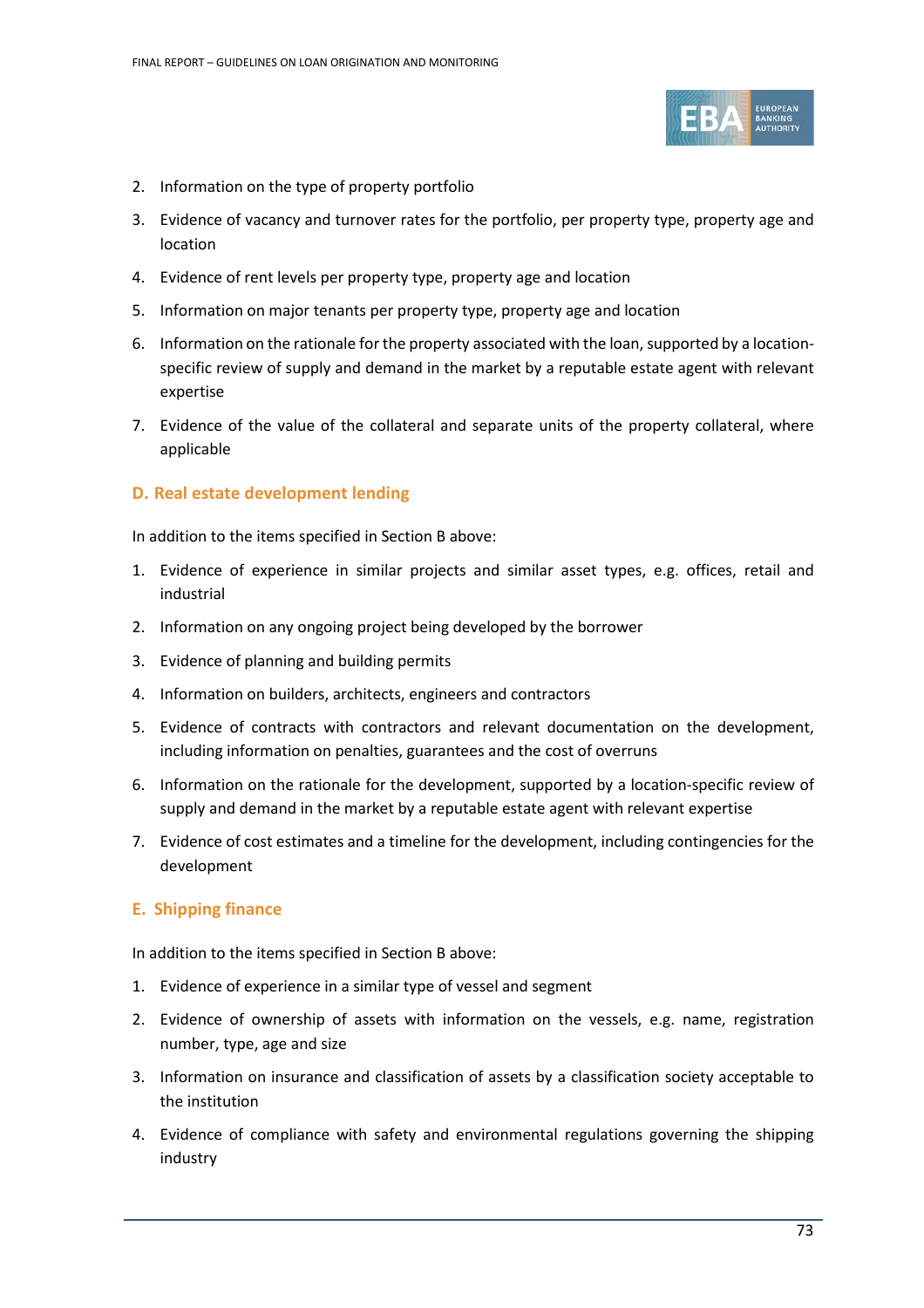

- 2. Information on the type of property portfolio
- 3. Evidence of vacancy and turnover rates for the portfolio, per property type, property age and location
- 4. Evidence of rent levels per property type, property age and location
- 5. Information on major tenants per property type, property age and location
- 6. Information on the rationale for the property associated with the loan, supported by a locationspecific review of supply and demand in the market by a reputable estate agent with relevant expertise
- 7. Evidence of the value of the collateral and separate units of the property collateral, where applicable

# **D. Real estate development lending**

In addition to the items specified in Section B above:

- 1. Evidence of experience in similar projects and similar asset types, e.g. offices, retail and industrial
- 2. Information on any ongoing project being developed by the borrower
- 3. Evidence of planning and building permits
- 4. Information on builders, architects, engineers and contractors
- 5. Evidence of contracts with contractors and relevant documentation on the development, including information on penalties, guarantees and the cost of overruns
- 6. Information on the rationale for the development, supported by a location-specific review of supply and demand in the market by a reputable estate agent with relevant expertise
- 7. Evidence of cost estimates and a timeline for the development, including contingencies for the development

# **E. Shipping finance**

In addition to the items specified in Section B above:

- 1. Evidence of experience in a similar type of vessel and segment
- 2. Evidence of ownership of assets with information on the vessels, e.g. name, registration number, type, age and size
- 3. Information on insurance and classification of assets by a classification society acceptable to the institution
- 4. Evidence of compliance with safety and environmental regulations governing the shipping industry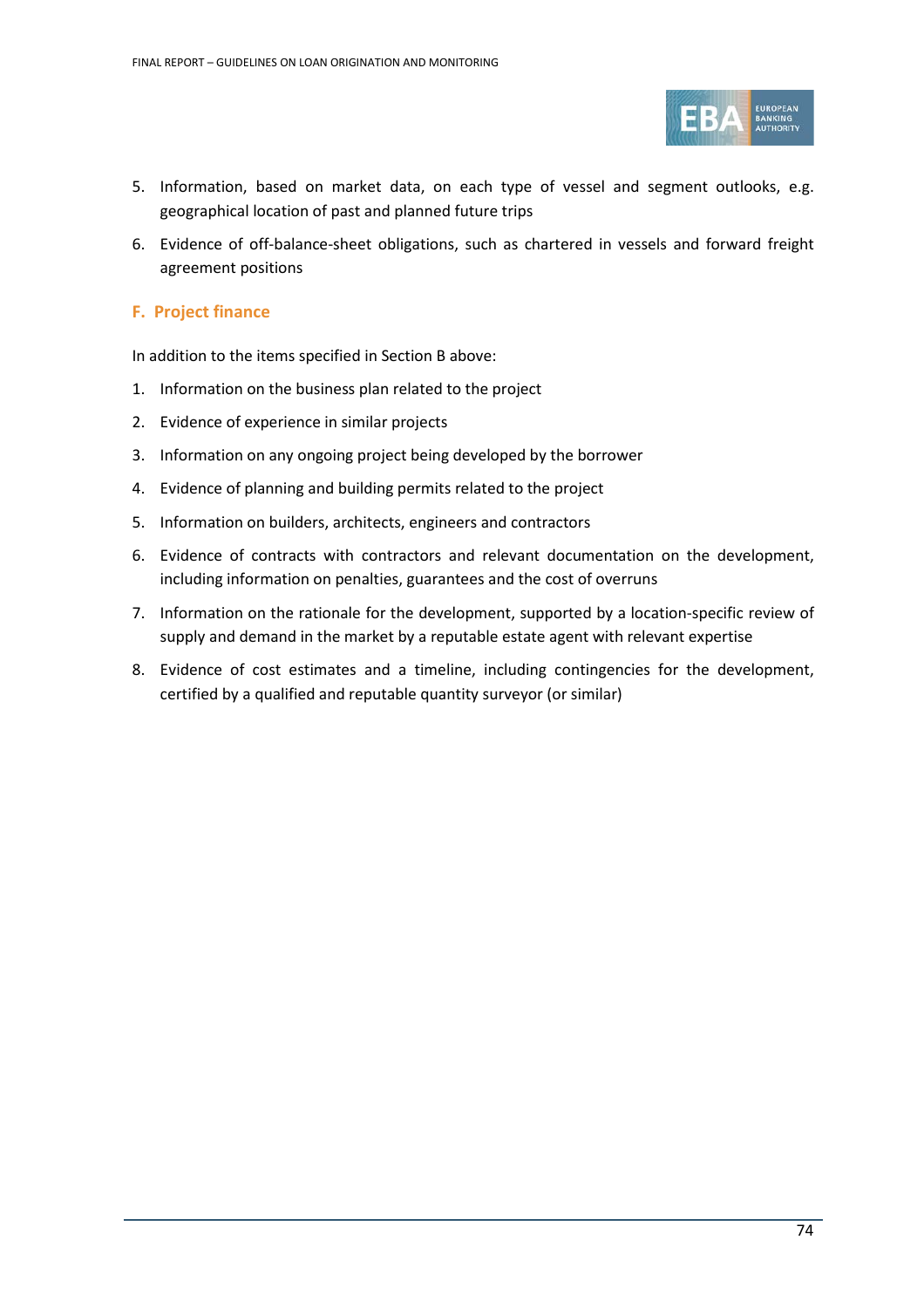

- 5. Information, based on market data, on each type of vessel and segment outlooks, e.g. geographical location of past and planned future trips
- 6. Evidence of off-balance-sheet obligations, such as chartered in vessels and forward freight agreement positions

# **F. Project finance**

In addition to the items specified in Section B above:

- 1. Information on the business plan related to the project
- 2. Evidence of experience in similar projects
- 3. Information on any ongoing project being developed by the borrower
- 4. Evidence of planning and building permits related to the project
- 5. Information on builders, architects, engineers and contractors
- 6. Evidence of contracts with contractors and relevant documentation on the development, including information on penalties, guarantees and the cost of overruns
- 7. Information on the rationale for the development, supported by a location-specific review of supply and demand in the market by a reputable estate agent with relevant expertise
- 8. Evidence of cost estimates and a timeline, including contingencies for the development, certified by a qualified and reputable quantity surveyor (or similar)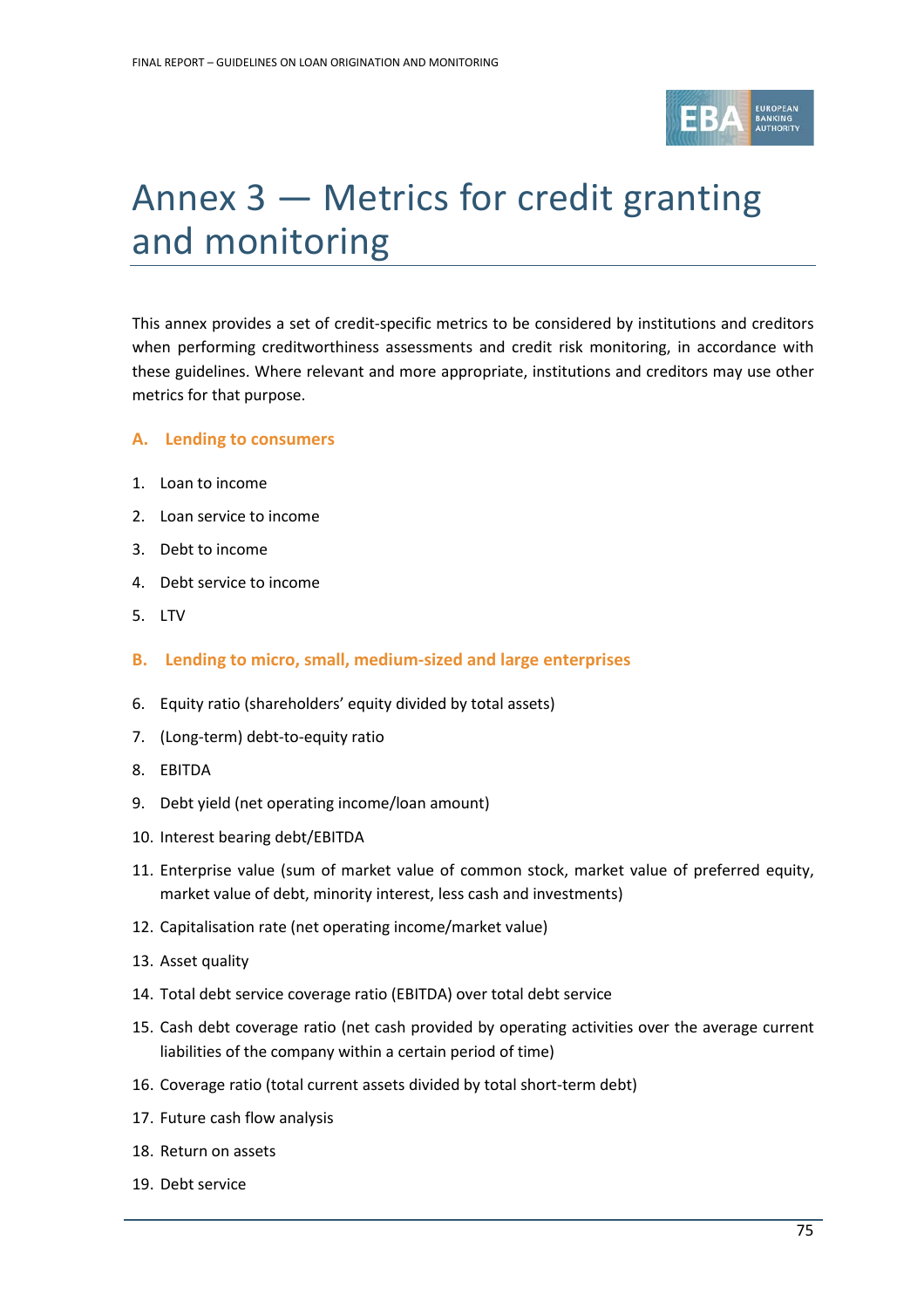

# Annex 3 — Metrics for credit granting and monitoring

This annex provides a set of credit-specific metrics to be considered by institutions and creditors when performing creditworthiness assessments and credit risk monitoring, in accordance with these guidelines. Where relevant and more appropriate, institutions and creditors may use other metrics for that purpose.

#### **A. Lending to consumers**

- 1. Loan to income
- 2. Loan service to income
- 3. Debt to income
- 4. Debt service to income
- 5. LTV
- **B. Lending to micro, small, medium-sized and large enterprises**
- 6. Equity ratio (shareholders' equity divided by total assets)
- 7. (Long-term) debt-to-equity ratio
- 8. EBITDA
- 9. Debt yield (net operating income/loan amount)
- 10. Interest bearing debt/EBITDA
- 11. Enterprise value (sum of market value of common stock, market value of preferred equity, market value of debt, minority interest, less cash and investments)
- 12. Capitalisation rate (net operating income/market value)
- 13. Asset quality
- 14. Total debt service coverage ratio (EBITDA) over total debt service
- 15. Cash debt coverage ratio (net cash provided by operating activities over the average current liabilities of the company within a certain period of time)
- 16. Coverage ratio (total current assets divided by total short-term debt)
- 17. Future cash flow analysis
- 18. Return on assets
- 19. Debt service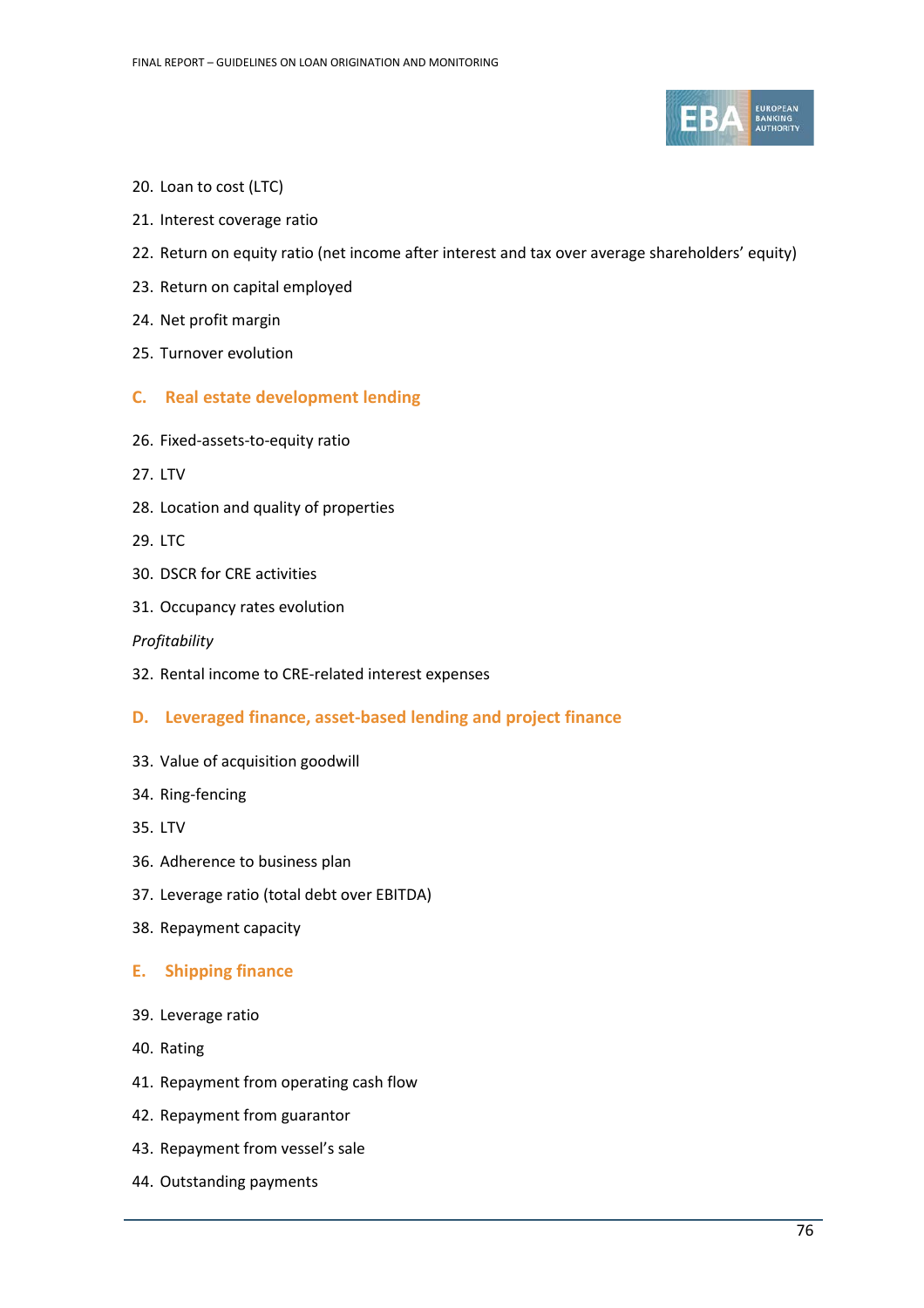

- 20. Loan to cost (LTC)
- 21. Interest coverage ratio
- 22. Return on equity ratio (net income after interest and tax over average shareholders' equity)
- 23. Return on capital employed
- 24. Net profit margin
- 25. Turnover evolution
- **C. Real estate development lending**
- 26. Fixed-assets-to-equity ratio
- 27. LTV
- 28. Location and quality of properties
- 29. LTC
- 30. DSCR for CRE activities
- 31. Occupancy rates evolution

#### *Profitability*

32. Rental income to CRE-related interest expenses

# **D. Leveraged finance, asset-based lending and project finance**

- 33. Value of acquisition goodwill
- 34. Ring-fencing
- 35. LTV
- 36. Adherence to business plan
- 37. Leverage ratio (total debt over EBITDA)
- 38. Repayment capacity

# **E. Shipping finance**

- 39. Leverage ratio
- 40. Rating
- 41. Repayment from operating cash flow
- 42. Repayment from guarantor
- 43. Repayment from vessel's sale
- 44. Outstanding payments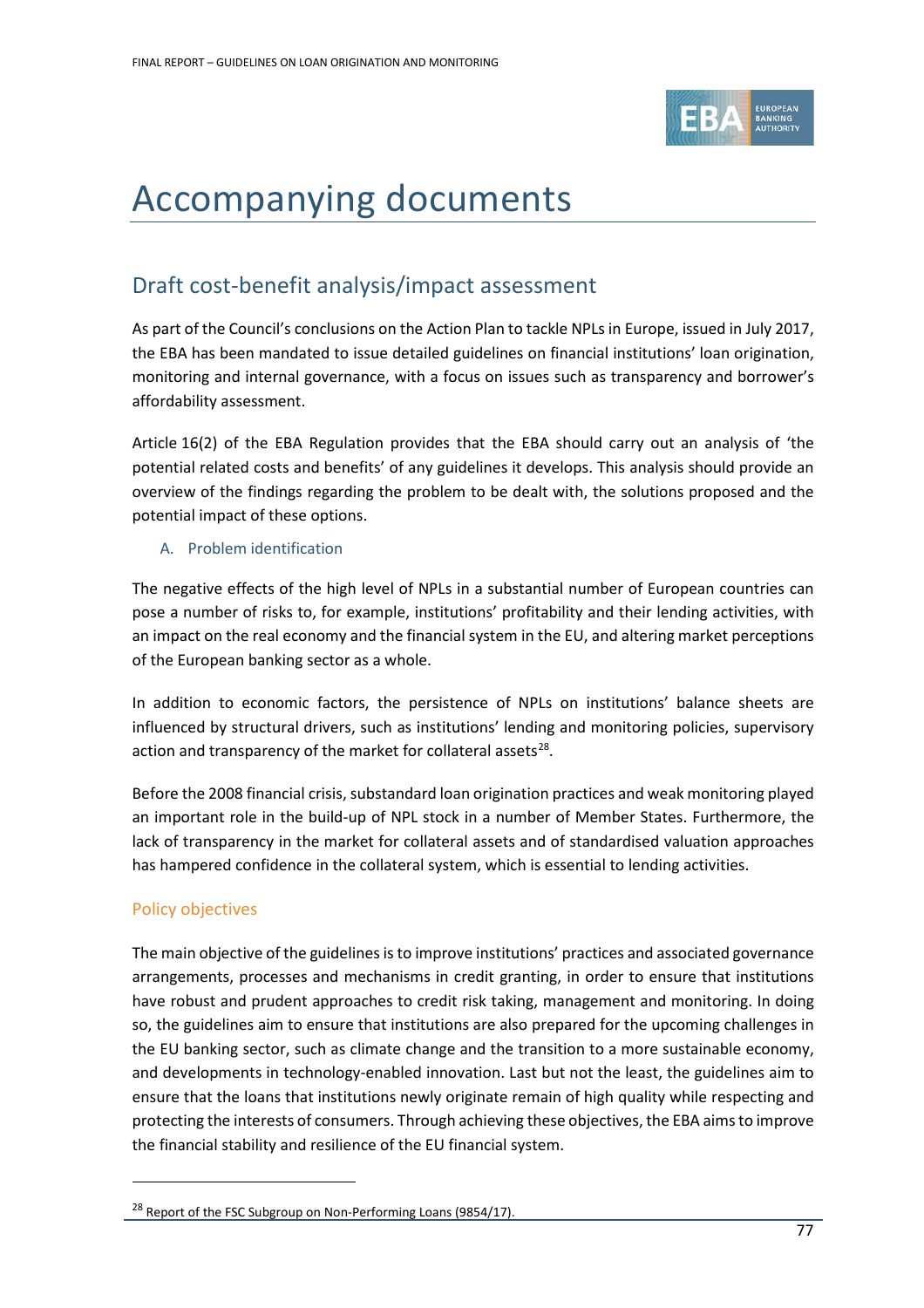

# Accompanying documents

# Draft cost-benefit analysis/impact assessment

As part of the Council's conclusions on the Action Plan to tackle NPLs in Europe, issued in July 2017, the EBA has been mandated to issue detailed guidelines on financial institutions' loan origination, monitoring and internal governance, with a focus on issues such as transparency and borrower's affordability assessment.

Article 16(2) of the EBA Regulation provides that the EBA should carry out an analysis of 'the potential related costs and benefits' of any guidelines it develops. This analysis should provide an overview of the findings regarding the problem to be dealt with, the solutions proposed and the potential impact of these options.

# A. Problem identification

The negative effects of the high level of NPLs in a substantial number of European countries can pose a number of risks to, for example, institutions' profitability and their lending activities, with an impact on the real economy and the financial system in the EU, and altering market perceptions of the European banking sector as a whole.

In addition to economic factors, the persistence of NPLs on institutions' balance sheets are influenced by structural drivers, such as institutions' lending and monitoring policies, supervisory action and transparency of the market for collateral assets $^{28}$ .

Before the 2008 financial crisis, substandard loan origination practices and weak monitoring played an important role in the build-up of NPL stock in a number of Member States. Furthermore, the lack of transparency in the market for collateral assets and of standardised valuation approaches has hampered confidence in the collateral system, which is essential to lending activities.

# Policy objectives

 $\overline{a}$ 

The main objective of the guidelines is to improve institutions' practices and associated governance arrangements, processes and mechanisms in credit granting, in order to ensure that institutions have robust and prudent approaches to credit risk taking, management and monitoring. In doing so, the guidelines aim to ensure that institutions are also prepared for the upcoming challenges in the EU banking sector, such as climate change and the transition to a more sustainable economy, and developments in technology-enabled innovation. Last but not the least, the guidelines aim to ensure that the loans that institutions newly originate remain of high quality while respecting and protecting the interests of consumers. Through achieving these objectives, the EBA aims to improve the financial stability and resilience of the EU financial system.

<span id="page-76-0"></span><sup>&</sup>lt;sup>28</sup> Report of the FSC Subgroup on Non-Performing Loans (9854/17).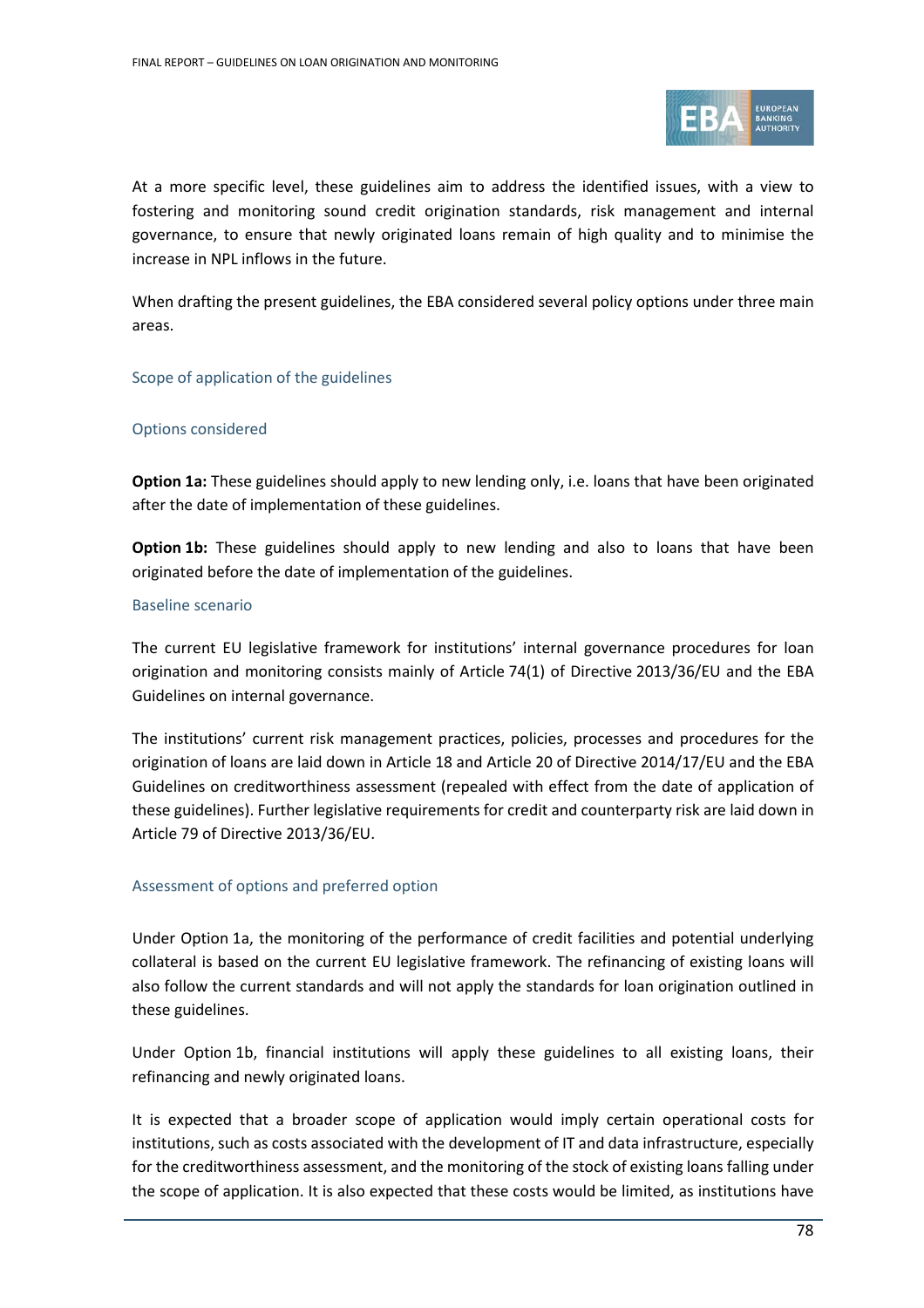

At a more specific level, these guidelines aim to address the identified issues, with a view to fostering and monitoring sound credit origination standards, risk management and internal governance, to ensure that newly originated loans remain of high quality and to minimise the increase in NPL inflows in the future.

When drafting the present guidelines, the EBA considered several policy options under three main areas.

#### Scope of application of the guidelines

#### Options considered

**Option 1a:** These guidelines should apply to new lending only, i.e. loans that have been originated after the date of implementation of these guidelines.

**Option 1b:** These guidelines should apply to new lending and also to loans that have been originated before the date of implementation of the guidelines.

#### Baseline scenario

The current EU legislative framework for institutions' internal governance procedures for loan origination and monitoring consists mainly of Article 74(1) of Directive 2013/36/EU and the EBA Guidelines on internal governance.

The institutions' current risk management practices, policies, processes and procedures for the origination of loans are laid down in Article 18 and Article 20 of Directive 2014/17/EU and the EBA Guidelines on creditworthiness assessment (repealed with effect from the date of application of these guidelines). Further legislative requirements for credit and counterparty risk are laid down in Article 79 of Directive 2013/36/EU.

#### Assessment of options and preferred option

Under Option 1a, the monitoring of the performance of credit facilities and potential underlying collateral is based on the current EU legislative framework. The refinancing of existing loans will also follow the current standards and will not apply the standards for loan origination outlined in these guidelines.

Under Option 1b, financial institutions will apply these guidelines to all existing loans, their refinancing and newly originated loans.

It is expected that a broader scope of application would imply certain operational costs for institutions, such as costs associated with the development of IT and data infrastructure, especially for the creditworthiness assessment, and the monitoring of the stock of existing loans falling under the scope of application. It is also expected that these costs would be limited, as institutions have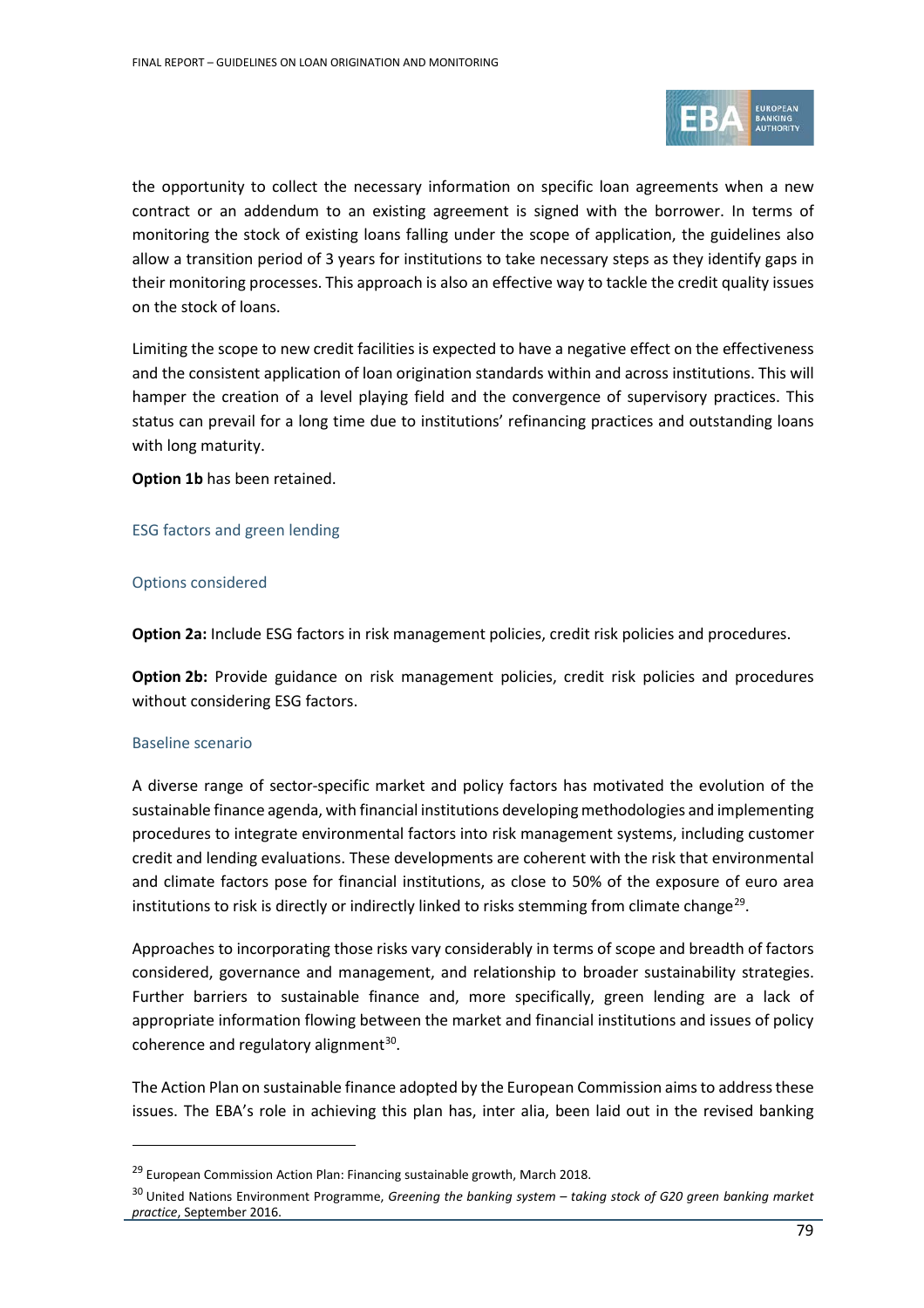

the opportunity to collect the necessary information on specific loan agreements when a new contract or an addendum to an existing agreement is signed with the borrower. In terms of monitoring the stock of existing loans falling under the scope of application, the guidelines also allow a transition period of 3 years for institutions to take necessary steps as they identify gaps in their monitoring processes. This approach is also an effective way to tackle the credit quality issues on the stock of loans.

Limiting the scope to new credit facilities is expected to have a negative effect on the effectiveness and the consistent application of loan origination standards within and across institutions. This will hamper the creation of a level playing field and the convergence of supervisory practices. This status can prevail for a long time due to institutions' refinancing practices and outstanding loans with long maturity.

**Option 1b** has been retained.

#### ESG factors and green lending

#### Options considered

**Option 2a:** Include ESG factors in risk management policies, credit risk policies and procedures.

**Option 2b:** Provide guidance on risk management policies, credit risk policies and procedures without considering ESG factors.

#### Baseline scenario

 $\overline{a}$ 

A diverse range of sector-specific market and policy factors has motivated the evolution of the sustainable finance agenda, with financial institutions developing methodologies and implementing procedures to integrate environmental factors into risk management systems, including customer credit and lending evaluations. These developments are coherent with the risk that environmental and climate factors pose for financial institutions, as close to 50% of the exposure of euro area institutions to risk is directly or indirectly linked to risks stemming from climate change<sup>29</sup>.

Approaches to incorporating those risks vary considerably in terms of scope and breadth of factors considered, governance and management, and relationship to broader sustainability strategies. Further barriers to sustainable finance and, more specifically, green lending are a lack of appropriate information flowing between the market and financial institutions and issues of policy coherence and regulatory alignment $30$ .

The Action Plan on sustainable finance adopted by the European Commission aims to address these issues. The EBA's role in achieving this plan has, inter alia, been laid out in the revised banking

<sup>&</sup>lt;sup>29</sup> European Commission Action Plan: Financing sustainable growth, March 2018.

<span id="page-78-1"></span><span id="page-78-0"></span><sup>30</sup> United Nations Environment Programme, *Greening the banking system – taking stock of G20 green banking market practice*, September 2016.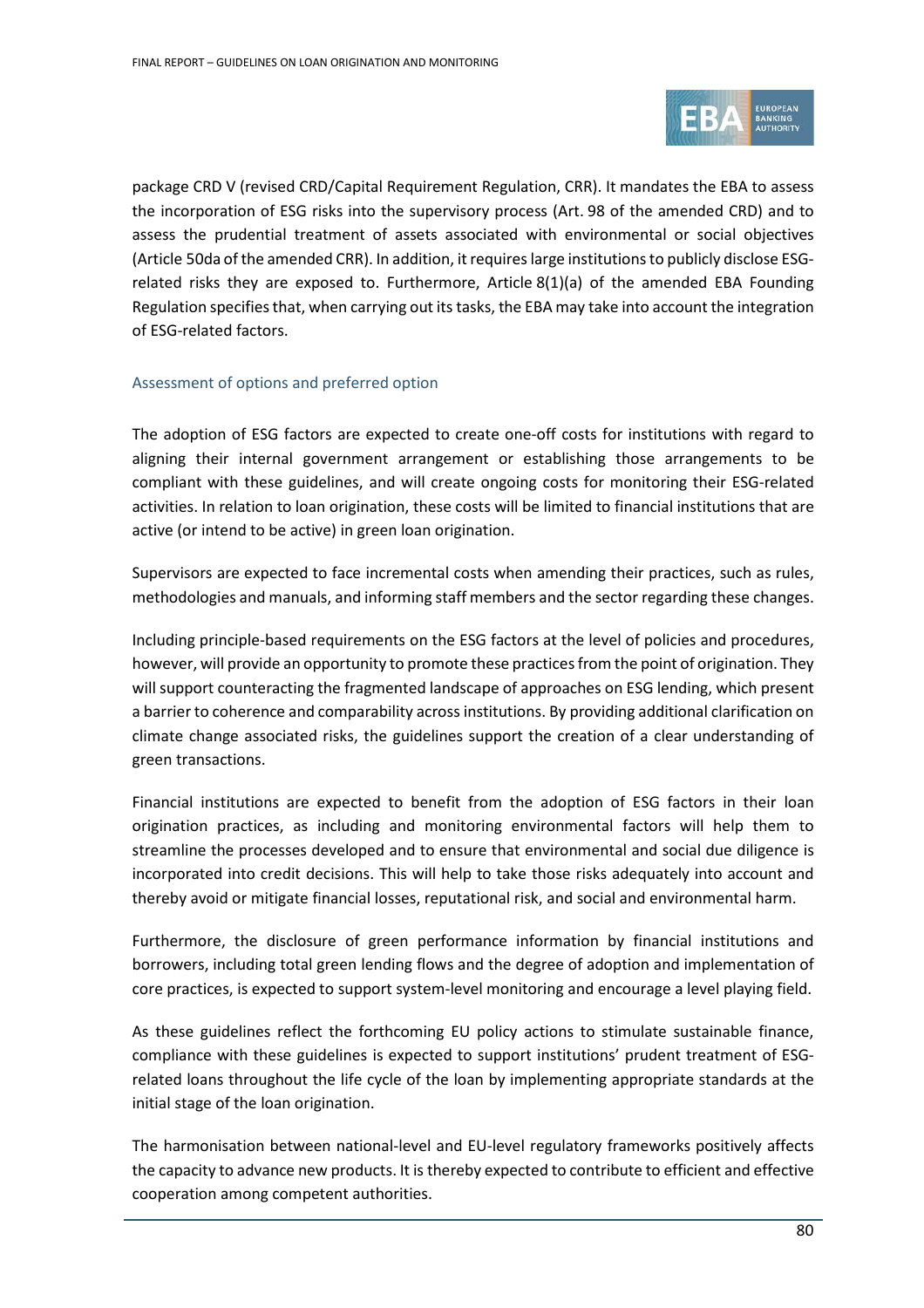

package CRD V (revised CRD/Capital Requirement Regulation, CRR). It mandates the EBA to assess the incorporation of ESG risks into the supervisory process (Art. 98 of the amended CRD) and to assess the prudential treatment of assets associated with environmental or social objectives (Article 50da of the amended CRR). In addition, it requires large institutions to publicly disclose ESGrelated risks they are exposed to. Furthermore, Article 8(1)(a) of the amended EBA Founding Regulation specifies that, when carrying out its tasks, the EBA may take into account the integration of ESG-related factors.

#### Assessment of options and preferred option

The adoption of ESG factors are expected to create one-off costs for institutions with regard to aligning their internal government arrangement or establishing those arrangements to be compliant with these guidelines, and will create ongoing costs for monitoring their ESG-related activities. In relation to loan origination, these costs will be limited to financial institutions that are active (or intend to be active) in green loan origination.

Supervisors are expected to face incremental costs when amending their practices, such as rules, methodologies and manuals, and informing staff members and the sector regarding these changes.

Including principle-based requirements on the ESG factors at the level of policies and procedures, however, will provide an opportunity to promote these practices from the point of origination. They will support counteracting the fragmented landscape of approaches on ESG lending, which present a barrier to coherence and comparability across institutions. By providing additional clarification on climate change associated risks, the guidelines support the creation of a clear understanding of green transactions.

Financial institutions are expected to benefit from the adoption of ESG factors in their loan origination practices, as including and monitoring environmental factors will help them to streamline the processes developed and to ensure that environmental and social due diligence is incorporated into credit decisions. This will help to take those risks adequately into account and thereby avoid or mitigate financial losses, reputational risk, and social and environmental harm.

Furthermore, the disclosure of green performance information by financial institutions and borrowers, including total green lending flows and the degree of adoption and implementation of core practices, is expected to support system-level monitoring and encourage a level playing field.

As these guidelines reflect the forthcoming EU policy actions to stimulate sustainable finance, compliance with these guidelines is expected to support institutions' prudent treatment of ESGrelated loans throughout the life cycle of the loan by implementing appropriate standards at the initial stage of the loan origination.

The harmonisation between national-level and EU-level regulatory frameworks positively affects the capacity to advance new products. It is thereby expected to contribute to efficient and effective cooperation among competent authorities.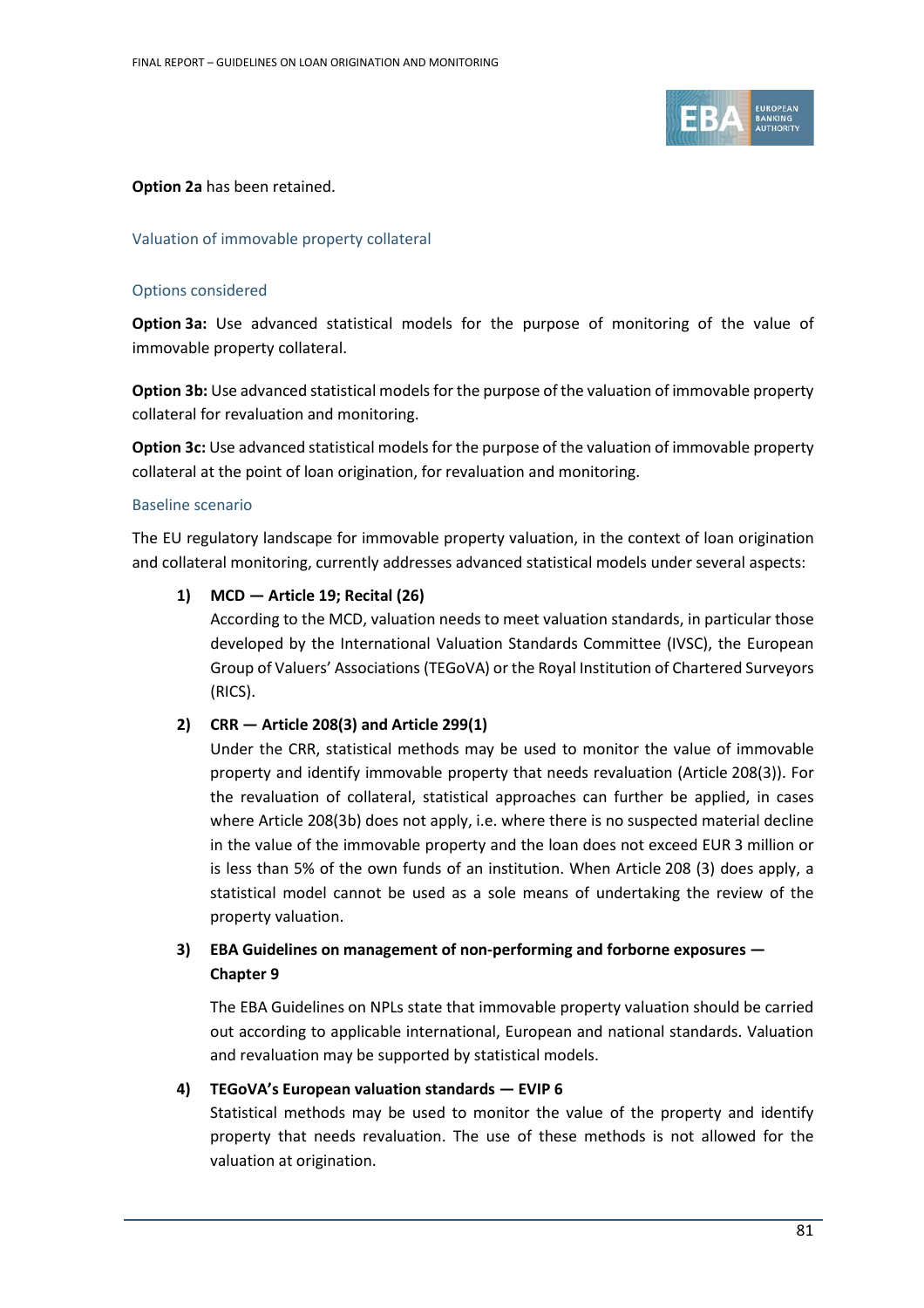

#### **Option 2a** has been retained.

#### Valuation of immovable property collateral

#### Options considered

**Option 3a:** Use advanced statistical models for the purpose of monitoring of the value of immovable property collateral.

**Option 3b:** Use advanced statistical models for the purpose of the valuation of immovable property collateral for revaluation and monitoring.

**Option 3c:** Use advanced statistical models for the purpose of the valuation of immovable property collateral at the point of loan origination, for revaluation and monitoring.

#### Baseline scenario

The EU regulatory landscape for immovable property valuation, in the context of loan origination and collateral monitoring, currently addresses advanced statistical models under several aspects:

#### **1) MCD — Article 19; Recital (26)**

According to the MCD, valuation needs to meet valuation standards, in particular those developed by the International Valuation Standards Committee (IVSC), the European Group of Valuers' Associations (TEGoVA) or the Royal Institution of Chartered Surveyors (RICS).

# **2) CRR — Article 208(3) and Article 299(1)**

Under the CRR, statistical methods may be used to monitor the value of immovable property and identify immovable property that needs revaluation (Article 208(3)). For the revaluation of collateral, statistical approaches can further be applied, in cases where Article 208(3b) does not apply, i.e. where there is no suspected material decline in the value of the immovable property and the loan does not exceed EUR 3 million or is less than 5% of the own funds of an institution. When Article 208 (3) does apply, a statistical model cannot be used as a sole means of undertaking the review of the property valuation.

# **3) EBA Guidelines on management of non-performing and forborne exposures — Chapter 9**

The EBA Guidelines on NPLs state that immovable property valuation should be carried out according to applicable international, European and national standards. Valuation and revaluation may be supported by statistical models.

# **4) TEGoVA's European valuation standards — EVIP 6**

Statistical methods may be used to monitor the value of the property and identify property that needs revaluation. The use of these methods is not allowed for the valuation at origination.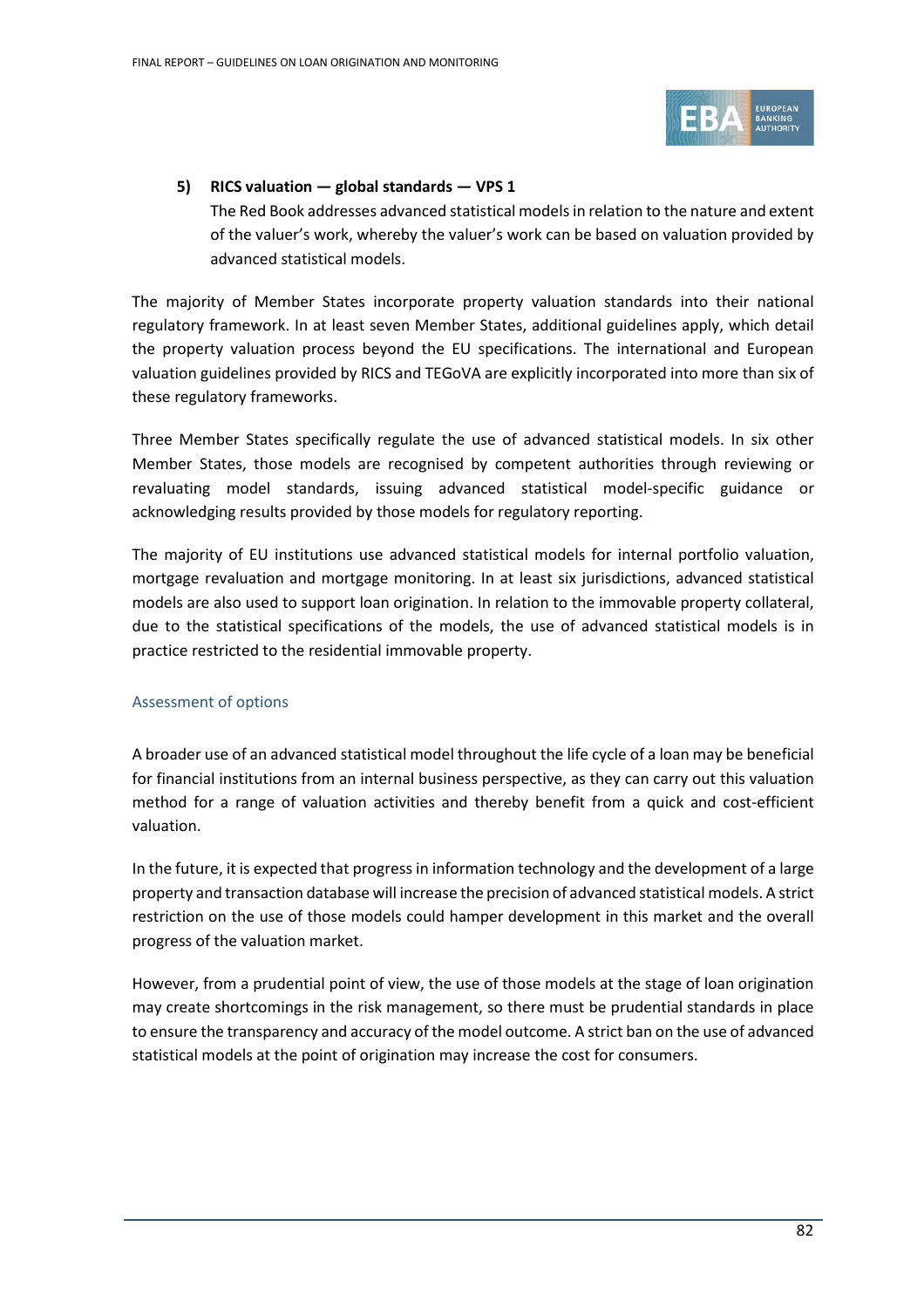

# **5) RICS valuation — global standards — VPS 1**

The Red Book addresses advanced statistical models in relation to the nature and extent of the valuer's work, whereby the valuer's work can be based on valuation provided by advanced statistical models.

The majority of Member States incorporate property valuation standards into their national regulatory framework. In at least seven Member States, additional guidelines apply, which detail the property valuation process beyond the EU specifications. The international and European valuation guidelines provided by RICS and TEGoVA are explicitly incorporated into more than six of these regulatory frameworks.

Three Member States specifically regulate the use of advanced statistical models. In six other Member States, those models are recognised by competent authorities through reviewing or revaluating model standards, issuing advanced statistical model-specific guidance or acknowledging results provided by those models for regulatory reporting.

The majority of EU institutions use advanced statistical models for internal portfolio valuation, mortgage revaluation and mortgage monitoring. In at least six jurisdictions, advanced statistical models are also used to support loan origination. In relation to the immovable property collateral, due to the statistical specifications of the models, the use of advanced statistical models is in practice restricted to the residential immovable property.

# Assessment of options

A broader use of an advanced statistical model throughout the life cycle of a loan may be beneficial for financial institutions from an internal business perspective, as they can carry out this valuation method for a range of valuation activities and thereby benefit from a quick and cost-efficient valuation.

In the future, it is expected that progress in information technology and the development of a large property and transaction database will increase the precision of advanced statistical models. A strict restriction on the use of those models could hamper development in this market and the overall progress of the valuation market.

However, from a prudential point of view, the use of those models at the stage of loan origination may create shortcomings in the risk management, so there must be prudential standards in place to ensure the transparency and accuracy of the model outcome. A strict ban on the use of advanced statistical models at the point of origination may increase the cost for consumers.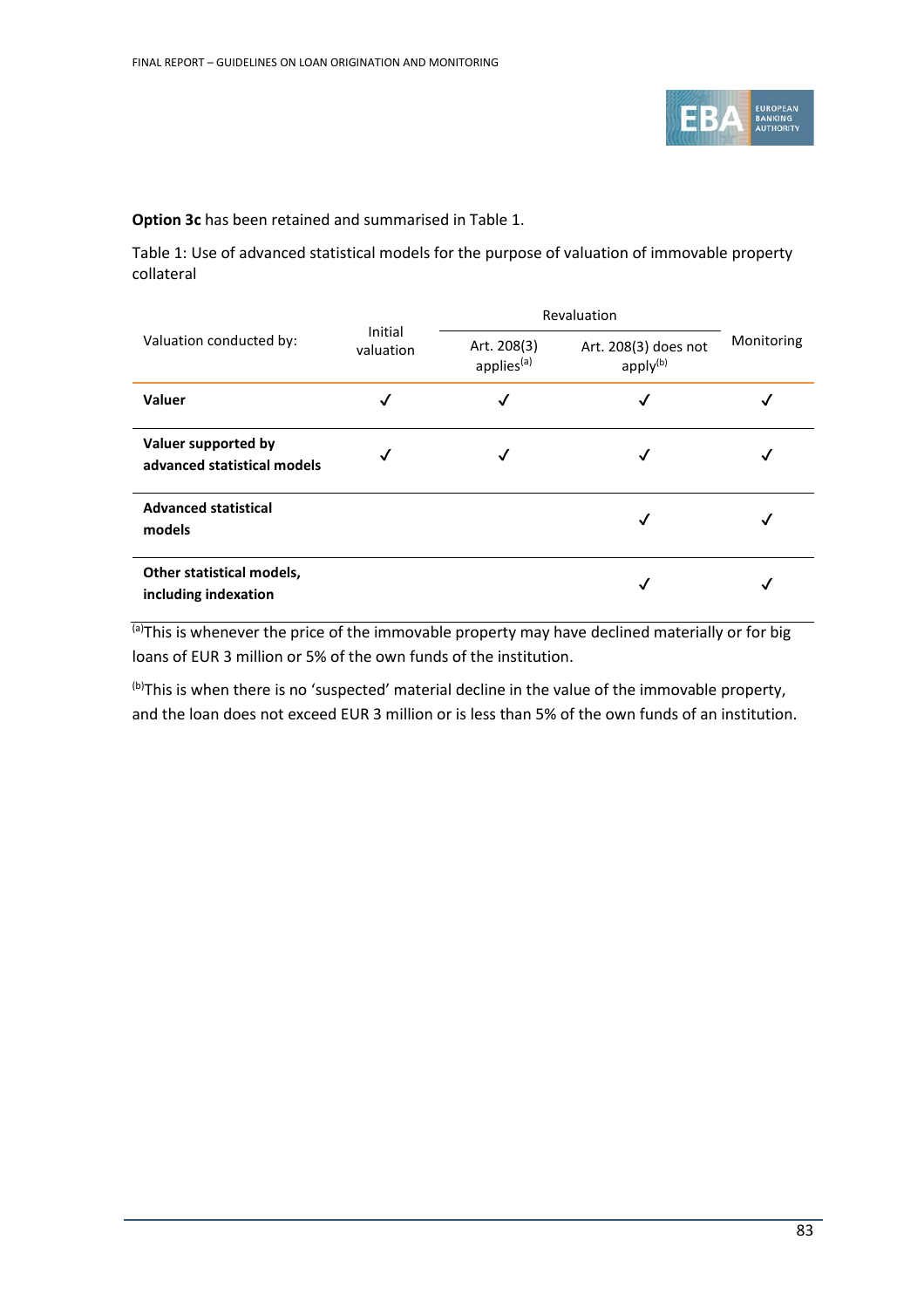

**Option 3c** has been retained and summarised i[n Table](#page-82-0) 1.

<span id="page-82-0"></span>Table 1: Use of advanced statistical models for the purpose of valuation of immovable property collateral

| Valuation conducted by:                            | Initial<br>valuation | Revaluation                           |                                              |            |
|----------------------------------------------------|----------------------|---------------------------------------|----------------------------------------------|------------|
|                                                    |                      | Art. 208(3)<br>applies <sup>(a)</sup> | Art. 208(3) does not<br>apply <sup>(b)</sup> | Monitoring |
| Valuer                                             |                      | √                                     |                                              |            |
| Valuer supported by<br>advanced statistical models |                      |                                       |                                              |            |
| <b>Advanced statistical</b><br>models              |                      |                                       |                                              |            |
| Other statistical models,<br>including indexation  |                      |                                       | √                                            |            |

<sup>(a)</sup>This is whenever the price of the immovable property may have declined materially or for big loans of EUR 3 million or 5% of the own funds of the institution.

<sup>(b)</sup>This is when there is no 'suspected' material decline in the value of the immovable property, and the loan does not exceed EUR 3 million or is less than 5% of the own funds of an institution.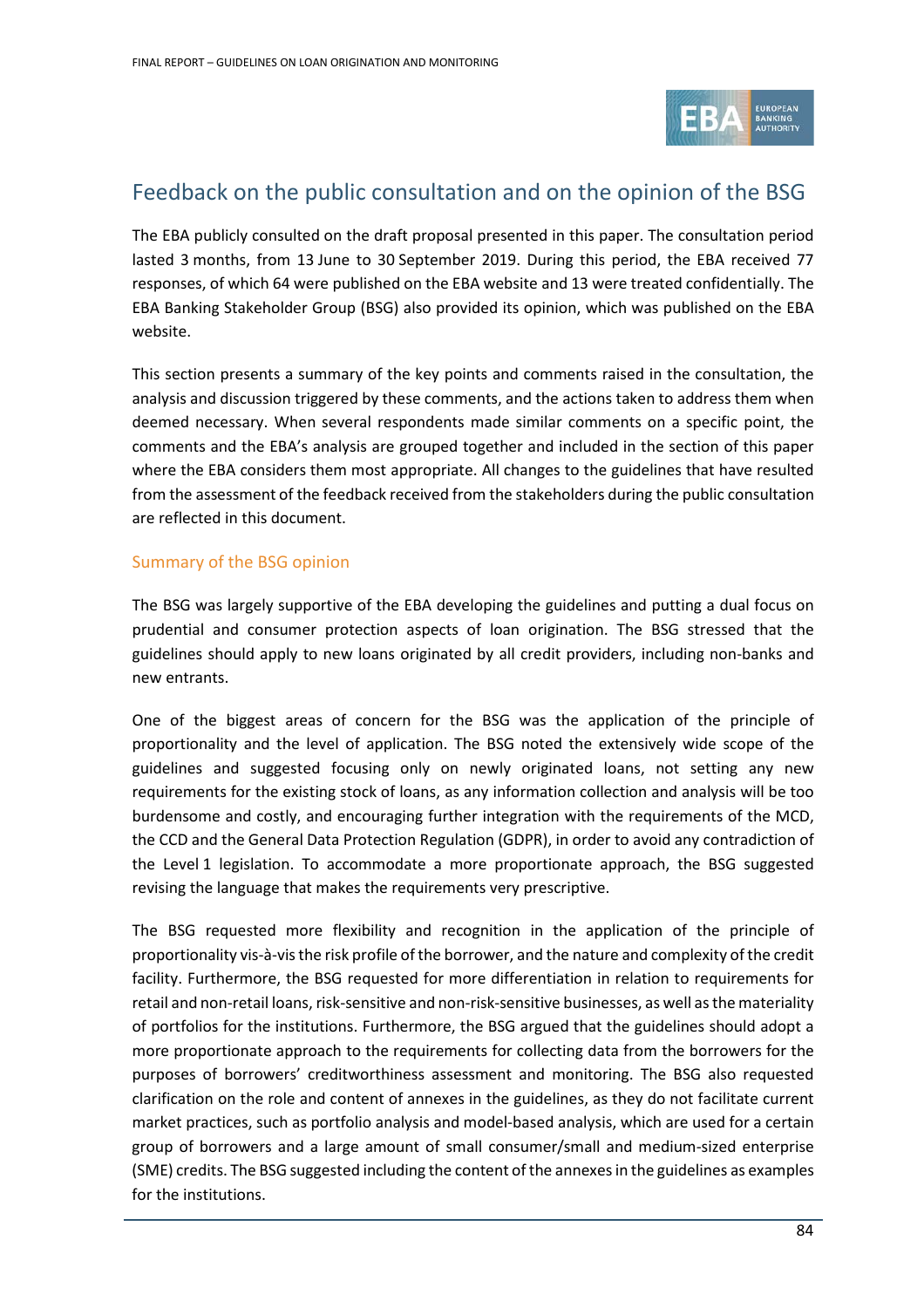

# Feedback on the public consultation and on the opinion of the BSG

The EBA publicly consulted on the draft proposal presented in this paper. The consultation period lasted 3 months, from 13 June to 30 September 2019. During this period, the EBA received 77 responses, of which 64 were published on the EBA website and 13 were treated confidentially. The EBA Banking Stakeholder Group (BSG) also provided its opinion, which was published on the EBA website.

This section presents a summary of the key points and comments raised in the consultation, the analysis and discussion triggered by these comments, and the actions taken to address them when deemed necessary. When several respondents made similar comments on a specific point, the comments and the EBA's analysis are grouped together and included in the section of this paper where the EBA considers them most appropriate. All changes to the guidelines that have resulted from the assessment of the feedback received from the stakeholders during the public consultation are reflected in this document.

# Summary of the BSG opinion

The BSG was largely supportive of the EBA developing the guidelines and putting a dual focus on prudential and consumer protection aspects of loan origination. The BSG stressed that the guidelines should apply to new loans originated by all credit providers, including non-banks and new entrants.

One of the biggest areas of concern for the BSG was the application of the principle of proportionality and the level of application. The BSG noted the extensively wide scope of the guidelines and suggested focusing only on newly originated loans, not setting any new requirements for the existing stock of loans, as any information collection and analysis will be too burdensome and costly, and encouraging further integration with the requirements of the MCD, the CCD and the General Data Protection Regulation (GDPR), in order to avoid any contradiction of the Level 1 legislation. To accommodate a more proportionate approach, the BSG suggested revising the language that makes the requirements very prescriptive.

The BSG requested more flexibility and recognition in the application of the principle of proportionality vis-à-vis the risk profile of the borrower, and the nature and complexity of the credit facility. Furthermore, the BSG requested for more differentiation in relation to requirements for retail and non-retail loans, risk-sensitive and non-risk-sensitive businesses, as well as the materiality of portfolios for the institutions. Furthermore, the BSG argued that the guidelines should adopt a more proportionate approach to the requirements for collecting data from the borrowers for the purposes of borrowers' creditworthiness assessment and monitoring. The BSG also requested clarification on the role and content of annexes in the guidelines, as they do not facilitate current market practices, such as portfolio analysis and model-based analysis, which are used for a certain group of borrowers and a large amount of small consumer/small and medium-sized enterprise (SME) credits. The BSG suggested including the content of the annexes in the guidelines as examples for the institutions.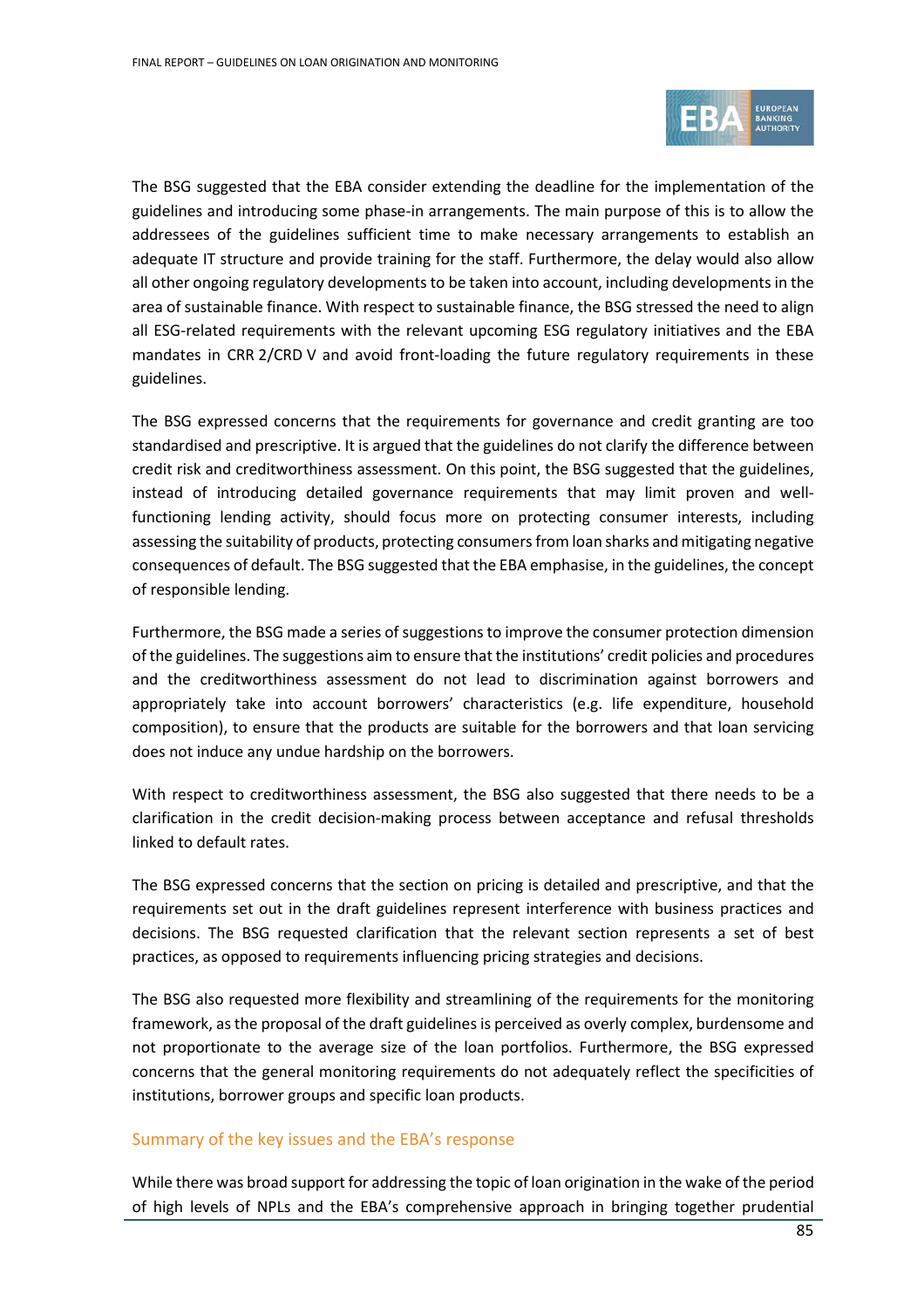

The BSG suggested that the EBA consider extending the deadline for the implementation of the guidelines and introducing some phase-in arrangements. The main purpose of this is to allow the addressees of the guidelines sufficient time to make necessary arrangements to establish an adequate IT structure and provide training for the staff. Furthermore, the delay would also allow all other ongoing regulatory developments to be taken into account, including developments in the area of sustainable finance. With respect to sustainable finance, the BSG stressed the need to align all ESG-related requirements with the relevant upcoming ESG regulatory initiatives and the EBA mandates in CRR 2/CRD V and avoid front-loading the future regulatory requirements in these guidelines.

The BSG expressed concerns that the requirements for governance and credit granting are too standardised and prescriptive. It is argued that the guidelines do not clarify the difference between credit risk and creditworthiness assessment. On this point, the BSG suggested that the guidelines, instead of introducing detailed governance requirements that may limit proven and wellfunctioning lending activity, should focus more on protecting consumer interests, including assessing the suitability of products, protecting consumers from loan sharks and mitigating negative consequences of default. The BSG suggested that the EBA emphasise, in the guidelines, the concept of responsible lending.

Furthermore, the BSG made a series of suggestions to improve the consumer protection dimension of the guidelines. The suggestions aim to ensure that the institutions' credit policies and procedures and the creditworthiness assessment do not lead to discrimination against borrowers and appropriately take into account borrowers' characteristics (e.g. life expenditure, household composition), to ensure that the products are suitable for the borrowers and that loan servicing does not induce any undue hardship on the borrowers.

With respect to creditworthiness assessment, the BSG also suggested that there needs to be a clarification in the credit decision-making process between acceptance and refusal thresholds linked to default rates.

The BSG expressed concerns that the section on pricing is detailed and prescriptive, and that the requirements set out in the draft guidelines represent interference with business practices and decisions. The BSG requested clarification that the relevant section represents a set of best practices, as opposed to requirements influencing pricing strategies and decisions.

The BSG also requested more flexibility and streamlining of the requirements for the monitoring framework, as the proposal of the draft guidelines is perceived as overly complex, burdensome and not proportionate to the average size of the loan portfolios. Furthermore, the BSG expressed concerns that the general monitoring requirements do not adequately reflect the specificities of institutions, borrower groups and specific loan products.

# Summary of the key issues and the EBA's response

While there was broad support for addressing the topic of loan origination in the wake of the period of high levels of NPLs and the EBA's comprehensive approach in bringing together prudential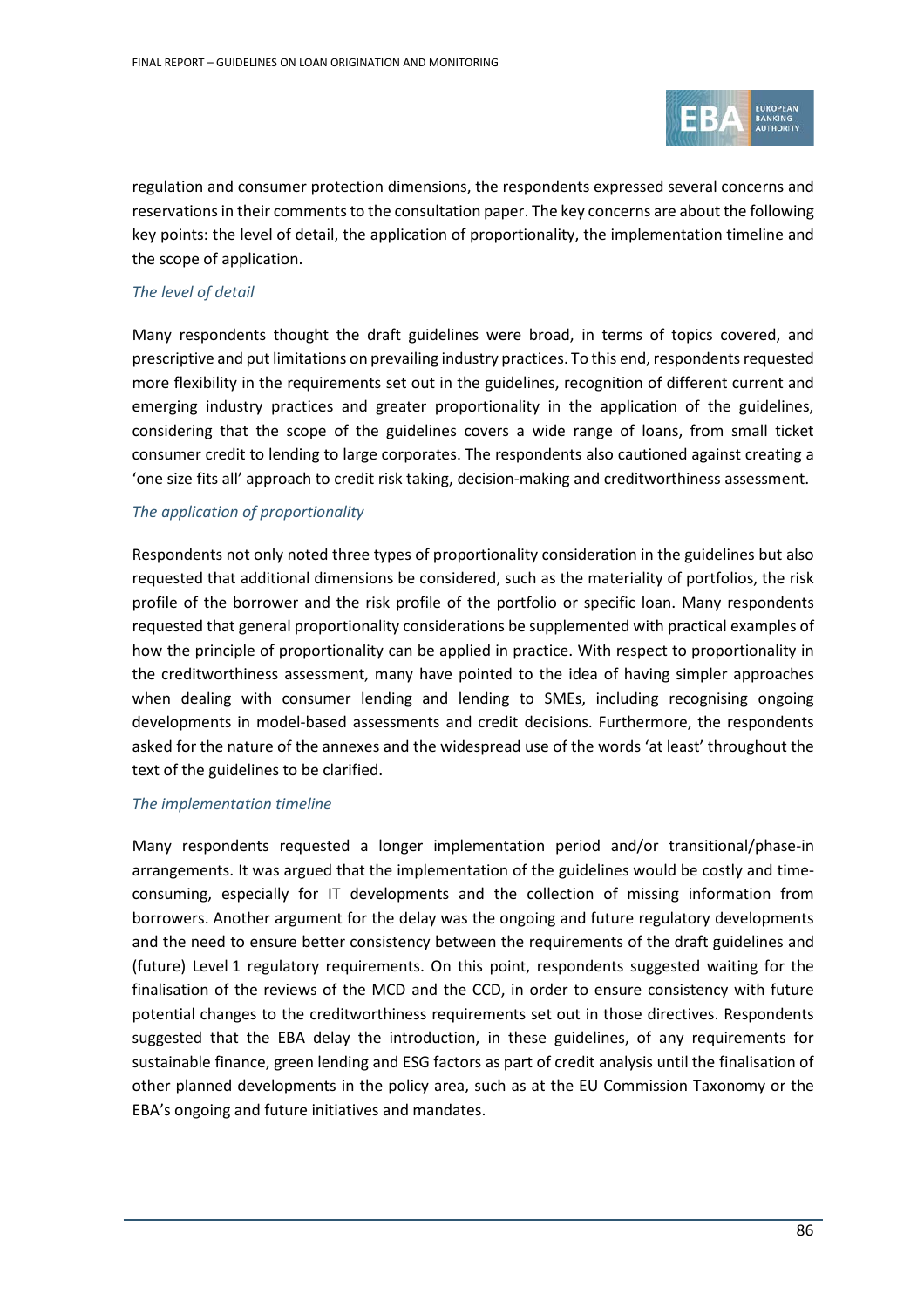

regulation and consumer protection dimensions, the respondents expressed several concerns and reservations in their comments to the consultation paper. The key concerns are about the following key points: the level of detail, the application of proportionality, the implementation timeline and the scope of application.

# *The level of detail*

Many respondents thought the draft guidelines were broad, in terms of topics covered, and prescriptive and put limitations on prevailing industry practices. To this end, respondents requested more flexibility in the requirements set out in the guidelines, recognition of different current and emerging industry practices and greater proportionality in the application of the guidelines, considering that the scope of the guidelines covers a wide range of loans, from small ticket consumer credit to lending to large corporates. The respondents also cautioned against creating a 'one size fits all' approach to credit risk taking, decision-making and creditworthiness assessment.

# *The application of proportionality*

Respondents not only noted three types of proportionality consideration in the guidelines but also requested that additional dimensions be considered, such as the materiality of portfolios, the risk profile of the borrower and the risk profile of the portfolio or specific loan. Many respondents requested that general proportionality considerations be supplemented with practical examples of how the principle of proportionality can be applied in practice. With respect to proportionality in the creditworthiness assessment, many have pointed to the idea of having simpler approaches when dealing with consumer lending and lending to SMEs, including recognising ongoing developments in model-based assessments and credit decisions. Furthermore, the respondents asked for the nature of the annexes and the widespread use of the words 'at least' throughout the text of the guidelines to be clarified.

#### *The implementation timeline*

Many respondents requested a longer implementation period and/or transitional/phase-in arrangements. It was argued that the implementation of the guidelines would be costly and timeconsuming, especially for IT developments and the collection of missing information from borrowers. Another argument for the delay was the ongoing and future regulatory developments and the need to ensure better consistency between the requirements of the draft guidelines and (future) Level 1 regulatory requirements. On this point, respondents suggested waiting for the finalisation of the reviews of the MCD and the CCD, in order to ensure consistency with future potential changes to the creditworthiness requirements set out in those directives. Respondents suggested that the EBA delay the introduction, in these guidelines, of any requirements for sustainable finance, green lending and ESG factors as part of credit analysis until the finalisation of other planned developments in the policy area, such as at the EU Commission Taxonomy or the EBA's ongoing and future initiatives and mandates.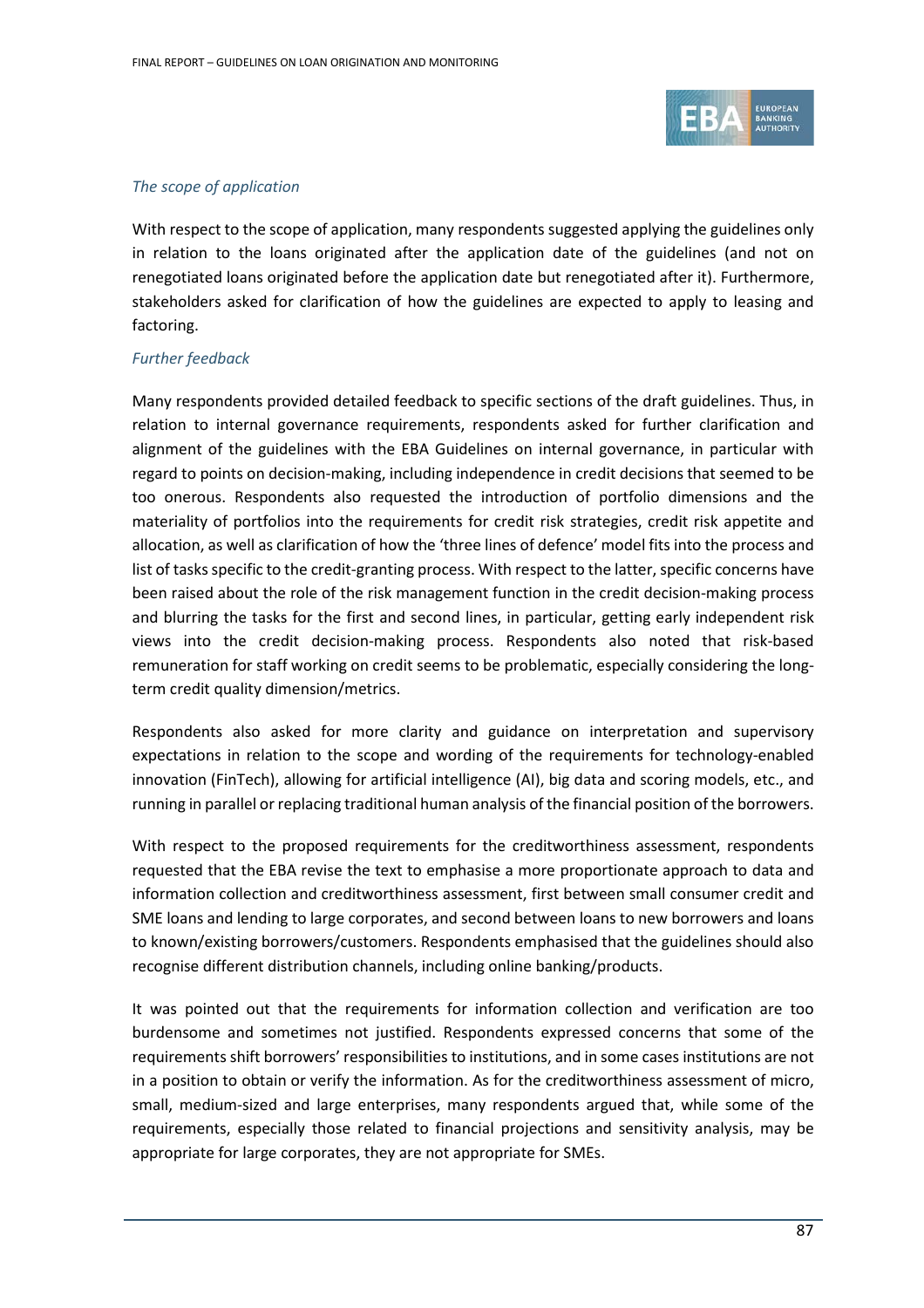

# *The scope of application*

With respect to the scope of application, many respondents suggested applying the guidelines only in relation to the loans originated after the application date of the guidelines (and not on renegotiated loans originated before the application date but renegotiated after it). Furthermore, stakeholders asked for clarification of how the guidelines are expected to apply to leasing and factoring.

#### *Further feedback*

Many respondents provided detailed feedback to specific sections of the draft guidelines. Thus, in relation to internal governance requirements, respondents asked for further clarification and alignment of the guidelines with the EBA Guidelines on internal governance, in particular with regard to points on decision-making, including independence in credit decisions that seemed to be too onerous. Respondents also requested the introduction of portfolio dimensions and the materiality of portfolios into the requirements for credit risk strategies, credit risk appetite and allocation, as well as clarification of how the 'three lines of defence' model fits into the process and list of tasks specific to the credit-granting process. With respect to the latter, specific concerns have been raised about the role of the risk management function in the credit decision-making process and blurring the tasks for the first and second lines, in particular, getting early independent risk views into the credit decision-making process. Respondents also noted that risk-based remuneration for staff working on credit seems to be problematic, especially considering the longterm credit quality dimension/metrics.

Respondents also asked for more clarity and guidance on interpretation and supervisory expectations in relation to the scope and wording of the requirements for technology-enabled innovation (FinTech), allowing for artificial intelligence (AI), big data and scoring models, etc., and running in parallel or replacing traditional human analysis of the financial position of the borrowers.

With respect to the proposed requirements for the creditworthiness assessment, respondents requested that the EBA revise the text to emphasise a more proportionate approach to data and information collection and creditworthiness assessment, first between small consumer credit and SME loans and lending to large corporates, and second between loans to new borrowers and loans to known/existing borrowers/customers. Respondents emphasised that the guidelines should also recognise different distribution channels, including online banking/products.

It was pointed out that the requirements for information collection and verification are too burdensome and sometimes not justified. Respondents expressed concerns that some of the requirements shift borrowers' responsibilities to institutions, and in some cases institutions are not in a position to obtain or verify the information. As for the creditworthiness assessment of micro, small, medium-sized and large enterprises, many respondents argued that, while some of the requirements, especially those related to financial projections and sensitivity analysis, may be appropriate for large corporates, they are not appropriate for SMEs.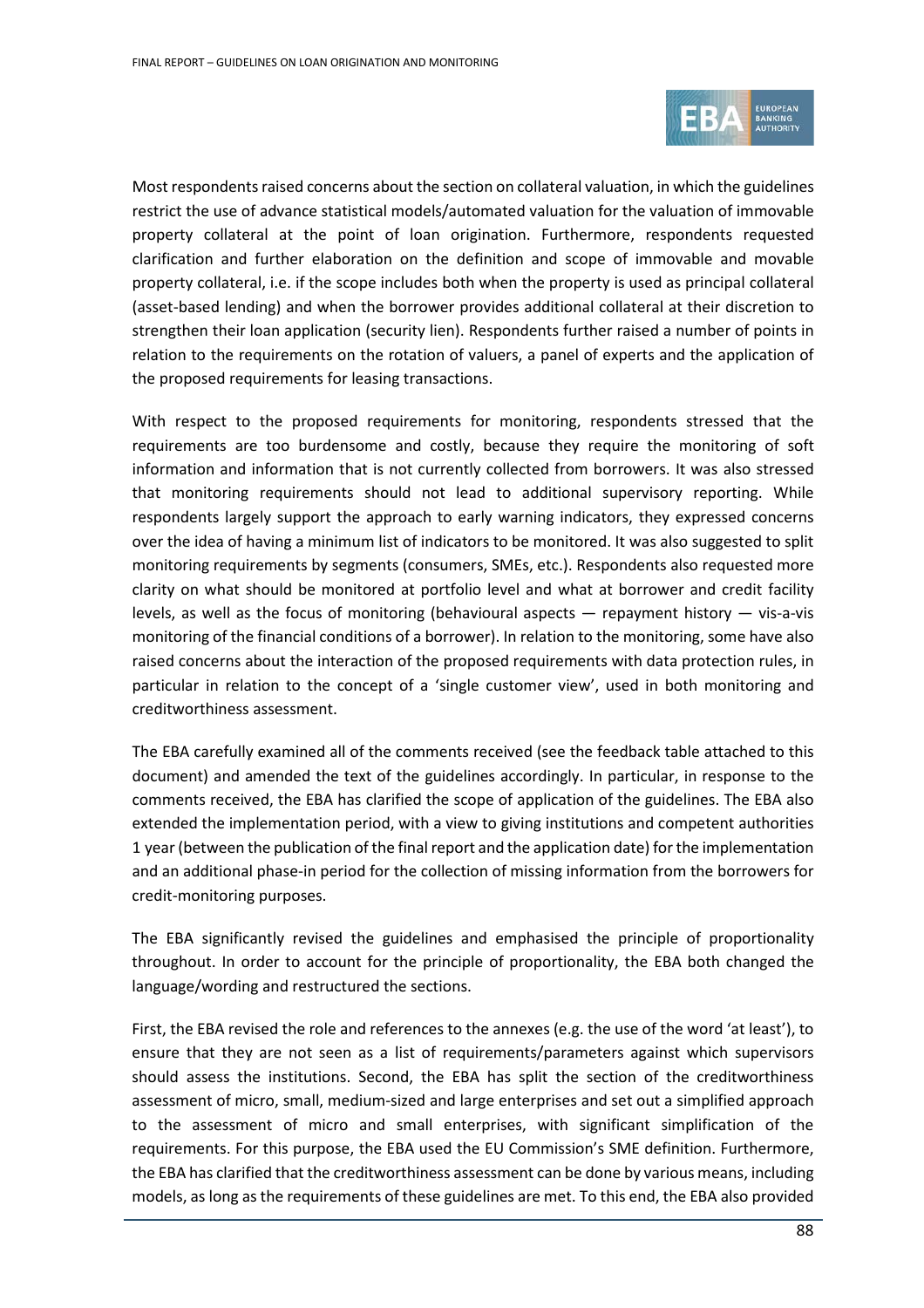

Most respondents raised concerns about the section on collateral valuation, in which the guidelines restrict the use of advance statistical models/automated valuation for the valuation of immovable property collateral at the point of loan origination. Furthermore, respondents requested clarification and further elaboration on the definition and scope of immovable and movable property collateral, i.e. if the scope includes both when the property is used as principal collateral (asset-based lending) and when the borrower provides additional collateral at their discretion to strengthen their loan application (security lien). Respondents further raised a number of points in relation to the requirements on the rotation of valuers, a panel of experts and the application of the proposed requirements for leasing transactions.

With respect to the proposed requirements for monitoring, respondents stressed that the requirements are too burdensome and costly, because they require the monitoring of soft information and information that is not currently collected from borrowers. It was also stressed that monitoring requirements should not lead to additional supervisory reporting. While respondents largely support the approach to early warning indicators, they expressed concerns over the idea of having a minimum list of indicators to be monitored. It was also suggested to split monitoring requirements by segments (consumers, SMEs, etc.). Respondents also requested more clarity on what should be monitored at portfolio level and what at borrower and credit facility levels, as well as the focus of monitoring (behavioural aspects — repayment history — vis-a-vis monitoring of the financial conditions of a borrower). In relation to the monitoring, some have also raised concerns about the interaction of the proposed requirements with data protection rules, in particular in relation to the concept of a 'single customer view', used in both monitoring and creditworthiness assessment.

The EBA carefully examined all of the comments received (see the feedback table attached to this document) and amended the text of the guidelines accordingly. In particular, in response to the comments received, the EBA has clarified the scope of application of the guidelines. The EBA also extended the implementation period, with a view to giving institutions and competent authorities 1 year(between the publication of the final report and the application date) for the implementation and an additional phase-in period for the collection of missing information from the borrowers for credit-monitoring purposes.

The EBA significantly revised the guidelines and emphasised the principle of proportionality throughout. In order to account for the principle of proportionality, the EBA both changed the language/wording and restructured the sections.

First, the EBA revised the role and references to the annexes (e.g. the use of the word 'at least'), to ensure that they are not seen as a list of requirements/parameters against which supervisors should assess the institutions. Second, the EBA has split the section of the creditworthiness assessment of micro, small, medium-sized and large enterprises and set out a simplified approach to the assessment of micro and small enterprises, with significant simplification of the requirements. For this purpose, the EBA used the EU Commission's SME definition. Furthermore, the EBA has clarified that the creditworthiness assessment can be done by various means, including models, as long as the requirements of these guidelines are met. To this end, the EBA also provided